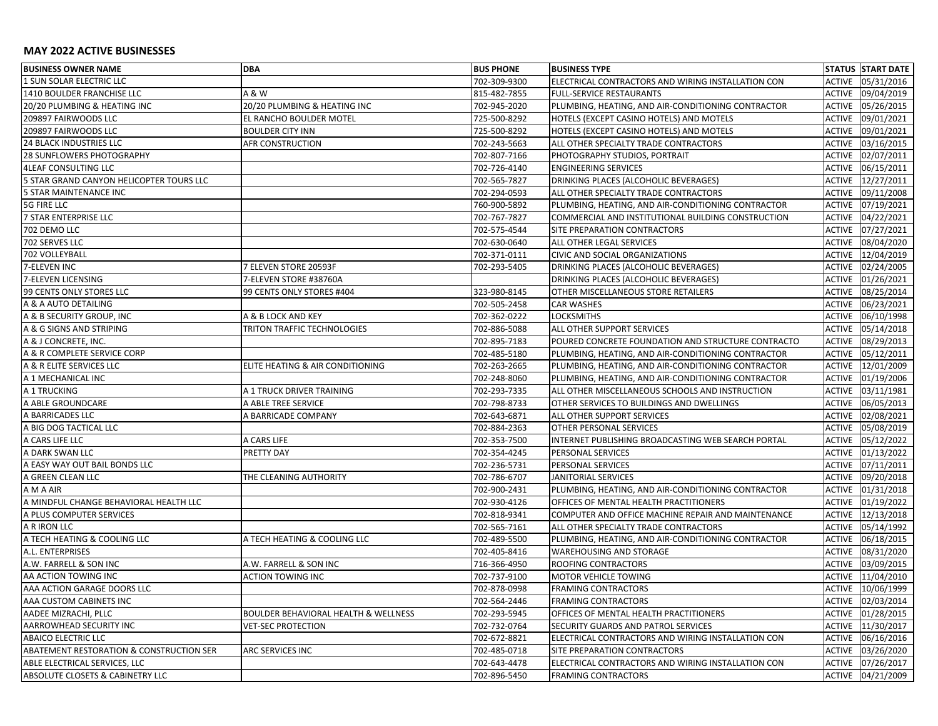## **MAY 2022 ACTIVE BUSINESSES**

| <b>BUSINESS OWNER NAME</b>               | <b>DBA</b>                                      | <b>BUS PHONE</b> | <b>BUSINESS TYPE</b>                               |               | <b>STATUS START DATE</b> |
|------------------------------------------|-------------------------------------------------|------------------|----------------------------------------------------|---------------|--------------------------|
| 1 SUN SOLAR ELECTRIC LLC                 |                                                 | 702-309-9300     | ELECTRICAL CONTRACTORS AND WIRING INSTALLATION CON | <b>ACTIVE</b> | 05/31/2016               |
| 1410 BOULDER FRANCHISE LLC               | A & W                                           | 815-482-7855     | <b>FULL-SERVICE RESTAURANTS</b>                    | <b>ACTIVE</b> | 09/04/2019               |
| 20/20 PLUMBING & HEATING INC             | 20/20 PLUMBING & HEATING INC                    | 702-945-2020     | PLUMBING, HEATING, AND AIR-CONDITIONING CONTRACTOR | <b>ACTIVE</b> | 05/26/2015               |
| 209897 FAIRWOODS LLC                     | EL RANCHO BOULDER MOTEL                         | 725-500-8292     | HOTELS (EXCEPT CASINO HOTELS) AND MOTELS           | <b>ACTIVE</b> | 09/01/2021               |
| 209897 FAIRWOODS LLC                     | <b>BOULDER CITY INN</b>                         | 725-500-8292     | HOTELS (EXCEPT CASINO HOTELS) AND MOTELS           | <b>ACTIVE</b> | 09/01/2021               |
| 24 BLACK INDUSTRIES LLC                  | <b>AFR CONSTRUCTION</b>                         | 702-243-5663     | ALL OTHER SPECIALTY TRADE CONTRACTORS              | <b>ACTIVE</b> | 03/16/2015               |
| 28 SUNFLOWERS PHOTOGRAPHY                |                                                 | 702-807-7166     | PHOTOGRAPHY STUDIOS, PORTRAIT                      | <b>ACTIVE</b> | 02/07/2011               |
| <b>4LEAF CONSULTING LLC</b>              |                                                 | 702-726-4140     | <b>ENGINEERING SERVICES</b>                        | <b>ACTIVE</b> | 06/15/2011               |
| 5 STAR GRAND CANYON HELICOPTER TOURS LLC |                                                 | 702-565-7827     | DRINKING PLACES (ALCOHOLIC BEVERAGES)              | ACTIVE        | 12/27/2011               |
| <b>5 STAR MAINTENANCE INC</b>            |                                                 | 702-294-0593     | ALL OTHER SPECIALTY TRADE CONTRACTORS              | <b>ACTIVE</b> | 09/11/2008               |
| 5G FIRE LLC                              |                                                 | 760-900-5892     | PLUMBING, HEATING, AND AIR-CONDITIONING CONTRACTOR | <b>ACTIVE</b> | 07/19/2021               |
| 7 STAR ENTERPRISE LLC                    |                                                 | 702-767-7827     | COMMERCIAL AND INSTITUTIONAL BUILDING CONSTRUCTION | <b>ACTIVE</b> | 04/22/2021               |
| 702 DEMO LLC                             |                                                 | 702-575-4544     | SITE PREPARATION CONTRACTORS                       | <b>ACTIVE</b> | 07/27/2021               |
| 702 SERVES LLC                           |                                                 | 702-630-0640     | ALL OTHER LEGAL SERVICES                           | <b>ACTIVE</b> | 08/04/2020               |
| 702 VOLLEYBALL                           |                                                 | 702-371-0111     | CIVIC AND SOCIAL ORGANIZATIONS                     | ACTIVE        | 12/04/2019               |
| 7-ELEVEN INC                             | 7 ELEVEN STORE 20593F                           | 702-293-5405     | DRINKING PLACES (ALCOHOLIC BEVERAGES)              | <b>ACTIVE</b> | 02/24/2005               |
| 7-ELEVEN LICENSING                       | 7-ELEVEN STORE #38760A                          |                  | DRINKING PLACES (ALCOHOLIC BEVERAGES)              | <b>ACTIVE</b> | 01/26/2021               |
| 99 CENTS ONLY STORES LLC                 | 99 CENTS ONLY STORES #404                       | 323-980-8145     | OTHER MISCELLANEOUS STORE RETAILERS                | <b>ACTIVE</b> | 08/25/2014               |
| A & A AUTO DETAILING                     |                                                 | 702-505-2458     | CAR WASHES                                         | <b>ACTIVE</b> | 06/23/2021               |
| A & B SECURITY GROUP, INC                | A & B LOCK AND KEY                              | 702-362-0222     | <b>LOCKSMITHS</b>                                  | <b>ACTIVE</b> | 06/10/1998               |
| A & G SIGNS AND STRIPING                 | TRITON TRAFFIC TECHNOLOGIES                     | 702-886-5088     | ALL OTHER SUPPORT SERVICES                         | <b>ACTIVE</b> | 05/14/2018               |
| A & J CONCRETE, INC.                     |                                                 | 702-895-7183     | POURED CONCRETE FOUNDATION AND STRUCTURE CONTRACTO | <b>ACTIVE</b> | 08/29/2013               |
| A & R COMPLETE SERVICE CORP              |                                                 | 702-485-5180     | PLUMBING, HEATING, AND AIR-CONDITIONING CONTRACTOR | <b>ACTIVE</b> | 05/12/2011               |
| A & R ELITE SERVICES LLC                 | ELITE HEATING & AIR CONDITIONING                | 702-263-2665     | PLUMBING, HEATING, AND AIR-CONDITIONING CONTRACTOR | ACTIVE        | 12/01/2009               |
| A 1 MECHANICAL INC                       |                                                 | 702-248-8060     | PLUMBING, HEATING, AND AIR-CONDITIONING CONTRACTOR | <b>ACTIVE</b> | 01/19/2006               |
| A 1 TRUCKING                             | A 1 TRUCK DRIVER TRAINING                       | 702-293-7335     | ALL OTHER MISCELLANEOUS SCHOOLS AND INSTRUCTION    | <b>ACTIVE</b> | 03/11/1981               |
| A ABLE GROUNDCARE                        | A ABLE TREE SERVICE                             | 702-798-8733     | OTHER SERVICES TO BUILDINGS AND DWELLINGS          | <b>ACTIVE</b> | 06/05/2013               |
| A BARRICADES LLC                         | A BARRICADE COMPANY                             | 702-643-6871     | ALL OTHER SUPPORT SERVICES                         | <b>ACTIVE</b> | 02/08/2021               |
| A BIG DOG TACTICAL LLC                   |                                                 | 702-884-2363     | OTHER PERSONAL SERVICES                            | <b>ACTIVE</b> | 05/08/2019               |
| A CARS LIFE LLC                          | A CARS LIFE                                     | 702-353-7500     | INTERNET PUBLISHING BROADCASTING WEB SEARCH PORTAL | <b>ACTIVE</b> | 05/12/2022               |
| A DARK SWAN LLC                          | PRETTY DAY                                      | 702-354-4245     | PERSONAL SERVICES                                  | ACTIVE        | 01/13/2022               |
| A EASY WAY OUT BAIL BONDS LLC            |                                                 | 702-236-5731     | PERSONAL SERVICES                                  | <b>ACTIVE</b> | 07/11/2011               |
| A GREEN CLEAN LLC                        | THE CLEANING AUTHORITY                          | 702-786-6707     | <b>JANITORIAL SERVICES</b>                         | <b>ACTIVE</b> | 09/20/2018               |
| A M A AIR                                |                                                 | 702-900-2431     | PLUMBING, HEATING, AND AIR-CONDITIONING CONTRACTOR | <b>ACTIVE</b> | 01/31/2018               |
| A MINDFUL CHANGE BEHAVIORAL HEALTH LLC   |                                                 | 702-930-4126     | OFFICES OF MENTAL HEALTH PRACTITIONERS             | <b>ACTIVE</b> | 01/19/2022               |
| A PLUS COMPUTER SERVICES                 |                                                 | 702-818-9341     | COMPUTER AND OFFICE MACHINE REPAIR AND MAINTENANCE | <b>ACTIVE</b> | 12/13/2018               |
| A R IRON LLC                             |                                                 | 702-565-7161     | ALL OTHER SPECIALTY TRADE CONTRACTORS              | <b>ACTIVE</b> | 05/14/1992               |
| A TECH HEATING & COOLING LLC             | A TECH HEATING & COOLING LLC                    | 702-489-5500     | PLUMBING, HEATING, AND AIR-CONDITIONING CONTRACTOR | ACTIVE        | 06/18/2015               |
| A.L. ENTERPRISES                         |                                                 | 702-405-8416     | WAREHOUSING AND STORAGE                            | ACTIVE        | 08/31/2020               |
| A.W. FARRELL & SON INC                   | A.W. FARRELL & SON INC                          | 716-366-4950     | ROOFING CONTRACTORS                                | ACTIVE        | 03/09/2015               |
| AA ACTION TOWING INC                     | <b>ACTION TOWING INC</b>                        | 702-737-9100     | MOTOR VEHICLE TOWING                               | ACTIVE        | 11/04/2010               |
| AAA ACTION GARAGE DOORS LLC              |                                                 | 702-878-0998     | <b>FRAMING CONTRACTORS</b>                         | <b>ACTIVE</b> | 10/06/1999               |
| AAA CUSTOM CABINETS INC                  |                                                 | 702-564-2446     | <b>FRAMING CONTRACTORS</b>                         | <b>ACTIVE</b> | 02/03/2014               |
| AADEE MIZRACHI, PLLC                     | <b>BOULDER BEHAVIORAL HEALTH &amp; WELLNESS</b> | 702-293-5945     | OFFICES OF MENTAL HEALTH PRACTITIONERS             | ACTIVE        | 01/28/2015               |
| AARROWHEAD SECURITY INC                  | <b>VET-SEC PROTECTION</b>                       | 702-732-0764     | SECURITY GUARDS AND PATROL SERVICES                | <b>ACTIVE</b> | 11/30/2017               |
| ABAICO ELECTRIC LLC                      |                                                 | 702-672-8821     | ELECTRICAL CONTRACTORS AND WIRING INSTALLATION CON | ACTIVE        | 06/16/2016               |
| ABATEMENT RESTORATION & CONSTRUCTION SER | <b>ARC SERVICES INC</b>                         | 702-485-0718     | SITE PREPARATION CONTRACTORS                       | ACTIVE        | 03/26/2020               |
| ABLE ELECTRICAL SERVICES, LLC            |                                                 | 702-643-4478     | ELECTRICAL CONTRACTORS AND WIRING INSTALLATION CON | ACTIVE        | 07/26/2017               |
| ABSOLUTE CLOSETS & CABINETRY LLC         |                                                 | 702-896-5450     | <b>FRAMING CONTRACTORS</b>                         |               | ACTIVE 04/21/2009        |
|                                          |                                                 |                  |                                                    |               |                          |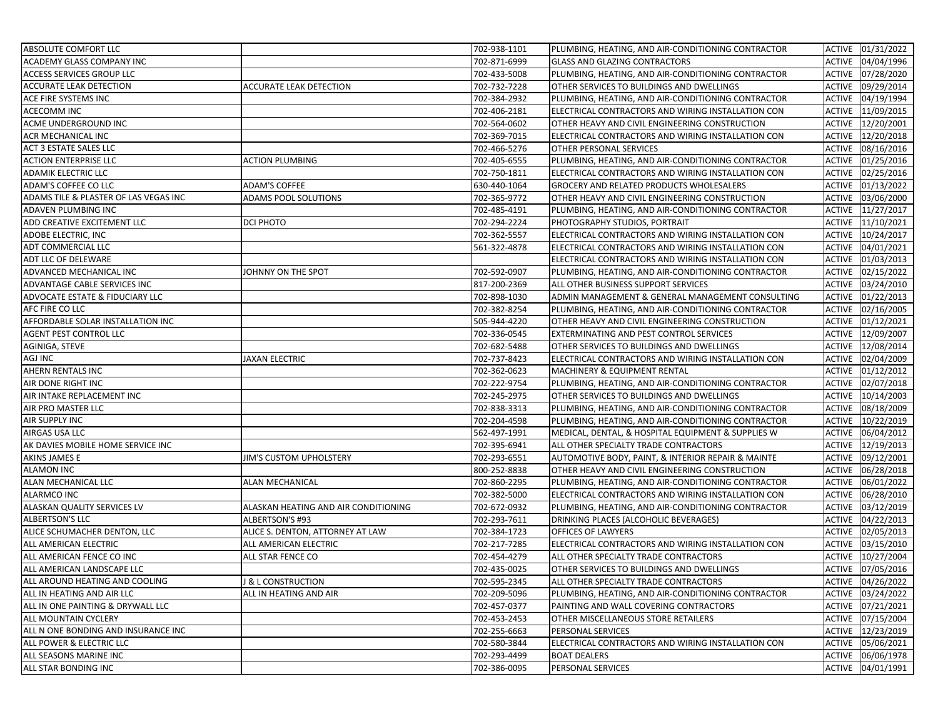| ABSOLUTE COMFORT LLC                               |                                      | 702-938-1101                 | PLUMBING, HEATING, AND AIR-CONDITIONING CONTRACTOR                                              |                  | ACTIVE 01/31/2022               |
|----------------------------------------------------|--------------------------------------|------------------------------|-------------------------------------------------------------------------------------------------|------------------|---------------------------------|
| ACADEMY GLASS COMPANY INC                          |                                      | 702-871-6999                 | <b>GLASS AND GLAZING CONTRACTORS</b>                                                            | ACTIVE           | 04/04/1996                      |
| <b>ACCESS SERVICES GROUP LLC</b>                   |                                      | 702-433-5008                 | PLUMBING, HEATING, AND AIR-CONDITIONING CONTRACTOR                                              |                  | ACTIVE 07/28/2020               |
| <b>ACCURATE LEAK DETECTION</b>                     | ACCURATE LEAK DETECTION              | 702-732-7228                 | OTHER SERVICES TO BUILDINGS AND DWELLINGS                                                       | ACTIVE           | 09/29/2014                      |
| ACE FIRE SYSTEMS INC                               |                                      | 702-384-2932                 | PLUMBING, HEATING, AND AIR-CONDITIONING CONTRACTOR                                              | ACTIVE           | 04/19/1994                      |
| ACECOMM INC                                        |                                      | 702-406-2181                 | ELECTRICAL CONTRACTORS AND WIRING INSTALLATION CON                                              | ACTIVE           | 11/09/2015                      |
| ACME UNDERGROUND INC                               |                                      | 702-564-0602                 | OTHER HEAVY AND CIVIL ENGINEERING CONSTRUCTION                                                  | ACTIVE           | 12/20/2001                      |
| ACR MECHANICAL INC                                 |                                      | 702-369-7015                 | ELECTRICAL CONTRACTORS AND WIRING INSTALLATION CON                                              | ACTIVE           | 12/20/2018                      |
| ACT 3 ESTATE SALES LLC                             |                                      | 702-466-5276                 | OTHER PERSONAL SERVICES                                                                         | ACTIVE           | 08/16/2016                      |
| <b>ACTION ENTERPRISE LLC</b>                       | <b>ACTION PLUMBING</b>               | 702-405-6555                 | PLUMBING, HEATING, AND AIR-CONDITIONING CONTRACTOR                                              | ACTIVE           | 01/25/2016                      |
| <b>ADAMIK ELECTRIC LLC</b>                         |                                      | 702-750-1811                 | ELECTRICAL CONTRACTORS AND WIRING INSTALLATION CON                                              | ACTIVE           | 02/25/2016                      |
| ADAM'S COFFEE CO LLC                               | ADAM'S COFFEE                        | 630-440-1064                 | GROCERY AND RELATED PRODUCTS WHOLESALERS                                                        | ACTIVE           | 01/13/2022                      |
| ADAMS TILE & PLASTER OF LAS VEGAS INC              | ADAMS POOL SOLUTIONS                 | 702-365-9772                 | OTHER HEAVY AND CIVIL ENGINEERING CONSTRUCTION                                                  | ACTIVE           | 03/06/2000                      |
| ADAVEN PLUMBING INC                                |                                      | 702-485-4191                 | PLUMBING, HEATING, AND AIR-CONDITIONING CONTRACTOR                                              | ACTIVE           | 11/27/2017                      |
| ADD CREATIVE EXCITEMENT LLC                        | DCI PHOTO                            | 702-294-2224                 | PHOTOGRAPHY STUDIOS, PORTRAIT                                                                   | ACTIVE           | 11/10/2021                      |
| ADOBE ELECTRIC, INC                                |                                      | 702-362-5557                 | ELECTRICAL CONTRACTORS AND WIRING INSTALLATION CON                                              | ACTIVE           | 10/24/2017                      |
| ADT COMMERCIAL LLC                                 |                                      | 561-322-4878                 | ELECTRICAL CONTRACTORS AND WIRING INSTALLATION CON                                              | ACTIVE           | 04/01/2021                      |
| ADT LLC OF DELEWARE                                |                                      |                              | ELECTRICAL CONTRACTORS AND WIRING INSTALLATION CON                                              | ACTIVE           | 01/03/2013                      |
| ADVANCED MECHANICAL INC                            | JOHNNY ON THE SPOT                   | 702-592-0907                 | PLUMBING, HEATING, AND AIR-CONDITIONING CONTRACTOR                                              | ACTIVE           | 02/15/2022                      |
| ADVANTAGE CABLE SERVICES INC                       |                                      | 817-200-2369                 | ALL OTHER BUSINESS SUPPORT SERVICES                                                             | ACTIVE           | 03/24/2010                      |
|                                                    |                                      | 702-898-1030                 |                                                                                                 | ACTIVE           |                                 |
| ADVOCATE ESTATE & FIDUCIARY LLC<br>AFC FIRE CO LLC |                                      | 702-382-8254                 | ADMIN MANAGEMENT & GENERAL MANAGEMENT CONSULTING                                                |                  | 01/22/2013<br>02/16/2005        |
| AFFORDABLE SOLAR INSTALLATION INC                  |                                      | 505-944-4220                 | PLUMBING, HEATING, AND AIR-CONDITIONING CONTRACTOR                                              | ACTIVE           |                                 |
|                                                    |                                      |                              | OTHER HEAVY AND CIVIL ENGINEERING CONSTRUCTION                                                  | ACTIVE           | 01/12/2021                      |
| AGENT PEST CONTROL LLC                             |                                      | 702-336-0545<br>702-682-5488 | EXTERMINATING AND PEST CONTROL SERVICES                                                         |                  | ACTIVE 12/09/2007               |
| AGINIGA, STEVE<br>AGJ INC                          |                                      | 702-737-8423                 | OTHER SERVICES TO BUILDINGS AND DWELLINGS<br>ELECTRICAL CONTRACTORS AND WIRING INSTALLATION CON | ACTIVE<br>ACTIVE | 12/08/2014<br>02/04/2009        |
|                                                    | JAXAN ELECTRIC                       |                              |                                                                                                 |                  |                                 |
| AHERN RENTALS INC                                  |                                      | 702-362-0623                 | MACHINERY & EQUIPMENT RENTAL                                                                    | ACTIVE           | 01/12/2012                      |
| AIR DONE RIGHT INC                                 |                                      | 702-222-9754                 | PLUMBING, HEATING, AND AIR-CONDITIONING CONTRACTOR                                              | ACTIVE           | 02/07/2018                      |
| AIR INTAKE REPLACEMENT INC                         |                                      | 702-245-2975<br>702-838-3313 | OTHER SERVICES TO BUILDINGS AND DWELLINGS                                                       | ACTIVE<br>ACTIVE | 10/14/2003                      |
| AIR PRO MASTER LLC                                 |                                      |                              | PLUMBING, HEATING, AND AIR-CONDITIONING CONTRACTOR                                              |                  | 08/18/2009                      |
| AIR SUPPLY INC<br>AIRGAS USA LLC                   |                                      | 702-204-4598<br>562-497-1991 | PLUMBING, HEATING, AND AIR-CONDITIONING CONTRACTOR                                              | ACTIVE           | 10/22/2019                      |
|                                                    |                                      | 702-395-6941                 | MEDICAL, DENTAL, & HOSPITAL EQUIPMENT & SUPPLIES W                                              | ACTIVE           | 06/04/2012<br>ACTIVE 12/19/2013 |
| AK DAVIES MOBILE HOME SERVICE INC<br>AKINS JAMES E |                                      | 702-293-6551                 | ALL OTHER SPECIALTY TRADE CONTRACTORS                                                           |                  | 09/12/2001                      |
|                                                    | JIM'S CUSTOM UPHOLSTERY              |                              | AUTOMOTIVE BODY, PAINT, & INTERIOR REPAIR & MAINTE                                              | ACTIVE           |                                 |
| <b>ALAMON INC</b><br>ALAN MECHANICAL LLC           |                                      | 800-252-8838<br>702-860-2295 | OTHER HEAVY AND CIVIL ENGINEERING CONSTRUCTION                                                  | ACTIVE           | 06/28/2018                      |
|                                                    | ALAN MECHANICAL                      |                              | PLUMBING, HEATING, AND AIR-CONDITIONING CONTRACTOR                                              | ACTIVE           | 06/01/2022                      |
| <b>ALARMCO INC</b>                                 |                                      | 702-382-5000                 | ELECTRICAL CONTRACTORS AND WIRING INSTALLATION CON                                              | ACTIVE           | 06/28/2010                      |
| ALASKAN QUALITY SERVICES LV                        | ALASKAN HEATING AND AIR CONDITIONING | 702-672-0932<br>702-293-7611 | PLUMBING, HEATING, AND AIR-CONDITIONING CONTRACTOR                                              | ACTIVE           | 03/12/2019                      |
| ALBERTSON'S LLC                                    | ALBERTSON'S #93                      |                              | DRINKING PLACES (ALCOHOLIC BEVERAGES)                                                           | ACTIVE           | 04/22/2013                      |
| ALICE SCHUMACHER DENTON, LLC                       | ALICE S. DENTON, ATTORNEY AT LAW     | 702-384-1723                 | <b>OFFICES OF LAWYERS</b>                                                                       | ACTIVE           | 02/05/2013                      |
| ALL AMERICAN ELECTRIC                              | ALL AMERICAN ELECTRIC                | 702-217-7285                 | ELECTRICAL CONTRACTORS AND WIRING INSTALLATION CON                                              | ACTIVE           | 03/15/2010                      |
| ALL AMERICAN FENCE CO INC                          | ALL STAR FENCE CO                    | 702-454-4279                 | ALL OTHER SPECIALTY TRADE CONTRACTORS                                                           | ACTIVE           | 10/27/2004                      |
| ALL AMERICAN LANDSCAPE LLC                         |                                      | 702-435-0025                 | OTHER SERVICES TO BUILDINGS AND DWELLINGS                                                       |                  | ACTIVE 07/05/2016               |
| ALL AROUND HEATING AND COOLING                     | <b>J &amp; L CONSTRUCTION</b>        | 702-595-2345                 | ALL OTHER SPECIALTY TRADE CONTRACTORS                                                           |                  | ACTIVE 04/26/2022               |
| ALL IN HEATING AND AIR LLC                         | ALL IN HEATING AND AIR               | 702-209-5096                 | PLUMBING, HEATING, AND AIR-CONDITIONING CONTRACTOR                                              | ACTIVE           | 03/24/2022                      |
| ALL IN ONE PAINTING & DRYWALL LLC                  |                                      | 702-457-0377                 | PAINTING AND WALL COVERING CONTRACTORS                                                          |                  | ACTIVE 07/21/2021               |
| ALL MOUNTAIN CYCLERY                               |                                      | 702-453-2453                 | OTHER MISCELLANEOUS STORE RETAILERS                                                             |                  | ACTIVE 07/15/2004               |
| ALL N ONE BONDING AND INSURANCE INC                |                                      | 702-255-6663                 | PERSONAL SERVICES                                                                               |                  | ACTIVE 12/23/2019               |
| ALL POWER & ELECTRIC LLC                           |                                      | 702-580-3844                 | ELECTRICAL CONTRACTORS AND WIRING INSTALLATION CON                                              | ACTIVE           | 05/06/2021                      |
| ALL SEASONS MARINE INC                             |                                      | 702-293-4499                 | <b>BOAT DEALERS</b>                                                                             | ACTIVE           | 06/06/1978                      |
| ALL STAR BONDING INC                               |                                      | 702-386-0095                 | PERSONAL SERVICES                                                                               |                  | ACTIVE 04/01/1991               |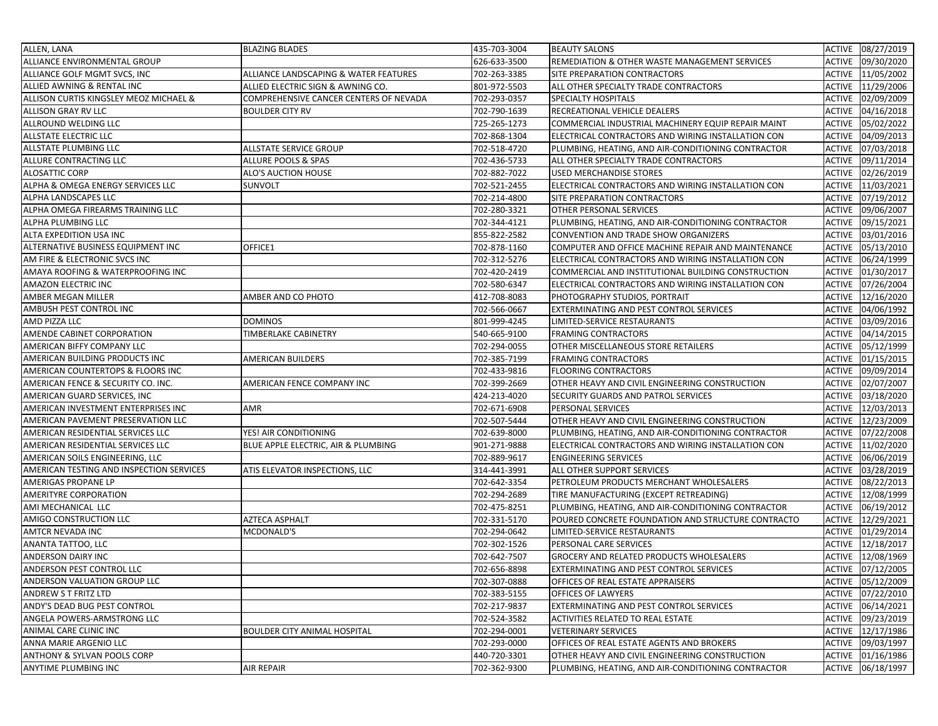| ALLEN, LANA                                    | <b>BLAZING BLADES</b>                  | 435-703-3004                 | <b>BEAUTY SALONS</b>                                                    |               | ACTIVE 08/27/2019 |
|------------------------------------------------|----------------------------------------|------------------------------|-------------------------------------------------------------------------|---------------|-------------------|
| ALLIANCE ENVIRONMENTAL GROUP                   |                                        | 626-633-3500                 | REMEDIATION & OTHER WASTE MANAGEMENT SERVICES                           | ACTIVE        | 09/30/2020        |
| ALLIANCE GOLF MGMT SVCS, INC                   | ALLIANCE LANDSCAPING & WATER FEATURES  | 702-263-3385                 | SITE PREPARATION CONTRACTORS                                            | ACTIVE        | 11/05/2002        |
| ALLIED AWNING & RENTAL INC                     | ALLIED ELECTRIC SIGN & AWNING CO.      | 801-972-5503                 | ALL OTHER SPECIALTY TRADE CONTRACTORS                                   | <b>ACTIVE</b> | 11/29/2006        |
| ALLISON CURTIS KINGSLEY MEOZ MICHAEL &         | COMPREHENSIVE CANCER CENTERS OF NEVADA | 702-293-0357                 | <b>SPECIALTY HOSPITALS</b>                                              | ACTIVE        | 02/09/2009        |
| ALLISON GRAY RV LLC                            | <b>BOULDER CITY RV</b>                 | 702-790-1639                 | <b>RECREATIONAL VEHICLE DEALERS</b>                                     | ACTIVE        | 04/16/2018        |
| ALLROUND WELDING LLC                           |                                        | 725-265-1273                 |                                                                         | ACTIVE        | 05/02/2022        |
|                                                |                                        | 702-868-1304                 | COMMERCIAL INDUSTRIAL MACHINERY EQUIP REPAIR MAINT                      |               |                   |
| ALLSTATE ELECTRIC LLC<br>ALLSTATE PLUMBING LLC |                                        |                              | ELECTRICAL CONTRACTORS AND WIRING INSTALLATION CON                      | ACTIVE        | 04/09/2013        |
|                                                | ALLSTATE SERVICE GROUP                 | 702-518-4720                 | PLUMBING, HEATING, AND AIR-CONDITIONING CONTRACTOR                      | ACTIVE        | 07/03/2018        |
| ALLURE CONTRACTING LLC                         | ALLURE POOLS & SPAS                    | 702-436-5733                 | ALL OTHER SPECIALTY TRADE CONTRACTORS                                   | ACTIVE        | 09/11/2014        |
| ALOSATTIC CORP                                 | ALO'S AUCTION HOUSE                    | 702-882-7022                 | <b>USED MERCHANDISE STORES</b>                                          | ACTIVE        | 02/26/2019        |
| ALPHA & OMEGA ENERGY SERVICES LLC              | SUNVOLT                                | 702-521-2455                 | ELECTRICAL CONTRACTORS AND WIRING INSTALLATION CON                      | ACTIVE        | 11/03/2021        |
| ALPHA LANDSCAPES LLC                           |                                        | 702-214-4800                 | <b>SITE PREPARATION CONTRACTORS</b>                                     | ACTIVE        | 07/19/2012        |
| ALPHA OMEGA FIREARMS TRAINING LLC              |                                        | 702-280-3321                 | <b>OTHER PERSONAL SERVICES</b>                                          | ACTIVE        | 09/06/2007        |
| ALPHA PLUMBING LLC                             |                                        | 702-344-4121                 | PLUMBING, HEATING, AND AIR-CONDITIONING CONTRACTOR                      | ACTIVE        | 09/15/2021        |
| ALTA EXPEDITION USA INC                        |                                        | 855-822-2582                 | CONVENTION AND TRADE SHOW ORGANIZERS                                    | ACTIVE        | 03/01/2016        |
| ALTERNATIVE BUSINESS EQUIPMENT INC             | OFFICE1                                | 702-878-1160                 | COMPUTER AND OFFICE MACHINE REPAIR AND MAINTENANCE                      | ACTIVE        | 05/13/2010        |
| AM FIRE & ELECTRONIC SVCS INC                  |                                        | 702-312-5276                 | ELECTRICAL CONTRACTORS AND WIRING INSTALLATION CON                      | ACTIVE        | 06/24/1999        |
| AMAYA ROOFING & WATERPROOFING INC              |                                        | 702-420-2419                 | COMMERCIAL AND INSTITUTIONAL BUILDING CONSTRUCTION                      | ACTIVE        | 01/30/2017        |
| AMAZON ELECTRIC INC                            |                                        | 702-580-6347                 | ELECTRICAL CONTRACTORS AND WIRING INSTALLATION CON                      | ACTIVE        | 07/26/2004        |
| AMBER MEGAN MILLER                             | AMBER AND CO PHOTO                     | 412-708-8083                 | PHOTOGRAPHY STUDIOS, PORTRAIT                                           | ACTIVE        | 12/16/2020        |
| AMBUSH PEST CONTROL INC                        |                                        | 702-566-0667                 | <b>EXTERMINATING AND PEST CONTROL SERVICES</b>                          | <b>ACTIVE</b> | 04/06/1992        |
| AMD PIZZA LLC                                  | <b>DOMINOS</b>                         | 801-999-4245                 | LIMITED-SERVICE RESTAURANTS                                             | ACTIVE        | 03/09/2016        |
| AMENDE CABINET CORPORATION                     | TIMBERLAKE CABINETRY                   | 540-665-9100                 | <b>FRAMING CONTRACTORS</b>                                              | ACTIVE        | 04/14/2015        |
| AMERICAN BIFFY COMPANY LLC                     |                                        | 702-294-0055                 | OTHER MISCELLANEOUS STORE RETAILERS                                     | ACTIVE        | 05/12/1999        |
| AMERICAN BUILDING PRODUCTS INC                 | <b>AMERICAN BUILDERS</b>               | 702-385-7199                 | <b>FRAMING CONTRACTORS</b>                                              | ACTIVE        | 01/15/2015        |
| AMERICAN COUNTERTOPS & FLOORS INC              |                                        | 702-433-9816                 | <b>FLOORING CONTRACTORS</b>                                             | ACTIVE        | 09/09/2014        |
| AMERICAN FENCE & SECURITY CO. INC.             | AMERICAN FENCE COMPANY INC             | 702-399-2669                 | OTHER HEAVY AND CIVIL ENGINEERING CONSTRUCTION                          | ACTIVE        | 02/07/2007        |
| AMERICAN GUARD SERVICES, INC                   |                                        | 424-213-4020                 | <b>SECURITY GUARDS AND PATROL SERVICES</b>                              | ACTIVE        | 03/18/2020        |
| AMERICAN INVESTMENT ENTERPRISES INC            | <b>AMR</b>                             | 702-671-6908                 | PERSONAL SERVICES                                                       | ACTIVE        | 12/03/2013        |
| AMERICAN PAVEMENT PRESERVATION LLC             |                                        | 702-507-5444                 | OTHER HEAVY AND CIVIL ENGINEERING CONSTRUCTION                          | ACTIVE        | 12/23/2009        |
| AMERICAN RESIDENTIAL SERVICES LLC              | YES! AIR CONDITIONING                  | 702-639-8000                 | PLUMBING, HEATING, AND AIR-CONDITIONING CONTRACTOR                      | ACTIVE        | 07/22/2008        |
| AMERICAN RESIDENTIAL SERVICES LLC              | BLUE APPLE ELECTRIC, AIR & PLUMBING    | 901-271-9888                 | ELECTRICAL CONTRACTORS AND WIRING INSTALLATION CON                      | ACTIVE        | 11/02/2020        |
| AMERICAN SOILS ENGINEERING, LLC                |                                        | 702-889-9617                 | <b>ENGINEERING SERVICES</b>                                             | ACTIVE        | 06/06/2019        |
| AMERICAN TESTING AND INSPECTION SERVICES       | ATIS ELEVATOR INSPECTIONS, LLC         | 314-441-3991                 | ALL OTHER SUPPORT SERVICES                                              | ACTIVE        | 03/28/2019        |
| AMERIGAS PROPANE LP                            |                                        | 702-642-3354                 | PETROLEUM PRODUCTS MERCHANT WHOLESALERS                                 | ACTIVE        | 08/22/2013        |
| AMERITYRE CORPORATION                          |                                        | 702-294-2689                 | TIRE MANUFACTURING (EXCEPT RETREADING)                                  | ACTIVE        | 12/08/1999        |
| AMI MECHANICAL LLC                             |                                        | 702-475-8251                 | PLUMBING, HEATING, AND AIR-CONDITIONING CONTRACTOR                      | ACTIVE        | 06/19/2012        |
| AMIGO CONSTRUCTION LLC                         | AZTECA ASPHALT                         | 702-331-5170                 | POURED CONCRETE FOUNDATION AND STRUCTURE CONTRACTO                      | ACTIVE        | 12/29/2021        |
| AMTCR NEVADA INC                               | MCDONALD'S                             | 702-294-0642                 | LIMITED-SERVICE RESTAURANTS                                             | ACTIVE        | 01/29/2014        |
| ANANTA TATTOO, LLC                             |                                        | 702-302-1526                 | <b>PERSONAL CARE SERVICES</b>                                           | ACTIVE        | 12/18/2017        |
| ANDERSON DAIRY INC                             |                                        | 702-642-7507                 | <b>GROCERY AND RELATED PRODUCTS WHOLESALERS</b>                         | ACTIVE        | 12/08/1969        |
| ANDERSON PEST CONTROL LLC                      |                                        | 702-656-8898                 | <b>EXTERMINATING AND PEST CONTROL SERVICES</b>                          |               | ACTIVE 07/12/2005 |
| ANDERSON VALUATION GROUP LLC                   |                                        | 702-307-0888                 | <b>OFFICES OF REAL ESTATE APPRAISERS</b>                                |               | ACTIVE 05/12/2009 |
| <b>ANDREW S T FRITZ LTD</b>                    |                                        | 702-383-5155                 | <b>OFFICES OF LAWYERS</b>                                               |               | ACTIVE 07/22/2010 |
| ANDY'S DEAD BUG PEST CONTROL                   |                                        | 702-217-9837                 | <b>EXTERMINATING AND PEST CONTROL SERVICES</b>                          |               | ACTIVE 06/14/2021 |
| ANGELA POWERS-ARMSTRONG LLC                    |                                        | 702-524-3582                 | ACTIVITIES RELATED TO REAL ESTATE                                       |               | ACTIVE 09/23/2019 |
| ANIMAL CARE CLINIC INC                         | BOULDER CITY ANIMAL HOSPITAL           |                              |                                                                         |               | ACTIVE 12/17/1986 |
|                                                |                                        | 702-294-0001<br>702-293-0000 | <b>VETERINARY SERVICES</b><br>OFFICES OF REAL ESTATE AGENTS AND BROKERS |               |                   |
| ANNA MARIE ARGENIO LLC                         |                                        | 440-720-3301                 |                                                                         |               | ACTIVE 09/03/1997 |
| <b>ANTHONY &amp; SYLVAN POOLS CORP</b>         |                                        |                              | OTHER HEAVY AND CIVIL ENGINEERING CONSTRUCTION                          |               | ACTIVE 01/16/1986 |
| ANYTIME PLUMBING INC                           | AIR REPAIR                             | 702-362-9300                 | PLUMBING, HEATING, AND AIR-CONDITIONING CONTRACTOR                      |               | ACTIVE 06/18/1997 |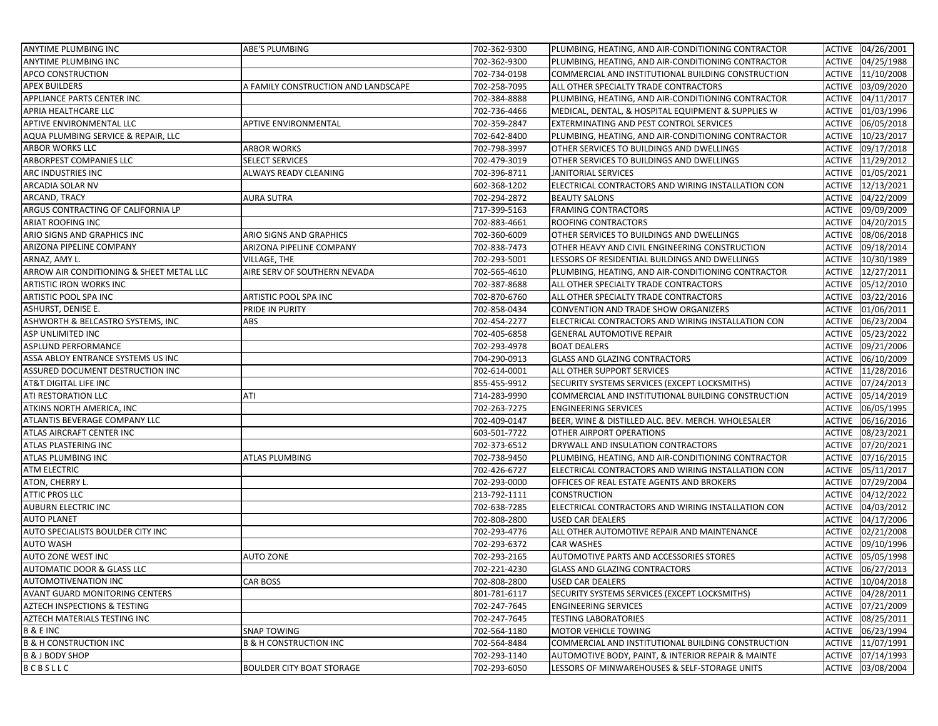| <b>ANYTIME PLUMBING INC</b>              | ABE'S PLUMBING                      | 702-362-9300 | PLUMBING, HEATING, AND AIR-CONDITIONING CONTRACTOR |               | ACTIVE 04/26/2001 |
|------------------------------------------|-------------------------------------|--------------|----------------------------------------------------|---------------|-------------------|
| ANYTIME PLUMBING INC                     |                                     | 702-362-9300 | PLUMBING, HEATING, AND AIR-CONDITIONING CONTRACTOR |               | ACTIVE 04/25/1988 |
| APCO CONSTRUCTION                        |                                     | 702-734-0198 | COMMERCIAL AND INSTITUTIONAL BUILDING CONSTRUCTION |               | ACTIVE 11/10/2008 |
| APEX BUILDERS                            | A FAMILY CONSTRUCTION AND LANDSCAPE | 702-258-7095 | ALL OTHER SPECIALTY TRADE CONTRACTORS              | ACTIVE        | 03/09/2020        |
| APPLIANCE PARTS CENTER INC               |                                     | 702-384-8888 | PLUMBING, HEATING, AND AIR-CONDITIONING CONTRACTOR | <b>ACTIVE</b> | 04/11/2017        |
| APRIA HEALTHCARE LLC                     |                                     | 702-736-4466 | MEDICAL, DENTAL, & HOSPITAL EQUIPMENT & SUPPLIES W | <b>ACTIVE</b> | 01/03/1996        |
| APTIVE ENVIRONMENTAL LLC                 | APTIVE ENVIRONMENTAL                | 702-359-2847 | EXTERMINATING AND PEST CONTROL SERVICES            | <b>ACTIVE</b> | 06/05/2018        |
| AQUA PLUMBING SERVICE & REPAIR, LLC      |                                     | 702-642-8400 | PLUMBING, HEATING, AND AIR-CONDITIONING CONTRACTOR | <b>ACTIVE</b> | 10/23/2017        |
| ARBOR WORKS LLC                          | <b>ARBOR WORKS</b>                  | 702-798-3997 | OTHER SERVICES TO BUILDINGS AND DWELLINGS          | <b>ACTIVE</b> | 09/17/2018        |
| ARBORPEST COMPANIES LLC                  | SELECT SERVICES                     | 702-479-3019 | OTHER SERVICES TO BUILDINGS AND DWELLINGS          | <b>ACTIVE</b> | 11/29/2012        |
| ARC INDUSTRIES INC                       | ALWAYS READY CLEANING               | 702-396-8711 | JANITORIAL SERVICES                                | <b>ACTIVE</b> | 01/05/2021        |
| ARCADIA SOLAR NV                         |                                     | 602-368-1202 | ELECTRICAL CONTRACTORS AND WIRING INSTALLATION CON | <b>ACTIVE</b> | 12/13/2021        |
| ARCAND, TRACY                            | <b>AURA SUTRA</b>                   | 702-294-2872 | <b>BEAUTY SALONS</b>                               | <b>ACTIVE</b> | 04/22/2009        |
| ARGUS CONTRACTING OF CALIFORNIA LP       |                                     | 717-399-5163 | <b>FRAMING CONTRACTORS</b>                         | <b>ACTIVE</b> | 09/09/2009        |
| <b>ARIAT ROOFING INC</b>                 |                                     | 702-883-4661 | ROOFING CONTRACTORS                                | <b>ACTIVE</b> | 04/20/2015        |
| ARIO SIGNS AND GRAPHICS INC              | ARIO SIGNS AND GRAPHICS             | 702-360-6009 | OTHER SERVICES TO BUILDINGS AND DWELLINGS          | <b>ACTIVE</b> | 08/06/2018        |
| ARIZONA PIPELINE COMPANY                 | ARIZONA PIPELINE COMPANY            | 702-838-7473 | OTHER HEAVY AND CIVIL ENGINEERING CONSTRUCTION     | <b>ACTIVE</b> | 09/18/2014        |
| ARNAZ, AMY L.                            | VILLAGE, THE                        | 702-293-5001 | LESSORS OF RESIDENTIAL BUILDINGS AND DWELLINGS     | <b>ACTIVE</b> | 10/30/1989        |
| ARROW AIR CONDITIONING & SHEET METAL LLC | AIRE SERV OF SOUTHERN NEVADA        | 702-565-4610 | PLUMBING, HEATING, AND AIR-CONDITIONING CONTRACTOR |               | ACTIVE 12/27/2011 |
| ARTISTIC IRON WORKS INC                  |                                     | 702-387-8688 | ALL OTHER SPECIALTY TRADE CONTRACTORS              |               | ACTIVE 05/12/2010 |
| ARTISTIC POOL SPA INC                    | ARTISTIC POOL SPA INC               | 702-870-6760 | ALL OTHER SPECIALTY TRADE CONTRACTORS              | <b>ACTIVE</b> | 03/22/2016        |
| ASHURST, DENISE E.                       | PRIDE IN PURITY                     | 702-858-0434 | CONVENTION AND TRADE SHOW ORGANIZERS               |               | ACTIVE 01/06/2011 |
| ASHWORTH & BELCASTRO SYSTEMS, INC        | ABS                                 | 702-454-2277 | ELECTRICAL CONTRACTORS AND WIRING INSTALLATION CON | ACTIVE        | 06/23/2004        |
| ASP UNLIMITED INC                        |                                     | 702-405-6858 | <b>GENERAL AUTOMOTIVE REPAIR</b>                   |               | ACTIVE 05/23/2022 |
| ASPLUND PERFORMANCE                      |                                     | 702-293-4978 | <b>BOAT DEALERS</b>                                | <b>ACTIVE</b> | 09/21/2006        |
| ASSA ABLOY ENTRANCE SYSTEMS US INC       |                                     | 704-290-0913 | <b>GLASS AND GLAZING CONTRACTORS</b>               | <b>ACTIVE</b> | 06/10/2009        |
| ASSURED DOCUMENT DESTRUCTION INC         |                                     | 702-614-0001 | ALL OTHER SUPPORT SERVICES                         | ACTIVE        | 11/28/2016        |
| AT&T DIGITAL LIFE INC                    |                                     | 855-455-9912 | SECURITY SYSTEMS SERVICES (EXCEPT LOCKSMITHS)      |               | ACTIVE 07/24/2013 |
| ATI RESTORATION LLC                      | ATI                                 | 714-283-9990 | COMMERCIAL AND INSTITUTIONAL BUILDING CONSTRUCTION | <b>ACTIVE</b> | 05/14/2019        |
| ATKINS NORTH AMERICA, INC                |                                     | 702-263-7275 | <b>ENGINEERING SERVICES</b>                        | <b>ACTIVE</b> | 06/05/1995        |
| ATLANTIS BEVERAGE COMPANY LLC            |                                     | 702-409-0147 | BEER, WINE & DISTILLED ALC. BEV. MERCH. WHOLESALER | <b>ACTIVE</b> | 06/16/2016        |
| ATLAS AIRCRAFT CENTER INC                |                                     | 603-501-7722 | OTHER AIRPORT OPERATIONS                           | <b>ACTIVE</b> | 08/23/2021        |
| ATLAS PLASTERING INC                     |                                     | 702-373-6512 | DRYWALL AND INSULATION CONTRACTORS                 | <b>ACTIVE</b> | 07/20/2021        |
| ATLAS PLUMBING INC                       | ATLAS PLUMBING                      | 702-738-9450 | PLUMBING, HEATING, AND AIR-CONDITIONING CONTRACTOR | <b>ACTIVE</b> | 07/16/2015        |
| <b>ATM ELECTRIC</b>                      |                                     | 702-426-6727 | ELECTRICAL CONTRACTORS AND WIRING INSTALLATION CON | <b>ACTIVE</b> | 05/11/2017        |
| ATON, CHERRY L.                          |                                     | 702-293-0000 | OFFICES OF REAL ESTATE AGENTS AND BROKERS          | <b>ACTIVE</b> | 07/29/2004        |
| <b>ATTIC PROS LLC</b>                    |                                     | 213-792-1111 | <b>CONSTRUCTION</b>                                | <b>ACTIVE</b> | 04/12/2022        |
| <b>AUBURN ELECTRIC INC</b>               |                                     | 702-638-7285 | ELECTRICAL CONTRACTORS AND WIRING INSTALLATION CON | <b>ACTIVE</b> | 04/03/2012        |
| <b>AUTO PLANET</b>                       |                                     | 702-808-2800 | <b>USED CAR DEALERS</b>                            | <b>ACTIVE</b> | 04/17/2006        |
| AUTO SPECIALISTS BOULDER CITY INC        |                                     | 702-293-4776 | ALL OTHER AUTOMOTIVE REPAIR AND MAINTENANCE        | <b>ACTIVE</b> | 02/21/2008        |
| <b>AUTO WASH</b>                         |                                     | 702-293-6372 | CAR WASHES                                         | <b>ACTIVE</b> | 09/10/1996        |
| <b>AUTO ZONE WEST INC</b>                | AUTO ZONE                           | 702-293-2165 | AUTOMOTIVE PARTS AND ACCESSORIES STORES            | <b>ACTIVE</b> | 05/05/1998        |
| <b>AUTOMATIC DOOR &amp; GLASS LLC</b>    |                                     | 702-221-4230 | <b>GLASS AND GLAZING CONTRACTORS</b>               |               | ACTIVE 06/27/2013 |
| <b>AUTOMOTIVENATION INC</b>              | <b>CAR BOSS</b>                     | 702-808-2800 | <b>USED CAR DEALERS</b>                            |               | ACTIVE 10/04/2018 |
| <b>AVANT GUARD MONITORING CENTERS</b>    |                                     | 801-781-6117 | SECURITY SYSTEMS SERVICES (EXCEPT LOCKSMITHS)      |               | ACTIVE 04/28/2011 |
| <b>AZTECH INSPECTIONS &amp; TESTING</b>  |                                     | 702-247-7645 | <b>ENGINEERING SERVICES</b>                        |               | ACTIVE 07/21/2009 |
| AZTECH MATERIALS TESTING INC             |                                     | 702-247-7645 | <b>TESTING LABORATORIES</b>                        |               | ACTIVE 08/25/2011 |
| <b>B &amp; E INC</b>                     | SNAP TOWING                         | 702-564-1180 | MOTOR VEHICLE TOWING                               |               | ACTIVE 06/23/1994 |
| <b>B &amp; H CONSTRUCTION INC</b>        | <b>B &amp; H CONSTRUCTION INC</b>   | 702-564-8484 | COMMERCIAL AND INSTITUTIONAL BUILDING CONSTRUCTION |               | ACTIVE 11/07/1991 |
| <b>B &amp; J BODY SHOP</b>               |                                     | 702-293-1140 | AUTOMOTIVE BODY, PAINT, & INTERIOR REPAIR & MAINTE |               | ACTIVE 07/14/1993 |
| <b>BCBSLLC</b>                           | <b>BOULDER CITY BOAT STORAGE</b>    | 702-293-6050 | LESSORS OF MINWAREHOUSES & SELF-STORAGE UNITS      |               | ACTIVE 03/08/2004 |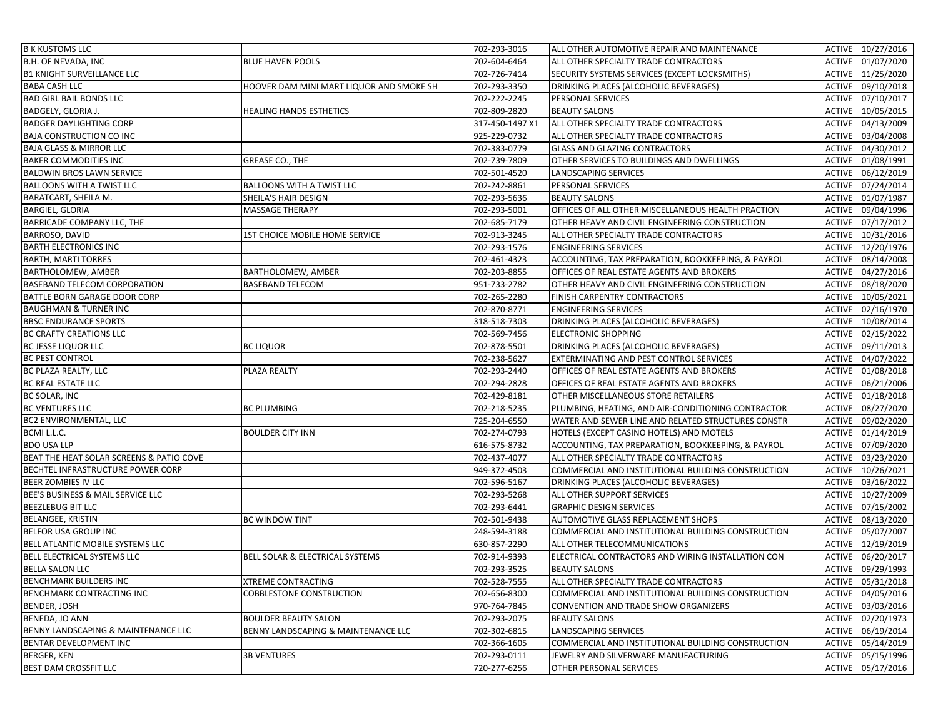| <b>B K KUSTOMS LLC</b>                   |                                          | 702-293-3016    | ALL OTHER AUTOMOTIVE REPAIR AND MAINTENANCE        |               | ACTIVE 10/27/2016 |
|------------------------------------------|------------------------------------------|-----------------|----------------------------------------------------|---------------|-------------------|
| B.H. OF NEVADA, INC                      | <b>BLUE HAVEN POOLS</b>                  | 702-604-6464    | ALL OTHER SPECIALTY TRADE CONTRACTORS              | <b>ACTIVE</b> | 01/07/2020        |
| <b>B1 KNIGHT SURVEILLANCE LLC</b>        |                                          | 702-726-7414    | SECURITY SYSTEMS SERVICES (EXCEPT LOCKSMITHS)      | ACTIVE        | 11/25/2020        |
| <b>BABA CASH LLC</b>                     | HOOVER DAM MINI MART LIQUOR AND SMOKE SH | 702-293-3350    | DRINKING PLACES (ALCOHOLIC BEVERAGES)              | ACTIVE        | 09/10/2018        |
| <b>BAD GIRL BAIL BONDS LLC</b>           |                                          | 702-222-2245    | PERSONAL SERVICES                                  | ACTIVE        | 07/10/2017        |
| BADGELY, GLORIA J.                       | <b>HEALING HANDS ESTHETICS</b>           | 702-809-2820    | <b>BEAUTY SALONS</b>                               | ACTIVE        | 10/05/2015        |
| <b>BADGER DAYLIGHTING CORP</b>           |                                          | 317-450-1497 X1 | ALL OTHER SPECIALTY TRADE CONTRACTORS              | ACTIVE        | 04/13/2009        |
| <b>BAJA CONSTRUCTION CO INC</b>          |                                          | 925-229-0732    | ALL OTHER SPECIALTY TRADE CONTRACTORS              | ACTIVE        | 03/04/2008        |
| <b>BAJA GLASS &amp; MIRROR LLC</b>       |                                          | 702-383-0779    | <b>GLASS AND GLAZING CONTRACTORS</b>               | ACTIVE        | 04/30/2012        |
| <b>BAKER COMMODITIES INC</b>             | <b>GREASE CO., THE</b>                   | 702-739-7809    | OTHER SERVICES TO BUILDINGS AND DWELLINGS          | <b>ACTIVE</b> | 01/08/1991        |
| BALDWIN BROS LAWN SERVICE                |                                          | 702-501-4520    | LANDSCAPING SERVICES                               | <b>ACTIVE</b> | 06/12/2019        |
| <b>BALLOONS WITH A TWIST LLC</b>         | <b>BALLOONS WITH A TWIST LLC</b>         | 702-242-8861    | PERSONAL SERVICES                                  | ACTIVE        | 07/24/2014        |
| BARATCART, SHEILA M.                     | SHEILA'S HAIR DESIGN                     | 702-293-5636    | <b>BEAUTY SALONS</b>                               | <b>ACTIVE</b> | 01/07/1987        |
| <b>BARGIEL, GLORIA</b>                   | MASSAGE THERAPY                          | 702-293-5001    | OFFICES OF ALL OTHER MISCELLANEOUS HEALTH PRACTION | <b>ACTIVE</b> | 09/04/1996        |
| BARRICADE COMPANY LLC, THE               |                                          | 702-685-7179    | OTHER HEAVY AND CIVIL ENGINEERING CONSTRUCTION     | ACTIVE        | 07/17/2012        |
| BARROSO, DAVID                           | 1ST CHOICE MOBILE HOME SERVICE           | 702-913-3245    | ALL OTHER SPECIALTY TRADE CONTRACTORS              | <b>ACTIVE</b> | 10/31/2016        |
| <b>BARTH ELECTRONICS INC</b>             |                                          | 702-293-1576    | <b>ENGINEERING SERVICES</b>                        | ACTIVE        | 12/20/1976        |
| <b>BARTH, MARTI TORRES</b>               |                                          | 702-461-4323    | ACCOUNTING, TAX PREPARATION, BOOKKEEPING, & PAYROL | ACTIVE        | 08/14/2008        |
| BARTHOLOMEW, AMBER                       | BARTHOLOMEW, AMBER                       | 702-203-8855    | OFFICES OF REAL ESTATE AGENTS AND BROKERS          | ACTIVE        | 04/27/2016        |
| BASEBAND TELECOM CORPORATION             | <b>BASEBAND TELECOM</b>                  | 951-733-2782    | OTHER HEAVY AND CIVIL ENGINEERING CONSTRUCTION     | ACTIVE        | 08/18/2020        |
| BATTLE BORN GARAGE DOOR CORP             |                                          | 702-265-2280    | FINISH CARPENTRY CONTRACTORS                       | ACTIVE        | 10/05/2021        |
| <b>BAUGHMAN &amp; TURNER INC</b>         |                                          | 702-870-8771    | <b>ENGINEERING SERVICES</b>                        | <b>ACTIVE</b> | 02/16/1970        |
| <b>BBSC ENDURANCE SPORTS</b>             |                                          | 318-518-7303    | DRINKING PLACES (ALCOHOLIC BEVERAGES)              | ACTIVE        | 10/08/2014        |
| BC CRAFTY CREATIONS LLC                  |                                          | 702-569-7456    | <b>ELECTRONIC SHOPPING</b>                         | ACTIVE        | 02/15/2022        |
| BC JESSE LIQUOR LLC                      | <b>BC LIQUOR</b>                         | 702-878-5501    | <b>DRINKING PLACES (ALCOHOLIC BEVERAGES)</b>       | ACTIVE        | 09/11/2013        |
| <b>BC PEST CONTROL</b>                   |                                          | 702-238-5627    | EXTERMINATING AND PEST CONTROL SERVICES            | ACTIVE        | 04/07/2022        |
| BC PLAZA REALTY, LLC                     | PLAZA REALTY                             | 702-293-2440    | OFFICES OF REAL ESTATE AGENTS AND BROKERS          | ACTIVE        | 01/08/2018        |
| BC REAL ESTATE LLC                       |                                          | 702-294-2828    | OFFICES OF REAL ESTATE AGENTS AND BROKERS          | ACTIVE        | 06/21/2006        |
| BC SOLAR, INC                            |                                          | 702-429-8181    | OTHER MISCELLANEOUS STORE RETAILERS                | <b>ACTIVE</b> | 01/18/2018        |
| <b>BC VENTURES LLC</b>                   | <b>BC PLUMBING</b>                       | 702-218-5235    | PLUMBING, HEATING, AND AIR-CONDITIONING CONTRACTOR | ACTIVE        | 08/27/2020        |
| BC2 ENVIRONMENTAL, LLC                   |                                          | 725-204-6550    | WATER AND SEWER LINE AND RELATED STRUCTURES CONSTR | ACTIVE        | 09/02/2020        |
| BCMI L.L.C.                              | <b>BOULDER CITY INN</b>                  | 702-274-0793    | HOTELS (EXCEPT CASINO HOTELS) AND MOTELS           | ACTIVE        | 01/14/2019        |
| <b>BDO USA LLP</b>                       |                                          | 616-575-8732    | ACCOUNTING, TAX PREPARATION, BOOKKEEPING, & PAYROL | ACTIVE        | 07/09/2020        |
| BEAT THE HEAT SOLAR SCREENS & PATIO COVE |                                          | 702-437-4077    | ALL OTHER SPECIALTY TRADE CONTRACTORS              | ACTIVE        | 03/23/2020        |
| BECHTEL INFRASTRUCTURE POWER CORP        |                                          | 949-372-4503    | COMMERCIAL AND INSTITUTIONAL BUILDING CONSTRUCTION | ACTIVE        | 10/26/2021        |
| BEER ZOMBIES IV LLC                      |                                          | 702-596-5167    | DRINKING PLACES (ALCOHOLIC BEVERAGES)              | <b>ACTIVE</b> | 03/16/2022        |
| BEE'S BUSINESS & MAIL SERVICE LLC        |                                          | 702-293-5268    | ALL OTHER SUPPORT SERVICES                         | <b>ACTIVE</b> | 10/27/2009        |
| <b>BEEZLEBUG BIT LLC</b>                 |                                          | 702-293-6441    | <b>GRAPHIC DESIGN SERVICES</b>                     | <b>ACTIVE</b> | 07/15/2002        |
| BELANGEE, KRISTIN                        | <b>BC WINDOW TINT</b>                    | 702-501-9438    | AUTOMOTIVE GLASS REPLACEMENT SHOPS                 | <b>ACTIVE</b> | 08/13/2020        |
| BELFOR USA GROUP INC                     |                                          | 248-594-3188    | COMMERCIAL AND INSTITUTIONAL BUILDING CONSTRUCTION | ACTIVE        | 05/07/2007        |
| BELL ATLANTIC MOBILE SYSTEMS LLC         |                                          | 630-857-2290    | ALL OTHER TELECOMMUNICATIONS                       | <b>ACTIVE</b> | 12/19/2019        |
| BELL ELECTRICAL SYSTEMS LLC              | BELL SOLAR & ELECTRICAL SYSTEMS          | 702-914-9393    | ELECTRICAL CONTRACTORS AND WIRING INSTALLATION CON | ACTIVE        | 06/20/2017        |
| <b>BELLA SALON LLC</b>                   |                                          | 702-293-3525    | <b>BEAUTY SALONS</b>                               |               | ACTIVE 09/29/1993 |
| <b>BENCHMARK BUILDERS INC</b>            | <b>XTREME CONTRACTING</b>                | 702-528-7555    | ALL OTHER SPECIALTY TRADE CONTRACTORS              |               | ACTIVE 05/31/2018 |
| BENCHMARK CONTRACTING INC                | <b>COBBLESTONE CONSTRUCTION</b>          | 702-656-8300    | COMMERCIAL AND INSTITUTIONAL BUILDING CONSTRUCTION |               | ACTIVE 04/05/2016 |
| <b>BENDER, JOSH</b>                      |                                          | 970-764-7845    | CONVENTION AND TRADE SHOW ORGANIZERS               |               |                   |
|                                          |                                          |                 |                                                    |               | ACTIVE 03/03/2016 |
| BENEDA, JO ANN                           | <b>BOULDER BEAUTY SALON</b>              | 702-293-2075    | <b>BEAUTY SALONS</b>                               |               | ACTIVE 02/20/1973 |
| BENNY LANDSCAPING & MAINTENANCE LLC      | BENNY LANDSCAPING & MAINTENANCE LLC      | 702-302-6815    | LANDSCAPING SERVICES                               | ACTIVE        | 06/19/2014        |
| BENTAR DEVELOPMENT INC                   |                                          | 702-366-1605    | COMMERCIAL AND INSTITUTIONAL BUILDING CONSTRUCTION | ACTIVE        | 05/14/2019        |
| BERGER, KEN                              | <b>3B VENTURES</b>                       | 702-293-0111    | JEWELRY AND SILVERWARE MANUFACTURING               | ACTIVE        | 05/15/1996        |
| BEST DAM CROSSFIT LLC                    |                                          | 720-277-6256    | OTHER PERSONAL SERVICES                            |               | ACTIVE 05/17/2016 |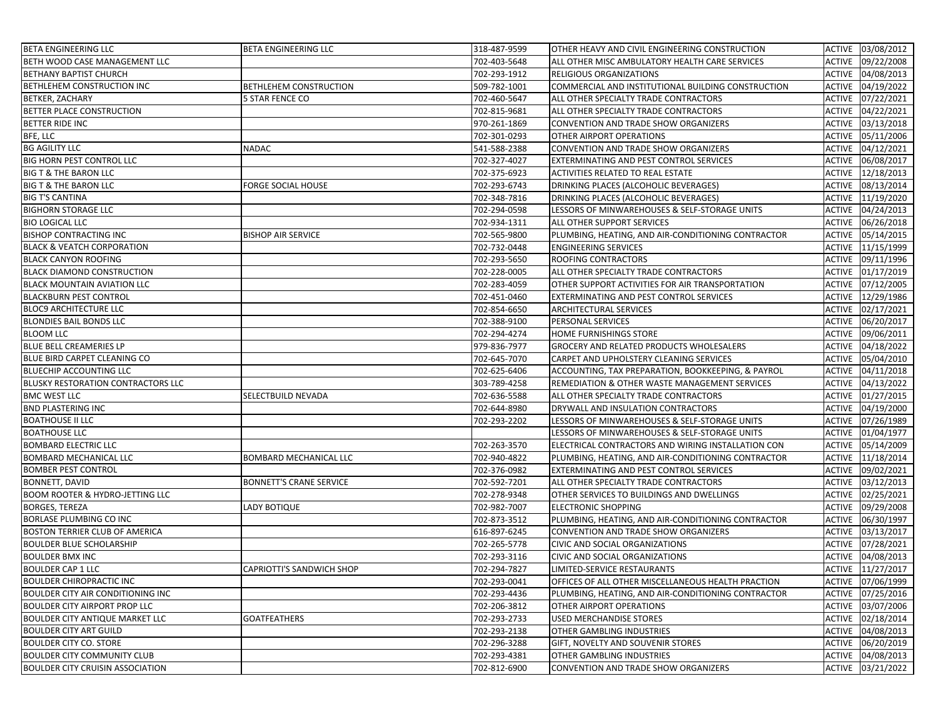| <b>BETA ENGINEERING LLC</b>                | BETA ENGINEERING LLC           | 318-487-9599 | OTHER HEAVY AND CIVIL ENGINEERING CONSTRUCTION     |               | ACTIVE 03/08/2012 |
|--------------------------------------------|--------------------------------|--------------|----------------------------------------------------|---------------|-------------------|
| BETH WOOD CASE MANAGEMENT LLC              |                                | 702-403-5648 | ALL OTHER MISC AMBULATORY HEALTH CARE SERVICES     | <b>ACTIVE</b> | 09/22/2008        |
| <b>BETHANY BAPTIST CHURCH</b>              |                                | 702-293-1912 | RELIGIOUS ORGANIZATIONS                            | <b>ACTIVE</b> | 04/08/2013        |
| BETHLEHEM CONSTRUCTION INC                 | BETHLEHEM CONSTRUCTION         | 509-782-1001 | COMMERCIAL AND INSTITUTIONAL BUILDING CONSTRUCTION | ACTIVE        | 04/19/2022        |
| BETKER, ZACHARY                            | <b>5 STAR FENCE CO</b>         | 702-460-5647 | ALL OTHER SPECIALTY TRADE CONTRACTORS              | <b>ACTIVE</b> | 07/22/2021        |
| BETTER PLACE CONSTRUCTION                  |                                | 702-815-9681 | ALL OTHER SPECIALTY TRADE CONTRACTORS              | <b>ACTIVE</b> | 04/22/2021        |
| <b>BETTER RIDE INC</b>                     |                                | 970-261-1869 | CONVENTION AND TRADE SHOW ORGANIZERS               | <b>ACTIVE</b> | 03/13/2018        |
| BFE, LLC                                   |                                | 702-301-0293 | OTHER AIRPORT OPERATIONS                           | <b>ACTIVE</b> | 05/11/2006        |
| <b>BG AGILITY LLC</b>                      | NADAC                          | 541-588-2388 | CONVENTION AND TRADE SHOW ORGANIZERS               | <b>ACTIVE</b> | 04/12/2021        |
| <b>BIG HORN PEST CONTROL LLC</b>           |                                | 702-327-4027 | EXTERMINATING AND PEST CONTROL SERVICES            | <b>ACTIVE</b> | 06/08/2017        |
| <b>BIG T &amp; THE BARON LLC</b>           |                                | 702-375-6923 | ACTIVITIES RELATED TO REAL ESTATE                  | <b>ACTIVE</b> | 12/18/2013        |
| <b>BIG T &amp; THE BARON LLC</b>           | <b>FORGE SOCIAL HOUSE</b>      | 702-293-6743 | DRINKING PLACES (ALCOHOLIC BEVERAGES)              | <b>ACTIVE</b> | 08/13/2014        |
| <b>BIG T'S CANTINA</b>                     |                                | 702-348-7816 | DRINKING PLACES (ALCOHOLIC BEVERAGES)              | <b>ACTIVE</b> | 11/19/2020        |
| <b>BIGHORN STORAGE LLC</b>                 |                                | 702-294-0598 | LESSORS OF MINWAREHOUSES & SELF-STORAGE UNITS      | <b>ACTIVE</b> | 04/24/2013        |
| <b>BIO LOGICAL LLC</b>                     |                                | 702-934-1311 | ALL OTHER SUPPORT SERVICES                         | <b>ACTIVE</b> | 06/26/2018        |
| <b>BISHOP CONTRACTING INC</b>              | <b>BISHOP AIR SERVICE</b>      | 702-565-9800 | PLUMBING, HEATING, AND AIR-CONDITIONING CONTRACTOR | ACTIVE        | 05/14/2015        |
| <b>BLACK &amp; VEATCH CORPORATION</b>      |                                | 702-732-0448 | <b>ENGINEERING SERVICES</b>                        | <b>ACTIVE</b> | 11/15/1999        |
| <b>BLACK CANYON ROOFING</b>                |                                | 702-293-5650 | ROOFING CONTRACTORS                                | <b>ACTIVE</b> | 09/11/1996        |
| <b>BLACK DIAMOND CONSTRUCTION</b>          |                                | 702-228-0005 | ALL OTHER SPECIALTY TRADE CONTRACTORS              | ACTIVE        | 01/17/2019        |
| BLACK MOUNTAIN AVIATION LLC                |                                | 702-283-4059 | OTHER SUPPORT ACTIVITIES FOR AIR TRANSPORTATION    | <b>ACTIVE</b> | 07/12/2005        |
| <b>BLACKBURN PEST CONTROL</b>              |                                | 702-451-0460 | EXTERMINATING AND PEST CONTROL SERVICES            | ACTIVE        | 12/29/1986        |
| <b>BLOC9 ARCHITECTURE LLC</b>              |                                | 702-854-6650 | ARCHITECTURAL SERVICES                             | <b>ACTIVE</b> | 02/17/2021        |
| BLONDIES BAIL BONDS LLC                    |                                | 702-388-9100 | PERSONAL SERVICES                                  | <b>ACTIVE</b> | 06/20/2017        |
| <b>BLOOM LLC</b>                           |                                | 702-294-4274 | HOME FURNISHINGS STORE                             | <b>ACTIVE</b> | 09/06/2011        |
| BLUE BELL CREAMERIES LP                    |                                | 979-836-7977 | GROCERY AND RELATED PRODUCTS WHOLESALERS           | <b>ACTIVE</b> | 04/18/2022        |
| BLUE BIRD CARPET CLEANING CO               |                                | 702-645-7070 | CARPET AND UPHOLSTERY CLEANING SERVICES            | <b>ACTIVE</b> | 05/04/2010        |
| BLUECHIP ACCOUNTING LLC                    |                                | 702-625-6406 | ACCOUNTING, TAX PREPARATION, BOOKKEEPING, & PAYROL | ACTIVE        | 04/11/2018        |
| <b>BLUSKY RESTORATION CONTRACTORS LLC</b>  |                                | 303-789-4258 | REMEDIATION & OTHER WASTE MANAGEMENT SERVICES      | <b>ACTIVE</b> | 04/13/2022        |
| <b>BMC WEST LLC</b>                        | SELECTBUILD NEVADA             | 702-636-5588 | ALL OTHER SPECIALTY TRADE CONTRACTORS              | <b>ACTIVE</b> | 01/27/2015        |
| <b>BND PLASTERING INC</b>                  |                                | 702-644-8980 | DRYWALL AND INSULATION CONTRACTORS                 | <b>ACTIVE</b> | 04/19/2000        |
| <b>BOATHOUSE II LLC</b>                    |                                | 702-293-2202 | LESSORS OF MINWAREHOUSES & SELF-STORAGE UNITS      | <b>ACTIVE</b> | 07/26/1989        |
| <b>BOATHOUSE LLC</b>                       |                                |              | LESSORS OF MINWAREHOUSES & SELF-STORAGE UNITS      | <b>ACTIVE</b> | 01/04/1977        |
| <b>BOMBARD ELECTRIC LLC</b>                |                                | 702-263-3570 | ELECTRICAL CONTRACTORS AND WIRING INSTALLATION CON | <b>ACTIVE</b> | 05/14/2009        |
| <b>BOMBARD MECHANICAL LLC</b>              | BOMBARD MECHANICAL LLC         | 702-940-4822 | PLUMBING, HEATING, AND AIR-CONDITIONING CONTRACTOR | <b>ACTIVE</b> | 11/18/2014        |
| <b>BOMBER PEST CONTROL</b>                 |                                | 702-376-0982 | EXTERMINATING AND PEST CONTROL SERVICES            | <b>ACTIVE</b> | 09/02/2021        |
| BONNETT, DAVID                             | <b>BONNETT'S CRANE SERVICE</b> | 702-592-7201 | ALL OTHER SPECIALTY TRADE CONTRACTORS              | <b>ACTIVE</b> | 03/12/2013        |
| <b>BOOM ROOTER &amp; HYDRO-JETTING LLC</b> |                                | 702-278-9348 | OTHER SERVICES TO BUILDINGS AND DWELLINGS          | <b>ACTIVE</b> | 02/25/2021        |
| <b>BORGES, TEREZA</b>                      | LADY BOTIQUE                   | 702-982-7007 | <b>ELECTRONIC SHOPPING</b>                         | <b>ACTIVE</b> | 09/29/2008        |
| BORLASE PLUMBING CO INC                    |                                | 702-873-3512 | PLUMBING, HEATING, AND AIR-CONDITIONING CONTRACTOR | <b>ACTIVE</b> | 06/30/1997        |
| <b>BOSTON TERRIER CLUB OF AMERICA</b>      |                                | 616-897-6245 | CONVENTION AND TRADE SHOW ORGANIZERS               | <b>ACTIVE</b> | 03/13/2017        |
| <b>BOULDER BLUE SCHOLARSHIP</b>            |                                | 702-265-5778 | CIVIC AND SOCIAL ORGANIZATIONS                     | <b>ACTIVE</b> | 07/28/2021        |
| <b>BOULDER BMX INC</b>                     |                                | 702-293-3116 | CIVIC AND SOCIAL ORGANIZATIONS                     | <b>ACTIVE</b> | 04/08/2013        |
| <b>BOULDER CAP 1 LLC</b>                   | CAPRIOTTI'S SANDWICH SHOP      | 702-294-7827 | LIMITED-SERVICE RESTAURANTS                        |               | ACTIVE 11/27/2017 |
| <b>BOULDER CHIROPRACTIC INC</b>            |                                | 702-293-0041 | OFFICES OF ALL OTHER MISCELLANEOUS HEALTH PRACTION |               | ACTIVE 07/06/1999 |
| BOULDER CITY AIR CONDITIONING INC          |                                | 702-293-4436 | PLUMBING, HEATING, AND AIR-CONDITIONING CONTRACTOR |               | ACTIVE 07/25/2016 |
| BOULDER CITY AIRPORT PROP LLC              |                                | 702-206-3812 | OTHER AIRPORT OPERATIONS                           |               | ACTIVE 03/07/2006 |
| BOULDER CITY ANTIQUE MARKET LLC            | GOATFEATHERS                   | 702-293-2733 | <b>USED MERCHANDISE STORES</b>                     |               | ACTIVE 02/18/2014 |
| <b>BOULDER CITY ART GUILD</b>              |                                | 702-293-2138 | OTHER GAMBLING INDUSTRIES                          |               | ACTIVE 04/08/2013 |
| <b>BOULDER CITY CO. STORE</b>              |                                | 702-296-3288 | GIFT, NOVELTY AND SOUVENIR STORES                  |               | ACTIVE 06/20/2019 |
| <b>BOULDER CITY COMMUNITY CLUB</b>         |                                | 702-293-4381 | OTHER GAMBLING INDUSTRIES                          |               | ACTIVE 04/08/2013 |
| <b>BOULDER CITY CRUISIN ASSOCIATION</b>    |                                | 702-812-6900 | CONVENTION AND TRADE SHOW ORGANIZERS               |               | ACTIVE 03/21/2022 |
|                                            |                                |              |                                                    |               |                   |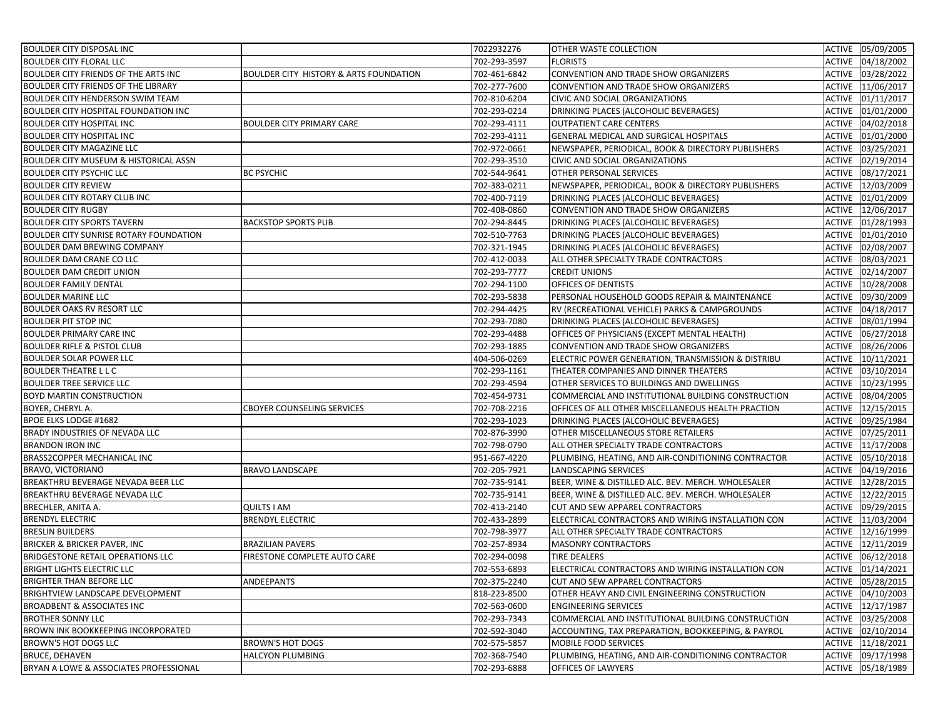| <b>BOULDER CITY DISPOSAL INC</b>                 |                                                   | 7022932276   | OTHER WASTE COLLECTION                             |        | ACTIVE 05/09/2005 |
|--------------------------------------------------|---------------------------------------------------|--------------|----------------------------------------------------|--------|-------------------|
| <b>BOULDER CITY FLORAL LLC</b>                   |                                                   | 702-293-3597 | <b>FLORISTS</b>                                    | ACTIVE | 04/18/2002        |
| BOULDER CITY FRIENDS OF THE ARTS INC             | <b>BOULDER CITY HISTORY &amp; ARTS FOUNDATION</b> | 702-461-6842 | CONVENTION AND TRADE SHOW ORGANIZERS               | ACTIVE | 03/28/2022        |
| BOULDER CITY FRIENDS OF THE LIBRARY              |                                                   | 702-277-7600 | CONVENTION AND TRADE SHOW ORGANIZERS               |        | ACTIVE 11/06/2017 |
| BOULDER CITY HENDERSON SWIM TEAM                 |                                                   | 702-810-6204 | CIVIC AND SOCIAL ORGANIZATIONS                     |        | ACTIVE 01/11/2017 |
| BOULDER CITY HOSPITAL FOUNDATION INC             |                                                   | 702-293-0214 | DRINKING PLACES (ALCOHOLIC BEVERAGES)              |        | ACTIVE 01/01/2000 |
| BOULDER CITY HOSPITAL INC                        | <b>BOULDER CITY PRIMARY CARE</b>                  | 702-293-4111 | <b>OUTPATIENT CARE CENTERS</b>                     | ACTIVE | 04/02/2018        |
| BOULDER CITY HOSPITAL INC                        |                                                   | 702-293-4111 | GENERAL MEDICAL AND SURGICAL HOSPITALS             |        | ACTIVE 01/01/2000 |
| BOULDER CITY MAGAZINE LLC                        |                                                   | 702-972-0661 | NEWSPAPER, PERIODICAL, BOOK & DIRECTORY PUBLISHERS |        | ACTIVE 03/25/2021 |
| <b>BOULDER CITY MUSEUM &amp; HISTORICAL ASSN</b> |                                                   | 702-293-3510 | CIVIC AND SOCIAL ORGANIZATIONS                     |        | ACTIVE 02/19/2014 |
| <b>BOULDER CITY PSYCHIC LLC</b>                  | <b>BC PSYCHIC</b>                                 | 702-544-9641 | OTHER PERSONAL SERVICES                            | ACTIVE | 08/17/2021        |
| <b>BOULDER CITY REVIEW</b>                       |                                                   | 702-383-0211 | NEWSPAPER, PERIODICAL, BOOK & DIRECTORY PUBLISHERS |        | ACTIVE 12/03/2009 |
| <b>BOULDER CITY ROTARY CLUB INC</b>              |                                                   | 702-400-7119 | DRINKING PLACES (ALCOHOLIC BEVERAGES)              |        | ACTIVE 01/01/2009 |
| <b>BOULDER CITY RUGBY</b>                        |                                                   | 702-408-0860 | CONVENTION AND TRADE SHOW ORGANIZERS               |        | ACTIVE 12/06/2017 |
| <b>BOULDER CITY SPORTS TAVERN</b>                | <b>BACKSTOP SPORTS PUB</b>                        | 702-294-8445 | DRINKING PLACES (ALCOHOLIC BEVERAGES)              |        | ACTIVE 01/28/1993 |
| BOULDER CITY SUNRISE ROTARY FOUNDATION           |                                                   | 702-510-7763 | DRINKING PLACES (ALCOHOLIC BEVERAGES)              | ACTIVE | 01/01/2010        |
| BOULDER DAM BREWING COMPANY                      |                                                   | 702-321-1945 | DRINKING PLACES (ALCOHOLIC BEVERAGES)              | ACTIVE | 02/08/2007        |
| BOULDER DAM CRANE CO LLC                         |                                                   | 702-412-0033 | ALL OTHER SPECIALTY TRADE CONTRACTORS              | ACTIVE | 08/03/2021        |
| <b>BOULDER DAM CREDIT UNION</b>                  |                                                   | 702-293-7777 | <b>CREDIT UNIONS</b>                               | ACTIVE | 02/14/2007        |
| <b>BOULDER FAMILY DENTAL</b>                     |                                                   | 702-294-1100 | OFFICES OF DENTISTS                                | ACTIVE | 10/28/2008        |
| <b>BOULDER MARINE LLC</b>                        |                                                   | 702-293-5838 | PERSONAL HOUSEHOLD GOODS REPAIR & MAINTENANCE      | ACTIVE | 09/30/2009        |
| BOULDER OAKS RV RESORT LLC                       |                                                   | 702-294-4425 | RV (RECREATIONAL VEHICLE) PARKS & CAMPGROUNDS      | ACTIVE | 04/18/2017        |
| <b>BOULDER PIT STOP INC</b>                      |                                                   | 702-293-7080 | DRINKING PLACES (ALCOHOLIC BEVERAGES)              | ACTIVE | 08/01/1994        |
| BOULDER PRIMARY CARE INC                         |                                                   | 702-293-4488 | OFFICES OF PHYSICIANS (EXCEPT MENTAL HEALTH)       | ACTIVE | 06/27/2018        |
| <b>BOULDER RIFLE &amp; PISTOL CLUB</b>           |                                                   | 702-293-1885 | CONVENTION AND TRADE SHOW ORGANIZERS               | ACTIVE | 08/26/2006        |
| BOULDER SOLAR POWER LLC                          |                                                   | 404-506-0269 | ELECTRIC POWER GENERATION, TRANSMISSION & DISTRIBU | ACTIVE | 10/11/2021        |
| <b>BOULDER THEATRE L L C</b>                     |                                                   | 702-293-1161 | THEATER COMPANIES AND DINNER THEATERS              | ACTIVE | 03/10/2014        |
| <b>BOULDER TREE SERVICE LLC</b>                  |                                                   | 702-293-4594 | OTHER SERVICES TO BUILDINGS AND DWELLINGS          | ACTIVE | 10/23/1995        |
| <b>BOYD MARTIN CONSTRUCTION</b>                  |                                                   | 702-454-9731 | COMMERCIAL AND INSTITUTIONAL BUILDING CONSTRUCTION | ACTIVE | 08/04/2005        |
| BOYER, CHERYL A.                                 | <b>CBOYER COUNSELING SERVICES</b>                 | 702-708-2216 | OFFICES OF ALL OTHER MISCELLANEOUS HEALTH PRACTION |        | ACTIVE 12/15/2015 |
| BPOE ELKS LODGE #1682                            |                                                   | 702-293-1023 | DRINKING PLACES (ALCOHOLIC BEVERAGES)              | ACTIVE | 09/25/1984        |
| BRADY INDUSTRIES OF NEVADA LLC                   |                                                   | 702-876-3990 | OTHER MISCELLANEOUS STORE RETAILERS                |        | ACTIVE 07/25/2011 |
| <b>BRANDON IRON INC</b>                          |                                                   | 702-798-0790 | ALL OTHER SPECIALTY TRADE CONTRACTORS              |        | ACTIVE 11/17/2008 |
| BRASS2COPPER MECHANICAL INC                      |                                                   | 951-667-4220 | PLUMBING, HEATING, AND AIR-CONDITIONING CONTRACTOR | ACTIVE | 05/10/2018        |
| BRAVO, VICTORIANO                                | <b>BRAVO LANDSCAPE</b>                            | 702-205-7921 | LANDSCAPING SERVICES                               |        | ACTIVE 04/19/2016 |
| BREAKTHRU BEVERAGE NEVADA BEER LLC               |                                                   | 702-735-9141 | BEER, WINE & DISTILLED ALC. BEV. MERCH. WHOLESALER |        | ACTIVE 12/28/2015 |
| BREAKTHRU BEVERAGE NEVADA LLC                    |                                                   | 702-735-9141 | BEER, WINE & DISTILLED ALC. BEV. MERCH. WHOLESALER |        | ACTIVE 12/22/2015 |
| BRECHLER, ANITA A.                               | QUILTS I AM                                       | 702-413-2140 | CUT AND SEW APPAREL CONTRACTORS                    | ACTIVE | 09/29/2015        |
| <b>BRENDYL ELECTRIC</b>                          | <b>BRENDYL ELECTRIC</b>                           | 702-433-2899 | ELECTRICAL CONTRACTORS AND WIRING INSTALLATION CON | ACTIVE | 11/03/2004        |
| <b>BRESLIN BUILDERS</b>                          |                                                   | 702-798-3977 | ALL OTHER SPECIALTY TRADE CONTRACTORS              |        | ACTIVE 12/16/1999 |
| BRICKER & BRICKER PAVER, INC                     | <b>BRAZILIAN PAVERS</b>                           | 702-257-8934 | <b>MASONRY CONTRACTORS</b>                         | ACTIVE | 12/11/2019        |
| <b>BRIDGESTONE RETAIL OPERATIONS LLC</b>         | FIRESTONE COMPLETE AUTO CARE                      | 702-294-0098 | <b>TIRE DEALERS</b>                                | ACTIVE | 06/12/2018        |
| <b>BRIGHT LIGHTS ELECTRIC LLC</b>                |                                                   | 702-553-6893 | ELECTRICAL CONTRACTORS AND WIRING INSTALLATION CON |        | ACTIVE 01/14/2021 |
| <b>BRIGHTER THAN BEFORE LLC</b>                  | ANDEEPANTS                                        | 702-375-2240 | <b>CUT AND SEW APPAREL CONTRACTORS</b>             |        | ACTIVE 05/28/2015 |
| BRIGHTVIEW LANDSCAPE DEVELOPMENT                 |                                                   | 818-223-8500 | OTHER HEAVY AND CIVIL ENGINEERING CONSTRUCTION     |        | ACTIVE 04/10/2003 |
| <b>BROADBENT &amp; ASSOCIATES INC</b>            |                                                   | 702-563-0600 | <b>ENGINEERING SERVICES</b>                        |        | ACTIVE 12/17/1987 |
| <b>BROTHER SONNY LLC</b>                         |                                                   | 702-293-7343 | COMMERCIAL AND INSTITUTIONAL BUILDING CONSTRUCTION |        | ACTIVE 03/25/2008 |
| BROWN INK BOOKKEEPING INCORPORATED               |                                                   | 702-592-3040 | ACCOUNTING, TAX PREPARATION, BOOKKEEPING, & PAYROL |        | ACTIVE 02/10/2014 |
| <b>BROWN'S HOT DOGS LLC</b>                      | <b>BROWN'S HOT DOGS</b>                           | 702-575-5857 | MOBILE FOOD SERVICES                               | ACTIVE | 11/18/2021        |
| <b>BRUCE, DEHAVEN</b>                            | HALCYON PLUMBING                                  | 702-368-7540 | PLUMBING, HEATING, AND AIR-CONDITIONING CONTRACTOR | ACTIVE | 09/17/1998        |
| BRYAN A LOWE & ASSOCIATES PROFESSIONAL           |                                                   | 702-293-6888 | OFFICES OF LAWYERS                                 |        | ACTIVE 05/18/1989 |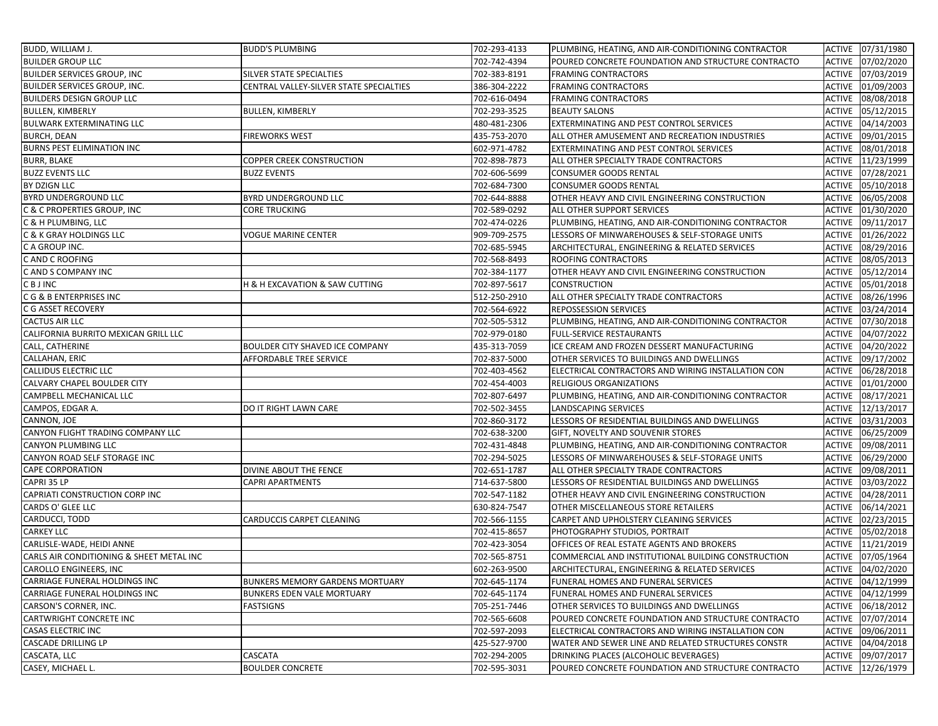| BUDD, WILLIAM J.                         | <b>BUDD'S PLUMBING</b>                  | 702-293-4133 | PLUMBING, HEATING, AND AIR-CONDITIONING CONTRACTOR |               | ACTIVE 07/31/1980 |
|------------------------------------------|-----------------------------------------|--------------|----------------------------------------------------|---------------|-------------------|
| <b>BUILDER GROUP LLC</b>                 |                                         | 702-742-4394 | POURED CONCRETE FOUNDATION AND STRUCTURE CONTRACTO |               | ACTIVE 07/02/2020 |
| <b>BUILDER SERVICES GROUP, INC</b>       | SILVER STATE SPECIALTIES                | 702-383-8191 | FRAMING CONTRACTORS                                |               | ACTIVE 07/03/2019 |
| BUILDER SERVICES GROUP, INC.             | CENTRAL VALLEY-SILVER STATE SPECIALTIES | 386-304-2222 | <b>FRAMING CONTRACTORS</b>                         | <b>ACTIVE</b> | 01/09/2003        |
| <b>BUILDERS DESIGN GROUP LLC</b>         |                                         | 702-616-0494 | <b>FRAMING CONTRACTORS</b>                         |               | ACTIVE 08/08/2018 |
| <b>BULLEN, KIMBERLY</b>                  | <b>BULLEN, KIMBERLY</b>                 | 702-293-3525 | <b>BEAUTY SALONS</b>                               |               | ACTIVE 05/12/2015 |
| BULWARK EXTERMINATING LLC                |                                         | 480-481-2306 | EXTERMINATING AND PEST CONTROL SERVICES            |               | ACTIVE 04/14/2003 |
| <b>BURCH, DEAN</b>                       | <b>FIREWORKS WEST</b>                   | 435-753-2070 | ALL OTHER AMUSEMENT AND RECREATION INDUSTRIES      | ACTIVE        | 09/01/2015        |
| <b>BURNS PEST ELIMINATION INC</b>        |                                         | 602-971-4782 | EXTERMINATING AND PEST CONTROL SERVICES            |               | ACTIVE 08/01/2018 |
| <b>BURR, BLAKE</b>                       | COPPER CREEK CONSTRUCTION               | 702-898-7873 | ALL OTHER SPECIALTY TRADE CONTRACTORS              |               | ACTIVE 11/23/1999 |
| <b>BUZZ EVENTS LLC</b>                   | <b>BUZZ EVENTS</b>                      | 702-606-5699 | <b>CONSUMER GOODS RENTAL</b>                       | <b>ACTIVE</b> | 07/28/2021        |
| BY DZIGN LLC                             |                                         | 702-684-7300 | <b>CONSUMER GOODS RENTAL</b>                       | <b>ACTIVE</b> | 05/10/2018        |
| BYRD UNDERGROUND LLC                     | BYRD UNDERGROUND LLC                    | 702-644-8888 | OTHER HEAVY AND CIVIL ENGINEERING CONSTRUCTION     | <b>ACTIVE</b> | 06/05/2008        |
| C & C PROPERTIES GROUP, INC              | CORE TRUCKING                           | 702-589-0292 | ALL OTHER SUPPORT SERVICES                         | <b>ACTIVE</b> | 01/30/2020        |
| C & H PLUMBING, LLC                      |                                         | 702-474-0226 | PLUMBING, HEATING, AND AIR-CONDITIONING CONTRACTOR | <b>ACTIVE</b> | 09/11/2017        |
| C & K GRAY HOLDINGS LLC                  | VOGUE MARINE CENTER                     | 909-709-2575 | LESSORS OF MINWAREHOUSES & SELF-STORAGE UNITS      | <b>ACTIVE</b> | 01/26/2022        |
| C A GROUP INC.                           |                                         | 702-685-5945 | ARCHITECTURAL, ENGINEERING & RELATED SERVICES      | <b>ACTIVE</b> | 08/29/2016        |
| C AND C ROOFING                          |                                         | 702-568-8493 | ROOFING CONTRACTORS                                | <b>ACTIVE</b> | 08/05/2013        |
| C AND S COMPANY INC                      |                                         | 702-384-1177 | OTHER HEAVY AND CIVIL ENGINEERING CONSTRUCTION     | <b>ACTIVE</b> | 05/12/2014        |
| C B J INC                                | H & H EXCAVATION & SAW CUTTING          | 702-897-5617 | CONSTRUCTION                                       | <b>ACTIVE</b> | 05/01/2018        |
| C G & B ENTERPRISES INC                  |                                         | 512-250-2910 | ALL OTHER SPECIALTY TRADE CONTRACTORS              | <b>ACTIVE</b> | 08/26/1996        |
| C G ASSET RECOVERY                       |                                         | 702-564-6922 | REPOSSESSION SERVICES                              | <b>ACTIVE</b> | 03/24/2014        |
| CACTUS AIR LLC                           |                                         | 702-505-5312 | PLUMBING, HEATING, AND AIR-CONDITIONING CONTRACTOR | <b>ACTIVE</b> | 07/30/2018        |
| CALIFORNIA BURRITO MEXICAN GRILL LLC     |                                         | 702-979-0180 | <b>FULL-SERVICE RESTAURANTS</b>                    |               | ACTIVE 04/07/2022 |
| CALL, CATHERINE                          | <b>BOULDER CITY SHAVED ICE COMPANY</b>  | 435-313-7059 | ICE CREAM AND FROZEN DESSERT MANUFACTURING         |               | ACTIVE 04/20/2022 |
| CALLAHAN, ERIC                           | AFFORDABLE TREE SERVICE                 | 702-837-5000 | OTHER SERVICES TO BUILDINGS AND DWELLINGS          | <b>ACTIVE</b> | 09/17/2002        |
| CALLIDUS ELECTRIC LLC                    |                                         | 702-403-4562 | ELECTRICAL CONTRACTORS AND WIRING INSTALLATION CON | <b>ACTIVE</b> | 06/28/2018        |
| CALVARY CHAPEL BOULDER CITY              |                                         | 702-454-4003 | RELIGIOUS ORGANIZATIONS                            |               | ACTIVE 01/01/2000 |
| CAMPBELL MECHANICAL LLC                  |                                         | 702-807-6497 | PLUMBING, HEATING, AND AIR-CONDITIONING CONTRACTOR | <b>ACTIVE</b> | 08/17/2021        |
| CAMPOS, EDGAR A.                         | DO IT RIGHT LAWN CARE                   | 702-502-3455 | LANDSCAPING SERVICES                               | <b>ACTIVE</b> | 12/13/2017        |
| CANNON, JOE                              |                                         | 702-860-3172 | LESSORS OF RESIDENTIAL BUILDINGS AND DWELLINGS     | <b>ACTIVE</b> | 03/31/2003        |
| CANYON FLIGHT TRADING COMPANY LLC        |                                         | 702-638-3200 | GIFT, NOVELTY AND SOUVENIR STORES                  |               | ACTIVE 06/25/2009 |
| CANYON PLUMBING LLC                      |                                         | 702-431-4848 | PLUMBING, HEATING, AND AIR-CONDITIONING CONTRACTOR | <b>ACTIVE</b> | 09/08/2011        |
| CANYON ROAD SELF STORAGE INC             |                                         | 702-294-5025 | LESSORS OF MINWAREHOUSES & SELF-STORAGE UNITS      | <b>ACTIVE</b> | 06/29/2000        |
| <b>CAPE CORPORATION</b>                  | DIVINE ABOUT THE FENCE                  | 702-651-1787 | ALL OTHER SPECIALTY TRADE CONTRACTORS              | ACTIVE        | 09/08/2011        |
| CAPRI 35 LP                              | <b>CAPRI APARTMENTS</b>                 | 714-637-5800 | LESSORS OF RESIDENTIAL BUILDINGS AND DWELLINGS     | <b>ACTIVE</b> | 03/03/2022        |
| CAPRIATI CONSTRUCTION CORP INC           |                                         | 702-547-1182 | OTHER HEAVY AND CIVIL ENGINEERING CONSTRUCTION     | <b>ACTIVE</b> | 04/28/2011        |
| CARDS O' GLEE LLC                        |                                         | 630-824-7547 | OTHER MISCELLANEOUS STORE RETAILERS                | <b>ACTIVE</b> | 06/14/2021        |
| CARDUCCI, TODD                           | CARDUCCIS CARPET CLEANING               | 702-566-1155 | CARPET AND UPHOLSTERY CLEANING SERVICES            | <b>ACTIVE</b> | 02/23/2015        |
| <b>CARKEY LLC</b>                        |                                         | 702-415-8657 | PHOTOGRAPHY STUDIOS, PORTRAIT                      |               | ACTIVE 05/02/2018 |
| CARLISLE-WADE, HEIDI ANNE                |                                         | 702-423-3054 | OFFICES OF REAL ESTATE AGENTS AND BROKERS          | <b>ACTIVE</b> | 11/21/2019        |
| CARLS AIR CONDITIONING & SHEET METAL INC |                                         | 702-565-8751 | COMMERCIAL AND INSTITUTIONAL BUILDING CONSTRUCTION | <b>ACTIVE</b> | 07/05/1964        |
| CAROLLO ENGINEERS, INC                   |                                         | 602-263-9500 | ARCHITECTURAL, ENGINEERING & RELATED SERVICES      |               | ACTIVE 04/02/2020 |
| CARRIAGE FUNERAL HOLDINGS INC            | <b>BUNKERS MEMORY GARDENS MORTUARY</b>  | 702-645-1174 | FUNERAL HOMES AND FUNERAL SERVICES                 |               | ACTIVE 04/12/1999 |
| CARRIAGE FUNERAL HOLDINGS INC            | <b>BUNKERS EDEN VALE MORTUARY</b>       | 702-645-1174 | FUNERAL HOMES AND FUNERAL SERVICES                 |               | ACTIVE 04/12/1999 |
| CARSON'S CORNER, INC.                    | <b>FASTSIGNS</b>                        | 705-251-7446 | OTHER SERVICES TO BUILDINGS AND DWELLINGS          |               | ACTIVE 06/18/2012 |
| CARTWRIGHT CONCRETE INC                  |                                         | 702-565-6608 | POURED CONCRETE FOUNDATION AND STRUCTURE CONTRACTO |               | ACTIVE 07/07/2014 |
| <b>CASAS ELECTRIC INC</b>                |                                         | 702-597-2093 | ELECTRICAL CONTRACTORS AND WIRING INSTALLATION CON |               | ACTIVE 09/06/2011 |
| <b>CASCADE DRILLING LP</b>               |                                         | 425-527-9700 | WATER AND SEWER LINE AND RELATED STRUCTURES CONSTR |               | ACTIVE 04/04/2018 |
| CASCATA, LLC                             | CASCATA                                 | 702-294-2005 | DRINKING PLACES (ALCOHOLIC BEVERAGES)              | <b>ACTIVE</b> | 09/07/2017        |
| CASEY, MICHAEL L.                        | <b>BOULDER CONCRETE</b>                 | 702-595-3031 | POURED CONCRETE FOUNDATION AND STRUCTURE CONTRACTO |               | ACTIVE 12/26/1979 |
|                                          |                                         |              |                                                    |               |                   |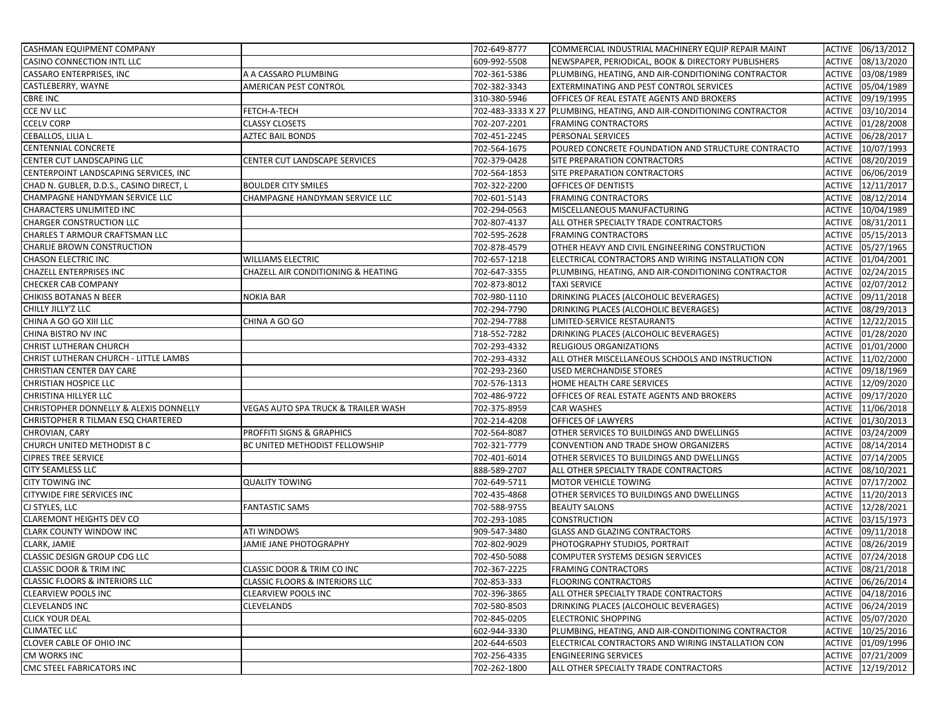| CASHMAN EQUIPMENT COMPANY                 |                                           | 702-649-8777      | COMMERCIAL INDUSTRIAL MACHINERY EQUIP REPAIR MAINT |               | ACTIVE 06/13/2012 |
|-------------------------------------------|-------------------------------------------|-------------------|----------------------------------------------------|---------------|-------------------|
| CASINO CONNECTION INTL LLC                |                                           | 609-992-5508      | NEWSPAPER, PERIODICAL, BOOK & DIRECTORY PUBLISHERS | <b>ACTIVE</b> | 08/13/2020        |
| CASSARO ENTERPRISES, INC                  | A A CASSARO PLUMBING                      | 702-361-5386      | PLUMBING, HEATING, AND AIR-CONDITIONING CONTRACTOR | <b>ACTIVE</b> | 03/08/1989        |
| CASTLEBERRY, WAYNE                        | AMERICAN PEST CONTROL                     | 702-382-3343      | EXTERMINATING AND PEST CONTROL SERVICES            | <b>ACTIVE</b> | 05/04/1989        |
| <b>CBRE INC</b>                           |                                           | 310-380-5946      | OFFICES OF REAL ESTATE AGENTS AND BROKERS          | <b>ACTIVE</b> | 09/19/1995        |
| CCE NV LLC                                | FETCH-A-TECH                              | 702-483-3333 X 27 | PLUMBING, HEATING, AND AIR-CONDITIONING CONTRACTOR | <b>ACTIVE</b> | 03/10/2014        |
| <b>CCELV CORP</b>                         | <b>CLASSY CLOSETS</b>                     | 702-207-2201      | <b>FRAMING CONTRACTORS</b>                         | <b>ACTIVE</b> | 01/28/2008        |
| CEBALLOS, LILIA L.                        | AZTEC BAIL BONDS                          | 702-451-2245      | PERSONAL SERVICES                                  | <b>ACTIVE</b> | 06/28/2017        |
| CENTENNIAL CONCRETE                       |                                           | 702-564-1675      | POURED CONCRETE FOUNDATION AND STRUCTURE CONTRACTO | <b>ACTIVE</b> | 10/07/1993        |
| CENTER CUT LANDSCAPING LLC                | CENTER CUT LANDSCAPE SERVICES             | 702-379-0428      | SITE PREPARATION CONTRACTORS                       | <b>ACTIVE</b> | 08/20/2019        |
| CENTERPOINT LANDSCAPING SERVICES, INC     |                                           | 702-564-1853      | SITE PREPARATION CONTRACTORS                       | <b>ACTIVE</b> | 06/06/2019        |
| CHAD N. GUBLER, D.D.S., CASINO DIRECT, L  | <b>BOULDER CITY SMILES</b>                | 702-322-2200      | OFFICES OF DENTISTS                                | <b>ACTIVE</b> | 12/11/2017        |
| CHAMPAGNE HANDYMAN SERVICE LLC            | CHAMPAGNE HANDYMAN SERVICE LLC            | 702-601-5143      | FRAMING CONTRACTORS                                | <b>ACTIVE</b> | 08/12/2014        |
| CHARACTERS UNLIMITED INC                  |                                           | 702-294-0563      | MISCELLANEOUS MANUFACTURING                        | <b>ACTIVE</b> | 10/04/1989        |
| <b>CHARGER CONSTRUCTION LLC</b>           |                                           | 702-807-4137      | ALL OTHER SPECIALTY TRADE CONTRACTORS              | <b>ACTIVE</b> | 08/31/2011        |
| CHARLES T ARMOUR CRAFTSMAN LLC            |                                           | 702-595-2628      | FRAMING CONTRACTORS                                | <b>ACTIVE</b> | 05/15/2013        |
| CHARLIE BROWN CONSTRUCTION                |                                           | 702-878-4579      | OTHER HEAVY AND CIVIL ENGINEERING CONSTRUCTION     | <b>ACTIVE</b> | 05/27/1965        |
| CHASON ELECTRIC INC                       | WILLIAMS ELECTRIC                         | 702-657-1218      | ELECTRICAL CONTRACTORS AND WIRING INSTALLATION CON | <b>ACTIVE</b> | 01/04/2001        |
| CHAZELL ENTERPRISES INC                   | CHAZELL AIR CONDITIONING & HEATING        | 702-647-3355      | PLUMBING, HEATING, AND AIR-CONDITIONING CONTRACTOR | <b>ACTIVE</b> | 02/24/2015        |
| CHECKER CAB COMPANY                       |                                           | 702-873-8012      | TAXI SERVICE                                       | <b>ACTIVE</b> | 02/07/2012        |
| CHIKISS BOTANAS N BEER                    | NOKIA BAR                                 | 702-980-1110      | DRINKING PLACES (ALCOHOLIC BEVERAGES)              | <b>ACTIVE</b> | 09/11/2018        |
| CHILLY JILLY'Z LLC                        |                                           | 702-294-7790      | DRINKING PLACES (ALCOHOLIC BEVERAGES)              | <b>ACTIVE</b> | 08/29/2013        |
| CHINA A GO GO XIII LLC                    | CHINA A GO GO                             | 702-294-7788      | LIMITED-SERVICE RESTAURANTS                        | <b>ACTIVE</b> | 12/22/2015        |
| CHINA BISTRO NV INC                       |                                           | 718-552-7282      | DRINKING PLACES (ALCOHOLIC BEVERAGES)              | <b>ACTIVE</b> | 01/28/2020        |
| CHRIST LUTHERAN CHURCH                    |                                           | 702-293-4332      | RELIGIOUS ORGANIZATIONS                            | <b>ACTIVE</b> | 01/01/2000        |
| CHRIST LUTHERAN CHURCH - LITTLE LAMBS     |                                           | 702-293-4332      | ALL OTHER MISCELLANEOUS SCHOOLS AND INSTRUCTION    | <b>ACTIVE</b> | 11/02/2000        |
| CHRISTIAN CENTER DAY CARE                 |                                           | 702-293-2360      | USED MERCHANDISE STORES                            | <b>ACTIVE</b> | 09/18/1969        |
| CHRISTIAN HOSPICE LLC                     |                                           | 702-576-1313      | HOME HEALTH CARE SERVICES                          | <b>ACTIVE</b> | 12/09/2020        |
| CHRISTINA HILLYER LLC                     |                                           | 702-486-9722      | OFFICES OF REAL ESTATE AGENTS AND BROKERS          | <b>ACTIVE</b> | 09/17/2020        |
| CHRISTOPHER DONNELLY & ALEXIS DONNELLY    | VEGAS AUTO SPA TRUCK & TRAILER WASH       | 702-375-8959      | CAR WASHES                                         | <b>ACTIVE</b> | 11/06/2018        |
| CHRISTOPHER R TILMAN ESQ CHARTERED        |                                           | 702-214-4208      | OFFICES OF LAWYERS                                 | <b>ACTIVE</b> | 01/30/2013        |
| CHROVIAN, CARY                            | PROFFITI SIGNS & GRAPHICS                 | 702-564-8087      | OTHER SERVICES TO BUILDINGS AND DWELLINGS          | <b>ACTIVE</b> | 03/24/2009        |
| CHURCH UNITED METHODIST B C               | BC UNITED METHODIST FELLOWSHIP            | 702-321-7779      | CONVENTION AND TRADE SHOW ORGANIZERS               | <b>ACTIVE</b> | 08/14/2014        |
| <b>CIPRES TREE SERVICE</b>                |                                           | 702-401-6014      | OTHER SERVICES TO BUILDINGS AND DWELLINGS          | <b>ACTIVE</b> | 07/14/2005        |
| CITY SEAMLESS LLC                         |                                           | 888-589-2707      | ALL OTHER SPECIALTY TRADE CONTRACTORS              | <b>ACTIVE</b> | 08/10/2021        |
| CITY TOWING INC                           | <b>QUALITY TOWING</b>                     | 702-649-5711      | MOTOR VEHICLE TOWING                               | <b>ACTIVE</b> | 07/17/2002        |
| CITYWIDE FIRE SERVICES INC                |                                           | 702-435-4868      | OTHER SERVICES TO BUILDINGS AND DWELLINGS          | <b>ACTIVE</b> | 11/20/2013        |
| CJ STYLES, LLC                            | <b>FANTASTIC SAMS</b>                     | 702-588-9755      | <b>BEAUTY SALONS</b>                               | <b>ACTIVE</b> | 12/28/2021        |
| CLAREMONT HEIGHTS DEV CO                  |                                           | 702-293-1085      | CONSTRUCTION                                       | <b>ACTIVE</b> | 03/15/1973        |
| CLARK COUNTY WINDOW INC                   | ATI WINDOWS                               | 909-547-3480      | <b>GLASS AND GLAZING CONTRACTORS</b>               | <b>ACTIVE</b> | 09/11/2018        |
| CLARK, JAMIE                              | JAMIE JANE PHOTOGRAPHY                    | 702-802-9029      | PHOTOGRAPHY STUDIOS, PORTRAIT                      | <b>ACTIVE</b> | 08/26/2019        |
| CLASSIC DESIGN GROUP CDG LLC              |                                           | 702-450-5088      | COMPUTER SYSTEMS DESIGN SERVICES                   | <b>ACTIVE</b> | 07/24/2018        |
| <b>CLASSIC DOOR &amp; TRIM INC</b>        | CLASSIC DOOR & TRIM CO INC                | 702-367-2225      | FRAMING CONTRACTORS                                | <b>ACTIVE</b> | 08/21/2018        |
| <b>CLASSIC FLOORS &amp; INTERIORS LLC</b> | <b>CLASSIC FLOORS &amp; INTERIORS LLC</b> | 702-853-333       | <b>FLOORING CONTRACTORS</b>                        |               | ACTIVE 06/26/2014 |
| <b>CLEARVIEW POOLS INC</b>                | CLEARVIEW POOLS INC                       | 702-396-3865      | ALL OTHER SPECIALTY TRADE CONTRACTORS              | <b>ACTIVE</b> | 04/18/2016        |
| <b>CLEVELANDS INC</b>                     | CLEVELANDS                                | 702-580-8503      | DRINKING PLACES (ALCOHOLIC BEVERAGES)              |               | ACTIVE 06/24/2019 |
| <b>CLICK YOUR DEAL</b>                    |                                           | 702-845-0205      | ELECTRONIC SHOPPING                                |               | ACTIVE 05/07/2020 |
| <b>CLIMATEC LLC</b>                       |                                           | 602-944-3330      | PLUMBING, HEATING, AND AIR-CONDITIONING CONTRACTOR |               | ACTIVE 10/25/2016 |
| CLOVER CABLE OF OHIO INC                  |                                           | 202-644-6503      | ELECTRICAL CONTRACTORS AND WIRING INSTALLATION CON |               | ACTIVE 01/09/1996 |
| CM WORKS INC                              |                                           | 702-256-4335      | ENGINEERING SERVICES                               | <b>ACTIVE</b> | 07/21/2009        |
| <b>CMC STEEL FABRICATORS INC</b>          |                                           | 702-262-1800      | ALL OTHER SPECIALTY TRADE CONTRACTORS              |               | ACTIVE 12/19/2012 |
|                                           |                                           |                   |                                                    |               |                   |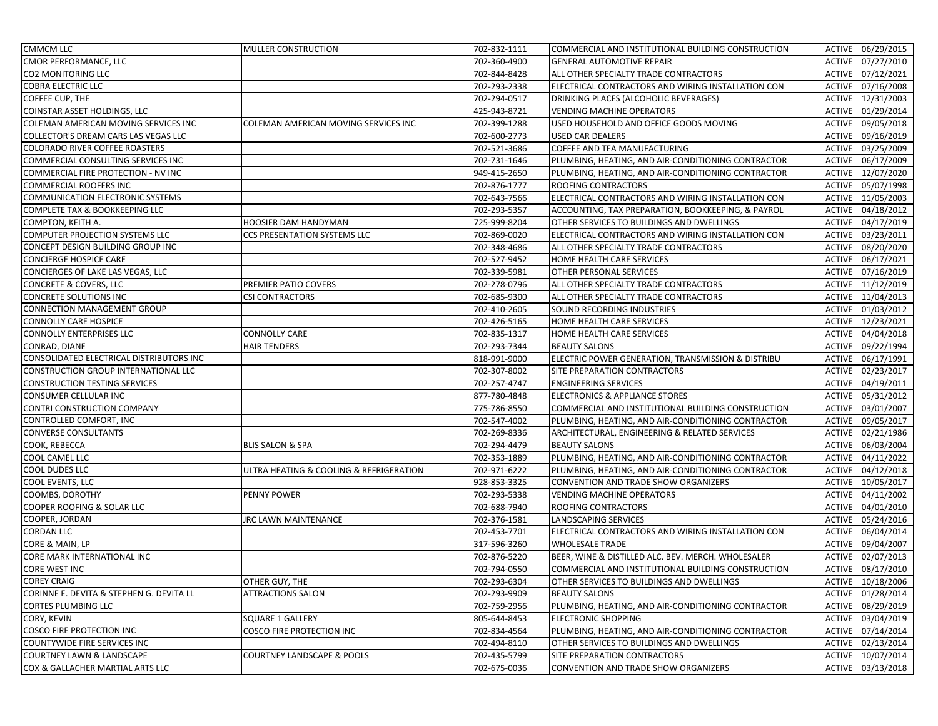| <b>CMMCM LLC</b>                         | MULLER CONSTRUCTION                     | 702-832-1111 | COMMERCIAL AND INSTITUTIONAL BUILDING CONSTRUCTION |               | ACTIVE 06/29/2015 |
|------------------------------------------|-----------------------------------------|--------------|----------------------------------------------------|---------------|-------------------|
| CMOR PERFORMANCE, LLC                    |                                         | 702-360-4900 | <b>GENERAL AUTOMOTIVE REPAIR</b>                   |               | ACTIVE 07/27/2010 |
| <b>CO2 MONITORING LLC</b>                |                                         | 702-844-8428 | ALL OTHER SPECIALTY TRADE CONTRACTORS              |               | ACTIVE 07/12/2021 |
| <b>COBRA ELECTRIC LLC</b>                |                                         | 702-293-2338 | ELECTRICAL CONTRACTORS AND WIRING INSTALLATION CON | ACTIVE        | 07/16/2008        |
| COFFEE CUP, THE                          |                                         | 702-294-0517 | DRINKING PLACES (ALCOHOLIC BEVERAGES)              |               | ACTIVE 12/31/2003 |
| COINSTAR ASSET HOLDINGS, LLC             |                                         | 425-943-8721 | <b>VENDING MACHINE OPERATORS</b>                   | <b>ACTIVE</b> | 01/29/2014        |
| COLEMAN AMERICAN MOVING SERVICES INC     | COLEMAN AMERICAN MOVING SERVICES INC    | 702-399-1288 | USED HOUSEHOLD AND OFFICE GOODS MOVING             | <b>ACTIVE</b> | 09/05/2018        |
| COLLECTOR'S DREAM CARS LAS VEGAS LLC     |                                         | 702-600-2773 | <b>USED CAR DEALERS</b>                            | <b>ACTIVE</b> | 09/16/2019        |
| <b>COLORADO RIVER COFFEE ROASTERS</b>    |                                         | 702-521-3686 | COFFEE AND TEA MANUFACTURING                       |               | ACTIVE 03/25/2009 |
| COMMERCIAL CONSULTING SERVICES INC       |                                         | 702-731-1646 | PLUMBING, HEATING, AND AIR-CONDITIONING CONTRACTOR | <b>ACTIVE</b> | 06/17/2009        |
| COMMERCIAL FIRE PROTECTION - NV INC      |                                         | 949-415-2650 | PLUMBING, HEATING, AND AIR-CONDITIONING CONTRACTOR | <b>ACTIVE</b> | 12/07/2020        |
| COMMERCIAL ROOFERS INC                   |                                         | 702-876-1777 | ROOFING CONTRACTORS                                | <b>ACTIVE</b> | 05/07/1998        |
| COMMUNICATION ELECTRONIC SYSTEMS         |                                         | 702-643-7566 | ELECTRICAL CONTRACTORS AND WIRING INSTALLATION CON |               | ACTIVE 11/05/2003 |
| COMPLETE TAX & BOOKKEEPING LLC           |                                         | 702-293-5357 | ACCOUNTING, TAX PREPARATION, BOOKKEEPING, & PAYROL | <b>ACTIVE</b> | 04/18/2012        |
| COMPTON, KEITH A.                        | HOOSIER DAM HANDYMAN                    | 725-999-8204 | OTHER SERVICES TO BUILDINGS AND DWELLINGS          | <b>ACTIVE</b> | 04/17/2019        |
| COMPUTER PROJECTION SYSTEMS LLC          | CCS PRESENTATION SYSTEMS LLC            | 702-869-0020 | ELECTRICAL CONTRACTORS AND WIRING INSTALLATION CON | <b>ACTIVE</b> | 03/23/2011        |
| CONCEPT DESIGN BUILDING GROUP INC        |                                         | 702-348-4686 | ALL OTHER SPECIALTY TRADE CONTRACTORS              | <b>ACTIVE</b> | 08/20/2020        |
| <b>CONCIERGE HOSPICE CARE</b>            |                                         | 702-527-9452 | HOME HEALTH CARE SERVICES                          | <b>ACTIVE</b> | 06/17/2021        |
| CONCIERGES OF LAKE LAS VEGAS, LLC        |                                         | 702-339-5981 | OTHER PERSONAL SERVICES                            | ACTIVE        | 07/16/2019        |
| <b>CONCRETE &amp; COVERS, LLC</b>        | PREMIER PATIO COVERS                    | 702-278-0796 | ALL OTHER SPECIALTY TRADE CONTRACTORS              |               | ACTIVE 11/12/2019 |
| CONCRETE SOLUTIONS INC                   | CSI CONTRACTORS                         | 702-685-9300 | ALL OTHER SPECIALTY TRADE CONTRACTORS              |               | ACTIVE 11/04/2013 |
| CONNECTION MANAGEMENT GROUP              |                                         | 702-410-2605 | SOUND RECORDING INDUSTRIES                         |               | ACTIVE 01/03/2012 |
| <b>CONNOLLY CARE HOSPICE</b>             |                                         | 702-426-5165 | HOME HEALTH CARE SERVICES                          |               | ACTIVE 12/23/2021 |
| <b>CONNOLLY ENTERPRISES LLC</b>          | <b>CONNOLLY CARE</b>                    | 702-835-1317 | HOME HEALTH CARE SERVICES                          |               | ACTIVE 04/04/2018 |
| CONRAD, DIANE                            | <b>HAIR TENDERS</b>                     | 702-293-7344 | <b>BEAUTY SALONS</b>                               | <b>ACTIVE</b> | 09/22/1994        |
| CONSOLIDATED ELECTRICAL DISTRIBUTORS INC |                                         | 818-991-9000 | ELECTRIC POWER GENERATION, TRANSMISSION & DISTRIBU | <b>ACTIVE</b> | 06/17/1991        |
| CONSTRUCTION GROUP INTERNATIONAL LLC     |                                         | 702-307-8002 | SITE PREPARATION CONTRACTORS                       | <b>ACTIVE</b> | 02/23/2017        |
| <b>CONSTRUCTION TESTING SERVICES</b>     |                                         | 702-257-4747 | <b>ENGINEERING SERVICES</b>                        | <b>ACTIVE</b> | 04/19/2011        |
| CONSUMER CELLULAR INC                    |                                         | 877-780-4848 | ELECTRONICS & APPLIANCE STORES                     | <b>ACTIVE</b> | 05/31/2012        |
| CONTRI CONSTRUCTION COMPANY              |                                         | 775-786-8550 | COMMERCIAL AND INSTITUTIONAL BUILDING CONSTRUCTION | <b>ACTIVE</b> | 03/01/2007        |
| CONTROLLED COMFORT, INC                  |                                         | 702-547-4002 | PLUMBING, HEATING, AND AIR-CONDITIONING CONTRACTOR | <b>ACTIVE</b> | 09/05/2017        |
| <b>CONVERSE CONSULTANTS</b>              |                                         | 702-269-8336 | ARCHITECTURAL, ENGINEERING & RELATED SERVICES      | <b>ACTIVE</b> | 02/21/1986        |
| COOK, REBECCA                            | <b>BLIS SALON &amp; SPA</b>             | 702-294-4479 | <b>BEAUTY SALONS</b>                               | <b>ACTIVE</b> | 06/03/2004        |
| COOL CAMEL LLC                           |                                         | 702-353-1889 | PLUMBING, HEATING, AND AIR-CONDITIONING CONTRACTOR | <b>ACTIVE</b> | 04/11/2022        |
| COOL DUDES LLC                           | ULTRA HEATING & COOLING & REFRIGERATION | 702-971-6222 | PLUMBING, HEATING, AND AIR-CONDITIONING CONTRACTOR | <b>ACTIVE</b> | 04/12/2018        |
| COOL EVENTS, LLC                         |                                         | 928-853-3325 | CONVENTION AND TRADE SHOW ORGANIZERS               |               | ACTIVE 10/05/2017 |
| <b>COOMBS, DOROTHY</b>                   | PENNY POWER                             | 702-293-5338 | <b>VENDING MACHINE OPERATORS</b>                   | <b>ACTIVE</b> | 04/11/2002        |
| COOPER ROOFING & SOLAR LLC               |                                         | 702-688-7940 | ROOFING CONTRACTORS                                | <b>ACTIVE</b> | 04/01/2010        |
| COOPER, JORDAN                           | <b>JRC LAWN MAINTENANCE</b>             | 702-376-1581 | <b>LANDSCAPING SERVICES</b>                        | <b>ACTIVE</b> | 05/24/2016        |
| <b>CORDAN LLC</b>                        |                                         | 702-453-7701 | ELECTRICAL CONTRACTORS AND WIRING INSTALLATION CON | <b>ACTIVE</b> | 06/04/2014        |
| CORE & MAIN, LP                          |                                         | 317-596-3260 | <b>WHOLESALE TRADE</b>                             | <b>ACTIVE</b> | 09/04/2007        |
| CORE MARK INTERNATIONAL INC              |                                         | 702-876-5220 | BEER, WINE & DISTILLED ALC. BEV. MERCH. WHOLESALER | <b>ACTIVE</b> | 02/07/2013        |
| <b>CORE WEST INC</b>                     |                                         | 702-794-0550 | COMMERCIAL AND INSTITUTIONAL BUILDING CONSTRUCTION |               | ACTIVE 08/17/2010 |
| <b>COREY CRAIG</b>                       | OTHER GUY, THE                          | 702-293-6304 | OTHER SERVICES TO BUILDINGS AND DWELLINGS          |               | ACTIVE 10/18/2006 |
| CORINNE E. DEVITA & STEPHEN G. DEVITA LL | <b>ATTRACTIONS SALON</b>                | 702-293-9909 | <b>BEAUTY SALONS</b>                               |               | ACTIVE 01/28/2014 |
| <b>CORTES PLUMBING LLC</b>               |                                         | 702-759-2956 | PLUMBING, HEATING, AND AIR-CONDITIONING CONTRACTOR |               | ACTIVE 08/29/2019 |
| <b>CORY, KEVIN</b>                       | SQUARE 1 GALLERY                        | 805-644-8453 | ELECTRONIC SHOPPING                                |               | ACTIVE 03/04/2019 |
| COSCO FIRE PROTECTION INC                | COSCO FIRE PROTECTION INC               | 702-834-4564 | PLUMBING, HEATING, AND AIR-CONDITIONING CONTRACTOR |               | ACTIVE 07/14/2014 |
| COUNTYWIDE FIRE SERVICES INC             |                                         | 702-494-8110 | OTHER SERVICES TO BUILDINGS AND DWELLINGS          |               | ACTIVE 02/13/2014 |
| <b>COURTNEY LAWN &amp; LANDSCAPE</b>     | COURTNEY LANDSCAPE & POOLS              | 702-435-5799 | SITE PREPARATION CONTRACTORS                       |               | ACTIVE 10/07/2014 |
| COX & GALLACHER MARTIAL ARTS LLC         |                                         | 702-675-0036 | CONVENTION AND TRADE SHOW ORGANIZERS               |               | ACTIVE 03/13/2018 |
|                                          |                                         |              |                                                    |               |                   |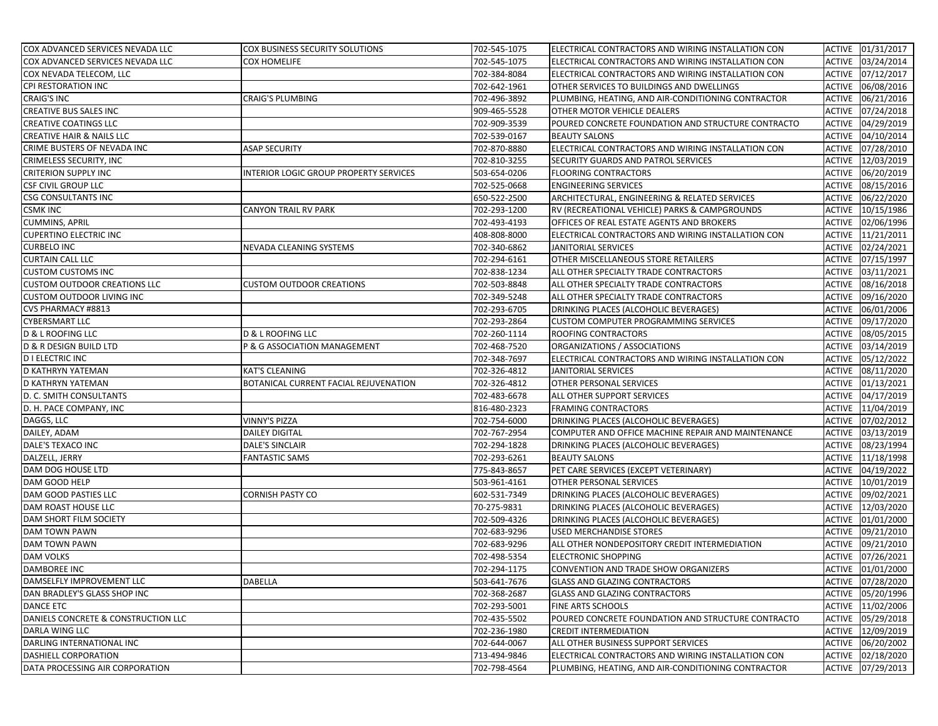| COX ADVANCED SERVICES NEVADA LLC    | COX BUSINESS SECURITY SOLUTIONS        | 702-545-1075 | ELECTRICAL CONTRACTORS AND WIRING INSTALLATION CON |               | ACTIVE 01/31/2017 |
|-------------------------------------|----------------------------------------|--------------|----------------------------------------------------|---------------|-------------------|
| COX ADVANCED SERVICES NEVADA LLC    | <b>COX HOMELIFE</b>                    | 702-545-1075 | ELECTRICAL CONTRACTORS AND WIRING INSTALLATION CON | <b>ACTIVE</b> | 03/24/2014        |
| COX NEVADA TELECOM, LLC             |                                        | 702-384-8084 | ELECTRICAL CONTRACTORS AND WIRING INSTALLATION CON |               | ACTIVE 07/12/2017 |
| CPI RESTORATION INC                 |                                        | 702-642-1961 | OTHER SERVICES TO BUILDINGS AND DWELLINGS          |               | ACTIVE 06/08/2016 |
| CRAIG'S INC                         | <b>CRAIG'S PLUMBING</b>                | 702-496-3892 | PLUMBING, HEATING, AND AIR-CONDITIONING CONTRACTOR |               | ACTIVE 06/21/2016 |
| CREATIVE BUS SALES INC              |                                        | 909-465-5528 | OTHER MOTOR VEHICLE DEALERS                        | <b>ACTIVE</b> | 07/24/2018        |
| CREATIVE COATINGS LLC               |                                        | 702-909-3539 | POURED CONCRETE FOUNDATION AND STRUCTURE CONTRACTO | <b>ACTIVE</b> | 04/29/2019        |
| CREATIVE HAIR & NAILS LLC           |                                        | 702-539-0167 | <b>BEAUTY SALONS</b>                               | <b>ACTIVE</b> | 04/10/2014        |
| CRIME BUSTERS OF NEVADA INC         | <b>ASAP SECURITY</b>                   | 702-870-8880 | ELECTRICAL CONTRACTORS AND WIRING INSTALLATION CON |               | ACTIVE 07/28/2010 |
| CRIMELESS SECURITY, INC             |                                        | 702-810-3255 | SECURITY GUARDS AND PATROL SERVICES                | <b>ACTIVE</b> | 12/03/2019        |
| <b>CRITERION SUPPLY INC</b>         | INTERIOR LOGIC GROUP PROPERTY SERVICES | 503-654-0206 | <b>FLOORING CONTRACTORS</b>                        | <b>ACTIVE</b> | 06/20/2019        |
| <b>CSF CIVIL GROUP LLC</b>          |                                        | 702-525-0668 | <b>ENGINEERING SERVICES</b>                        |               | ACTIVE 08/15/2016 |
| <b>CSG CONSULTANTS INC</b>          |                                        | 650-522-2500 | ARCHITECTURAL, ENGINEERING & RELATED SERVICES      |               | ACTIVE 06/22/2020 |
| <b>CSMK INC</b>                     | <b>CANYON TRAIL RV PARK</b>            | 702-293-1200 | RV (RECREATIONAL VEHICLE) PARKS & CAMPGROUNDS      |               | ACTIVE 10/15/1986 |
| <b>CUMMINS, APRIL</b>               |                                        | 702-493-4193 | OFFICES OF REAL ESTATE AGENTS AND BROKERS          |               | ACTIVE 02/06/1996 |
| <b>CUPERTINO ELECTRIC INC</b>       |                                        | 408-808-8000 | ELECTRICAL CONTRACTORS AND WIRING INSTALLATION CON |               | ACTIVE 11/21/2011 |
| <b>CURBELO INC</b>                  | NEVADA CLEANING SYSTEMS                | 702-340-6862 | JANITORIAL SERVICES                                |               | ACTIVE 02/24/2021 |
| <b>CURTAIN CALL LLC</b>             |                                        | 702-294-6161 | OTHER MISCELLANEOUS STORE RETAILERS                |               | ACTIVE 07/15/1997 |
| <b>CUSTOM CUSTOMS INC</b>           |                                        | 702-838-1234 | ALL OTHER SPECIALTY TRADE CONTRACTORS              | ACTIVE        | 03/11/2021        |
| <b>CUSTOM OUTDOOR CREATIONS LLC</b> | <b>CUSTOM OUTDOOR CREATIONS</b>        | 702-503-8848 | ALL OTHER SPECIALTY TRADE CONTRACTORS              |               | ACTIVE 08/16/2018 |
| <b>CUSTOM OUTDOOR LIVING INC</b>    |                                        | 702-349-5248 | ALL OTHER SPECIALTY TRADE CONTRACTORS              |               | ACTIVE 09/16/2020 |
| CVS PHARMACY #8813                  |                                        | 702-293-6705 | DRINKING PLACES (ALCOHOLIC BEVERAGES)              |               | ACTIVE 06/01/2006 |
| CYBERSMART LLC                      |                                        | 702-293-2864 | CUSTOM COMPUTER PROGRAMMING SERVICES               | ACTIVE        | 09/17/2020        |
| D & L ROOFING LLC                   | D & L ROOFING LLC                      | 702-260-1114 | ROOFING CONTRACTORS                                |               | ACTIVE 08/05/2015 |
| D & R DESIGN BUILD LTD              | P & G ASSOCIATION MANAGEMENT           | 702-468-7520 | ORGANIZATIONS / ASSOCIATIONS                       | <b>ACTIVE</b> | 03/14/2019        |
| <b>DI ELECTRIC INC</b>              |                                        | 702-348-7697 | ELECTRICAL CONTRACTORS AND WIRING INSTALLATION CON | <b>ACTIVE</b> | 05/12/2022        |
| D KATHRYN YATEMAN                   | <b>KAT'S CLEANING</b>                  | 702-326-4812 | JANITORIAL SERVICES                                | <b>ACTIVE</b> | 08/11/2020        |
| D KATHRYN YATEMAN                   | BOTANICAL CURRENT FACIAL REJUVENATION  | 702-326-4812 | OTHER PERSONAL SERVICES                            |               | ACTIVE 01/13/2021 |
| D. C. SMITH CONSULTANTS             |                                        | 702-483-6678 | ALL OTHER SUPPORT SERVICES                         | <b>ACTIVE</b> | 04/17/2019        |
| D. H. PACE COMPANY, INC             |                                        | 816-480-2323 | <b>FRAMING CONTRACTORS</b>                         | <b>ACTIVE</b> | 11/04/2019        |
| DAGGS, LLC                          | <b>VINNY'S PIZZA</b>                   | 702-754-6000 | DRINKING PLACES (ALCOHOLIC BEVERAGES)              |               | ACTIVE 07/02/2012 |
| DAILEY, ADAM                        | <b>DAILEY DIGITAL</b>                  | 702-767-2954 | COMPUTER AND OFFICE MACHINE REPAIR AND MAINTENANCE |               | ACTIVE 03/13/2019 |
| DALE'S TEXACO INC                   | DALE'S SINCLAIR                        | 702-294-1828 | DRINKING PLACES (ALCOHOLIC BEVERAGES)              | <b>ACTIVE</b> | 08/23/1994        |
| DALZELL, JERRY                      | <b>FANTASTIC SAMS</b>                  | 702-293-6261 | <b>BEAUTY SALONS</b>                               | <b>ACTIVE</b> | 11/18/1998        |
| DAM DOG HOUSE LTD                   |                                        | 775-843-8657 | PET CARE SERVICES (EXCEPT VETERINARY)              | <b>ACTIVE</b> | 04/19/2022        |
| DAM GOOD HELP                       |                                        | 503-961-4161 | OTHER PERSONAL SERVICES                            |               | ACTIVE 10/01/2019 |
| DAM GOOD PASTIES LLC                | <b>CORNISH PASTY CO</b>                | 602-531-7349 | DRINKING PLACES (ALCOHOLIC BEVERAGES)              |               | ACTIVE 09/02/2021 |
| DAM ROAST HOUSE LLC                 |                                        | 70-275-9831  | DRINKING PLACES (ALCOHOLIC BEVERAGES)              |               | ACTIVE 12/03/2020 |
| DAM SHORT FILM SOCIETY              |                                        | 702-509-4326 | DRINKING PLACES (ALCOHOLIC BEVERAGES)              |               | ACTIVE 01/01/2000 |
| DAM TOWN PAWN                       |                                        | 702-683-9296 | <b>USED MERCHANDISE STORES</b>                     |               | ACTIVE 09/21/2010 |
| DAM TOWN PAWN                       |                                        | 702-683-9296 | ALL OTHER NONDEPOSITORY CREDIT INTERMEDIATION      |               | ACTIVE 09/21/2010 |
| <b>DAM VOLKS</b>                    |                                        | 702-498-5354 | <b>ELECTRONIC SHOPPING</b>                         | ACTIVE        | 07/26/2021        |
| DAMBOREE INC                        |                                        | 702-294-1175 | CONVENTION AND TRADE SHOW ORGANIZERS               |               | ACTIVE 01/01/2000 |
| DAMSELFLY IMPROVEMENT LLC           | <b>DABELLA</b>                         | 503-641-7676 | <b>GLASS AND GLAZING CONTRACTORS</b>               |               | ACTIVE 07/28/2020 |
| DAN BRADLEY'S GLASS SHOP INC        |                                        | 702-368-2687 | <b>GLASS AND GLAZING CONTRACTORS</b>               |               | ACTIVE 05/20/1996 |
| <b>DANCE ETC</b>                    |                                        | 702-293-5001 | FINE ARTS SCHOOLS                                  |               | ACTIVE 11/02/2006 |
| DANIELS CONCRETE & CONSTRUCTION LLC |                                        | 702-435-5502 | POURED CONCRETE FOUNDATION AND STRUCTURE CONTRACTO |               | ACTIVE 05/29/2018 |
| DARLA WING LLC                      |                                        | 702-236-1980 | <b>CREDIT INTERMEDIATION</b>                       |               | ACTIVE 12/09/2019 |
| DARLING INTERNATIONAL INC           |                                        | 702-644-0067 | ALL OTHER BUSINESS SUPPORT SERVICES                |               | ACTIVE 06/20/2002 |
| DASHIELL CORPORATION                |                                        | 713-494-9846 | ELECTRICAL CONTRACTORS AND WIRING INSTALLATION CON |               | ACTIVE 02/18/2020 |
| DATA PROCESSING AIR CORPORATION     |                                        | 702-798-4564 | PLUMBING, HEATING, AND AIR-CONDITIONING CONTRACTOR |               | ACTIVE 07/29/2013 |
|                                     |                                        |              |                                                    |               |                   |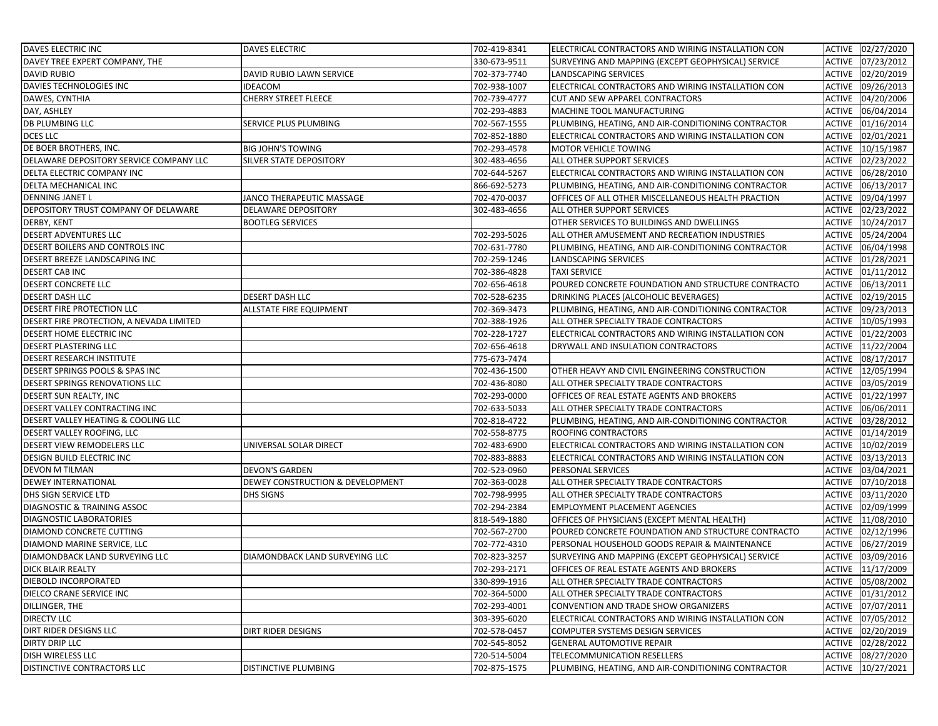| DAVES ELECTRIC INC                       | <b>DAVES ELECTRIC</b>            | 702-419-8341 | ELECTRICAL CONTRACTORS AND WIRING INSTALLATION CON                                 |               | ACTIVE 02/27/2020 |
|------------------------------------------|----------------------------------|--------------|------------------------------------------------------------------------------------|---------------|-------------------|
| DAVEY TREE EXPERT COMPANY, THE           |                                  | 330-673-9511 | SURVEYING AND MAPPING (EXCEPT GEOPHYSICAL) SERVICE                                 | <b>ACTIVE</b> | 07/23/2012        |
| <b>DAVID RUBIO</b>                       | DAVID RUBIO LAWN SERVICE         | 702-373-7740 | LANDSCAPING SERVICES                                                               | ACTIVE        | 02/20/2019        |
| DAVIES TECHNOLOGIES INC                  | <b>IDEACOM</b>                   | 702-938-1007 | ELECTRICAL CONTRACTORS AND WIRING INSTALLATION CON                                 | ACTIVE        | 09/26/2013        |
| DAWES, CYNTHIA                           | <b>CHERRY STREET FLEECE</b>      | 702-739-4777 | CUT AND SEW APPAREL CONTRACTORS                                                    | ACTIVE        | 04/20/2006        |
| DAY, ASHLEY                              |                                  | 702-293-4883 | MACHINE TOOL MANUFACTURING                                                         | <b>ACTIVE</b> | 06/04/2014        |
| <b>DB PLUMBING LLC</b>                   | SERVICE PLUS PLUMBING            | 702-567-1555 | PLUMBING, HEATING, AND AIR-CONDITIONING CONTRACTOR                                 | ACTIVE        | 01/16/2014        |
| DCES LLC                                 |                                  | 702-852-1880 | ELECTRICAL CONTRACTORS AND WIRING INSTALLATION CON                                 | ACTIVE        | 02/01/2021        |
| DE BOER BROTHERS, INC.                   | <b>BIG JOHN'S TOWING</b>         | 702-293-4578 | MOTOR VEHICLE TOWING                                                               | ACTIVE        | 10/15/1987        |
| DELAWARE DEPOSITORY SERVICE COMPANY LLC  | SILVER STATE DEPOSITORY          | 302-483-4656 | ALL OTHER SUPPORT SERVICES                                                         | <b>ACTIVE</b> | 02/23/2022        |
| DELTA ELECTRIC COMPANY INC               |                                  | 702-644-5267 | ELECTRICAL CONTRACTORS AND WIRING INSTALLATION CON                                 | <b>ACTIVE</b> | 06/28/2010        |
| DELTA MECHANICAL INC                     |                                  | 866-692-5273 | PLUMBING, HEATING, AND AIR-CONDITIONING CONTRACTOR                                 | ACTIVE        | 06/13/2017        |
| DENNING JANET L                          | JANCO THERAPEUTIC MASSAGE        | 702-470-0037 | OFFICES OF ALL OTHER MISCELLANEOUS HEALTH PRACTION                                 | <b>ACTIVE</b> | 09/04/1997        |
| DEPOSITORY TRUST COMPANY OF DELAWARE     | <b>DELAWARE DEPOSITORY</b>       | 302-483-4656 | ALL OTHER SUPPORT SERVICES                                                         | <b>ACTIVE</b> | 02/23/2022        |
| DERBY, KENT                              | <b>BOOTLEG SERVICES</b>          |              | OTHER SERVICES TO BUILDINGS AND DWELLINGS                                          | <b>ACTIVE</b> | 10/24/2017        |
| DESERT ADVENTURES LLC                    |                                  | 702-293-5026 | ALL OTHER AMUSEMENT AND RECREATION INDUSTRIES                                      | <b>ACTIVE</b> | 05/24/2004        |
| DESERT BOILERS AND CONTROLS INC          |                                  | 702-631-7780 | PLUMBING, HEATING, AND AIR-CONDITIONING CONTRACTOR                                 | <b>ACTIVE</b> | 06/04/1998        |
| DESERT BREEZE LANDSCAPING INC            |                                  | 702-259-1246 | LANDSCAPING SERVICES                                                               | <b>ACTIVE</b> | 01/28/2021        |
| <b>DESERT CAB INC</b>                    |                                  | 702-386-4828 | <b>TAXI SERVICE</b>                                                                | ACTIVE        | 01/11/2012        |
| DESERT CONCRETE LLC                      |                                  | 702-656-4618 | POURED CONCRETE FOUNDATION AND STRUCTURE CONTRACTO                                 | <b>ACTIVE</b> | 06/13/2011        |
| <b>DESERT DASH LLC</b>                   | <b>DESERT DASH LLC</b>           | 702-528-6235 | DRINKING PLACES (ALCOHOLIC BEVERAGES)                                              | <b>ACTIVE</b> | 02/19/2015        |
| DESERT FIRE PROTECTION LLC               | ALLSTATE FIRE EQUIPMENT          | 702-369-3473 | PLUMBING, HEATING, AND AIR-CONDITIONING CONTRACTOR                                 | <b>ACTIVE</b> | 09/23/2013        |
| DESERT FIRE PROTECTION, A NEVADA LIMITED |                                  | 702-388-1926 | ALL OTHER SPECIALTY TRADE CONTRACTORS                                              | ACTIVE        | 10/05/1993        |
| DESERT HOME ELECTRIC INC                 |                                  | 702-228-1727 | ELECTRICAL CONTRACTORS AND WIRING INSTALLATION CON                                 | ACTIVE        | 01/22/2003        |
| DESERT PLASTERING LLC                    |                                  | 702-656-4618 | DRYWALL AND INSULATION CONTRACTORS                                                 | ACTIVE        | 11/22/2004        |
| DESERT RESEARCH INSTITUTE                |                                  | 775-673-7474 |                                                                                    | <b>ACTIVE</b> | 08/17/2017        |
| DESERT SPRINGS POOLS & SPAS INC          |                                  | 702-436-1500 | OTHER HEAVY AND CIVIL ENGINEERING CONSTRUCTION                                     | ACTIVE        | 12/05/1994        |
| DESERT SPRINGS RENOVATIONS LLC           |                                  | 702-436-8080 | ALL OTHER SPECIALTY TRADE CONTRACTORS                                              | ACTIVE        | 03/05/2019        |
| DESERT SUN REALTY, INC                   |                                  | 702-293-0000 |                                                                                    | <b>ACTIVE</b> | 01/22/1997        |
| DESERT VALLEY CONTRACTING INC            |                                  | 702-633-5033 | OFFICES OF REAL ESTATE AGENTS AND BROKERS<br>ALL OTHER SPECIALTY TRADE CONTRACTORS | ACTIVE        | 06/06/2011        |
|                                          |                                  |              | PLUMBING, HEATING, AND AIR-CONDITIONING CONTRACTOR                                 |               |                   |
| DESERT VALLEY HEATING & COOLING LLC      |                                  | 702-818-4722 |                                                                                    | ACTIVE        | 03/28/2012        |
| DESERT VALLEY ROOFING, LLC               |                                  | 702-558-8775 | ROOFING CONTRACTORS                                                                | ACTIVE        | 01/14/2019        |
| DESERT VIEW REMODELERS LLC               | UNIVERSAL SOLAR DIRECT           | 702-483-6900 | ELECTRICAL CONTRACTORS AND WIRING INSTALLATION CON                                 | <b>ACTIVE</b> | 10/02/2019        |
| DESIGN BUILD ELECTRIC INC                |                                  | 702-883-8883 | ELECTRICAL CONTRACTORS AND WIRING INSTALLATION CON                                 | ACTIVE        | 03/13/2013        |
| DEVON M TILMAN                           | <b>DEVON'S GARDEN</b>            | 702-523-0960 | PERSONAL SERVICES                                                                  | ACTIVE        | 03/04/2021        |
| DEWEY INTERNATIONAL                      | DEWEY CONSTRUCTION & DEVELOPMENT | 702-363-0028 | ALL OTHER SPECIALTY TRADE CONTRACTORS                                              | <b>ACTIVE</b> | 07/10/2018        |
| DHS SIGN SERVICE LTD                     | <b>DHS SIGNS</b>                 | 702-798-9995 | ALL OTHER SPECIALTY TRADE CONTRACTORS                                              | <b>ACTIVE</b> | 03/11/2020        |
| DIAGNOSTIC & TRAINING ASSOC              |                                  | 702-294-2384 | <b>EMPLOYMENT PLACEMENT AGENCIES</b>                                               | <b>ACTIVE</b> | 02/09/1999        |
| DIAGNOSTIC LABORATORIES                  |                                  | 818-549-1880 | OFFICES OF PHYSICIANS (EXCEPT MENTAL HEALTH)                                       |               | ACTIVE 11/08/2010 |
| DIAMOND CONCRETE CUTTING                 |                                  | 702-567-2700 | POURED CONCRETE FOUNDATION AND STRUCTURE CONTRACTO                                 | <b>ACTIVE</b> | 02/12/1996        |
| DIAMOND MARINE SERVICE, LLC              |                                  | 702-772-4310 | PERSONAL HOUSEHOLD GOODS REPAIR & MAINTENANCE                                      | <b>ACTIVE</b> | 06/27/2019        |
| DIAMONDBACK LAND SURVEYING LLC           | DIAMONDBACK LAND SURVEYING LLC   | 702-823-3257 | SURVEYING AND MAPPING (EXCEPT GEOPHYSICAL) SERVICE                                 | ACTIVE        | 03/09/2016        |
| <b>DICK BLAIR REALTY</b>                 |                                  | 702-293-2171 | OFFICES OF REAL ESTATE AGENTS AND BROKERS                                          |               | ACTIVE 11/17/2009 |
| <b>DIEBOLD INCORPORATED</b>              |                                  | 330-899-1916 | ALL OTHER SPECIALTY TRADE CONTRACTORS                                              |               | ACTIVE 05/08/2002 |
| DIELCO CRANE SERVICE INC                 |                                  | 702-364-5000 | ALL OTHER SPECIALTY TRADE CONTRACTORS                                              |               | ACTIVE 01/31/2012 |
| DILLINGER, THE                           |                                  | 702-293-4001 | CONVENTION AND TRADE SHOW ORGANIZERS                                               |               | ACTIVE 07/07/2011 |
| <b>DIRECTV LLC</b>                       |                                  | 303-395-6020 | ELECTRICAL CONTRACTORS AND WIRING INSTALLATION CON                                 |               | ACTIVE 07/05/2012 |
| DIRT RIDER DESIGNS LLC                   | <b>DIRT RIDER DESIGNS</b>        | 702-578-0457 | COMPUTER SYSTEMS DESIGN SERVICES                                                   |               | ACTIVE 02/20/2019 |
| DIRTY DRIP LLC                           |                                  | 702-545-8052 | <b>GENERAL AUTOMOTIVE REPAIR</b>                                                   | ACTIVE        | 02/28/2022        |
| DISH WIRELESS LLC                        |                                  | 720-514-5004 | TELECOMMUNICATION RESELLERS                                                        | ACTIVE        | 08/27/2020        |
| DISTINCTIVE CONTRACTORS LLC              | <b>DISTINCTIVE PLUMBING</b>      | 702-875-1575 | PLUMBING, HEATING, AND AIR-CONDITIONING CONTRACTOR                                 |               | ACTIVE 10/27/2021 |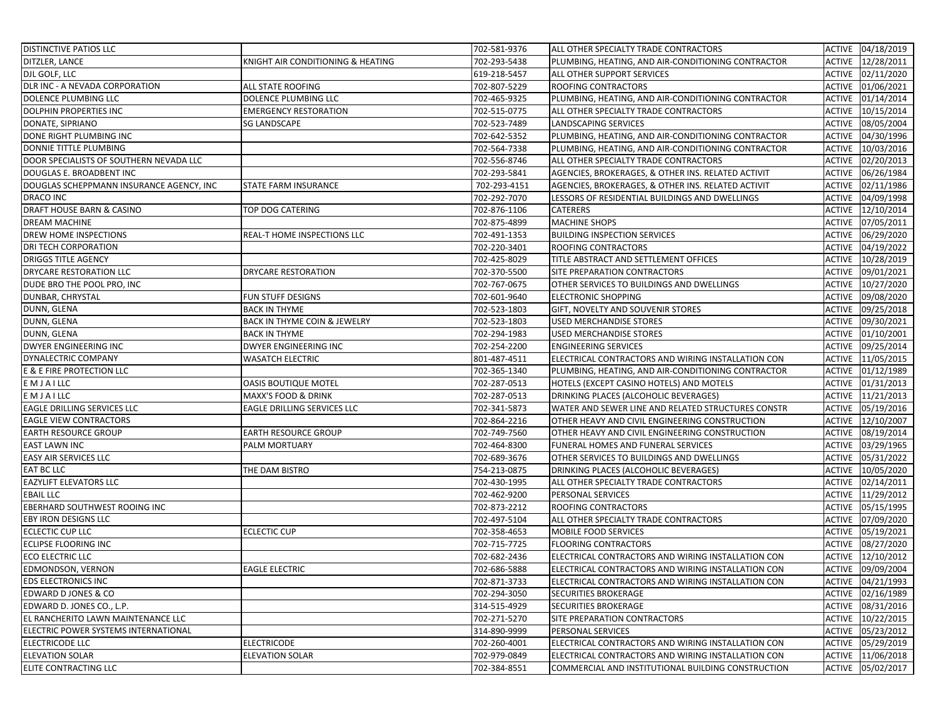| <b>DISTINCTIVE PATIOS LLC</b>                          |                                         | 702-581-9376                 | ALL OTHER SPECIALTY TRADE CONTRACTORS               |               | ACTIVE 04/18/2019 |
|--------------------------------------------------------|-----------------------------------------|------------------------------|-----------------------------------------------------|---------------|-------------------|
| DITZLER, LANCE                                         | KNIGHT AIR CONDITIONING & HEATING       | 702-293-5438                 | PLUMBING, HEATING, AND AIR-CONDITIONING CONTRACTOR  | ACTIVE        | 12/28/2011        |
| DJL GOLF, LLC                                          |                                         | 619-218-5457                 | ALL OTHER SUPPORT SERVICES                          | ACTIVE        | 02/11/2020        |
| DLR INC - A NEVADA CORPORATION                         | ALL STATE ROOFING                       | 702-807-5229                 | ROOFING CONTRACTORS                                 | ACTIVE        | 01/06/2021        |
| DOLENCE PLUMBING LLC                                   | DOLENCE PLUMBING LLC                    | 702-465-9325                 | PLUMBING, HEATING, AND AIR-CONDITIONING CONTRACTOR  | <b>ACTIVE</b> | 01/14/2014        |
| DOLPHIN PROPERTIES INC                                 | <b>EMERGENCY RESTORATION</b>            | 702-515-0775                 | ALL OTHER SPECIALTY TRADE CONTRACTORS               | ACTIVE        | 10/15/2014        |
| DONATE, SIPRIANO                                       | SG LANDSCAPE                            | 702-523-7489                 | LANDSCAPING SERVICES                                | <b>ACTIVE</b> | 08/05/2004        |
| DONE RIGHT PLUMBING INC                                |                                         | 702-642-5352                 | PLUMBING, HEATING, AND AIR-CONDITIONING CONTRACTOR  | ACTIVE        | 04/30/1996        |
| DONNIE TITTLE PLUMBING                                 |                                         | 702-564-7338                 | PLUMBING, HEATING, AND AIR-CONDITIONING CONTRACTOR  | ACTIVE        | 10/03/2016        |
| DOOR SPECIALISTS OF SOUTHERN NEVADA LLC                |                                         | 702-556-8746                 | ALL OTHER SPECIALTY TRADE CONTRACTORS               | ACTIVE        | 02/20/2013        |
| DOUGLAS E. BROADBENT INC                               |                                         | 702-293-5841                 | AGENCIES, BROKERAGES, & OTHER INS. RELATED ACTIVIT  | ACTIVE        | 06/26/1984        |
| DOUGLAS SCHEPPMANN INSURANCE AGENCY, INC               | STATE FARM INSURANCE                    | 702-293-4151                 | AGENCIES, BROKERAGES, & OTHER INS. RELATED ACTIVIT  | ACTIVE        | 02/11/1986        |
| DRACO INC                                              |                                         | 702-292-7070                 | LESSORS OF RESIDENTIAL BUILDINGS AND DWELLINGS      | ACTIVE        | 04/09/1998        |
| DRAFT HOUSE BARN & CASINO                              | TOP DOG CATERING                        | 702-876-1106                 | <b>CATERERS</b>                                     | ACTIVE        | 12/10/2014        |
| <b>DREAM MACHINE</b>                                   |                                         | 702-875-4899                 | <b>MACHINE SHOPS</b>                                | ACTIVE        | 07/05/2011        |
| DREW HOME INSPECTIONS                                  | REAL-T HOME INSPECTIONS LLC             | 702-491-1353                 | <b>BUILDING INSPECTION SERVICES</b>                 | ACTIVE        | 06/29/2020        |
| DRI TECH CORPORATION                                   |                                         | 702-220-3401                 | ROOFING CONTRACTORS                                 | ACTIVE        | 04/19/2022        |
| <b>DRIGGS TITLE AGENCY</b>                             |                                         | 702-425-8029                 | TITLE ABSTRACT AND SETTLEMENT OFFICES               | <b>ACTIVE</b> | 10/28/2019        |
| DRYCARE RESTORATION LLC                                | DRYCARE RESTORATION                     | 702-370-5500                 | SITE PREPARATION CONTRACTORS                        | ACTIVE        | 09/01/2021        |
| DUDE BRO THE POOL PRO, INC                             |                                         | 702-767-0675                 | OTHER SERVICES TO BUILDINGS AND DWELLINGS           | ACTIVE        | 10/27/2020        |
| DUNBAR, CHRYSTAL                                       | FUN STUFF DESIGNS                       | 702-601-9640                 | <b>ELECTRONIC SHOPPING</b>                          | <b>ACTIVE</b> | 09/08/2020        |
| DUNN, GLENA                                            | <b>BACK IN THYME</b>                    | 702-523-1803                 | GIFT, NOVELTY AND SOUVENIR STORES                   | <b>ACTIVE</b> | 09/25/2018        |
| DUNN, GLENA                                            | <b>BACK IN THYME COIN &amp; JEWELRY</b> | 702-523-1803                 | <b>USED MERCHANDISE STORES</b>                      | <b>ACTIVE</b> | 09/30/2021        |
| DUNN, GLENA                                            | <b>BACK IN THYME</b>                    | 702-294-1983                 | <b>USED MERCHANDISE STORES</b>                      | ACTIVE        | 01/10/2001        |
| <b>DWYER ENGINEERING INC</b>                           | DWYER ENGINEERING INC                   | 702-254-2200                 | <b>ENGINEERING SERVICES</b>                         | ACTIVE        | 09/25/2014        |
| DYNALECTRIC COMPANY                                    | <b>WASATCH ELECTRIC</b>                 | 801-487-4511                 | ELECTRICAL CONTRACTORS AND WIRING INSTALLATION CON  | ACTIVE        | 11/05/2015        |
| E & E FIRE PROTECTION LLC                              |                                         | 702-365-1340                 | PLUMBING, HEATING, AND AIR-CONDITIONING CONTRACTOR  | ACTIVE        | 01/12/1989        |
| EMJAILLC                                               | OASIS BOUTIQUE MOTEL                    | 702-287-0513                 | HOTELS (EXCEPT CASINO HOTELS) AND MOTELS            | ACTIVE        | 01/31/2013        |
| EMJAILLC                                               | MAXX'S FOOD & DRINK                     | 702-287-0513                 | DRINKING PLACES (ALCOHOLIC BEVERAGES)               | ACTIVE        | 11/21/2013        |
| EAGLE DRILLING SERVICES LLC                            | EAGLE DRILLING SERVICES LLC             | 702-341-5873                 | WATER AND SEWER LINE AND RELATED STRUCTURES CONSTR  | ACTIVE        | 05/19/2016        |
| <b>EAGLE VIEW CONTRACTORS</b>                          |                                         | 702-864-2216                 | OTHER HEAVY AND CIVIL ENGINEERING CONSTRUCTION      | ACTIVE        | 12/10/2007        |
| <b>EARTH RESOURCE GROUP</b>                            | EARTH RESOURCE GROUP                    | 702-749-7560                 | OTHER HEAVY AND CIVIL ENGINEERING CONSTRUCTION      | ACTIVE        | 08/19/2014        |
| <b>EAST LAWN INC</b>                                   | PALM MORTUARY                           | 702-464-8300                 | FUNERAL HOMES AND FUNERAL SERVICES                  | ACTIVE        | 03/29/1965        |
| EASY AIR SERVICES LLC                                  |                                         | 702-689-3676                 | OTHER SERVICES TO BUILDINGS AND DWELLINGS           | ACTIVE        | 05/31/2022        |
| <b>EAT BC LLC</b>                                      | THE DAM BISTRO                          | 754-213-0875                 | DRINKING PLACES (ALCOHOLIC BEVERAGES)               | ACTIVE        | 10/05/2020        |
| <b>EAZYLIFT ELEVATORS LLC</b>                          |                                         | 702-430-1995                 | ALL OTHER SPECIALTY TRADE CONTRACTORS               | ACTIVE        | 02/14/2011        |
| <b>EBAIL LLC</b>                                       |                                         | 702-462-9200                 | PERSONAL SERVICES                                   | ACTIVE        | 11/29/2012        |
| EBERHARD SOUTHWEST ROOING INC                          |                                         | 702-873-2212                 | ROOFING CONTRACTORS                                 | ACTIVE        | 05/15/1995        |
| EBY IRON DESIGNS LLC                                   |                                         | 702-497-5104                 | ALL OTHER SPECIALTY TRADE CONTRACTORS               | ACTIVE        | 07/09/2020        |
|                                                        |                                         |                              |                                                     |               | 05/19/2021        |
| <b>ECLECTIC CUP LLC</b><br><b>ECLIPSE FLOORING INC</b> | <b>ECLECTIC CUP</b>                     | 702-358-4653<br>702-715-7725 | MOBILE FOOD SERVICES<br><b>FLOORING CONTRACTORS</b> | ACTIVE        | 08/27/2020        |
| <b>ECO ELECTRIC LLC</b>                                |                                         |                              |                                                     | ACTIVE        |                   |
|                                                        |                                         | 702-682-2436                 | ELECTRICAL CONTRACTORS AND WIRING INSTALLATION CON  | ACTIVE        | 12/10/2012        |
| <b>EDMONDSON, VERNON</b>                               | <b>EAGLE ELECTRIC</b>                   | 702-686-5888                 | ELECTRICAL CONTRACTORS AND WIRING INSTALLATION CON  |               | ACTIVE 09/09/2004 |
| <b>EDS ELECTRONICS INC</b>                             |                                         | 702-871-3733                 | ELECTRICAL CONTRACTORS AND WIRING INSTALLATION CON  |               | ACTIVE 04/21/1993 |
| <b>EDWARD DJONES &amp; CO</b>                          |                                         | 702-294-3050                 | <b>SECURITIES BROKERAGE</b>                         |               | ACTIVE 02/16/1989 |
| EDWARD D. JONES CO., L.P.                              |                                         | 314-515-4929                 | <b>SECURITIES BROKERAGE</b>                         |               | ACTIVE 08/31/2016 |
| EL RANCHERITO LAWN MAINTENANCE LLC                     |                                         | 702-271-5270                 | SITE PREPARATION CONTRACTORS                        |               | ACTIVE 10/22/2015 |
| ELECTRIC POWER SYSTEMS INTERNATIONAL                   |                                         | 314-890-9999                 | PERSONAL SERVICES                                   |               | ACTIVE 05/23/2012 |
| <b>ELECTRICODE LLC</b>                                 | <b>ELECTRICODE</b>                      | 702-260-4001                 | ELECTRICAL CONTRACTORS AND WIRING INSTALLATION CON  |               | ACTIVE 05/29/2019 |
| <b>ELEVATION SOLAR</b>                                 | ELEVATION SOLAR                         | 702-979-0849                 | ELECTRICAL CONTRACTORS AND WIRING INSTALLATION CON  | ACTIVE        | 11/06/2018        |
| ELITE CONTRACTING LLC                                  |                                         | 702-384-8551                 | COMMERCIAL AND INSTITUTIONAL BUILDING CONSTRUCTION  |               | ACTIVE 05/02/2017 |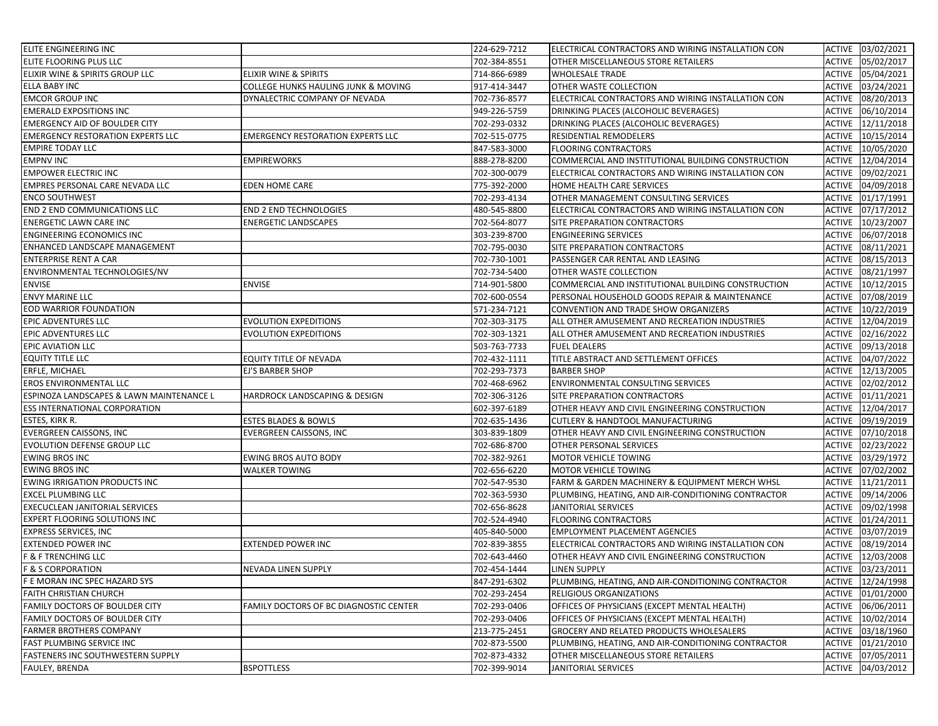| ELITE ENGINEERING INC                    |                                          | 224-629-7212 | ELECTRICAL CONTRACTORS AND WIRING INSTALLATION CON | <b>ACTIVE</b> | 03/02/2021        |
|------------------------------------------|------------------------------------------|--------------|----------------------------------------------------|---------------|-------------------|
| ELITE FLOORING PLUS LLC                  |                                          | 702-384-8551 | OTHER MISCELLANEOUS STORE RETAILERS                | <b>ACTIVE</b> | 05/02/2017        |
| ELIXIR WINE & SPIRITS GROUP LLC          | ELIXIR WINE & SPIRITS                    | 714-866-6989 | <b>WHOLESALE TRADE</b>                             | <b>ACTIVE</b> | 05/04/2021        |
| ELLA BABY INC                            | COLLEGE HUNKS HAULING JUNK & MOVING      | 917-414-3447 | OTHER WASTE COLLECTION                             | <b>ACTIVE</b> | 03/24/2021        |
| <b>EMCOR GROUP INC</b>                   | DYNALECTRIC COMPANY OF NEVADA            | 702-736-8577 | ELECTRICAL CONTRACTORS AND WIRING INSTALLATION CON | ACTIVE        | 08/20/2013        |
| <b>EMERALD EXPOSITIONS INC</b>           |                                          | 949-226-5759 | DRINKING PLACES (ALCOHOLIC BEVERAGES)              | ACTIVE        | 06/10/2014        |
| <b>EMERGENCY AID OF BOULDER CITY</b>     |                                          | 702-293-0332 | DRINKING PLACES (ALCOHOLIC BEVERAGES)              | <b>ACTIVE</b> | 12/11/2018        |
| <b>EMERGENCY RESTORATION EXPERTS LLC</b> | <b>EMERGENCY RESTORATION EXPERTS LLC</b> | 702-515-0775 | RESIDENTIAL REMODELERS                             | <b>ACTIVE</b> | 10/15/2014        |
| <b>EMPIRE TODAY LLC</b>                  |                                          | 847-583-3000 | <b>FLOORING CONTRACTORS</b>                        | <b>ACTIVE</b> | 10/05/2020        |
| <b>EMPNV INC</b>                         | EMPIREWORKS                              | 888-278-8200 | COMMERCIAL AND INSTITUTIONAL BUILDING CONSTRUCTION | <b>ACTIVE</b> | 12/04/2014        |
| <b>EMPOWER ELECTRIC INC</b>              |                                          | 702-300-0079 | ELECTRICAL CONTRACTORS AND WIRING INSTALLATION CON | <b>ACTIVE</b> | 09/02/2021        |
| EMPRES PERSONAL CARE NEVADA LLC          | EDEN HOME CARE                           | 775-392-2000 | HOME HEALTH CARE SERVICES                          | <b>ACTIVE</b> | 04/09/2018        |
| <b>ENCO SOUTHWEST</b>                    |                                          | 702-293-4134 | OTHER MANAGEMENT CONSULTING SERVICES               | <b>ACTIVE</b> | 01/17/1991        |
| END 2 END COMMUNICATIONS LLC             | END 2 END TECHNOLOGIES                   | 480-545-8800 | ELECTRICAL CONTRACTORS AND WIRING INSTALLATION CON | <b>ACTIVE</b> | 07/17/2012        |
| ENERGETIC LAWN CARE INC                  | <b>ENERGETIC LANDSCAPES</b>              | 702-564-8077 | SITE PREPARATION CONTRACTORS                       | <b>ACTIVE</b> | 10/23/2007        |
| ENGINEERING ECONOMICS INC                |                                          | 303-239-8700 | <b>ENGINEERING SERVICES</b>                        | <b>ACTIVE</b> | 06/07/2018        |
| ENHANCED LANDSCAPE MANAGEMENT            |                                          | 702-795-0030 | SITE PREPARATION CONTRACTORS                       | <b>ACTIVE</b> | 08/11/2021        |
| <b>ENTERPRISE RENT A CAR</b>             |                                          | 702-730-1001 | PASSENGER CAR RENTAL AND LEASING                   | <b>ACTIVE</b> | 08/15/2013        |
| ENVIRONMENTAL TECHNOLOGIES/NV            |                                          | 702-734-5400 | OTHER WASTE COLLECTION                             | <b>ACTIVE</b> | 08/21/1997        |
| <b>ENVISE</b>                            | ENVISE                                   | 714-901-5800 | COMMERCIAL AND INSTITUTIONAL BUILDING CONSTRUCTION | ACTIVE        | 10/12/2015        |
| <b>ENVY MARINE LLC</b>                   |                                          | 702-600-0554 | PERSONAL HOUSEHOLD GOODS REPAIR & MAINTENANCE      | <b>ACTIVE</b> | 07/08/2019        |
| EOD WARRIOR FOUNDATION                   |                                          | 571-234-7121 | CONVENTION AND TRADE SHOW ORGANIZERS               | <b>ACTIVE</b> | 10/22/2019        |
| EPIC ADVENTURES LLC                      | EVOLUTION EXPEDITIONS                    | 702-303-3175 | ALL OTHER AMUSEMENT AND RECREATION INDUSTRIES      | <b>ACTIVE</b> | 12/04/2019        |
| EPIC ADVENTURES LLC                      | <b>EVOLUTION EXPEDITIONS</b>             | 702-303-1321 | ALL OTHER AMUSEMENT AND RECREATION INDUSTRIES      | <b>ACTIVE</b> | 02/16/2022        |
| EPIC AVIATION LLC                        |                                          | 503-763-7733 | <b>FUEL DEALERS</b>                                | <b>ACTIVE</b> | 09/13/2018        |
| <b>EQUITY TITLE LLC</b>                  | <b>EQUITY TITLE OF NEVADA</b>            | 702-432-1111 | TITLE ABSTRACT AND SETTLEMENT OFFICES              | <b>ACTIVE</b> | 04/07/2022        |
| ERFLE, MICHAEL                           | EJ'S BARBER SHOP                         | 702-293-7373 | <b>BARBER SHOP</b>                                 | ACTIVE        | 12/13/2005        |
| EROS ENVIRONMENTAL LLC                   |                                          | 702-468-6962 | ENVIRONMENTAL CONSULTING SERVICES                  | ACTIVE        | 02/02/2012        |
| ESPINOZA LANDSCAPES & LAWN MAINTENANCE L | HARDROCK LANDSCAPING & DESIGN            | 702-306-3126 | SITE PREPARATION CONTRACTORS                       | ACTIVE        | 01/11/2021        |
| ESS INTERNATIONAL CORPORATION            |                                          | 602-397-6189 | OTHER HEAVY AND CIVIL ENGINEERING CONSTRUCTION     | <b>ACTIVE</b> | 12/04/2017        |
| ESTES, KIRK R.                           | <b>ESTES BLADES &amp; BOWLS</b>          | 702-635-1436 | CUTLERY & HANDTOOL MANUFACTURING                   | <b>ACTIVE</b> | 09/19/2019        |
| EVERGREEN CAISSONS, INC                  | EVERGREEN CAISSONS, INC                  | 303-839-1809 | OTHER HEAVY AND CIVIL ENGINEERING CONSTRUCTION     | <b>ACTIVE</b> | 07/10/2018        |
| <b>EVOLUTION DEFENSE GROUP LLC</b>       |                                          | 702-686-8700 | OTHER PERSONAL SERVICES                            | <b>ACTIVE</b> | 02/23/2022        |
| <b>EWING BROS INC</b>                    | EWING BROS AUTO BODY                     | 702-382-9261 | MOTOR VEHICLE TOWING                               | <b>ACTIVE</b> | 03/29/1972        |
| <b>EWING BROS INC</b>                    | WALKER TOWING                            | 702-656-6220 | MOTOR VEHICLE TOWING                               | <b>ACTIVE</b> | 07/02/2002        |
| <b>EWING IRRIGATION PRODUCTS INC</b>     |                                          | 702-547-9530 | FARM & GARDEN MACHINERY & EQUIPMENT MERCH WHSL     |               | ACTIVE 11/21/2011 |
| <b>EXCEL PLUMBING LLC</b>                |                                          | 702-363-5930 | PLUMBING, HEATING, AND AIR-CONDITIONING CONTRACTOR | <b>ACTIVE</b> | 09/14/2006        |
| EXECUCLEAN JANITORIAL SERVICES           |                                          | 702-656-8628 | <b>JANITORIAL SERVICES</b>                         | <b>ACTIVE</b> | 09/02/1998        |
| EXPERT FLOORING SOLUTIONS INC            |                                          | 702-524-4940 | <b>FLOORING CONTRACTORS</b>                        | <b>ACTIVE</b> | 01/24/2011        |
| <b>EXPRESS SERVICES, INC</b>             |                                          | 405-840-5000 | <b>EMPLOYMENT PLACEMENT AGENCIES</b>               | <b>ACTIVE</b> | 03/07/2019        |
| <b>EXTENDED POWER INC</b>                | EXTENDED POWER INC                       | 702-839-3855 | ELECTRICAL CONTRACTORS AND WIRING INSTALLATION CON | <b>ACTIVE</b> | 08/19/2014        |
| F & F TRENCHING LLC                      |                                          | 702-643-4460 | OTHER HEAVY AND CIVIL ENGINEERING CONSTRUCTION     | <b>ACTIVE</b> | 12/03/2008        |
| <b>F &amp; S CORPORATION</b>             | <b>NEVADA LINEN SUPPLY</b>               | 702-454-1444 | <b>LINEN SUPPLY</b>                                | <b>ACTIVE</b> | 03/23/2011        |
| F E MORAN INC SPEC HAZARD SYS            |                                          | 847-291-6302 | PLUMBING, HEATING, AND AIR-CONDITIONING CONTRACTOR |               | ACTIVE 12/24/1998 |
| FAITH CHRISTIAN CHURCH                   |                                          | 702-293-2454 | RELIGIOUS ORGANIZATIONS                            |               | ACTIVE 01/01/2000 |
| FAMILY DOCTORS OF BOULDER CITY           | FAMILY DOCTORS OF BC DIAGNOSTIC CENTER   | 702-293-0406 | OFFICES OF PHYSICIANS (EXCEPT MENTAL HEALTH)       |               | ACTIVE 06/06/2011 |
| FAMILY DOCTORS OF BOULDER CITY           |                                          | 702-293-0406 | OFFICES OF PHYSICIANS (EXCEPT MENTAL HEALTH)       |               | ACTIVE 10/02/2014 |
| <b>FARMER BROTHERS COMPANY</b>           |                                          | 213-775-2451 | GROCERY AND RELATED PRODUCTS WHOLESALERS           |               | ACTIVE 03/18/1960 |
| FAST PLUMBING SERVICE INC                |                                          | 702-873-5500 | PLUMBING, HEATING, AND AIR-CONDITIONING CONTRACTOR |               | ACTIVE 01/21/2010 |
| FASTENERS INC SOUTHWESTERN SUPPLY        |                                          | 702-873-4332 | OTHER MISCELLANEOUS STORE RETAILERS                | ACTIVE        | 07/05/2011        |
| <b>FAULEY, BRENDA</b>                    | <b>BSPOTTLESS</b>                        | 702-399-9014 | JANITORIAL SERVICES                                | <b>ACTIVE</b> | 04/03/2012        |
|                                          |                                          |              |                                                    |               |                   |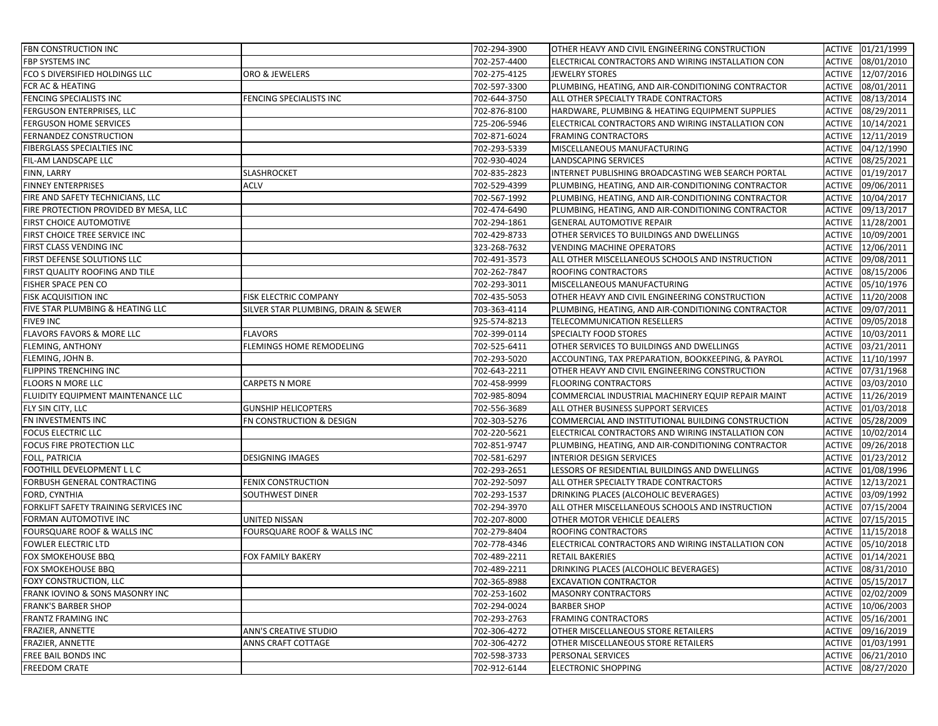| FBN CONSTRUCTION INC                  |                                     | 702-294-3900 | OTHER HEAVY AND CIVIL ENGINEERING CONSTRUCTION     |               | ACTIVE 01/21/1999 |
|---------------------------------------|-------------------------------------|--------------|----------------------------------------------------|---------------|-------------------|
| FBP SYSTEMS INC                       |                                     | 702-257-4400 | ELECTRICAL CONTRACTORS AND WIRING INSTALLATION CON | <b>ACTIVE</b> | 08/01/2010        |
| FCO S DIVERSIFIED HOLDINGS LLC        | ORO & JEWELERS                      | 702-275-4125 | <b>JEWELRY STORES</b>                              | <b>ACTIVE</b> | 12/07/2016        |
| FCR AC & HEATING                      |                                     | 702-597-3300 | PLUMBING, HEATING, AND AIR-CONDITIONING CONTRACTOR | <b>ACTIVE</b> | 08/01/2011        |
| FENCING SPECIALISTS INC               | FENCING SPECIALISTS INC             | 702-644-3750 | ALL OTHER SPECIALTY TRADE CONTRACTORS              | <b>ACTIVE</b> | 08/13/2014        |
| FERGUSON ENTERPRISES, LLC             |                                     | 702-876-8100 | HARDWARE, PLUMBING & HEATING EQUIPMENT SUPPLIES    | <b>ACTIVE</b> | 08/29/2011        |
| FERGUSON HOME SERVICES                |                                     | 725-206-5946 | ELECTRICAL CONTRACTORS AND WIRING INSTALLATION CON | <b>ACTIVE</b> | 10/14/2021        |
| FERNANDEZ CONSTRUCTION                |                                     | 702-871-6024 | <b>FRAMING CONTRACTORS</b>                         | <b>ACTIVE</b> | 12/11/2019        |
| FIBERGLASS SPECIALTIES INC            |                                     | 702-293-5339 | MISCELLANEOUS MANUFACTURING                        |               | ACTIVE 04/12/1990 |
| FIL-AM LANDSCAPE LLC                  |                                     | 702-930-4024 | LANDSCAPING SERVICES                               | <b>ACTIVE</b> | 08/25/2021        |
| FINN, LARRY                           | <b>SLASHROCKET</b>                  | 702-835-2823 | INTERNET PUBLISHING BROADCASTING WEB SEARCH PORTAL | <b>ACTIVE</b> | 01/19/2017        |
| <b>FINNEY ENTERPRISES</b>             | <b>ACLV</b>                         | 702-529-4399 | PLUMBING, HEATING, AND AIR-CONDITIONING CONTRACTOR | ACTIVE        | 09/06/2011        |
| FIRE AND SAFETY TECHNICIANS, LLC      |                                     | 702-567-1992 | PLUMBING, HEATING, AND AIR-CONDITIONING CONTRACTOR | <b>ACTIVE</b> | 10/04/2017        |
| FIRE PROTECTION PROVIDED BY MESA, LLC |                                     | 702-474-6490 | PLUMBING, HEATING, AND AIR-CONDITIONING CONTRACTOR | <b>ACTIVE</b> | 09/13/2017        |
| FIRST CHOICE AUTOMOTIVE               |                                     | 702-294-1861 | <b>GENERAL AUTOMOTIVE REPAIR</b>                   | <b>ACTIVE</b> | 11/28/2001        |
| FIRST CHOICE TREE SERVICE INC         |                                     | 702-429-8733 | OTHER SERVICES TO BUILDINGS AND DWELLINGS          | <b>ACTIVE</b> | 10/09/2001        |
| FIRST CLASS VENDING INC               |                                     | 323-268-7632 | <b>VENDING MACHINE OPERATORS</b>                   | <b>ACTIVE</b> | 12/06/2011        |
| FIRST DEFENSE SOLUTIONS LLC           |                                     | 702-491-3573 | ALL OTHER MISCELLANEOUS SCHOOLS AND INSTRUCTION    | <b>ACTIVE</b> | 09/08/2011        |
| FIRST QUALITY ROOFING AND TILE        |                                     | 702-262-7847 | ROOFING CONTRACTORS                                | <b>ACTIVE</b> | 08/15/2006        |
| FISHER SPACE PEN CO                   |                                     | 702-293-3011 | MISCELLANEOUS MANUFACTURING                        | <b>ACTIVE</b> | 05/10/1976        |
| <b>FISK ACQUISITION INC</b>           | FISK ELECTRIC COMPANY               | 702-435-5053 | OTHER HEAVY AND CIVIL ENGINEERING CONSTRUCTION     | <b>ACTIVE</b> | 11/20/2008        |
| FIVE STAR PLUMBING & HEATING LLC      | SILVER STAR PLUMBING, DRAIN & SEWER | 703-363-4114 | PLUMBING, HEATING, AND AIR-CONDITIONING CONTRACTOR | <b>ACTIVE</b> | 09/07/2011        |
| FIVE9 INC                             |                                     | 925-574-8213 | TELECOMMUNICATION RESELLERS                        | <b>ACTIVE</b> | 09/05/2018        |
| FLAVORS FAVORS & MORE LLC             | <b>FLAVORS</b>                      | 702-399-0114 | SPECIALTY FOOD STORES                              | <b>ACTIVE</b> | 10/03/2011        |
| FLEMING, ANTHONY                      | FLEMINGS HOME REMODELING            | 702-525-6411 | OTHER SERVICES TO BUILDINGS AND DWELLINGS          | <b>ACTIVE</b> | 03/21/2011        |
| FLEMING, JOHN B.                      |                                     | 702-293-5020 | ACCOUNTING, TAX PREPARATION, BOOKKEEPING, & PAYROL | <b>ACTIVE</b> | 11/10/1997        |
| FLIPPINS TRENCHING INC                |                                     | 702-643-2211 | OTHER HEAVY AND CIVIL ENGINEERING CONSTRUCTION     | <b>ACTIVE</b> | 07/31/1968        |
| FLOORS N MORE LLC                     | CARPETS N MORE                      | 702-458-9999 | <b>FLOORING CONTRACTORS</b>                        | <b>ACTIVE</b> | 03/03/2010        |
| FLUIDITY EQUIPMENT MAINTENANCE LLC    |                                     | 702-985-8094 | COMMERCIAL INDUSTRIAL MACHINERY EQUIP REPAIR MAINT | <b>ACTIVE</b> | 11/26/2019        |
| FLY SIN CITY, LLC                     | <b>GUNSHIP HELICOPTERS</b>          | 702-556-3689 | ALL OTHER BUSINESS SUPPORT SERVICES                | <b>ACTIVE</b> | 01/03/2018        |
| FN INVESTMENTS INC                    | FN CONSTRUCTION & DESIGN            | 702-303-5276 | COMMERCIAL AND INSTITUTIONAL BUILDING CONSTRUCTION | <b>ACTIVE</b> | 05/28/2009        |
| <b>FOCUS ELECTRIC LLC</b>             |                                     | 702-220-5621 | ELECTRICAL CONTRACTORS AND WIRING INSTALLATION CON |               | ACTIVE 10/02/2014 |
| FOCUS FIRE PROTECTION LLC             |                                     | 702-851-9747 | PLUMBING, HEATING, AND AIR-CONDITIONING CONTRACTOR | <b>ACTIVE</b> | 09/26/2018        |
| FOLL, PATRICIA                        | <b>DESIGNING IMAGES</b>             | 702-581-6297 | INTERIOR DESIGN SERVICES                           | <b>ACTIVE</b> | 01/23/2012        |
| FOOTHILL DEVELOPMENT L L C            |                                     | 702-293-2651 | LESSORS OF RESIDENTIAL BUILDINGS AND DWELLINGS     | <b>ACTIVE</b> | 01/08/1996        |
| FORBUSH GENERAL CONTRACTING           | FENIX CONSTRUCTION                  | 702-292-5097 | ALL OTHER SPECIALTY TRADE CONTRACTORS              |               | ACTIVE 12/13/2021 |
| FORD, CYNTHIA                         | SOUTHWEST DINER                     | 702-293-1537 | DRINKING PLACES (ALCOHOLIC BEVERAGES)              | <b>ACTIVE</b> | 03/09/1992        |
| FORKLIFT SAFETY TRAINING SERVICES INC |                                     | 702-294-3970 | ALL OTHER MISCELLANEOUS SCHOOLS AND INSTRUCTION    | <b>ACTIVE</b> | 07/15/2004        |
| FORMAN AUTOMOTIVE INC                 | UNITED NISSAN                       | 702-207-8000 | OTHER MOTOR VEHICLE DEALERS                        | <b>ACTIVE</b> | 07/15/2015        |
| FOURSQUARE ROOF & WALLS INC           | FOURSQUARE ROOF & WALLS INC         | 702-279-8404 | ROOFING CONTRACTORS                                |               | ACTIVE 11/15/2018 |
| <b>FOWLER ELECTRIC LTD</b>            |                                     | 702-778-4346 | ELECTRICAL CONTRACTORS AND WIRING INSTALLATION CON | <b>ACTIVE</b> | 05/10/2018        |
| FOX SMOKEHOUSE BBQ                    | FOX FAMILY BAKERY                   | 702-489-2211 | RETAIL BAKERIES                                    | <b>ACTIVE</b> | 01/14/2021        |
| <b>FOX SMOKEHOUSE BBQ</b>             |                                     | 702-489-2211 | DRINKING PLACES (ALCOHOLIC BEVERAGES)              |               | ACTIVE 08/31/2010 |
| <b>FOXY CONSTRUCTION, LLC</b>         |                                     | 702-365-8988 | <b>EXCAVATION CONTRACTOR</b>                       |               | ACTIVE 05/15/2017 |
| FRANK IOVINO & SONS MASONRY INC       |                                     | 702-253-1602 | <b>MASONRY CONTRACTORS</b>                         |               | ACTIVE 02/02/2009 |
| <b>FRANK'S BARBER SHOP</b>            |                                     | 702-294-0024 | <b>BARBER SHOP</b>                                 |               | ACTIVE 10/06/2003 |
| <b>FRANTZ FRAMING INC</b>             |                                     | 702-293-2763 | <b>FRAMING CONTRACTORS</b>                         |               | ACTIVE 05/16/2001 |
| <b>FRAZIER, ANNETTE</b>               | ANN'S CREATIVE STUDIO               | 702-306-4272 | OTHER MISCELLANEOUS STORE RETAILERS                |               | ACTIVE 09/16/2019 |
| FRAZIER, ANNETTE                      | ANNS CRAFT COTTAGE                  | 702-306-4272 | OTHER MISCELLANEOUS STORE RETAILERS                |               | ACTIVE 01/03/1991 |
| FREE BAIL BONDS INC                   |                                     | 702-598-3733 | PERSONAL SERVICES                                  | <b>ACTIVE</b> | 06/21/2010        |
| <b>FREEDOM CRATE</b>                  |                                     | 702-912-6144 | <b>ELECTRONIC SHOPPING</b>                         |               | ACTIVE 08/27/2020 |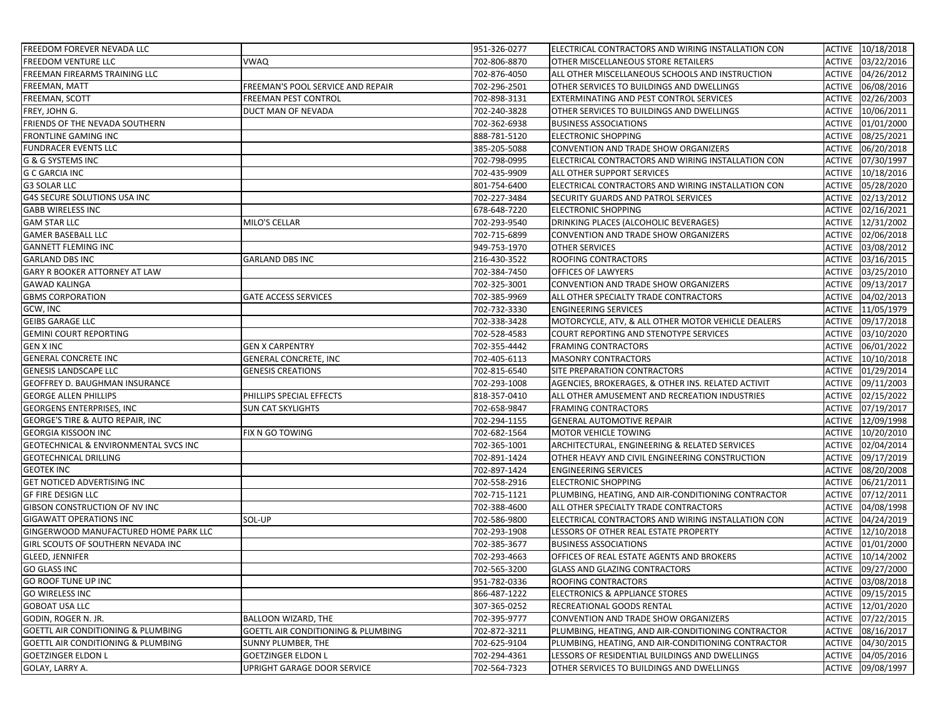| <b>FREEDOM FOREVER NEVADA LLC</b>                |                                    | 951-326-0277 | ELECTRICAL CONTRACTORS AND WIRING INSTALLATION CON |               | ACTIVE 10/18/2018 |
|--------------------------------------------------|------------------------------------|--------------|----------------------------------------------------|---------------|-------------------|
| <b>FREEDOM VENTURE LLC</b>                       | VWAQ                               | 702-806-8870 | OTHER MISCELLANEOUS STORE RETAILERS                | <b>ACTIVE</b> | 03/22/2016        |
| FREEMAN FIREARMS TRAINING LLC                    |                                    | 702-876-4050 | ALL OTHER MISCELLANEOUS SCHOOLS AND INSTRUCTION    | ACTIVE        | 04/26/2012        |
| FREEMAN, MATT                                    | FREEMAN'S POOL SERVICE AND REPAIR  | 702-296-2501 | OTHER SERVICES TO BUILDINGS AND DWELLINGS          | ACTIVE        | 06/08/2016        |
| FREEMAN, SCOTT                                   | FREEMAN PEST CONTROL               | 702-898-3131 | EXTERMINATING AND PEST CONTROL SERVICES            | ACTIVE        | 02/26/2003        |
| FREY, JOHN G.                                    | DUCT MAN OF NEVADA                 | 702-240-3828 | OTHER SERVICES TO BUILDINGS AND DWELLINGS          | <b>ACTIVE</b> | 10/06/2011        |
| FRIENDS OF THE NEVADA SOUTHERN                   |                                    | 702-362-6938 | <b>BUSINESS ASSOCIATIONS</b>                       | <b>ACTIVE</b> | 01/01/2000        |
| <b>FRONTLINE GAMING INC</b>                      |                                    | 888-781-5120 | <b>ELECTRONIC SHOPPING</b>                         | ACTIVE        | 08/25/2021        |
| <b>FUNDRACER EVENTS LLC</b>                      |                                    | 385-205-5088 | CONVENTION AND TRADE SHOW ORGANIZERS               | ACTIVE        | 06/20/2018        |
| <b>G &amp; G SYSTEMS INC</b>                     |                                    | 702-798-0995 | ELECTRICAL CONTRACTORS AND WIRING INSTALLATION CON | <b>ACTIVE</b> | 07/30/1997        |
| <b>G C GARCIA INC</b>                            |                                    | 702-435-9909 | ALL OTHER SUPPORT SERVICES                         | ACTIVE        | 10/18/2016        |
| <b>G3 SOLAR LLC</b>                              |                                    | 801-754-6400 | ELECTRICAL CONTRACTORS AND WIRING INSTALLATION CON | ACTIVE        | 05/28/2020        |
| G4S SECURE SOLUTIONS USA INC                     |                                    | 702-227-3484 | SECURITY GUARDS AND PATROL SERVICES                | ACTIVE        | 02/13/2012        |
| <b>GABB WIRELESS INC</b>                         |                                    | 678-648-7220 | <b>ELECTRONIC SHOPPING</b>                         | <b>ACTIVE</b> | 02/16/2021        |
| <b>GAM STAR LLC</b>                              | MILO'S CELLAR                      | 702-293-9540 | DRINKING PLACES (ALCOHOLIC BEVERAGES)              | ACTIVE        | 12/31/2002        |
| <b>GAMER BASEBALL LLC</b>                        |                                    | 702-715-6899 | CONVENTION AND TRADE SHOW ORGANIZERS               | ACTIVE        | 02/06/2018        |
| <b>GANNETT FLEMING INC</b>                       |                                    | 949-753-1970 | OTHER SERVICES                                     | ACTIVE        | 03/08/2012        |
| <b>GARLAND DBS INC</b>                           | <b>GARLAND DBS INC</b>             | 216-430-3522 | ROOFING CONTRACTORS                                | ACTIVE        | 03/16/2015        |
| <b>GARY R BOOKER ATTORNEY AT LAW</b>             |                                    | 702-384-7450 | OFFICES OF LAWYERS                                 | ACTIVE        | 03/25/2010        |
| <b>GAWAD KALINGA</b>                             |                                    | 702-325-3001 | CONVENTION AND TRADE SHOW ORGANIZERS               | ACTIVE        | 09/13/2017        |
| <b>GBMS CORPORATION</b>                          | <b>GATE ACCESS SERVICES</b>        | 702-385-9969 | ALL OTHER SPECIALTY TRADE CONTRACTORS              | ACTIVE        | 04/02/2013        |
| GCW, INC                                         |                                    | 702-732-3330 | <b>ENGINEERING SERVICES</b>                        | ACTIVE        | 11/05/1979        |
| <b>GEIBS GARAGE LLC</b>                          |                                    | 702-338-3428 | MOTORCYCLE, ATV, & ALL OTHER MOTOR VEHICLE DEALERS | ACTIVE        | 09/17/2018        |
| <b>GEMINI COURT REPORTING</b>                    |                                    | 702-528-4583 | COURT REPORTING AND STENOTYPE SERVICES             | ACTIVE        | 03/10/2020        |
| <b>GEN X INC</b>                                 | <b>GEN X CARPENTRY</b>             | 702-355-4442 | <b>FRAMING CONTRACTORS</b>                         | <b>ACTIVE</b> | 06/01/2022        |
| <b>GENERAL CONCRETE INC</b>                      | <b>GENERAL CONCRETE, INC</b>       | 702-405-6113 | <b>MASONRY CONTRACTORS</b>                         | ACTIVE        | 10/10/2018        |
| <b>GENESIS LANDSCAPE LLC</b>                     | <b>GENESIS CREATIONS</b>           | 702-815-6540 | SITE PREPARATION CONTRACTORS                       | ACTIVE        | 01/29/2014        |
| GEOFFREY D. BAUGHMAN INSURANCE                   |                                    | 702-293-1008 | AGENCIES, BROKERAGES, & OTHER INS. RELATED ACTIVIT | ACTIVE        | 09/11/2003        |
| <b>GEORGE ALLEN PHILLIPS</b>                     | PHILLIPS SPECIAL EFFECTS           | 818-357-0410 | ALL OTHER AMUSEMENT AND RECREATION INDUSTRIES      | ACTIVE        | 02/15/2022        |
| <b>GEORGENS ENTERPRISES, INC</b>                 | SUN CAT SKYLIGHTS                  | 702-658-9847 | <b>FRAMING CONTRACTORS</b>                         | ACTIVE        | 07/19/2017        |
| <b>GEORGE'S TIRE &amp; AUTO REPAIR, INC</b>      |                                    | 702-294-1155 | <b>GENERAL AUTOMOTIVE REPAIR</b>                   |               | ACTIVE 12/09/1998 |
| <b>GEORGIA KISSOON INC</b>                       | FIX N GO TOWING                    | 702-682-1564 | <b>MOTOR VEHICLE TOWING</b>                        | ACTIVE        | 10/20/2010        |
| <b>GEOTECHNICAL &amp; ENVIRONMENTAL SVCS INC</b> |                                    | 702-365-1001 | ARCHITECTURAL, ENGINEERING & RELATED SERVICES      | <b>ACTIVE</b> | 02/04/2014        |
| <b>GEOTECHNICAL DRILLING</b>                     |                                    | 702-891-1424 | OTHER HEAVY AND CIVIL ENGINEERING CONSTRUCTION     | ACTIVE        | 09/17/2019        |
| <b>GEOTEK INC</b>                                |                                    | 702-897-1424 | <b>ENGINEERING SERVICES</b>                        | ACTIVE        | 08/20/2008        |
| <b>GET NOTICED ADVERTISING INC</b>               |                                    | 702-558-2916 | <b>ELECTRONIC SHOPPING</b>                         | ACTIVE        | 06/21/2011        |
| <b>GF FIRE DESIGN LLC</b>                        |                                    | 702-715-1121 | PLUMBING, HEATING, AND AIR-CONDITIONING CONTRACTOR | ACTIVE        | 07/12/2011        |
| GIBSON CONSTRUCTION OF NV INC                    |                                    | 702-388-4600 | ALL OTHER SPECIALTY TRADE CONTRACTORS              | ACTIVE        | 04/08/1998        |
| <b>GIGAWATT OPERATIONS INC</b>                   | SOL-UP                             | 702-586-9800 | ELECTRICAL CONTRACTORS AND WIRING INSTALLATION CON | ACTIVE        | 04/24/2019        |
| GINGERWOOD MANUFACTURED HOME PARK LLC            |                                    | 702-293-1908 | LESSORS OF OTHER REAL ESTATE PROPERTY              | ACTIVE        | 12/10/2018        |
| GIRL SCOUTS OF SOUTHERN NEVADA INC               |                                    | 702-385-3677 | <b>BUSINESS ASSOCIATIONS</b>                       | ACTIVE        | 01/01/2000        |
| <b>GLEED, JENNIFER</b>                           |                                    | 702-293-4663 | OFFICES OF REAL ESTATE AGENTS AND BROKERS          | ACTIVE        | 10/14/2002        |
| <b>GO GLASS INC</b>                              |                                    | 702-565-3200 | <b>GLASS AND GLAZING CONTRACTORS</b>               |               | ACTIVE 09/27/2000 |
| <b>GO ROOF TUNE UP INC</b>                       |                                    | 951-782-0336 | ROOFING CONTRACTORS                                |               | ACTIVE 03/08/2018 |
| <b>GO WIRELESS INC</b>                           |                                    | 866-487-1222 | ELECTRONICS & APPLIANCE STORES                     | ACTIVE        | 09/15/2015        |
| <b>GOBOAT USA LLC</b>                            |                                    | 307-365-0252 | RECREATIONAL GOODS RENTAL                          |               | ACTIVE 12/01/2020 |
| GODIN, ROGER N. JR.                              | BALLOON WIZARD, THE                | 702-395-9777 | CONVENTION AND TRADE SHOW ORGANIZERS               |               | ACTIVE 07/22/2015 |
| <b>GOETTL AIR CONDITIONING &amp; PLUMBING</b>    | GOETTL AIR CONDITIONING & PLUMBING | 702-872-3211 | PLUMBING, HEATING, AND AIR-CONDITIONING CONTRACTOR | ACTIVE        | 08/16/2017        |
| <b>GOETTL AIR CONDITIONING &amp; PLUMBING</b>    | SUNNY PLUMBER, THE                 | 702-625-9104 | PLUMBING, HEATING, AND AIR-CONDITIONING CONTRACTOR | ACTIVE        | 04/30/2015        |
| <b>GOETZINGER ELDON L</b>                        | GOETZINGER ELDON L                 | 702-294-4361 | LESSORS OF RESIDENTIAL BUILDINGS AND DWELLINGS     | ACTIVE        | 04/05/2016        |
| <b>GOLAY, LARRY A.</b>                           | UPRIGHT GARAGE DOOR SERVICE        | 702-564-7323 | OTHER SERVICES TO BUILDINGS AND DWELLINGS          | ACTIVE        | 09/08/1997        |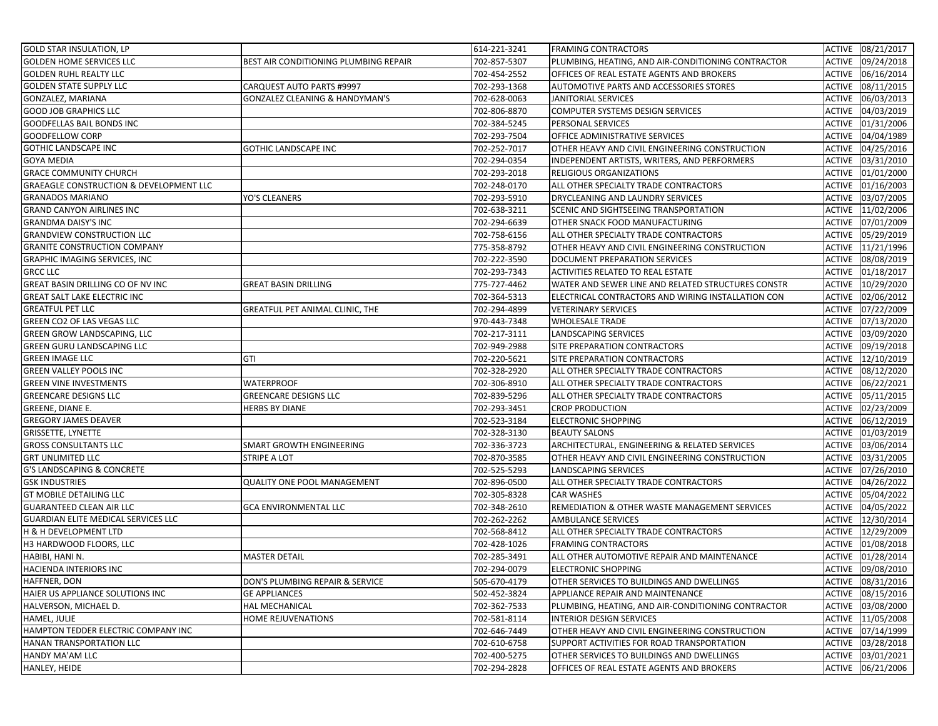| <b>GOLD STAR INSULATION, LP</b>                    |                                           | 614-221-3241 | <b>FRAMING CONTRACTORS</b>                         |               | ACTIVE 08/21/2017 |
|----------------------------------------------------|-------------------------------------------|--------------|----------------------------------------------------|---------------|-------------------|
| <b>GOLDEN HOME SERVICES LLC</b>                    | BEST AIR CONDITIONING PLUMBING REPAIR     | 702-857-5307 | PLUMBING, HEATING, AND AIR-CONDITIONING CONTRACTOR | ACTIVE        | 09/24/2018        |
| <b>GOLDEN RUHL REALTY LLC</b>                      |                                           | 702-454-2552 | OFFICES OF REAL ESTATE AGENTS AND BROKERS          | <b>ACTIVE</b> | 06/16/2014        |
| <b>GOLDEN STATE SUPPLY LLC</b>                     | CARQUEST AUTO PARTS #9997                 | 702-293-1368 | AUTOMOTIVE PARTS AND ACCESSORIES STORES            | ACTIVE        | 08/11/2015        |
| GONZALEZ, MARIANA                                  | <b>GONZALEZ CLEANING &amp; HANDYMAN'S</b> | 702-628-0063 | <b>JANITORIAL SERVICES</b>                         | ACTIVE        | 06/03/2013        |
| <b>GOOD JOB GRAPHICS LLC</b>                       |                                           | 702-806-8870 | COMPUTER SYSTEMS DESIGN SERVICES                   | ACTIVE        | 04/03/2019        |
| GOODFELLAS BAIL BONDS INC                          |                                           | 702-384-5245 | PERSONAL SERVICES                                  | <b>ACTIVE</b> | 01/31/2006        |
| <b>GOODFELLOW CORP</b>                             |                                           | 702-293-7504 | OFFICE ADMINISTRATIVE SERVICES                     | ACTIVE        | 04/04/1989        |
| <b>GOTHIC LANDSCAPE INC</b>                        | <b>GOTHIC LANDSCAPE INC</b>               | 702-252-7017 | OTHER HEAVY AND CIVIL ENGINEERING CONSTRUCTION     | ACTIVE        | 04/25/2016        |
| <b>GOYA MEDIA</b>                                  |                                           | 702-294-0354 | INDEPENDENT ARTISTS, WRITERS, AND PERFORMERS       | ACTIVE        | 03/31/2010        |
| <b>GRACE COMMUNITY CHURCH</b>                      |                                           | 702-293-2018 | RELIGIOUS ORGANIZATIONS                            | ACTIVE        | 01/01/2000        |
| <b>GRAEAGLE CONSTRUCTION &amp; DEVELOPMENT LLC</b> |                                           | 702-248-0170 | ALL OTHER SPECIALTY TRADE CONTRACTORS              | ACTIVE        | 01/16/2003        |
| <b>GRANADOS MARIANO</b>                            | <b>YO'S CLEANERS</b>                      | 702-293-5910 | DRYCLEANING AND LAUNDRY SERVICES                   | <b>ACTIVE</b> | 03/07/2005        |
| <b>GRAND CANYON AIRLINES INC</b>                   |                                           | 702-638-3211 | SCENIC AND SIGHTSEEING TRANSPORTATION              | <b>ACTIVE</b> | 11/02/2006        |
| <b>GRANDMA DAISY'S INC</b>                         |                                           | 702-294-6639 | OTHER SNACK FOOD MANUFACTURING                     | <b>ACTIVE</b> | 07/01/2009        |
| <b>GRANDVIEW CONSTRUCTION LLC</b>                  |                                           | 702-758-6156 | ALL OTHER SPECIALTY TRADE CONTRACTORS              | ACTIVE        | 05/29/2019        |
| <b>GRANITE CONSTRUCTION COMPANY</b>                |                                           | 775-358-8792 | OTHER HEAVY AND CIVIL ENGINEERING CONSTRUCTION     |               | ACTIVE 11/21/1996 |
| GRAPHIC IMAGING SERVICES, INC                      |                                           | 702-222-3590 | DOCUMENT PREPARATION SERVICES                      | <b>ACTIVE</b> | 08/08/2019        |
| <b>GRCC LLC</b>                                    |                                           | 702-293-7343 | ACTIVITIES RELATED TO REAL ESTATE                  | <b>ACTIVE</b> | 01/18/2017        |
| GREAT BASIN DRILLING CO OF NV INC                  | <b>GREAT BASIN DRILLING</b>               | 775-727-4462 | WATER AND SEWER LINE AND RELATED STRUCTURES CONSTR | ACTIVE        | 10/29/2020        |
| <b>GREAT SALT LAKE ELECTRIC INC</b>                |                                           | 702-364-5313 | ELECTRICAL CONTRACTORS AND WIRING INSTALLATION CON | <b>ACTIVE</b> | 02/06/2012        |
| <b>GREATFUL PET LLC</b>                            | GREATFUL PET ANIMAL CLINIC, THE           | 702-294-4899 | <b>VETERINARY SERVICES</b>                         | <b>ACTIVE</b> | 07/22/2009        |
| GREEN CO2 OF LAS VEGAS LLC                         |                                           | 970-443-7348 | <b>WHOLESALE TRADE</b>                             | <b>ACTIVE</b> | 07/13/2020        |
| GREEN GROW LANDSCAPING, LLC                        |                                           | 702-217-3111 | LANDSCAPING SERVICES                               | ACTIVE        | 03/09/2020        |
| GREEN GURU LANDSCAPING LLC                         |                                           | 702-949-2988 | SITE PREPARATION CONTRACTORS                       | ACTIVE        | 09/19/2018        |
| <b>GREEN IMAGE LLC</b>                             | <b>GTI</b>                                | 702-220-5621 | SITE PREPARATION CONTRACTORS                       | <b>ACTIVE</b> | 12/10/2019        |
| GREEN VALLEY POOLS INC                             |                                           | 702-328-2920 | ALL OTHER SPECIALTY TRADE CONTRACTORS              | ACTIVE        | 08/12/2020        |
| <b>GREEN VINE INVESTMENTS</b>                      | <b>WATERPROOF</b>                         | 702-306-8910 | ALL OTHER SPECIALTY TRADE CONTRACTORS              | ACTIVE        | 06/22/2021        |
| <b>GREENCARE DESIGNS LLC</b>                       | <b>GREENCARE DESIGNS LLC</b>              | 702-839-5296 | ALL OTHER SPECIALTY TRADE CONTRACTORS              | ACTIVE        | 05/11/2015        |
| GREENE, DIANE E.                                   | <b>HERBS BY DIANE</b>                     | 702-293-3451 | <b>CROP PRODUCTION</b>                             | <b>ACTIVE</b> | 02/23/2009        |
| <b>GREGORY JAMES DEAVER</b>                        |                                           | 702-523-3184 | <b>ELECTRONIC SHOPPING</b>                         | ACTIVE        | 06/12/2019        |
| GRISSETTE, LYNETTE                                 |                                           | 702-328-3130 | <b>BEAUTY SALONS</b>                               | <b>ACTIVE</b> | 01/03/2019        |
| <b>GROSS CONSULTANTS LLC</b>                       | SMART GROWTH ENGINEERING                  | 702-336-3723 | ARCHITECTURAL, ENGINEERING & RELATED SERVICES      | ACTIVE        | 03/06/2014        |
| <b>GRT UNLIMITED LLC</b>                           | <b>STRIPE A LOT</b>                       | 702-870-3585 | OTHER HEAVY AND CIVIL ENGINEERING CONSTRUCTION     | ACTIVE        | 03/31/2005        |
| <b>G'S LANDSCAPING &amp; CONCRETE</b>              |                                           | 702-525-5293 | LANDSCAPING SERVICES                               | ACTIVE        | 07/26/2010        |
| <b>GSK INDUSTRIES</b>                              | <b>QUALITY ONE POOL MANAGEMENT</b>        | 702-896-0500 | ALL OTHER SPECIALTY TRADE CONTRACTORS              | ACTIVE        | 04/26/2022        |
| <b>GT MOBILE DETAILING LLC</b>                     |                                           | 702-305-8328 | <b>CAR WASHES</b>                                  | <b>ACTIVE</b> | 05/04/2022        |
| <b>GUARANTEED CLEAN AIR LLC</b>                    | <b>GCA ENVIRONMENTAL LLC</b>              | 702-348-2610 | REMEDIATION & OTHER WASTE MANAGEMENT SERVICES      | ACTIVE        | 04/05/2022        |
| GUARDIAN ELITE MEDICAL SERVICES LLC                |                                           | 702-262-2262 | AMBULANCE SERVICES                                 | ACTIVE        | 12/30/2014        |
| H & H DEVELOPMENT LTD                              |                                           | 702-568-8412 | ALL OTHER SPECIALTY TRADE CONTRACTORS              | ACTIVE        | 12/29/2009        |
| H3 HARDWOOD FLOORS, LLC                            |                                           | 702-428-1026 | <b>FRAMING CONTRACTORS</b>                         | <b>ACTIVE</b> | 01/08/2018        |
| HABIBI, HANI N.                                    | <b>MASTER DETAIL</b>                      | 702-285-3491 | ALL OTHER AUTOMOTIVE REPAIR AND MAINTENANCE        | ACTIVE        | 01/28/2014        |
| <b>HACIENDA INTERIORS INC</b>                      |                                           | 702-294-0079 | <b>ELECTRONIC SHOPPING</b>                         |               | ACTIVE 09/08/2010 |
| HAFFNER, DON                                       | DON'S PLUMBING REPAIR & SERVICE           | 505-670-4179 | OTHER SERVICES TO BUILDINGS AND DWELLINGS          |               | ACTIVE 08/31/2016 |
| HAIER US APPLIANCE SOLUTIONS INC                   | <b>GE APPLIANCES</b>                      | 502-452-3824 | APPLIANCE REPAIR AND MAINTENANCE                   |               | ACTIVE 08/15/2016 |
| HALVERSON, MICHAEL D.                              | <b>HAL MECHANICAL</b>                     | 702-362-7533 | PLUMBING, HEATING, AND AIR-CONDITIONING CONTRACTOR |               | ACTIVE 03/08/2000 |
| HAMEL, JULIE                                       | HOME REJUVENATIONS                        | 702-581-8114 | INTERIOR DESIGN SERVICES                           |               | ACTIVE 11/05/2008 |
| HAMPTON TEDDER ELECTRIC COMPANY INC                |                                           | 702-646-7449 | OTHER HEAVY AND CIVIL ENGINEERING CONSTRUCTION     |               | ACTIVE 07/14/1999 |
| HANAN TRANSPORTATION LLC                           |                                           | 702-610-6758 | SUPPORT ACTIVITIES FOR ROAD TRANSPORTATION         |               | ACTIVE 03/28/2018 |
| <b>HANDY MA'AM LLC</b>                             |                                           | 702-400-5275 | OTHER SERVICES TO BUILDINGS AND DWELLINGS          | ACTIVE        | 03/01/2021        |
| HANLEY, HEIDE                                      |                                           | 702-294-2828 | OFFICES OF REAL ESTATE AGENTS AND BROKERS          |               | ACTIVE 06/21/2006 |
|                                                    |                                           |              |                                                    |               |                   |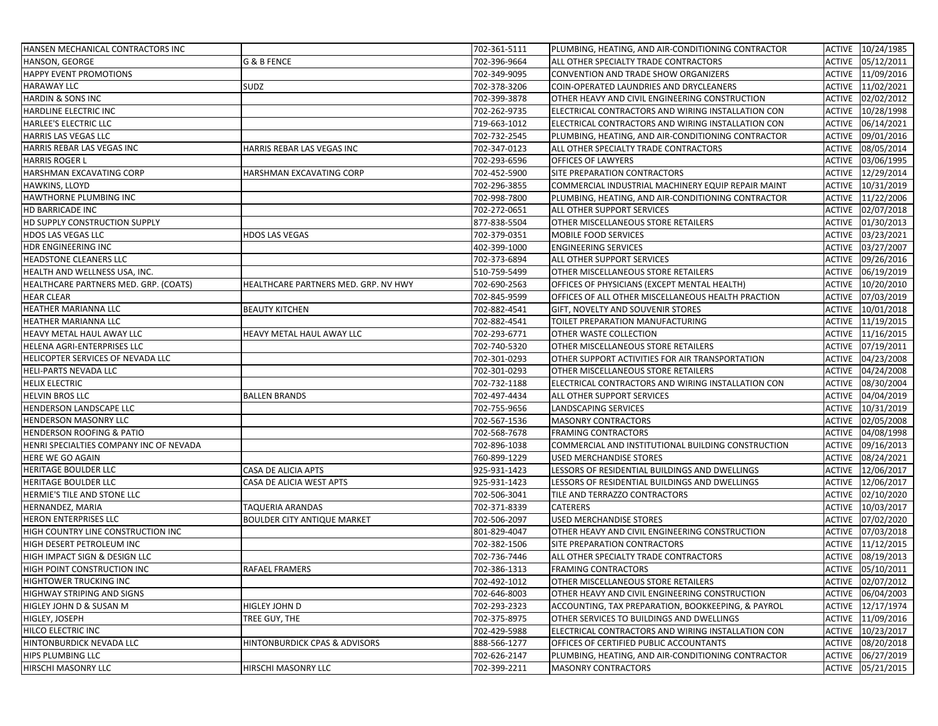| HANSEN MECHANICAL CONTRACTORS INC       |                                      | 702-361-5111 | PLUMBING, HEATING, AND AIR-CONDITIONING CONTRACTOR |               | ACTIVE 10/24/1985 |
|-----------------------------------------|--------------------------------------|--------------|----------------------------------------------------|---------------|-------------------|
| HANSON, GEORGE                          | <b>G &amp; B FENCE</b>               | 702-396-9664 | ALL OTHER SPECIALTY TRADE CONTRACTORS              | <b>ACTIVE</b> | 05/12/2011        |
| <b>HAPPY EVENT PROMOTIONS</b>           |                                      | 702-349-9095 | CONVENTION AND TRADE SHOW ORGANIZERS               | <b>ACTIVE</b> | 11/09/2016        |
| <b>HARAWAY LLC</b>                      | SUDZ                                 | 702-378-3206 | COIN-OPERATED LAUNDRIES AND DRYCLEANERS            | ACTIVE        | 11/02/2021        |
| <b>HARDIN &amp; SONS INC</b>            |                                      | 702-399-3878 | OTHER HEAVY AND CIVIL ENGINEERING CONSTRUCTION     | ACTIVE        | 02/02/2012        |
| <b>HARDLINE ELECTRIC INC</b>            |                                      | 702-262-9735 | ELECTRICAL CONTRACTORS AND WIRING INSTALLATION CON | <b>ACTIVE</b> | 10/28/1998        |
| HARLEE'S ELECTRIC LLC                   |                                      | 719-663-1012 | ELECTRICAL CONTRACTORS AND WIRING INSTALLATION CON | ACTIVE        | 06/14/2021        |
| <b>HARRIS LAS VEGAS LLC</b>             |                                      | 702-732-2545 | PLUMBING, HEATING, AND AIR-CONDITIONING CONTRACTOR | <b>ACTIVE</b> | 09/01/2016        |
| HARRIS REBAR LAS VEGAS INC              | HARRIS REBAR LAS VEGAS INC           | 702-347-0123 | ALL OTHER SPECIALTY TRADE CONTRACTORS              | ACTIVE        | 08/05/2014        |
| <b>HARRIS ROGER L</b>                   |                                      | 702-293-6596 | OFFICES OF LAWYERS                                 | <b>ACTIVE</b> | 03/06/1995        |
| HARSHMAN EXCAVATING CORP                | HARSHMAN EXCAVATING CORP             | 702-452-5900 | SITE PREPARATION CONTRACTORS                       | <b>ACTIVE</b> | 12/29/2014        |
| HAWKINS, LLOYD                          |                                      | 702-296-3855 | COMMERCIAL INDUSTRIAL MACHINERY EQUIP REPAIR MAINT | <b>ACTIVE</b> | 10/31/2019        |
| HAWTHORNE PLUMBING INC                  |                                      | 702-998-7800 | PLUMBING, HEATING, AND AIR-CONDITIONING CONTRACTOR | ACTIVE        | 11/22/2006        |
| HD BARRICADE INC                        |                                      | 702-272-0651 | ALL OTHER SUPPORT SERVICES                         | <b>ACTIVE</b> | 02/07/2018        |
| HD SUPPLY CONSTRUCTION SUPPLY           |                                      | 877-838-5504 | OTHER MISCELLANEOUS STORE RETAILERS                | <b>ACTIVE</b> | 01/30/2013        |
| HDOS LAS VEGAS LLC                      | HDOS LAS VEGAS                       | 702-379-0351 | MOBILE FOOD SERVICES                               | ACTIVE        | 03/23/2021        |
| HDR ENGINEERING INC                     |                                      | 402-399-1000 | <b>ENGINEERING SERVICES</b>                        | <b>ACTIVE</b> | 03/27/2007        |
| HEADSTONE CLEANERS LLC                  |                                      | 702-373-6894 | ALL OTHER SUPPORT SERVICES                         | <b>ACTIVE</b> | 09/26/2016        |
| HEALTH AND WELLNESS USA, INC.           |                                      | 510-759-5499 | OTHER MISCELLANEOUS STORE RETAILERS                | <b>ACTIVE</b> | 06/19/2019        |
| HEALTHCARE PARTNERS MED. GRP. (COATS)   | HEALTHCARE PARTNERS MED. GRP. NV HWY | 702-690-2563 | OFFICES OF PHYSICIANS (EXCEPT MENTAL HEALTH)       | ACTIVE        | 10/20/2010        |
| <b>HEAR CLEAR</b>                       |                                      | 702-845-9599 | OFFICES OF ALL OTHER MISCELLANEOUS HEALTH PRACTION | ACTIVE        | 07/03/2019        |
| HEATHER MARIANNA LLC                    | <b>BEAUTY KITCHEN</b>                | 702-882-4541 | GIFT, NOVELTY AND SOUVENIR STORES                  | <b>ACTIVE</b> | 10/01/2018        |
| HEATHER MARIANNA LLC                    |                                      | 702-882-4541 | TOILET PREPARATION MANUFACTURING                   | <b>ACTIVE</b> | 11/19/2015        |
| HEAVY METAL HAUL AWAY LLC               | HEAVY METAL HAUL AWAY LLC            | 702-293-6771 | OTHER WASTE COLLECTION                             |               | ACTIVE 11/16/2015 |
| HELENA AGRI-ENTERPRISES LLC             |                                      | 702-740-5320 | OTHER MISCELLANEOUS STORE RETAILERS                | <b>ACTIVE</b> | 07/19/2011        |
| HELICOPTER SERVICES OF NEVADA LLC       |                                      | 702-301-0293 | OTHER SUPPORT ACTIVITIES FOR AIR TRANSPORTATION    | <b>ACTIVE</b> | 04/23/2008        |
| HELI-PARTS NEVADA LLC                   |                                      | 702-301-0293 | OTHER MISCELLANEOUS STORE RETAILERS                | ACTIVE        | 04/24/2008        |
| <b>HELIX ELECTRIC</b>                   |                                      | 702-732-1188 | ELECTRICAL CONTRACTORS AND WIRING INSTALLATION CON | <b>ACTIVE</b> | 08/30/2004        |
| <b>HELVIN BROS LLC</b>                  | <b>BALLEN BRANDS</b>                 | 702-497-4434 | ALL OTHER SUPPORT SERVICES                         | <b>ACTIVE</b> | 04/04/2019        |
| HENDERSON LANDSCAPE LLC                 |                                      | 702-755-9656 | LANDSCAPING SERVICES                               | <b>ACTIVE</b> | 10/31/2019        |
| HENDERSON MASONRY LLC                   |                                      | 702-567-1536 | <b>MASONRY CONTRACTORS</b>                         | <b>ACTIVE</b> | 02/05/2008        |
| <b>HENDERSON ROOFING &amp; PATIO</b>    |                                      | 702-568-7678 | <b>FRAMING CONTRACTORS</b>                         | ACTIVE        | 04/08/1998        |
| HENRI SPECIALTIES COMPANY INC OF NEVADA |                                      | 702-896-1038 | COMMERCIAL AND INSTITUTIONAL BUILDING CONSTRUCTION | <b>ACTIVE</b> | 09/16/2013        |
| HERE WE GO AGAIN                        |                                      | 760-899-1229 | <b>USED MERCHANDISE STORES</b>                     | ACTIVE        | 08/24/2021        |
| HERITAGE BOULDER LLC                    | CASA DE ALICIA APTS                  | 925-931-1423 | LESSORS OF RESIDENTIAL BUILDINGS AND DWELLINGS     | ACTIVE        | 12/06/2017        |
| HERITAGE BOULDER LLC                    | CASA DE ALICIA WEST APTS             | 925-931-1423 | LESSORS OF RESIDENTIAL BUILDINGS AND DWELLINGS     | <b>ACTIVE</b> | 12/06/2017        |
| HERMIE'S TILE AND STONE LLC             |                                      | 702-506-3041 | TILE AND TERRAZZO CONTRACTORS                      | <b>ACTIVE</b> | 02/10/2020        |
| HERNANDEZ, MARIA                        | TAQUERIA ARANDAS                     | 702-371-8339 | CATERERS                                           | <b>ACTIVE</b> | 10/03/2017        |
| HERON ENTERPRISES LLC                   | BOULDER CITY ANTIQUE MARKET          | 702-506-2097 | <b>USED MERCHANDISE STORES</b>                     | <b>ACTIVE</b> | 07/02/2020        |
| HIGH COUNTRY LINE CONSTRUCTION INC      |                                      | 801-829-4047 | OTHER HEAVY AND CIVIL ENGINEERING CONSTRUCTION     | ACTIVE        | 07/03/2018        |
| HIGH DESERT PETROLEUM INC               |                                      | 702-382-1506 | SITE PREPARATION CONTRACTORS                       | <b>ACTIVE</b> | 11/12/2015        |
| HIGH IMPACT SIGN & DESIGN LLC           |                                      | 702-736-7446 | ALL OTHER SPECIALTY TRADE CONTRACTORS              | ACTIVE        | 08/19/2013        |
| <b>HIGH POINT CONSTRUCTION INC</b>      | <b>RAFAEL FRAMERS</b>                | 702-386-1313 | <b>FRAMING CONTRACTORS</b>                         |               | ACTIVE 05/10/2011 |
| <b>HIGHTOWER TRUCKING INC</b>           |                                      | 702-492-1012 | OTHER MISCELLANEOUS STORE RETAILERS                |               | ACTIVE 02/07/2012 |
| <b>HIGHWAY STRIPING AND SIGNS</b>       |                                      | 702-646-8003 | OTHER HEAVY AND CIVIL ENGINEERING CONSTRUCTION     | <b>ACTIVE</b> | 06/04/2003        |
| HIGLEY JOHN D & SUSAN M                 | HIGLEY JOHN D                        | 702-293-2323 | ACCOUNTING, TAX PREPARATION, BOOKKEEPING, & PAYROL |               | ACTIVE 12/17/1974 |
| HIGLEY, JOSEPH                          | TREE GUY, THE                        | 702-375-8975 | OTHER SERVICES TO BUILDINGS AND DWELLINGS          |               | ACTIVE 11/09/2016 |
| HILCO ELECTRIC INC                      |                                      | 702-429-5988 | ELECTRICAL CONTRACTORS AND WIRING INSTALLATION CON |               | ACTIVE 10/23/2017 |
| HINTONBURDICK NEVADA LLC                | HINTONBURDICK CPAS & ADVISORS        | 888-566-1277 | OFFICES OF CERTIFIED PUBLIC ACCOUNTANTS            | <b>ACTIVE</b> | 08/20/2018        |
| <b>HIPS PLUMBING LLC</b>                |                                      | 702-626-2147 | PLUMBING, HEATING, AND AIR-CONDITIONING CONTRACTOR | ACTIVE        | 06/27/2019        |
| HIRSCHI MASONRY LLC                     | HIRSCHI MASONRY LLC                  | 702-399-2211 | <b>MASONRY CONTRACTORS</b>                         |               | ACTIVE 05/21/2015 |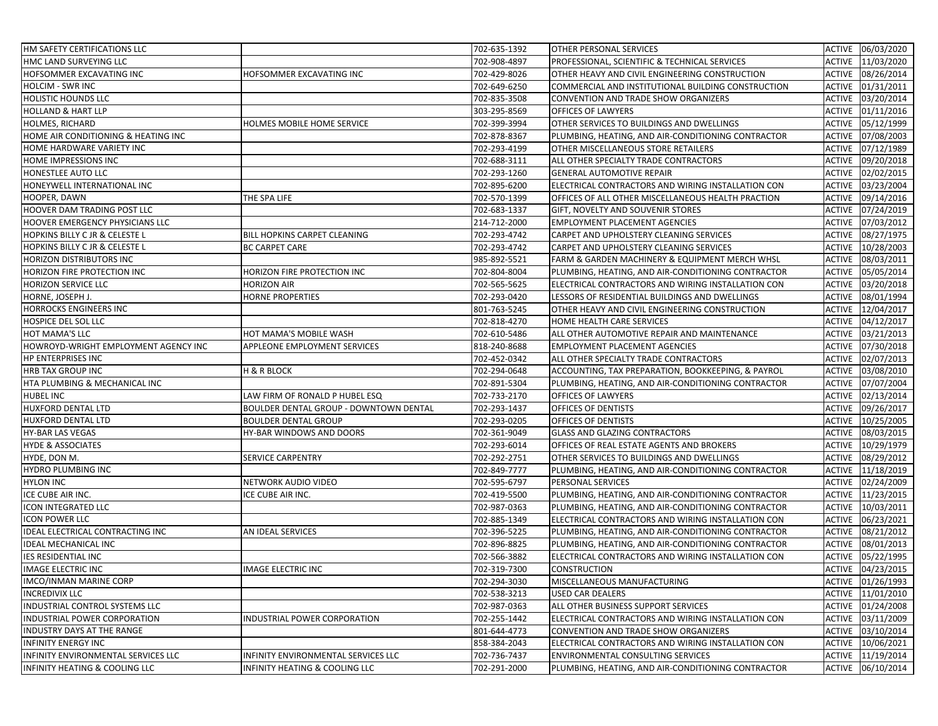| HM SAFETY CERTIFICATIONS LLC         |                                           | 702-635-1392                 | <b>OTHER PERSONAL SERVICES</b>                     |                  | ACTIVE 06/03/2020        |
|--------------------------------------|-------------------------------------------|------------------------------|----------------------------------------------------|------------------|--------------------------|
| HMC LAND SURVEYING LLC               |                                           | 702-908-4897                 | PROFESSIONAL, SCIENTIFIC & TECHNICAL SERVICES      | ACTIVE           | 11/03/2020               |
| HOFSOMMER EXCAVATING INC             | HOFSOMMER EXCAVATING INC                  | 702-429-8026                 | OTHER HEAVY AND CIVIL ENGINEERING CONSTRUCTION     | ACTIVE           | 08/26/2014               |
| <b>HOLCIM - SWR INC</b>              |                                           | 702-649-6250                 | COMMERCIAL AND INSTITUTIONAL BUILDING CONSTRUCTION | ACTIVE           | 01/31/2011               |
| HOLISTIC HOUNDS LLC                  |                                           | 702-835-3508                 | CONVENTION AND TRADE SHOW ORGANIZERS               | ACTIVE           | 03/20/2014               |
| <b>HOLLAND &amp; HART LLP</b>        |                                           | 303-295-8569                 | <b>OFFICES OF LAWYERS</b>                          | <b>ACTIVE</b>    | 01/11/2016               |
| HOLMES, RICHARD                      | HOLMES MOBILE HOME SERVICE                | 702-399-3994                 | OTHER SERVICES TO BUILDINGS AND DWELLINGS          | ACTIVE           | 05/12/1999               |
| HOME AIR CONDITIONING & HEATING INC  |                                           | 702-878-8367                 | PLUMBING, HEATING, AND AIR-CONDITIONING CONTRACTOR | ACTIVE           | 07/08/2003               |
| HOME HARDWARE VARIETY INC            |                                           | 702-293-4199                 | OTHER MISCELLANEOUS STORE RETAILERS                | ACTIVE           | 07/12/1989               |
| HOME IMPRESSIONS INC                 |                                           | 702-688-3111                 | ALL OTHER SPECIALTY TRADE CONTRACTORS              | <b>ACTIVE</b>    | 09/20/2018               |
| HONESTLEE AUTO LLC                   |                                           | 702-293-1260                 | <b>GENERAL AUTOMOTIVE REPAIR</b>                   | ACTIVE           | 02/02/2015               |
| HONEYWELL INTERNATIONAL INC          |                                           | 702-895-6200                 | ELECTRICAL CONTRACTORS AND WIRING INSTALLATION CON | ACTIVE           | 03/23/2004               |
| HOOPER, DAWN                         | THE SPA LIFE                              | 702-570-1399                 | OFFICES OF ALL OTHER MISCELLANEOUS HEALTH PRACTION | ACTIVE           | 09/14/2016               |
| HOOVER DAM TRADING POST LLC          |                                           | 702-683-1337                 | GIFT, NOVELTY AND SOUVENIR STORES                  | ACTIVE           | 07/24/2019               |
| HOOVER EMERGENCY PHYSICIANS LLC      |                                           | 214-712-2000                 | <b>EMPLOYMENT PLACEMENT AGENCIES</b>               | ACTIVE           | 07/03/2012               |
| HOPKINS BILLY C JR & CELESTE L       | BILL HOPKINS CARPET CLEANING              | 702-293-4742                 | CARPET AND UPHOLSTERY CLEANING SERVICES            | ACTIVE           | 08/27/1975               |
| HOPKINS BILLY C JR & CELESTE L       | <b>BC CARPET CARE</b>                     | 702-293-4742                 | CARPET AND UPHOLSTERY CLEANING SERVICES            | ACTIVE           | 10/28/2003               |
| HORIZON DISTRIBUTORS INC             |                                           | 985-892-5521                 | FARM & GARDEN MACHINERY & EQUIPMENT MERCH WHSL     | ACTIVE           | 08/03/2011               |
| HORIZON FIRE PROTECTION INC          | HORIZON FIRE PROTECTION INC               | 702-804-8004                 | PLUMBING, HEATING, AND AIR-CONDITIONING CONTRACTOR | ACTIVE           | 05/05/2014               |
| HORIZON SERVICE LLC                  | HORIZON AIR                               | 702-565-5625                 | ELECTRICAL CONTRACTORS AND WIRING INSTALLATION CON | ACTIVE           | 03/20/2018               |
| HORNE, JOSEPH J.                     | <b>HORNE PROPERTIES</b>                   | 702-293-0420                 | LESSORS OF RESIDENTIAL BUILDINGS AND DWELLINGS     | ACTIVE           | 08/01/1994               |
| HORROCKS ENGINEERS INC               |                                           | 801-763-5245                 | OTHER HEAVY AND CIVIL ENGINEERING CONSTRUCTION     | ACTIVE           | 12/04/2017               |
| HOSPICE DEL SOL LLC                  |                                           | 702-818-4270                 | HOME HEALTH CARE SERVICES                          | ACTIVE           | 04/12/2017               |
| HOT MAMA'S LLC                       | HOT MAMA'S MOBILE WASH                    | 702-610-5486                 | ALL OTHER AUTOMOTIVE REPAIR AND MAINTENANCE        | ACTIVE           | 03/21/2013               |
| HOWROYD-WRIGHT EMPLOYMENT AGENCY INC | APPLEONE EMPLOYMENT SERVICES              | 818-240-8688                 | <b>EMPLOYMENT PLACEMENT AGENCIES</b>               | ACTIVE           | 07/30/2018               |
| HP ENTERPRISES INC                   |                                           | 702-452-0342                 | ALL OTHER SPECIALTY TRADE CONTRACTORS              | ACTIVE           | 02/07/2013               |
| HRB TAX GROUP INC                    | H & R BLOCK                               | 702-294-0648                 | ACCOUNTING, TAX PREPARATION, BOOKKEEPING, & PAYROL | ACTIVE           | 03/08/2010               |
| HTA PLUMBING & MECHANICAL INC        |                                           | 702-891-5304                 | PLUMBING, HEATING, AND AIR-CONDITIONING CONTRACTOR | ACTIVE           | 07/07/2004               |
| <b>HUBEL INC</b>                     | LAW FIRM OF RONALD P HUBEL ESQ            | 702-733-2170                 | <b>OFFICES OF LAWYERS</b>                          | ACTIVE           | 02/13/2014               |
| HUXFORD DENTAL LTD                   | BOULDER DENTAL GROUP - DOWNTOWN DENTAL    | 702-293-1437                 | <b>OFFICES OF DENTISTS</b>                         | ACTIVE           | 09/26/2017               |
| HUXFORD DENTAL LTD                   | <b>BOULDER DENTAL GROUP</b>               | 702-293-0205                 | <b>OFFICES OF DENTISTS</b>                         | ACTIVE           | 10/25/2005               |
| HY-BAR LAS VEGAS                     | HY-BAR WINDOWS AND DOORS                  | 702-361-9049                 | <b>GLASS AND GLAZING CONTRACTORS</b>               | ACTIVE           | 08/03/2015               |
| <b>HYDE &amp; ASSOCIATES</b>         |                                           | 702-293-6014                 | OFFICES OF REAL ESTATE AGENTS AND BROKERS          | ACTIVE           | 10/29/1979               |
| HYDE, DON M.                         | SERVICE CARPENTRY                         | 702-292-2751                 | OTHER SERVICES TO BUILDINGS AND DWELLINGS          | ACTIVE           | 08/29/2012               |
| HYDRO PLUMBING INC                   |                                           | 702-849-7777                 | PLUMBING, HEATING, AND AIR-CONDITIONING CONTRACTOR | ACTIVE           | 11/18/2019               |
| <b>HYLON INC</b>                     | NETWORK AUDIO VIDEO                       | 702-595-6797                 | PERSONAL SERVICES                                  | ACTIVE           | 02/24/2009               |
| ICE CUBE AIR INC.                    | ICE CUBE AIR INC.                         | 702-419-5500                 | PLUMBING, HEATING, AND AIR-CONDITIONING CONTRACTOR | ACTIVE           | 11/23/2015               |
| ICON INTEGRATED LLC                  |                                           | 702-987-0363                 | PLUMBING, HEATING, AND AIR-CONDITIONING CONTRACTOR | ACTIVE           | 10/03/2011               |
| <b>ICON POWER LLC</b>                |                                           | 702-885-1349                 | ELECTRICAL CONTRACTORS AND WIRING INSTALLATION CON | ACTIVE           | 06/23/2021               |
| IDEAL ELECTRICAL CONTRACTING INC     | AN IDEAL SERVICES                         | 702-396-5225                 | PLUMBING, HEATING, AND AIR-CONDITIONING CONTRACTOR | ACTIVE           | 08/21/2012               |
| IDEAL MECHANICAL INC                 |                                           | 702-896-8825                 | PLUMBING, HEATING, AND AIR-CONDITIONING CONTRACTOR | ACTIVE           | 08/01/2013               |
| <b>IES RESIDENTIAL INC</b>           |                                           |                              |                                                    |                  |                          |
| <b>IMAGE ELECTRIC INC</b>            |                                           | 702-566-3882<br>702-319-7300 | ELECTRICAL CONTRACTORS AND WIRING INSTALLATION CON | ACTIVE<br>ACTIVE | 05/22/1995<br>04/23/2015 |
|                                      | IMAGE ELECTRIC INC                        |                              | <b>CONSTRUCTION</b>                                |                  |                          |
| IMCO/INMAN MARINE CORP               |                                           | 702-294-3030                 | MISCELLANEOUS MANUFACTURING                        |                  | ACTIVE 01/26/1993        |
| <b>INCREDIVIX LLC</b>                |                                           | 702-538-3213                 | <b>USED CAR DEALERS</b>                            | ACTIVE           | 11/01/2010               |
| INDUSTRIAL CONTROL SYSTEMS LLC       |                                           | 702-987-0363                 | ALL OTHER BUSINESS SUPPORT SERVICES                |                  | ACTIVE 01/24/2008        |
| INDUSTRIAL POWER CORPORATION         | INDUSTRIAL POWER CORPORATION              | 702-255-1442                 | ELECTRICAL CONTRACTORS AND WIRING INSTALLATION CON |                  | ACTIVE 03/11/2009        |
| INDUSTRY DAYS AT THE RANGE           |                                           | 801-644-4773                 | CONVENTION AND TRADE SHOW ORGANIZERS               | ACTIVE           | 03/10/2014               |
| INFINITY ENERGY INC                  |                                           | 858-384-2043                 | ELECTRICAL CONTRACTORS AND WIRING INSTALLATION CON | ACTIVE           | 10/06/2021               |
| INFINITY ENVIRONMENTAL SERVICES LLC  | INFINITY ENVIRONMENTAL SERVICES LLC       | 702-736-7437                 | ENVIRONMENTAL CONSULTING SERVICES                  | ACTIVE           | 11/19/2014               |
| INFINITY HEATING & COOLING LLC       | <b>INFINITY HEATING &amp; COOLING LLC</b> | 702-291-2000                 | PLUMBING, HEATING, AND AIR-CONDITIONING CONTRACTOR | ACTIVE           | 06/10/2014               |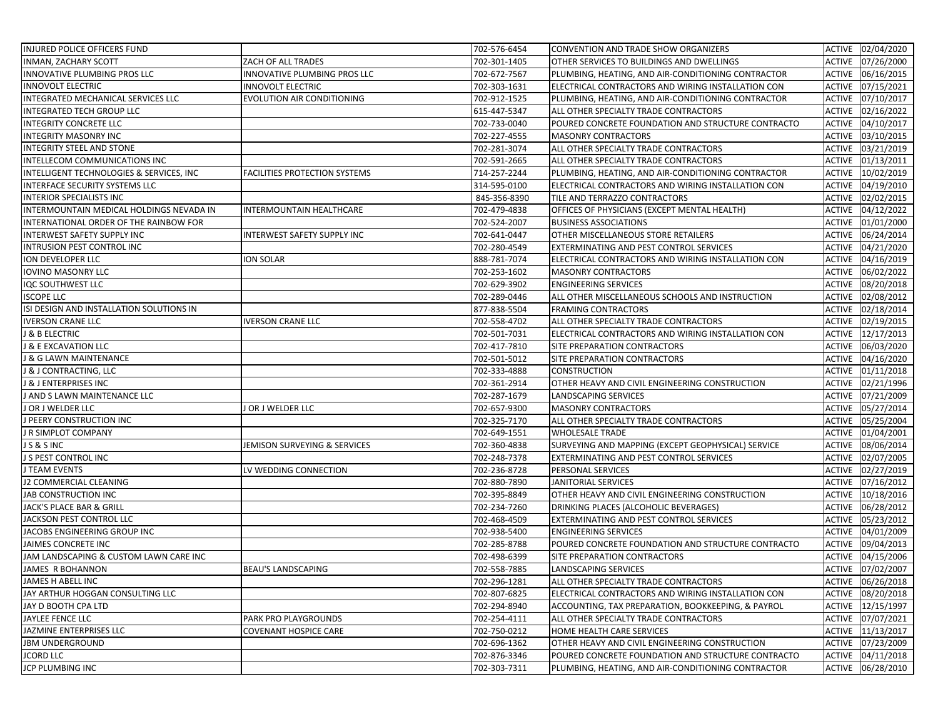| INJURED POLICE OFFICERS FUND             |                                      | 702-576-6454                 | CONVENTION AND TRADE SHOW ORGANIZERS                                                        |               | ACTIVE 02/04/2020                      |
|------------------------------------------|--------------------------------------|------------------------------|---------------------------------------------------------------------------------------------|---------------|----------------------------------------|
| INMAN, ZACHARY SCOTT                     | ZACH OF ALL TRADES                   | 702-301-1405                 | OTHER SERVICES TO BUILDINGS AND DWELLINGS                                                   | <b>ACTIVE</b> | 07/26/2000                             |
| INNOVATIVE PLUMBING PROS LLC             | INNOVATIVE PLUMBING PROS LLC         | 702-672-7567                 | PLUMBING, HEATING, AND AIR-CONDITIONING CONTRACTOR                                          | <b>ACTIVE</b> | 06/16/2015                             |
| <b>INNOVOLT ELECTRIC</b>                 | INNOVOLT ELECTRIC                    | 702-303-1631                 | ELECTRICAL CONTRACTORS AND WIRING INSTALLATION CON                                          | ACTIVE        | 07/15/2021                             |
| INTEGRATED MECHANICAL SERVICES LLC       | EVOLUTION AIR CONDITIONING           | 702-912-1525                 | PLUMBING, HEATING, AND AIR-CONDITIONING CONTRACTOR                                          | <b>ACTIVE</b> | 07/10/2017                             |
| INTEGRATED TECH GROUP LLC                |                                      | 615-447-5347                 | ALL OTHER SPECIALTY TRADE CONTRACTORS                                                       | <b>ACTIVE</b> | 02/16/2022                             |
| INTEGRITY CONCRETE LLC                   |                                      | 702-733-0040                 | POURED CONCRETE FOUNDATION AND STRUCTURE CONTRACTO                                          | <b>ACTIVE</b> | 04/10/2017                             |
| INTEGRITY MASONRY INC                    |                                      | 702-227-4555                 | <b>MASONRY CONTRACTORS</b>                                                                  | ACTIVE        | 03/10/2015                             |
| INTEGRITY STEEL AND STONE                |                                      | 702-281-3074                 | ALL OTHER SPECIALTY TRADE CONTRACTORS                                                       | <b>ACTIVE</b> | 03/21/2019                             |
| INTELLECOM COMMUNICATIONS INC            |                                      | 702-591-2665                 | ALL OTHER SPECIALTY TRADE CONTRACTORS                                                       | <b>ACTIVE</b> | 01/13/2011                             |
| INTELLIGENT TECHNOLOGIES & SERVICES, INC | <b>FACILITIES PROTECTION SYSTEMS</b> | 714-257-2244                 | PLUMBING, HEATING, AND AIR-CONDITIONING CONTRACTOR                                          | <b>ACTIVE</b> | 10/02/2019                             |
| INTERFACE SECURITY SYSTEMS LLC           |                                      | 314-595-0100                 | ELECTRICAL CONTRACTORS AND WIRING INSTALLATION CON                                          | ACTIVE        | 04/19/2010                             |
| INTERIOR SPECIALISTS INC                 |                                      | 845-356-8390                 | TILE AND TERRAZZO CONTRACTORS                                                               | <b>ACTIVE</b> | 02/02/2015                             |
| INTERMOUNTAIN MEDICAL HOLDINGS NEVADA IN | INTERMOUNTAIN HEALTHCARE             | 702-479-4838                 | OFFICES OF PHYSICIANS (EXCEPT MENTAL HEALTH)                                                | <b>ACTIVE</b> | 04/12/2022                             |
| INTERNATIONAL ORDER OF THE RAINBOW FOR   |                                      | 702-524-2007                 | <b>BUSINESS ASSOCIATIONS</b>                                                                | <b>ACTIVE</b> | 01/01/2000                             |
| INTERWEST SAFETY SUPPLY INC              | INTERWEST SAFETY SUPPLY INC          | 702-641-0447                 | OTHER MISCELLANEOUS STORE RETAILERS                                                         | ACTIVE        | 06/24/2014                             |
| INTRUSION PEST CONTROL INC               |                                      | 702-280-4549                 | EXTERMINATING AND PEST CONTROL SERVICES                                                     | <b>ACTIVE</b> | 04/21/2020                             |
| ION DEVELOPER LLC                        | ION SOLAR                            | 888-781-7074                 | ELECTRICAL CONTRACTORS AND WIRING INSTALLATION CON                                          | <b>ACTIVE</b> | 04/16/2019                             |
| IOVINO MASONRY LLC                       |                                      | 702-253-1602                 | <b>MASONRY CONTRACTORS</b>                                                                  | ACTIVE        | 06/02/2022                             |
| IQC SOUTHWEST LLC                        |                                      | 702-629-3902                 | ENGINEERING SERVICES                                                                        | <b>ACTIVE</b> | 08/20/2018                             |
| <b>ISCOPE LLC</b>                        |                                      | 702-289-0446                 | ALL OTHER MISCELLANEOUS SCHOOLS AND INSTRUCTION                                             | <b>ACTIVE</b> | 02/08/2012                             |
| ISI DESIGN AND INSTALLATION SOLUTIONS IN |                                      | 877-838-5504                 | <b>FRAMING CONTRACTORS</b>                                                                  | <b>ACTIVE</b> | 02/18/2014                             |
| <b>IVERSON CRANE LLC</b>                 | IVERSON CRANE LLC                    | 702-558-4702                 | ALL OTHER SPECIALTY TRADE CONTRACTORS                                                       | <b>ACTIVE</b> | 02/19/2015                             |
| J & B ELECTRIC                           |                                      | 702-501-7031                 | ELECTRICAL CONTRACTORS AND WIRING INSTALLATION CON                                          | <b>ACTIVE</b> | 12/17/2013                             |
| <b>J &amp; E EXCAVATION LLC</b>          |                                      | 702-417-7810                 | SITE PREPARATION CONTRACTORS                                                                | <b>ACTIVE</b> | 06/03/2020                             |
| <b>J &amp; G LAWN MAINTENANCE</b>        |                                      | 702-501-5012                 | SITE PREPARATION CONTRACTORS                                                                | <b>ACTIVE</b> | 04/16/2020                             |
| J & J CONTRACTING, LLC                   |                                      | 702-333-4888                 | CONSTRUCTION                                                                                | ACTIVE        | 01/11/2018                             |
| J & J ENTERPRISES INC                    |                                      | 702-361-2914                 | OTHER HEAVY AND CIVIL ENGINEERING CONSTRUCTION                                              | ACTIVE        | 02/21/1996                             |
| J AND S LAWN MAINTENANCE LLC             |                                      | 702-287-1679                 | LANDSCAPING SERVICES                                                                        | ACTIVE        | 07/21/2009                             |
| J OR J WELDER LLC                        | J OR J WELDER LLC                    | 702-657-9300                 | <b>MASONRY CONTRACTORS</b>                                                                  | <b>ACTIVE</b> | 05/27/2014                             |
| J PEERY CONSTRUCTION INC                 |                                      | 702-325-7170                 | ALL OTHER SPECIALTY TRADE CONTRACTORS                                                       | <b>ACTIVE</b> | 05/25/2004                             |
| J R SIMPLOT COMPANY                      |                                      | 702-649-1551                 | <b>WHOLESALE TRADE</b>                                                                      | <b>ACTIVE</b> | 01/04/2001                             |
| JS&SINC                                  | JEMISON SURVEYING & SERVICES         | 702-360-4838                 | SURVEYING AND MAPPING (EXCEPT GEOPHYSICAL) SERVICE                                          | ACTIVE        | 08/06/2014                             |
| J S PEST CONTROL INC                     |                                      | 702-248-7378                 | EXTERMINATING AND PEST CONTROL SERVICES                                                     | <b>ACTIVE</b> | 02/07/2005                             |
| J TEAM EVENTS                            | LV WEDDING CONNECTION                | 702-236-8728                 | PERSONAL SERVICES                                                                           | <b>ACTIVE</b> | 02/27/2019                             |
| J2 COMMERCIAL CLEANING                   |                                      | 702-880-7890                 | JANITORIAL SERVICES                                                                         | <b>ACTIVE</b> | 07/16/2012                             |
| JAB CONSTRUCTION INC                     |                                      | 702-395-8849                 | OTHER HEAVY AND CIVIL ENGINEERING CONSTRUCTION                                              | <b>ACTIVE</b> | 10/18/2016                             |
| JACK'S PLACE BAR & GRILL                 |                                      | 702-234-7260                 | DRINKING PLACES (ALCOHOLIC BEVERAGES)                                                       | <b>ACTIVE</b> | 06/28/2012                             |
| JACKSON PEST CONTROL LLC                 |                                      | 702-468-4509                 | EXTERMINATING AND PEST CONTROL SERVICES                                                     | ACTIVE        | 05/23/2012                             |
| JACOBS ENGINEERING GROUP INC             |                                      | 702-938-5400                 | <b>ENGINEERING SERVICES</b>                                                                 | <b>ACTIVE</b> | 04/01/2009                             |
| JAIMES CONCRETE INC                      |                                      | 702-285-8788                 | POURED CONCRETE FOUNDATION AND STRUCTURE CONTRACTO                                          | <b>ACTIVE</b> | 09/04/2013                             |
| JAM LANDSCAPING & CUSTOM LAWN CARE INC   |                                      | 702-498-6399                 | SITE PREPARATION CONTRACTORS                                                                | <b>ACTIVE</b> | 04/15/2006                             |
| <b>JAMES R BOHANNON</b>                  | <b>BEAU'S LANDSCAPING</b>            | 702-558-7885                 | LANDSCAPING SERVICES                                                                        |               | ACTIVE 07/02/2007                      |
| JAMES H ABELL INC                        |                                      | 702-296-1281                 |                                                                                             |               | ACTIVE 06/26/2018                      |
| JAY ARTHUR HOGGAN CONSULTING LLC         |                                      | 702-807-6825                 | ALL OTHER SPECIALTY TRADE CONTRACTORS<br>ELECTRICAL CONTRACTORS AND WIRING INSTALLATION CON | <b>ACTIVE</b> | 08/20/2018                             |
| JAY D BOOTH CPA LTD                      |                                      |                              |                                                                                             |               |                                        |
| JAYLEE FENCE LLC                         |                                      | 702-294-8940                 | ACCOUNTING, TAX PREPARATION, BOOKKEEPING, & PAYROL                                          |               | ACTIVE 12/15/1997                      |
| JAZMINE ENTERPRISES LLC                  | PARK PRO PLAYGROUNDS                 | 702-254-4111<br>702-750-0212 | ALL OTHER SPECIALTY TRADE CONTRACTORS                                                       |               | ACTIVE 07/07/2021<br>ACTIVE 11/13/2017 |
| <b>JBM UNDERGROUND</b>                   | <b>COVENANT HOSPICE CARE</b>         | 702-696-1362                 | HOME HEALTH CARE SERVICES                                                                   |               |                                        |
| <b>JCORD LLC</b>                         |                                      |                              | OTHER HEAVY AND CIVIL ENGINEERING CONSTRUCTION                                              |               | ACTIVE 07/23/2009                      |
|                                          |                                      | 702-876-3346                 | POURED CONCRETE FOUNDATION AND STRUCTURE CONTRACTO                                          |               | ACTIVE 04/11/2018                      |
| JCP PLUMBING INC                         |                                      | 702-303-7311                 | PLUMBING, HEATING, AND AIR-CONDITIONING CONTRACTOR                                          |               | ACTIVE 06/28/2010                      |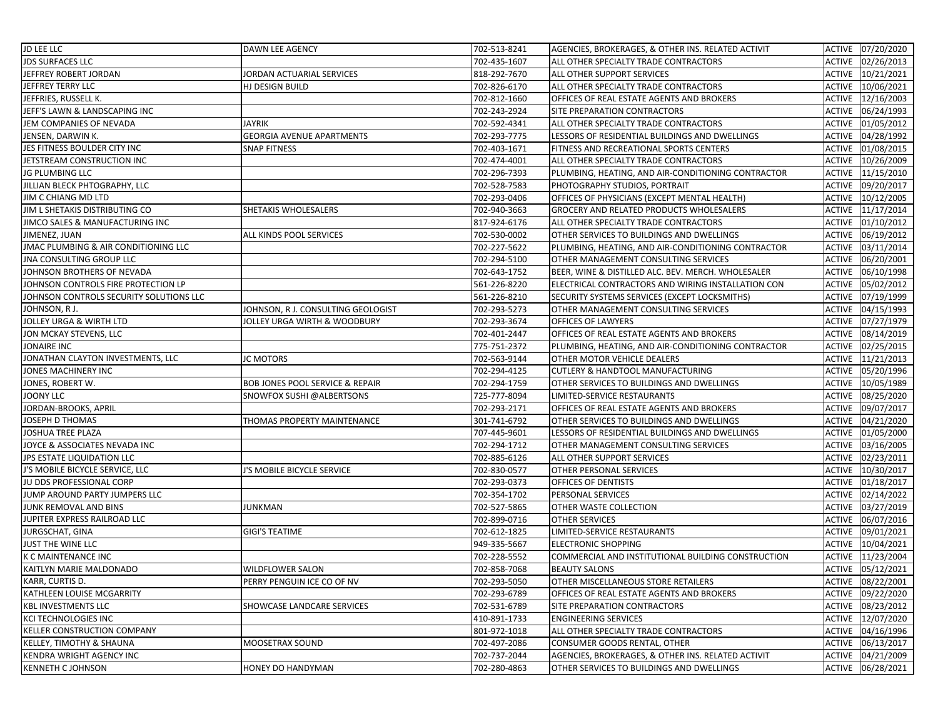| JD LEE LLC                              | <b>DAWN LEE AGENCY</b>                     | 702-513-8241 | AGENCIES, BROKERAGES, & OTHER INS. RELATED ACTIVIT |               | ACTIVE 07/20/2020 |
|-----------------------------------------|--------------------------------------------|--------------|----------------------------------------------------|---------------|-------------------|
| JDS SURFACES LLC                        |                                            | 702-435-1607 | ALL OTHER SPECIALTY TRADE CONTRACTORS              | <b>ACTIVE</b> | 02/26/2013        |
| JEFFREY ROBERT JORDAN                   | JORDAN ACTUARIAL SERVICES                  | 818-292-7670 | ALL OTHER SUPPORT SERVICES                         | <b>ACTIVE</b> | 10/21/2021        |
| JEFFREY TERRY LLC                       | HJ DESIGN BUILD                            | 702-826-6170 | ALL OTHER SPECIALTY TRADE CONTRACTORS              | <b>ACTIVE</b> | 10/06/2021        |
| JEFFRIES, RUSSELL K.                    |                                            | 702-812-1660 | OFFICES OF REAL ESTATE AGENTS AND BROKERS          | ACTIVE        | 12/16/2003        |
| JEFF'S LAWN & LANDSCAPING INC           |                                            | 702-243-2924 | SITE PREPARATION CONTRACTORS                       | <b>ACTIVE</b> | 06/24/1993        |
| JEM COMPANIES OF NEVADA                 | JAYRIK                                     | 702-592-4341 | ALL OTHER SPECIALTY TRADE CONTRACTORS              | <b>ACTIVE</b> | 01/05/2012        |
| JENSEN, DARWIN K.                       | <b>GEORGIA AVENUE APARTMENTS</b>           | 702-293-7775 | LESSORS OF RESIDENTIAL BUILDINGS AND DWELLINGS     | ACTIVE        | 04/28/1992        |
| JES FITNESS BOULDER CITY INC            | <b>SNAP FITNESS</b>                        | 702-403-1671 | FITNESS AND RECREATIONAL SPORTS CENTERS            | <b>ACTIVE</b> | 01/08/2015        |
| JETSTREAM CONSTRUCTION INC              |                                            | 702-474-4001 | ALL OTHER SPECIALTY TRADE CONTRACTORS              | <b>ACTIVE</b> | 10/26/2009        |
| JG PLUMBING LLC                         |                                            | 702-296-7393 | PLUMBING, HEATING, AND AIR-CONDITIONING CONTRACTOR | ACTIVE        | 11/15/2010        |
| JILLIAN BLECK PHTOGRAPHY, LLC           |                                            | 702-528-7583 | PHOTOGRAPHY STUDIOS, PORTRAIT                      | ACTIVE        | 09/20/2017        |
| JIM C CHIANG MD LTD                     |                                            | 702-293-0406 | OFFICES OF PHYSICIANS (EXCEPT MENTAL HEALTH)       | ACTIVE        | 10/12/2005        |
| JIM L SHETAKIS DISTRIBUTING CO          | SHETAKIS WHOLESALERS                       | 702-940-3663 | GROCERY AND RELATED PRODUCTS WHOLESALERS           | <b>ACTIVE</b> | 11/17/2014        |
| JIMCO SALES & MANUFACTURING INC         |                                            | 817-924-6176 | ALL OTHER SPECIALTY TRADE CONTRACTORS              | ACTIVE        | 01/10/2012        |
| JIMENEZ, JUAN                           | ALL KINDS POOL SERVICES                    | 702-530-0002 | OTHER SERVICES TO BUILDINGS AND DWELLINGS          | ACTIVE        | 06/19/2012        |
| JMAC PLUMBING & AIR CONDITIONING LLC    |                                            | 702-227-5622 | PLUMBING, HEATING, AND AIR-CONDITIONING CONTRACTOR | ACTIVE        | 03/11/2014        |
| <b>JNA CONSULTING GROUP LLC</b>         |                                            | 702-294-5100 | OTHER MANAGEMENT CONSULTING SERVICES               | <b>ACTIVE</b> | 06/20/2001        |
| JOHNSON BROTHERS OF NEVADA              |                                            | 702-643-1752 | BEER, WINE & DISTILLED ALC. BEV. MERCH. WHOLESALER | ACTIVE        | 06/10/1998        |
| JOHNSON CONTROLS FIRE PROTECTION LP     |                                            | 561-226-8220 | ELECTRICAL CONTRACTORS AND WIRING INSTALLATION CON | <b>ACTIVE</b> | 05/02/2012        |
| JOHNSON CONTROLS SECURITY SOLUTIONS LLC |                                            | 561-226-8210 | SECURITY SYSTEMS SERVICES (EXCEPT LOCKSMITHS)      | <b>ACTIVE</b> | 07/19/1999        |
| JOHNSON, R J.                           | JOHNSON, R J. CONSULTING GEOLOGIST         | 702-293-5273 | OTHER MANAGEMENT CONSULTING SERVICES               | <b>ACTIVE</b> | 04/15/1993        |
| JOLLEY URGA & WIRTH LTD                 | JOLLEY URGA WIRTH & WOODBURY               | 702-293-3674 | OFFICES OF LAWYERS                                 | <b>ACTIVE</b> | 07/27/1979        |
| JON MCKAY STEVENS, LLC                  |                                            | 702-401-2447 | OFFICES OF REAL ESTATE AGENTS AND BROKERS          | <b>ACTIVE</b> | 08/14/2019        |
| <b>JONAIRE INC</b>                      |                                            | 775-751-2372 | PLUMBING, HEATING, AND AIR-CONDITIONING CONTRACTOR | <b>ACTIVE</b> | 02/25/2015        |
| JONATHAN CLAYTON INVESTMENTS, LLC       | <b>JC MOTORS</b>                           | 702-563-9144 | OTHER MOTOR VEHICLE DEALERS                        | <b>ACTIVE</b> | 11/21/2013        |
| JONES MACHINERY INC                     |                                            | 702-294-4125 | CUTLERY & HANDTOOL MANUFACTURING                   | <b>ACTIVE</b> | 05/20/1996        |
| JONES, ROBERT W.                        | <b>BOB JONES POOL SERVICE &amp; REPAIR</b> | 702-294-1759 | OTHER SERVICES TO BUILDINGS AND DWELLINGS          | ACTIVE        | 10/05/1989        |
| <b>JOONY LLC</b>                        | SNOWFOX SUSHI @ALBERTSONS                  | 725-777-8094 | LIMITED-SERVICE RESTAURANTS                        | ACTIVE        | 08/25/2020        |
| JORDAN-BROOKS, APRIL                    |                                            | 702-293-2171 | OFFICES OF REAL ESTATE AGENTS AND BROKERS          | <b>ACTIVE</b> | 09/07/2017        |
| JOSEPH D THOMAS                         | THOMAS PROPERTY MAINTENANCE                | 301-741-6792 | OTHER SERVICES TO BUILDINGS AND DWELLINGS          | ACTIVE        | 04/21/2020        |
| <b>JOSHUA TREE PLAZA</b>                |                                            | 707-445-9601 | LESSORS OF RESIDENTIAL BUILDINGS AND DWELLINGS     | <b>ACTIVE</b> | 01/05/2000        |
| JOYCE & ASSOCIATES NEVADA INC           |                                            | 702-294-1712 | OTHER MANAGEMENT CONSULTING SERVICES               | <b>ACTIVE</b> | 03/16/2005        |
| JPS ESTATE LIQUIDATION LLC              |                                            | 702-885-6126 | ALL OTHER SUPPORT SERVICES                         | <b>ACTIVE</b> | 02/23/2011        |
| J'S MOBILE BICYCLE SERVICE, LLC         | I'S MOBILE BICYCLE SERVICE                 | 702-830-0577 | OTHER PERSONAL SERVICES                            | ACTIVE        | 10/30/2017        |
| JU DDS PROFESSIONAL CORP                |                                            | 702-293-0373 | OFFICES OF DENTISTS                                | ACTIVE        | 01/18/2017        |
| JUMP AROUND PARTY JUMPERS LLC           |                                            | 702-354-1702 | PERSONAL SERVICES                                  | <b>ACTIVE</b> | 02/14/2022        |
| JUNK REMOVAL AND BINS                   | JUNKMAN                                    | 702-527-5865 | OTHER WASTE COLLECTION                             | <b>ACTIVE</b> | 03/27/2019        |
| JUPITER EXPRESS RAILROAD LLC            |                                            | 702-899-0716 | OTHER SERVICES                                     | ACTIVE        | 06/07/2016        |
| JURGSCHAT, GINA                         | GIGI'S TEATIME                             | 702-612-1825 | LIMITED-SERVICE RESTAURANTS                        | ACTIVE        | 09/01/2021        |
| JUST THE WINE LLC                       |                                            | 949-335-5667 | <b>ELECTRONIC SHOPPING</b>                         | ACTIVE        | 10/04/2021        |
| <b>K C MAINTENANCE INC</b>              |                                            | 702-228-5552 | COMMERCIAL AND INSTITUTIONAL BUILDING CONSTRUCTION | ACTIVE        | 11/23/2004        |
| KAITLYN MARIE MALDONADO                 | <b>WILDFLOWER SALON</b>                    | 702-858-7068 | <b>BEAUTY SALONS</b>                               | <b>ACTIVE</b> | 05/12/2021        |
| KARR, CURTIS D.                         | PERRY PENGUIN ICE CO OF NV                 | 702-293-5050 | OTHER MISCELLANEOUS STORE RETAILERS                |               | ACTIVE 08/22/2001 |
| KATHLEEN LOUISE MCGARRITY               |                                            | 702-293-6789 | OFFICES OF REAL ESTATE AGENTS AND BROKERS          | <b>ACTIVE</b> | 09/22/2020        |
| <b>KBL INVESTMENTS LLC</b>              | SHOWCASE LANDCARE SERVICES                 | 702-531-6789 | SITE PREPARATION CONTRACTORS                       | <b>ACTIVE</b> | 08/23/2012        |
| KCI TECHNOLOGIES INC                    |                                            | 410-891-1733 | <b>ENGINEERING SERVICES</b>                        |               | ACTIVE 12/07/2020 |
| <b>KELLER CONSTRUCTION COMPANY</b>      |                                            | 801-972-1018 | ALL OTHER SPECIALTY TRADE CONTRACTORS              | <b>ACTIVE</b> | 04/16/1996        |
| <b>KELLEY, TIMOTHY &amp; SHAUNA</b>     | MOOSETRAX SOUND                            | 702-497-2086 | CONSUMER GOODS RENTAL, OTHER                       | <b>ACTIVE</b> | 06/13/2017        |
| KENDRA WRIGHT AGENCY INC                |                                            | 702-737-2044 | AGENCIES, BROKERAGES, & OTHER INS. RELATED ACTIVIT | ACTIVE        | 04/21/2009        |
| <b>KENNETH C JOHNSON</b>                | HONEY DO HANDYMAN                          | 702-280-4863 | OTHER SERVICES TO BUILDINGS AND DWELLINGS          |               | ACTIVE 06/28/2021 |
|                                         |                                            |              |                                                    |               |                   |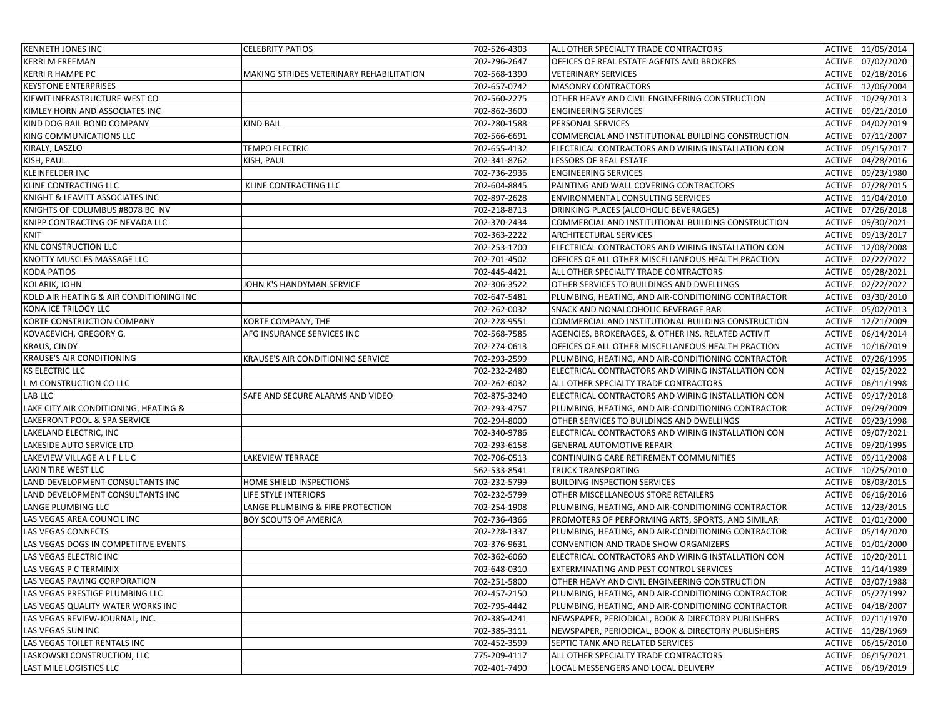| <b>KENNETH JONES INC</b>                | <b>CELEBRITY PATIOS</b>                  | 702-526-4303 | ALL OTHER SPECIALTY TRADE CONTRACTORS              |        | ACTIVE 11/05/2014 |
|-----------------------------------------|------------------------------------------|--------------|----------------------------------------------------|--------|-------------------|
| <b>KERRI M FREEMAN</b>                  |                                          | 702-296-2647 | OFFICES OF REAL ESTATE AGENTS AND BROKERS          | ACTIVE | 07/02/2020        |
| <b>KERRI R HAMPE PC</b>                 | MAKING STRIDES VETERINARY REHABILITATION | 702-568-1390 | <b>VETERINARY SERVICES</b>                         | ACTIVE | 02/18/2016        |
| <b>KEYSTONE ENTERPRISES</b>             |                                          | 702-657-0742 | <b>MASONRY CONTRACTORS</b>                         | ACTIVE | 12/06/2004        |
| KIEWIT INFRASTRUCTURE WEST CO           |                                          | 702-560-2275 | OTHER HEAVY AND CIVIL ENGINEERING CONSTRUCTION     | ACTIVE | 10/29/2013        |
| KIMLEY HORN AND ASSOCIATES INC          |                                          | 702-862-3600 | <b>ENGINEERING SERVICES</b>                        | ACTIVE | 09/21/2010        |
| KIND DOG BAIL BOND COMPANY              | KIND BAIL                                | 702-280-1588 | PERSONAL SERVICES                                  | ACTIVE | 04/02/2019        |
| KING COMMUNICATIONS LLC                 |                                          | 702-566-6691 | COMMERCIAL AND INSTITUTIONAL BUILDING CONSTRUCTION | ACTIVE | 07/11/2007        |
| KIRALY, LASZLO                          | TEMPO ELECTRIC                           | 702-655-4132 | ELECTRICAL CONTRACTORS AND WIRING INSTALLATION CON | ACTIVE | 05/15/2017        |
| KISH, PAUL                              | KISH, PAUL                               | 702-341-8762 | <b>LESSORS OF REAL ESTATE</b>                      | ACTIVE | 04/28/2016        |
| KLEINFELDER INC                         |                                          | 702-736-2936 | <b>ENGINEERING SERVICES</b>                        | ACTIVE | 09/23/1980        |
| KLINE CONTRACTING LLC                   | KLINE CONTRACTING LLC                    | 702-604-8845 | PAINTING AND WALL COVERING CONTRACTORS             | ACTIVE | 07/28/2015        |
| KNIGHT & LEAVITT ASSOCIATES INC         |                                          | 702-897-2628 | <b>ENVIRONMENTAL CONSULTING SERVICES</b>           | ACTIVE | 11/04/2010        |
| KNIGHTS OF COLUMBUS #8078 BC NV         |                                          | 702-218-8713 | DRINKING PLACES (ALCOHOLIC BEVERAGES)              | ACTIVE | 07/26/2018        |
| KNIPP CONTRACTING OF NEVADA LLC         |                                          | 702-370-2434 | COMMERCIAL AND INSTITUTIONAL BUILDING CONSTRUCTION | ACTIVE | 09/30/2021        |
| <b>KNIT</b>                             |                                          | 702-363-2222 | <b>ARCHITECTURAL SERVICES</b>                      | ACTIVE | 09/13/2017        |
| KNL CONSTRUCTION LLC                    |                                          | 702-253-1700 | ELECTRICAL CONTRACTORS AND WIRING INSTALLATION CON | ACTIVE | 12/08/2008        |
| KNOTTY MUSCLES MASSAGE LLC              |                                          | 702-701-4502 | OFFICES OF ALL OTHER MISCELLANEOUS HEALTH PRACTION | ACTIVE | 02/22/2022        |
| KODA PATIOS                             |                                          | 702-445-4421 | ALL OTHER SPECIALTY TRADE CONTRACTORS              | ACTIVE | 09/28/2021        |
| KOLARIK, JOHN                           | JOHN K'S HANDYMAN SERVICE                | 702-306-3522 | OTHER SERVICES TO BUILDINGS AND DWELLINGS          | ACTIVE | 02/22/2022        |
| KOLD AIR HEATING & AIR CONDITIONING INC |                                          | 702-647-5481 | PLUMBING, HEATING, AND AIR-CONDITIONING CONTRACTOR | ACTIVE | 03/30/2010        |
| KONA ICE TRILOGY LLC                    |                                          | 702-262-0032 | SNACK AND NONALCOHOLIC BEVERAGE BAR                | ACTIVE | 05/02/2013        |
| KORTE CONSTRUCTION COMPANY              | KORTE COMPANY, THE                       | 702-228-9551 | COMMERCIAL AND INSTITUTIONAL BUILDING CONSTRUCTION | ACTIVE | 12/21/2009        |
| KOVACEVICH, GREGORY G.                  | AFG INSURANCE SERVICES INC               | 702-568-7585 | AGENCIES, BROKERAGES, & OTHER INS. RELATED ACTIVIT | ACTIVE | 06/14/2014        |
| <b>KRAUS, CINDY</b>                     |                                          | 702-274-0613 | OFFICES OF ALL OTHER MISCELLANEOUS HEALTH PRACTION | ACTIVE | 10/16/2019        |
| <b>KRAUSE'S AIR CONDITIONING</b>        | KRAUSE'S AIR CONDITIONING SERVICE        | 702-293-2599 | PLUMBING, HEATING, AND AIR-CONDITIONING CONTRACTOR | ACTIVE | 07/26/1995        |
| <b>KS ELECTRIC LLC</b>                  |                                          | 702-232-2480 | ELECTRICAL CONTRACTORS AND WIRING INSTALLATION CON | ACTIVE | 02/15/2022        |
| L M CONSTRUCTION CO LLC                 |                                          | 702-262-6032 | ALL OTHER SPECIALTY TRADE CONTRACTORS              | ACTIVE | 06/11/1998        |
| LAB LLC                                 | SAFE AND SECURE ALARMS AND VIDEO         | 702-875-3240 | ELECTRICAL CONTRACTORS AND WIRING INSTALLATION CON | ACTIVE | 09/17/2018        |
| LAKE CITY AIR CONDITIONING, HEATING &   |                                          | 702-293-4757 | PLUMBING, HEATING, AND AIR-CONDITIONING CONTRACTOR | ACTIVE | 09/29/2009        |
| LAKEFRONT POOL & SPA SERVICE            |                                          | 702-294-8000 | OTHER SERVICES TO BUILDINGS AND DWELLINGS          | ACTIVE | 09/23/1998        |
| LAKELAND ELECTRIC, INC                  |                                          | 702-340-9786 | ELECTRICAL CONTRACTORS AND WIRING INSTALLATION CON | ACTIVE | 09/07/2021        |
| LAKESIDE AUTO SERVICE LTD               |                                          | 702-293-6158 | <b>GENERAL AUTOMOTIVE REPAIR</b>                   | ACTIVE | 09/20/1995        |
| LAKEVIEW VILLAGE A L F L L C            | LAKEVIEW TERRACE                         | 702-706-0513 | CONTINUING CARE RETIREMENT COMMUNITIES             | ACTIVE | 09/11/2008        |
| LAKIN TIRE WEST LLC                     |                                          | 562-533-8541 | TRUCK TRANSPORTING                                 | ACTIVE | 10/25/2010        |
| LAND DEVELOPMENT CONSULTANTS INC        | HOME SHIELD INSPECTIONS                  | 702-232-5799 | <b>BUILDING INSPECTION SERVICES</b>                | ACTIVE | 08/03/2015        |
| LAND DEVELOPMENT CONSULTANTS INC        | LIFE STYLE INTERIORS                     | 702-232-5799 | OTHER MISCELLANEOUS STORE RETAILERS                | ACTIVE | 06/16/2016        |
| LANGE PLUMBING LLC                      | LANGE PLUMBING & FIRE PROTECTION         | 702-254-1908 | PLUMBING, HEATING, AND AIR-CONDITIONING CONTRACTOR | ACTIVE | 12/23/2015        |
| LAS VEGAS AREA COUNCIL INC              | BOY SCOUTS OF AMERICA                    | 702-736-4366 | PROMOTERS OF PERFORMING ARTS, SPORTS, AND SIMILAR  | ACTIVE | 01/01/2000        |
| <b>LAS VEGAS CONNECTS</b>               |                                          | 702-228-1337 | PLUMBING, HEATING, AND AIR-CONDITIONING CONTRACTOR | ACTIVE | 05/14/2020        |
| LAS VEGAS DOGS IN COMPETITIVE EVENTS    |                                          | 702-376-9631 | CONVENTION AND TRADE SHOW ORGANIZERS               | ACTIVE | 01/01/2000        |
| LAS VEGAS ELECTRIC INC                  |                                          | 702-362-6060 | ELECTRICAL CONTRACTORS AND WIRING INSTALLATION CON | ACTIVE | 10/20/2011        |
| LAS VEGAS P C TERMINIX                  |                                          | 702-648-0310 | <b>EXTERMINATING AND PEST CONTROL SERVICES</b>     |        | ACTIVE 11/14/1989 |
| LAS VEGAS PAVING CORPORATION            |                                          | 702-251-5800 | OTHER HEAVY AND CIVIL ENGINEERING CONSTRUCTION     |        | ACTIVE 03/07/1988 |
| LAS VEGAS PRESTIGE PLUMBING LLC         |                                          | 702-457-2150 | PLUMBING, HEATING, AND AIR-CONDITIONING CONTRACTOR |        | ACTIVE 05/27/1992 |
| LAS VEGAS QUALITY WATER WORKS INC       |                                          | 702-795-4442 | PLUMBING, HEATING, AND AIR-CONDITIONING CONTRACTOR |        | ACTIVE 04/18/2007 |
| LAS VEGAS REVIEW-JOURNAL, INC.          |                                          | 702-385-4241 | NEWSPAPER, PERIODICAL, BOOK & DIRECTORY PUBLISHERS |        | ACTIVE 02/11/1970 |
| LAS VEGAS SUN INC                       |                                          | 702-385-3111 | NEWSPAPER, PERIODICAL, BOOK & DIRECTORY PUBLISHERS |        | ACTIVE 11/28/1969 |
| LAS VEGAS TOILET RENTALS INC            |                                          | 702-452-3599 | SEPTIC TANK AND RELATED SERVICES                   |        | ACTIVE 06/15/2010 |
| LASKOWSKI CONSTRUCTION, LLC             |                                          | 775-209-4117 | ALL OTHER SPECIALTY TRADE CONTRACTORS              |        | ACTIVE 06/15/2021 |
| LAST MILE LOGISTICS LLC                 |                                          | 702-401-7490 | LOCAL MESSENGERS AND LOCAL DELIVERY                |        | ACTIVE 06/19/2019 |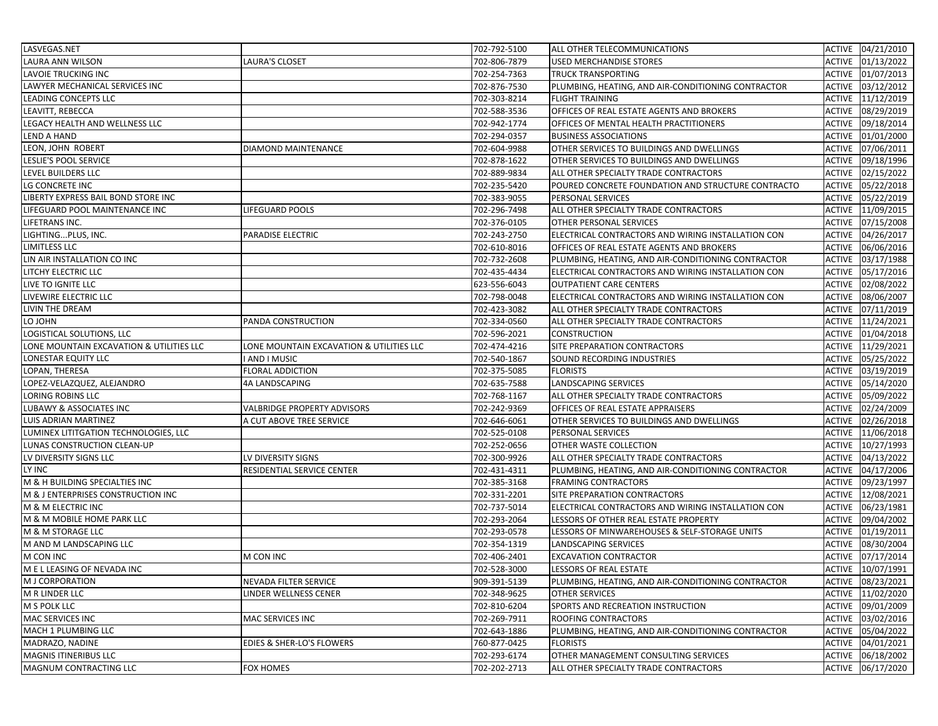| LASVEGAS.NET                             |                                          | 702-792-5100 | ALL OTHER TELECOMMUNICATIONS                       |               | ACTIVE 04/21/2010 |
|------------------------------------------|------------------------------------------|--------------|----------------------------------------------------|---------------|-------------------|
| LAURA ANN WILSON                         | LAURA'S CLOSET                           | 702-806-7879 | <b>USED MERCHANDISE STORES</b>                     | ACTIVE        | 01/13/2022        |
| LAVOIE TRUCKING INC                      |                                          | 702-254-7363 | <b>TRUCK TRANSPORTING</b>                          | ACTIVE        | 01/07/2013        |
| LAWYER MECHANICAL SERVICES INC           |                                          | 702-876-7530 | PLUMBING, HEATING, AND AIR-CONDITIONING CONTRACTOR | ACTIVE        | 03/12/2012        |
| LEADING CONCEPTS LLC                     |                                          | 702-303-8214 | <b>FLIGHT TRAINING</b>                             | ACTIVE        | 11/12/2019        |
| LEAVITT, REBECCA                         |                                          | 702-588-3536 | OFFICES OF REAL ESTATE AGENTS AND BROKERS          | ACTIVE        | 08/29/2019        |
| LEGACY HEALTH AND WELLNESS LLC           |                                          | 702-942-1774 | OFFICES OF MENTAL HEALTH PRACTITIONERS             | ACTIVE        | 09/18/2014        |
| LEND A HAND                              |                                          | 702-294-0357 | <b>BUSINESS ASSOCIATIONS</b>                       | ACTIVE        | 01/01/2000        |
| LEON, JOHN ROBERT                        | DIAMOND MAINTENANCE                      | 702-604-9988 | OTHER SERVICES TO BUILDINGS AND DWELLINGS          | ACTIVE        | 07/06/2011        |
| LESLIE'S POOL SERVICE                    |                                          | 702-878-1622 | OTHER SERVICES TO BUILDINGS AND DWELLINGS          | ACTIVE        | 09/18/1996        |
| LEVEL BUILDERS LLC                       |                                          | 702-889-9834 | ALL OTHER SPECIALTY TRADE CONTRACTORS              | ACTIVE        | 02/15/2022        |
| LG CONCRETE INC                          |                                          | 702-235-5420 | POURED CONCRETE FOUNDATION AND STRUCTURE CONTRACTO | ACTIVE        | 05/22/2018        |
| LIBERTY EXPRESS BAIL BOND STORE INC      |                                          | 702-383-9055 | PERSONAL SERVICES                                  | ACTIVE        | 05/22/2019        |
| LIFEGUARD POOL MAINTENANCE INC           | LIFEGUARD POOLS                          | 702-296-7498 | ALL OTHER SPECIALTY TRADE CONTRACTORS              | ACTIVE        | 11/09/2015        |
| LIFETRANS INC.                           |                                          | 702-376-0105 | OTHER PERSONAL SERVICES                            | ACTIVE        | 07/15/2008        |
| LIGHTINGPLUS, INC.                       | PARADISE ELECTRIC                        | 702-243-2750 | ELECTRICAL CONTRACTORS AND WIRING INSTALLATION CON |               | ACTIVE 04/26/2017 |
| LIMITLESS LLC                            |                                          | 702-610-8016 | OFFICES OF REAL ESTATE AGENTS AND BROKERS          |               | ACTIVE 06/06/2016 |
| LIN AIR INSTALLATION CO INC              |                                          | 702-732-2608 | PLUMBING, HEATING, AND AIR-CONDITIONING CONTRACTOR | ACTIVE        | 03/17/1988        |
| LITCHY ELECTRIC LLC                      |                                          | 702-435-4434 | ELECTRICAL CONTRACTORS AND WIRING INSTALLATION CON | ACTIVE        | 05/17/2016        |
| LIVE TO IGNITE LLC                       |                                          | 623-556-6043 | <b>OUTPATIENT CARE CENTERS</b>                     | ACTIVE        | 02/08/2022        |
| LIVEWIRE ELECTRIC LLC                    |                                          | 702-798-0048 | ELECTRICAL CONTRACTORS AND WIRING INSTALLATION CON | ACTIVE        | 08/06/2007        |
| LIVIN THE DREAM                          |                                          | 702-423-3082 | ALL OTHER SPECIALTY TRADE CONTRACTORS              | <b>ACTIVE</b> | 07/11/2019        |
| LO JOHN                                  | PANDA CONSTRUCTION                       | 702-334-0560 | ALL OTHER SPECIALTY TRADE CONTRACTORS              | <b>ACTIVE</b> | 11/24/2021        |
| LOGISTICAL SOLUTIONS, LLC                |                                          | 702-596-2021 | <b>CONSTRUCTION</b>                                | ACTIVE        | 01/04/2018        |
| LONE MOUNTAIN EXCAVATION & UTILITIES LLC | LONE MOUNTAIN EXCAVATION & UTILITIES LLC | 702-474-4216 | SITE PREPARATION CONTRACTORS                       | ACTIVE        | 11/29/2021        |
| LONESTAR EQUITY LLC                      | <b>I AND I MUSIC</b>                     | 702-540-1867 | SOUND RECORDING INDUSTRIES                         | ACTIVE        | 05/25/2022        |
| LOPAN, THERESA                           | FLORAL ADDICTION                         | 702-375-5085 | <b>FLORISTS</b>                                    | ACTIVE        | 03/19/2019        |
| LOPEZ-VELAZQUEZ, ALEJANDRO               | 4A LANDSCAPING                           | 702-635-7588 | LANDSCAPING SERVICES                               | ACTIVE        | 05/14/2020        |
| LORING ROBINS LLC                        |                                          | 702-768-1167 | ALL OTHER SPECIALTY TRADE CONTRACTORS              | ACTIVE        | 05/09/2022        |
| LUBAWY & ASSOCIATES INC                  | VALBRIDGE PROPERTY ADVISORS              | 702-242-9369 | OFFICES OF REAL ESTATE APPRAISERS                  | ACTIVE        | 02/24/2009        |
| LUIS ADRIAN MARTINEZ                     | A CUT ABOVE TREE SERVICE                 | 702-646-6061 | OTHER SERVICES TO BUILDINGS AND DWELLINGS          | ACTIVE        | 02/26/2018        |
| LUMINEX LITITGATION TECHNOLOGIES, LLC    |                                          | 702-525-0108 | PERSONAL SERVICES                                  | ACTIVE        | 11/06/2018        |
| LUNAS CONSTRUCTION CLEAN-UP              |                                          | 702-252-0656 | <b>OTHER WASTE COLLECTION</b>                      | ACTIVE        | 10/27/1993        |
| LV DIVERSITY SIGNS LLC                   | LV DIVERSITY SIGNS                       | 702-300-9926 | ALL OTHER SPECIALTY TRADE CONTRACTORS              | ACTIVE        | 04/13/2022        |
| LY INC                                   | RESIDENTIAL SERVICE CENTER               | 702-431-4311 | PLUMBING, HEATING, AND AIR-CONDITIONING CONTRACTOR | ACTIVE        | 04/17/2006        |
| M & H BUILDING SPECIALTIES INC           |                                          | 702-385-3168 | <b>FRAMING CONTRACTORS</b>                         | ACTIVE        | 09/23/1997        |
| M & J ENTERPRISES CONSTRUCTION INC       |                                          | 702-331-2201 | SITE PREPARATION CONTRACTORS                       | ACTIVE        | 12/08/2021        |
| M & M ELECTRIC INC                       |                                          | 702-737-5014 | ELECTRICAL CONTRACTORS AND WIRING INSTALLATION CON | ACTIVE        | 06/23/1981        |
| M & M MOBILE HOME PARK LLC               |                                          | 702-293-2064 | LESSORS OF OTHER REAL ESTATE PROPERTY              | ACTIVE        | 09/04/2002        |
| M & M STORAGE LLC                        |                                          | 702-293-0578 | LESSORS OF MINWAREHOUSES & SELF-STORAGE UNITS      | ACTIVE        | 01/19/2011        |
| M AND M LANDSCAPING LLC                  |                                          | 702-354-1319 | <b>LANDSCAPING SERVICES</b>                        | ACTIVE        | 08/30/2004        |
| M CON INC                                | M CON INC                                | 702-406-2401 | <b>EXCAVATION CONTRACTOR</b>                       | ACTIVE        | 07/17/2014        |
| M E L LEASING OF NEVADA INC              |                                          | 702-528-3000 | <b>LESSORS OF REAL ESTATE</b>                      |               | ACTIVE 10/07/1991 |
| M J CORPORATION                          | NEVADA FILTER SERVICE                    | 909-391-5139 | PLUMBING, HEATING, AND AIR-CONDITIONING CONTRACTOR |               | ACTIVE 08/23/2021 |
| M R LINDER LLC                           | LINDER WELLNESS CENER                    | 702-348-9625 | <b>OTHER SERVICES</b>                              |               | ACTIVE 11/02/2020 |
| M S POLK LLC                             |                                          | 702-810-6204 | SPORTS AND RECREATION INSTRUCTION                  |               | ACTIVE 09/01/2009 |
| MAC SERVICES INC                         | MAC SERVICES INC                         | 702-269-7911 | ROOFING CONTRACTORS                                |               | ACTIVE 03/02/2016 |
| MACH 1 PLUMBING LLC                      |                                          | 702-643-1886 | PLUMBING, HEATING, AND AIR-CONDITIONING CONTRACTOR |               | ACTIVE 05/04/2022 |
| MADRAZO, NADINE                          | EDIES & SHER-LO'S FLOWERS                | 760-877-0425 | <b>FLORISTS</b>                                    |               | ACTIVE 04/01/2021 |
| <b>MAGNIS ITINERIBUS LLC</b>             |                                          | 702-293-6174 | OTHER MANAGEMENT CONSULTING SERVICES               | ACTIVE        | 06/18/2002        |
| MAGNUM CONTRACTING LLC                   | FOX HOMES                                | 702-202-2713 | ALL OTHER SPECIALTY TRADE CONTRACTORS              |               | ACTIVE 06/17/2020 |
|                                          |                                          |              |                                                    |               |                   |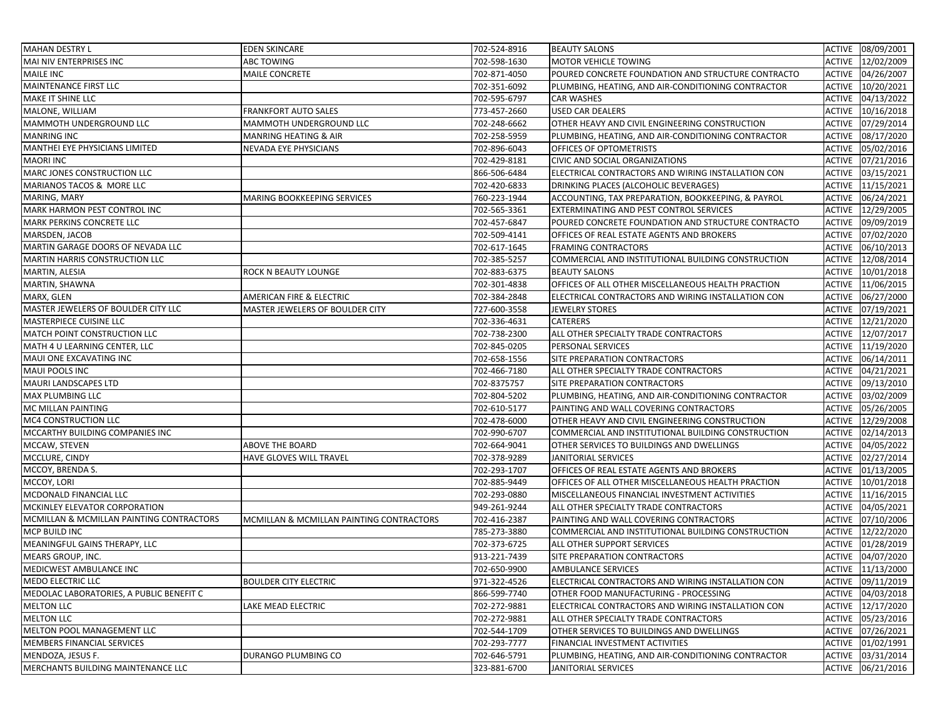| <b>MAHAN DESTRY L</b>                                         | <b>EDEN SKINCARE</b>                     | 702-524-8916                 | <b>BEAUTY SALONS</b>                                                                        |               | ACTIVE 08/09/2001                      |
|---------------------------------------------------------------|------------------------------------------|------------------------------|---------------------------------------------------------------------------------------------|---------------|----------------------------------------|
| MAI NIV ENTERPRISES INC                                       | <b>ABC TOWING</b>                        | 702-598-1630                 | MOTOR VEHICLE TOWING                                                                        | <b>ACTIVE</b> | 12/02/2009                             |
| MAILE INC                                                     | MAILE CONCRETE                           | 702-871-4050                 | POURED CONCRETE FOUNDATION AND STRUCTURE CONTRACTO                                          | ACTIVE        | 04/26/2007                             |
| MAINTENANCE FIRST LLC                                         |                                          | 702-351-6092                 | PLUMBING, HEATING, AND AIR-CONDITIONING CONTRACTOR                                          | ACTIVE        | 10/20/2021                             |
| MAKE IT SHINE LLC                                             |                                          | 702-595-6797                 | CAR WASHES                                                                                  | ACTIVE        | 04/13/2022                             |
| MALONE, WILLIAM                                               | <b>FRANKFORT AUTO SALES</b>              | 773-457-2660                 | <b>USED CAR DEALERS</b>                                                                     | <b>ACTIVE</b> | 10/16/2018                             |
| MAMMOTH UNDERGROUND LLC                                       | MAMMOTH UNDERGROUND LLC                  | 702-248-6662                 | OTHER HEAVY AND CIVIL ENGINEERING CONSTRUCTION                                              | <b>ACTIVE</b> | 07/29/2014                             |
| <b>MANRING INC</b>                                            | <b>MANRING HEATING &amp; AIR</b>         | 702-258-5959                 | PLUMBING, HEATING, AND AIR-CONDITIONING CONTRACTOR                                          | ACTIVE        | 08/17/2020                             |
| MANTHEI EYE PHYSICIANS LIMITED                                | NEVADA EYE PHYSICIANS                    | 702-896-6043                 | OFFICES OF OPTOMETRISTS                                                                     | ACTIVE        | 05/02/2016                             |
| <b>MAORI INC</b>                                              |                                          | 702-429-8181                 | CIVIC AND SOCIAL ORGANIZATIONS                                                              | <b>ACTIVE</b> | 07/21/2016                             |
| MARC JONES CONSTRUCTION LLC                                   |                                          | 866-506-6484                 | ELECTRICAL CONTRACTORS AND WIRING INSTALLATION CON                                          | <b>ACTIVE</b> | 03/15/2021                             |
| MARIANOS TACOS & MORE LLC                                     |                                          | 702-420-6833                 | DRINKING PLACES (ALCOHOLIC BEVERAGES)                                                       | <b>ACTIVE</b> | 11/15/2021                             |
| MARING, MARY                                                  | MARING BOOKKEEPING SERVICES              | 760-223-1944                 | ACCOUNTING, TAX PREPARATION, BOOKKEEPING, & PAYROL                                          | ACTIVE        | 06/24/2021                             |
| MARK HARMON PEST CONTROL INC                                  |                                          | 702-565-3361                 | EXTERMINATING AND PEST CONTROL SERVICES                                                     | <b>ACTIVE</b> | 12/29/2005                             |
| MARK PERKINS CONCRETE LLC                                     |                                          | 702-457-6847                 | POURED CONCRETE FOUNDATION AND STRUCTURE CONTRACTO                                          | <b>ACTIVE</b> | 09/09/2019                             |
| MARSDEN, JACOB                                                |                                          | 702-509-4141                 | OFFICES OF REAL ESTATE AGENTS AND BROKERS                                                   | <b>ACTIVE</b> | 07/02/2020                             |
| MARTIN GARAGE DOORS OF NEVADA LLC                             |                                          | 702-617-1645                 | <b>FRAMING CONTRACTORS</b>                                                                  | <b>ACTIVE</b> | 06/10/2013                             |
| MARTIN HARRIS CONSTRUCTION LLC                                |                                          | 702-385-5257                 | COMMERCIAL AND INSTITUTIONAL BUILDING CONSTRUCTION                                          | <b>ACTIVE</b> | 12/08/2014                             |
| MARTIN, ALESIA                                                | ROCK N BEAUTY LOUNGE                     | 702-883-6375                 | <b>BEAUTY SALONS</b>                                                                        | ACTIVE        | 10/01/2018                             |
| MARTIN, SHAWNA                                                |                                          | 702-301-4838                 | OFFICES OF ALL OTHER MISCELLANEOUS HEALTH PRACTION                                          | ACTIVE        | 11/06/2015                             |
| MARX, GLEN                                                    | AMERICAN FIRE & ELECTRIC                 | 702-384-2848                 | ELECTRICAL CONTRACTORS AND WIRING INSTALLATION CON                                          | ACTIVE        | 06/27/2000                             |
| MASTER JEWELERS OF BOULDER CITY LLC                           | MASTER JEWELERS OF BOULDER CITY          | 727-600-3558                 | <b>JEWELRY STORES</b>                                                                       | <b>ACTIVE</b> | 07/19/2021                             |
| MASTERPIECE CUISINE LLC                                       |                                          | 702-336-4631                 | <b>CATERERS</b>                                                                             | ACTIVE        | 12/21/2020                             |
| MATCH POINT CONSTRUCTION LLC                                  |                                          | 702-738-2300                 | ALL OTHER SPECIALTY TRADE CONTRACTORS                                                       | <b>ACTIVE</b> | 12/07/2017                             |
| MATH 4 U LEARNING CENTER, LLC                                 |                                          | 702-845-0205                 | PERSONAL SERVICES                                                                           | <b>ACTIVE</b> | 11/19/2020                             |
| MAUI ONE EXCAVATING INC                                       |                                          | 702-658-1556                 | SITE PREPARATION CONTRACTORS                                                                | <b>ACTIVE</b> | 06/14/2011                             |
| MAUI POOLS INC                                                |                                          | 702-466-7180                 | ALL OTHER SPECIALTY TRADE CONTRACTORS                                                       | ACTIVE        | 04/21/2021                             |
| MAURI LANDSCAPES LTD                                          |                                          | 702-8375757                  | SITE PREPARATION CONTRACTORS                                                                | ACTIVE        | 09/13/2010                             |
| MAX PLUMBING LLC                                              |                                          | 702-804-5202                 | PLUMBING, HEATING, AND AIR-CONDITIONING CONTRACTOR                                          | <b>ACTIVE</b> | 03/02/2009                             |
| MC MILLAN PAINTING                                            |                                          | 702-610-5177                 | PAINTING AND WALL COVERING CONTRACTORS                                                      | ACTIVE        | 05/26/2005                             |
| MC4 CONSTRUCTION LLC                                          |                                          | 702-478-6000                 | OTHER HEAVY AND CIVIL ENGINEERING CONSTRUCTION                                              | ACTIVE        | 12/29/2008                             |
| MCCARTHY BUILDING COMPANIES INC                               |                                          | 702-990-6707                 | COMMERCIAL AND INSTITUTIONAL BUILDING CONSTRUCTION                                          | ACTIVE        | 02/14/2013                             |
| MCCAW, STEVEN                                                 | <b>ABOVE THE BOARD</b>                   | 702-664-9041                 | OTHER SERVICES TO BUILDINGS AND DWELLINGS                                                   | <b>ACTIVE</b> | 04/05/2022                             |
| MCCLURE, CINDY                                                | HAVE GLOVES WILL TRAVEL                  | 702-378-9289                 | JANITORIAL SERVICES                                                                         | ACTIVE        | 02/27/2014                             |
| MCCOY, BRENDA S.                                              |                                          | 702-293-1707                 | OFFICES OF REAL ESTATE AGENTS AND BROKERS                                                   | <b>ACTIVE</b> | 01/13/2005                             |
| MCCOY, LORI                                                   |                                          | 702-885-9449                 | OFFICES OF ALL OTHER MISCELLANEOUS HEALTH PRACTION                                          | ACTIVE        | 10/01/2018                             |
| MCDONALD FINANCIAL LLC                                        |                                          | 702-293-0880                 | MISCELLANEOUS FINANCIAL INVESTMENT ACTIVITIES                                               | <b>ACTIVE</b> | 11/16/2015                             |
| MCKINLEY ELEVATOR CORPORATION                                 |                                          | 949-261-9244                 | ALL OTHER SPECIALTY TRADE CONTRACTORS                                                       | <b>ACTIVE</b> | 04/05/2021                             |
| MCMILLAN & MCMILLAN PAINTING CONTRACTORS                      | MCMILLAN & MCMILLAN PAINTING CONTRACTORS | 702-416-2387                 | PAINTING AND WALL COVERING CONTRACTORS                                                      | <b>ACTIVE</b> | 07/10/2006                             |
| MCP BUILD INC                                                 |                                          | 785-273-3880                 | COMMERCIAL AND INSTITUTIONAL BUILDING CONSTRUCTION                                          | ACTIVE        | 12/22/2020                             |
| MEANINGFUL GAINS THERAPY, LLC                                 |                                          | 702-373-6725                 | ALL OTHER SUPPORT SERVICES                                                                  | <b>ACTIVE</b> | 01/28/2019                             |
| MEARS GROUP, INC.                                             |                                          | 913-221-7439                 | SITE PREPARATION CONTRACTORS                                                                | ACTIVE        | 04/07/2020                             |
| MEDICWEST AMBULANCE INC                                       |                                          | 702-650-9900                 | AMBULANCE SERVICES                                                                          |               | ACTIVE 11/13/2000                      |
| <b>MEDO ELECTRIC LLC</b>                                      |                                          |                              |                                                                                             |               |                                        |
|                                                               | <b>BOULDER CITY ELECTRIC</b>             | 971-322-4526<br>866-599-7740 | ELECTRICAL CONTRACTORS AND WIRING INSTALLATION CON                                          |               | ACTIVE 09/11/2019<br>ACTIVE 04/03/2018 |
| MEDOLAC LABORATORIES, A PUBLIC BENEFIT C<br><b>MELTON LLC</b> | LAKE MEAD ELECTRIC                       | 702-272-9881                 | OTHER FOOD MANUFACTURING - PROCESSING<br>ELECTRICAL CONTRACTORS AND WIRING INSTALLATION CON |               |                                        |
|                                                               |                                          | 702-272-9881                 |                                                                                             |               | ACTIVE 12/17/2020                      |
| <b>MELTON LLC</b>                                             |                                          |                              | ALL OTHER SPECIALTY TRADE CONTRACTORS                                                       |               | ACTIVE 05/23/2016                      |
| MELTON POOL MANAGEMENT LLC                                    |                                          | 702-544-1709                 | OTHER SERVICES TO BUILDINGS AND DWELLINGS                                                   |               | ACTIVE 07/26/2021                      |
| MEMBERS FINANCIAL SERVICES                                    |                                          | 702-293-7777                 | FINANCIAL INVESTMENT ACTIVITIES                                                             | ACTIVE        | 01/02/1991                             |
| MENDOZA, JESUS F.                                             | DURANGO PLUMBING CO                      | 702-646-5791                 | PLUMBING, HEATING, AND AIR-CONDITIONING CONTRACTOR                                          | ACTIVE        | 03/31/2014                             |
| MERCHANTS BUILDING MAINTENANCE LLC                            |                                          | 323-881-6700                 | JANITORIAL SERVICES                                                                         |               | ACTIVE 06/21/2016                      |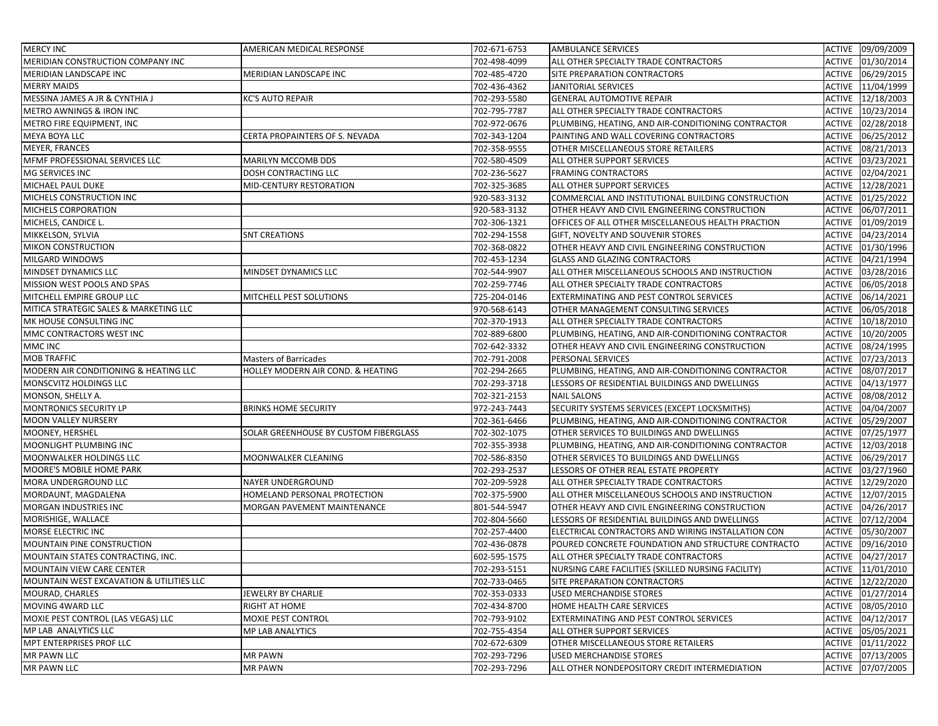| <b>MERCY INC</b>                         | <b>AMERICAN MEDICAL RESPONSE</b>      | 702-671-6753 | <b>AMBULANCE SERVICES</b>                          |               | ACTIVE 09/09/2009 |
|------------------------------------------|---------------------------------------|--------------|----------------------------------------------------|---------------|-------------------|
| MERIDIAN CONSTRUCTION COMPANY INC        |                                       | 702-498-4099 | ALL OTHER SPECIALTY TRADE CONTRACTORS              | ACTIVE        | 01/30/2014        |
| MERIDIAN LANDSCAPE INC                   | MERIDIAN LANDSCAPE INC                | 702-485-4720 | SITE PREPARATION CONTRACTORS                       | <b>ACTIVE</b> | 06/29/2015        |
| <b>MERRY MAIDS</b>                       |                                       | 702-436-4362 | JANITORIAL SERVICES                                | ACTIVE        | 11/04/1999        |
| MESSINA JAMES A JR & CYNTHIA J           | <b>KC'S AUTO REPAIR</b>               | 702-293-5580 | <b>GENERAL AUTOMOTIVE REPAIR</b>                   | <b>ACTIVE</b> | 12/18/2003        |
| METRO AWNINGS & IRON INC                 |                                       | 702-795-7787 | ALL OTHER SPECIALTY TRADE CONTRACTORS              | ACTIVE        | 10/23/2014        |
| METRO FIRE EQUIPMENT, INC                |                                       | 702-972-0676 | PLUMBING, HEATING, AND AIR-CONDITIONING CONTRACTOR | ACTIVE        | 02/28/2018        |
| MEYA BOYA LLC                            | CERTA PROPAINTERS OF S. NEVADA        | 702-343-1204 | PAINTING AND WALL COVERING CONTRACTORS             | ACTIVE        | 06/25/2012        |
| MEYER, FRANCES                           |                                       | 702-358-9555 | OTHER MISCELLANEOUS STORE RETAILERS                | ACTIVE        | 08/21/2013        |
| MFMF PROFESSIONAL SERVICES LLC           | MARILYN MCCOMB DDS                    | 702-580-4509 | ALL OTHER SUPPORT SERVICES                         | <b>ACTIVE</b> | 03/23/2021        |
| MG SERVICES INC                          | DOSH CONTRACTING LLC                  | 702-236-5627 | <b>FRAMING CONTRACTORS</b>                         | ACTIVE        | 02/04/2021        |
| MICHAEL PAUL DUKE                        | MID-CENTURY RESTORATION               | 702-325-3685 | ALL OTHER SUPPORT SERVICES                         | ACTIVE        | 12/28/2021        |
| MICHELS CONSTRUCTION INC                 |                                       | 920-583-3132 | COMMERCIAL AND INSTITUTIONAL BUILDING CONSTRUCTION | ACTIVE        | 01/25/2022        |
| MICHELS CORPORATION                      |                                       | 920-583-3132 | OTHER HEAVY AND CIVIL ENGINEERING CONSTRUCTION     | <b>ACTIVE</b> | 06/07/2011        |
| MICHELS, CANDICE L.                      |                                       | 702-306-1321 | OFFICES OF ALL OTHER MISCELLANEOUS HEALTH PRACTION | ACTIVE        | 01/09/2019        |
| MIKKELSON, SYLVIA                        | <b>SNT CREATIONS</b>                  | 702-294-1558 | GIFT, NOVELTY AND SOUVENIR STORES                  | ACTIVE        | 04/23/2014        |
| MIKON CONSTRUCTION                       |                                       | 702-368-0822 | OTHER HEAVY AND CIVIL ENGINEERING CONSTRUCTION     | ACTIVE        | 01/30/1996        |
| MILGARD WINDOWS                          |                                       | 702-453-1234 | <b>GLASS AND GLAZING CONTRACTORS</b>               | <b>ACTIVE</b> | 04/21/1994        |
| MINDSET DYNAMICS LLC                     | MINDSET DYNAMICS LLC                  | 702-544-9907 | ALL OTHER MISCELLANEOUS SCHOOLS AND INSTRUCTION    | ACTIVE        | 03/28/2016        |
| MISSION WEST POOLS AND SPAS              |                                       | 702-259-7746 | ALL OTHER SPECIALTY TRADE CONTRACTORS              | ACTIVE        | 06/05/2018        |
| MITCHELL EMPIRE GROUP LLC                | MITCHELL PEST SOLUTIONS               | 725-204-0146 | EXTERMINATING AND PEST CONTROL SERVICES            | ACTIVE        | 06/14/2021        |
| MITICA STRATEGIC SALES & MARKETING LLC   |                                       | 970-568-6143 | OTHER MANAGEMENT CONSULTING SERVICES               | <b>ACTIVE</b> | 06/05/2018        |
| MK HOUSE CONSULTING INC                  |                                       | 702-370-1913 | ALL OTHER SPECIALTY TRADE CONTRACTORS              | <b>ACTIVE</b> | 10/18/2010        |
| MMC CONTRACTORS WEST INC                 |                                       | 702-889-6800 | PLUMBING, HEATING, AND AIR-CONDITIONING CONTRACTOR | ACTIVE        | 10/20/2005        |
| MMC INC                                  |                                       | 702-642-3332 | OTHER HEAVY AND CIVIL ENGINEERING CONSTRUCTION     | ACTIVE        | 08/24/1995        |
| <b>MOB TRAFFIC</b>                       | <b>Masters of Barricades</b>          | 702-791-2008 | PERSONAL SERVICES                                  | <b>ACTIVE</b> | 07/23/2013        |
| MODERN AIR CONDITIONING & HEATING LLC    | HOLLEY MODERN AIR COND. & HEATING     | 702-294-2665 | PLUMBING, HEATING, AND AIR-CONDITIONING CONTRACTOR | ACTIVE        | 08/07/2017        |
| MONSCVITZ HOLDINGS LLC                   |                                       | 702-293-3718 | LESSORS OF RESIDENTIAL BUILDINGS AND DWELLINGS     | ACTIVE        | 04/13/1977        |
| MONSON, SHELLY A.                        |                                       | 702-321-2153 | <b>NAIL SALONS</b>                                 | ACTIVE        | 08/08/2012        |
| <b>MONTRONICS SECURITY LP</b>            | <b>BRINKS HOME SECURITY</b>           | 972-243-7443 | SECURITY SYSTEMS SERVICES (EXCEPT LOCKSMITHS)      | <b>ACTIVE</b> | 04/04/2007        |
| MOON VALLEY NURSERY                      |                                       | 702-361-6466 | PLUMBING, HEATING, AND AIR-CONDITIONING CONTRACTOR | ACTIVE        | 05/29/2007        |
| MOONEY, HERSHEL                          | SOLAR GREENHOUSE BY CUSTOM FIBERGLASS | 702-302-1075 | OTHER SERVICES TO BUILDINGS AND DWELLINGS          | ACTIVE        | 07/25/1977        |
| MOONLIGHT PLUMBING INC                   |                                       | 702-355-3938 | PLUMBING, HEATING, AND AIR-CONDITIONING CONTRACTOR | <b>ACTIVE</b> | 12/03/2018        |
| MOONWALKER HOLDINGS LLC                  | MOONWALKER CLEANING                   | 702-586-8350 | OTHER SERVICES TO BUILDINGS AND DWELLINGS          | <b>ACTIVE</b> | 06/29/2017        |
| MOORE'S MOBILE HOME PARK                 |                                       | 702-293-2537 | LESSORS OF OTHER REAL ESTATE PROPERTY              | ACTIVE        | 03/27/1960        |
| MORA UNDERGROUND LLC                     | <b>NAYER UNDERGROUND</b>              | 702-209-5928 | ALL OTHER SPECIALTY TRADE CONTRACTORS              | ACTIVE        | 12/29/2020        |
| MORDAUNT, MAGDALENA                      | HOMELAND PERSONAL PROTECTION          | 702-375-5900 | ALL OTHER MISCELLANEOUS SCHOOLS AND INSTRUCTION    | ACTIVE        | 12/07/2015        |
| MORGAN INDUSTRIES INC                    | MORGAN PAVEMENT MAINTENANCE           | 801-544-5947 | OTHER HEAVY AND CIVIL ENGINEERING CONSTRUCTION     | ACTIVE        | 04/26/2017        |
| MORISHIGE, WALLACE                       |                                       | 702-804-5660 | LESSORS OF RESIDENTIAL BUILDINGS AND DWELLINGS     | ACTIVE        | 07/12/2004        |
| MORSE ELECTRIC INC                       |                                       | 702-257-4400 | ELECTRICAL CONTRACTORS AND WIRING INSTALLATION CON | ACTIVE        | 05/30/2007        |
| MOUNTAIN PINE CONSTRUCTION               |                                       | 702-436-0878 | POURED CONCRETE FOUNDATION AND STRUCTURE CONTRACTO | <b>ACTIVE</b> | 09/16/2010        |
| MOUNTAIN STATES CONTRACTING, INC.        |                                       | 602-595-1575 | ALL OTHER SPECIALTY TRADE CONTRACTORS              | <b>ACTIVE</b> | 04/27/2017        |
| <b>MOUNTAIN VIEW CARE CENTER</b>         |                                       | 702-293-5151 | NURSING CARE FACILITIES (SKILLED NURSING FACILITY) |               | ACTIVE 11/01/2010 |
| MOUNTAIN WEST EXCAVATION & UTILITIES LLC |                                       | 702-733-0465 | SITE PREPARATION CONTRACTORS                       |               | ACTIVE 12/22/2020 |
|                                          |                                       | 702-353-0333 | <b>USED MERCHANDISE STORES</b>                     |               | ACTIVE 01/27/2014 |
| MOURAD, CHARLES<br>MOVING 4WARD LLC      | JEWELRY BY CHARLIE                    |              |                                                    |               |                   |
| MOXIE PEST CONTROL (LAS VEGAS) LLC       | RIGHT AT HOME                         | 702-434-8700 | HOME HEALTH CARE SERVICES                          |               | ACTIVE 08/05/2010 |
| MP LAB ANALYTICS LLC                     | MOXIE PEST CONTROL                    | 702-793-9102 | EXTERMINATING AND PEST CONTROL SERVICES            |               | ACTIVE 04/12/2017 |
|                                          | MP LAB ANALYTICS                      | 702-755-4354 | ALL OTHER SUPPORT SERVICES                         |               | ACTIVE 05/05/2021 |
| MPT ENTERPRISES PROF LLC                 |                                       | 702-672-6309 | OTHER MISCELLANEOUS STORE RETAILERS                |               | ACTIVE 01/11/2022 |
| MR PAWN LLC                              | <b>MR PAWN</b>                        | 702-293-7296 | <b>USED MERCHANDISE STORES</b>                     |               | ACTIVE 07/13/2005 |
| MR PAWN LLC                              | <b>MR PAWN</b>                        | 702-293-7296 | ALL OTHER NONDEPOSITORY CREDIT INTERMEDIATION      |               | ACTIVE 07/07/2005 |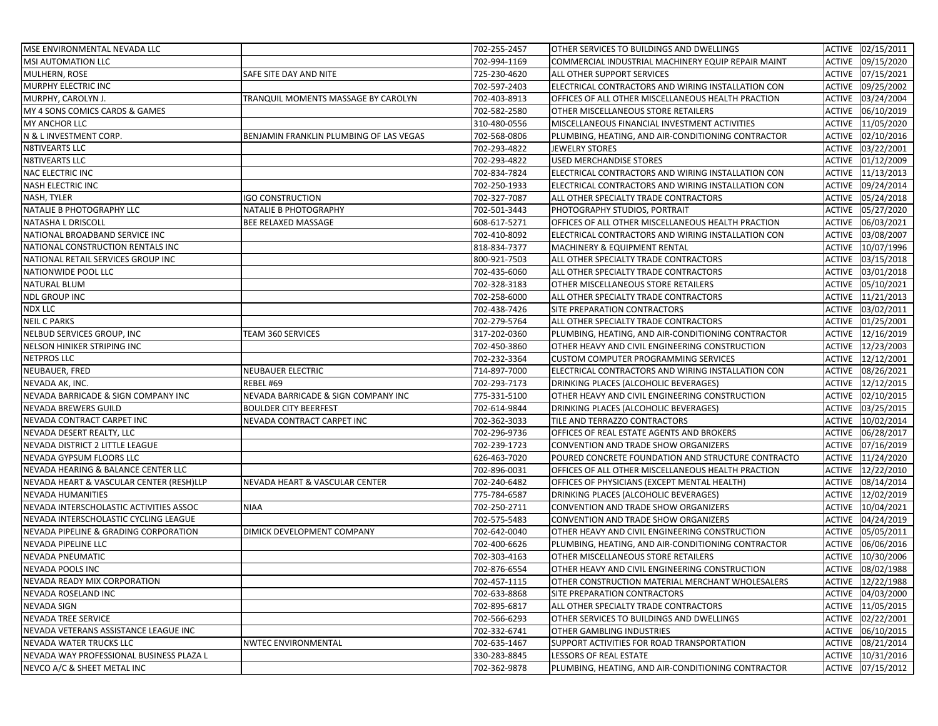| MSE ENVIRONMENTAL NEVADA LLC             |                                         | 702-255-2457 | OTHER SERVICES TO BUILDINGS AND DWELLINGS          | ACTIVE 02/15/2011           |
|------------------------------------------|-----------------------------------------|--------------|----------------------------------------------------|-----------------------------|
| MSI AUTOMATION LLC                       |                                         | 702-994-1169 | COMMERCIAL INDUSTRIAL MACHINERY EQUIP REPAIR MAINT | ACTIVE 09/15/2020           |
| MULHERN, ROSE                            | SAFE SITE DAY AND NITE                  | 725-230-4620 | <b>ALL OTHER SUPPORT SERVICES</b>                  | ACTIVE 07/15/2021           |
| MURPHY ELECTRIC INC                      |                                         | 702-597-2403 | ELECTRICAL CONTRACTORS AND WIRING INSTALLATION CON | <b>ACTIVE</b><br>09/25/2002 |
| MURPHY, CAROLYN J.                       | TRANQUIL MOMENTS MASSAGE BY CAROLYN     | 702-403-8913 | OFFICES OF ALL OTHER MISCELLANEOUS HEALTH PRACTION | ACTIVE 03/24/2004           |
| MY 4 SONS COMICS CARDS & GAMES           |                                         | 702-582-2580 | <b>OTHER MISCELLANEOUS STORE RETAILERS</b>         | 06/10/2019<br><b>ACTIVE</b> |
| MY ANCHOR LLC                            |                                         | 310-480-0556 | MISCELLANEOUS FINANCIAL INVESTMENT ACTIVITIES      | ACTIVE 11/05/2020           |
| N & L INVESTMENT CORP.                   | BENJAMIN FRANKLIN PLUMBING OF LAS VEGAS | 702-568-0806 | PLUMBING, HEATING, AND AIR-CONDITIONING CONTRACTOR | 02/10/2016<br>ACTIVE        |
| <b>N8TIVEARTS LLC</b>                    |                                         | 702-293-4822 | JEWELRY STORES                                     | ACTIVE 03/22/2001           |
| N8TIVEARTS LLC                           |                                         | 702-293-4822 | <b>USED MERCHANDISE STORES</b>                     | 01/12/2009<br><b>ACTIVE</b> |
| NAC ELECTRIC INC                         |                                         | 702-834-7824 | ELECTRICAL CONTRACTORS AND WIRING INSTALLATION CON | 11/13/2013<br><b>ACTIVE</b> |
| <b>NASH ELECTRIC INC</b>                 |                                         | 702-250-1933 | ELECTRICAL CONTRACTORS AND WIRING INSTALLATION CON | 09/24/2014<br><b>ACTIVE</b> |
| NASH, TYLER                              | <b>IGO CONSTRUCTION</b>                 | 702-327-7087 | ALL OTHER SPECIALTY TRADE CONTRACTORS              | 05/24/2018<br><b>ACTIVE</b> |
| NATALIE B PHOTOGRAPHY LLC                | NATALIE B PHOTOGRAPHY                   | 702-501-3443 | PHOTOGRAPHY STUDIOS, PORTRAIT                      | 05/27/2020<br><b>ACTIVE</b> |
| <b>NATASHA L DRISCOLL</b>                | BEE RELAXED MASSAGE                     | 608-617-5271 | OFFICES OF ALL OTHER MISCELLANEOUS HEALTH PRACTION | <b>ACTIVE</b><br>06/03/2021 |
| NATIONAL BROADBAND SERVICE INC           |                                         | 702-410-8092 | ELECTRICAL CONTRACTORS AND WIRING INSTALLATION CON | 03/08/2007<br><b>ACTIVE</b> |
| NATIONAL CONSTRUCTION RENTALS INC        |                                         | 818-834-7377 | MACHINERY & EQUIPMENT RENTAL                       | ACTIVE 10/07/1996           |
| NATIONAL RETAIL SERVICES GROUP INC       |                                         | 800-921-7503 | ALL OTHER SPECIALTY TRADE CONTRACTORS              | 03/15/2018<br><b>ACTIVE</b> |
| NATIONWIDE POOL LLC                      |                                         | 702-435-6060 | ALL OTHER SPECIALTY TRADE CONTRACTORS              | <b>ACTIVE</b><br>03/01/2018 |
| <b>NATURAL BLUM</b>                      |                                         | 702-328-3183 | OTHER MISCELLANEOUS STORE RETAILERS                | <b>ACTIVE</b><br>05/10/2021 |
| <b>NDL GROUP INC</b>                     |                                         | 702-258-6000 | ALL OTHER SPECIALTY TRADE CONTRACTORS              | ACTIVE 11/21/2013           |
| <b>NDX LLC</b>                           |                                         | 702-438-7426 | SITE PREPARATION CONTRACTORS                       | 03/02/2011<br><b>ACTIVE</b> |
| <b>NEIL C PARKS</b>                      |                                         | 702-279-5764 | ALL OTHER SPECIALTY TRADE CONTRACTORS              | <b>ACTIVE</b><br>01/25/2001 |
| NELBUD SERVICES GROUP, INC               | TEAM 360 SERVICES                       | 317-202-0360 | PLUMBING, HEATING, AND AIR-CONDITIONING CONTRACTOR | ACTIVE 12/16/2019           |
| NELSON HINIKER STRIPING INC              |                                         | 702-450-3860 | OTHER HEAVY AND CIVIL ENGINEERING CONSTRUCTION     | ACTIVE 12/23/2003           |
| <b>NETPROS LLC</b>                       |                                         | 702-232-3364 | <b>CUSTOM COMPUTER PROGRAMMING SERVICES</b>        | 12/12/2001<br><b>ACTIVE</b> |
| NEUBAUER, FRED                           | NEUBAUER ELECTRIC                       | 714-897-7000 | ELECTRICAL CONTRACTORS AND WIRING INSTALLATION CON | 08/26/2021<br><b>ACTIVE</b> |
| NEVADA AK, INC.                          | REBEL #69                               | 702-293-7173 | <b>DRINKING PLACES (ALCOHOLIC BEVERAGES)</b>       | ACTIVE 12/12/2015           |
| NEVADA BARRICADE & SIGN COMPANY INC      | NEVADA BARRICADE & SIGN COMPANY INC     | 775-331-5100 | OTHER HEAVY AND CIVIL ENGINEERING CONSTRUCTION     | ACTIVE 02/10/2015           |
| <b>NEVADA BREWERS GUILD</b>              | <b>BOULDER CITY BEERFEST</b>            | 702-614-9844 | DRINKING PLACES (ALCOHOLIC BEVERAGES)              | 03/25/2015<br><b>ACTIVE</b> |
| NEVADA CONTRACT CARPET INC               | NEVADA CONTRACT CARPET INC              | 702-362-3033 | TILE AND TERRAZZO CONTRACTORS                      | ACTIVE 10/02/2014           |
| NEVADA DESERT REALTY, LLC                |                                         | 702-296-9736 | OFFICES OF REAL ESTATE AGENTS AND BROKERS          | ACTIVE 06/28/2017           |
| NEVADA DISTRICT 2 LITTLE LEAGUE          |                                         | 702-239-1723 | CONVENTION AND TRADE SHOW ORGANIZERS               | 07/16/2019<br><b>ACTIVE</b> |
| NEVADA GYPSUM FLOORS LLC                 |                                         | 626-463-7020 | POURED CONCRETE FOUNDATION AND STRUCTURE CONTRACTO | ACTIVE 11/24/2020           |
| NEVADA HEARING & BALANCE CENTER LLC      |                                         | 702-896-0031 | OFFICES OF ALL OTHER MISCELLANEOUS HEALTH PRACTION | 12/22/2010<br>ACTIVE        |
| NEVADA HEART & VASCULAR CENTER (RESH)LLP | NEVADA HEART & VASCULAR CENTER          | 702-240-6482 | OFFICES OF PHYSICIANS (EXCEPT MENTAL HEALTH)       | <b>ACTIVE</b><br>08/14/2014 |
| NEVADA HUMANITIES                        |                                         | 775-784-6587 | DRINKING PLACES (ALCOHOLIC BEVERAGES)              | 12/02/2019<br><b>ACTIVE</b> |
| NEVADA INTERSCHOLASTIC ACTIVITIES ASSOC  | <b>NIAA</b>                             | 702-250-2711 | CONVENTION AND TRADE SHOW ORGANIZERS               | <b>ACTIVE</b><br>10/04/2021 |
| NEVADA INTERSCHOLASTIC CYCLING LEAGUE    |                                         | 702-575-5483 | CONVENTION AND TRADE SHOW ORGANIZERS               | 04/24/2019<br><b>ACTIVE</b> |
| NEVADA PIPELINE & GRADING CORPORATION    | DIMICK DEVELOPMENT COMPANY              | 702-642-0040 | OTHER HEAVY AND CIVIL ENGINEERING CONSTRUCTION     | 05/05/2011<br><b>ACTIVE</b> |
| NEVADA PIPELINE LLC                      |                                         | 702-400-6626 | PLUMBING, HEATING, AND AIR-CONDITIONING CONTRACTOR | 06/06/2016<br><b>ACTIVE</b> |
| NEVADA PNEUMATIC                         |                                         | 702-303-4163 | OTHER MISCELLANEOUS STORE RETAILERS                | <b>ACTIVE</b><br>10/30/2006 |
| NEVADA POOLS INC                         |                                         | 702-876-6554 | OTHER HEAVY AND CIVIL ENGINEERING CONSTRUCTION     | ACTIVE 08/02/1988           |
| NEVADA READY MIX CORPORATION             |                                         | 702-457-1115 | OTHER CONSTRUCTION MATERIAL MERCHANT WHOLESALERS   | ACTIVE 12/22/1988           |
| NEVADA ROSELAND INC                      |                                         | 702-633-8868 | SITE PREPARATION CONTRACTORS                       | ACTIVE 04/03/2000           |
| <b>NEVADA SIGN</b>                       |                                         | 702-895-6817 | ALL OTHER SPECIALTY TRADE CONTRACTORS              | ACTIVE 11/05/2015           |
| NEVADA TREE SERVICE                      |                                         | 702-566-6293 | OTHER SERVICES TO BUILDINGS AND DWELLINGS          | ACTIVE 02/22/2001           |
| NEVADA VETERANS ASSISTANCE LEAGUE INC    |                                         | 702-332-6741 | <b>OTHER GAMBLING INDUSTRIES</b>                   | ACTIVE 06/10/2015           |
| NEVADA WATER TRUCKS LLC                  | <b>NWTEC ENVIRONMENTAL</b>              | 702-635-1467 | SUPPORT ACTIVITIES FOR ROAD TRANSPORTATION         | ACTIVE 08/21/2014           |
| NEVADA WAY PROFESSIONAL BUSINESS PLAZA L |                                         | 330-283-8845 | LESSORS OF REAL ESTATE                             | ACTIVE 10/31/2016           |
| NEVCO A/C & SHEET METAL INC              |                                         | 702-362-9878 | PLUMBING, HEATING, AND AIR-CONDITIONING CONTRACTOR | ACTIVE 07/15/2012           |
|                                          |                                         |              |                                                    |                             |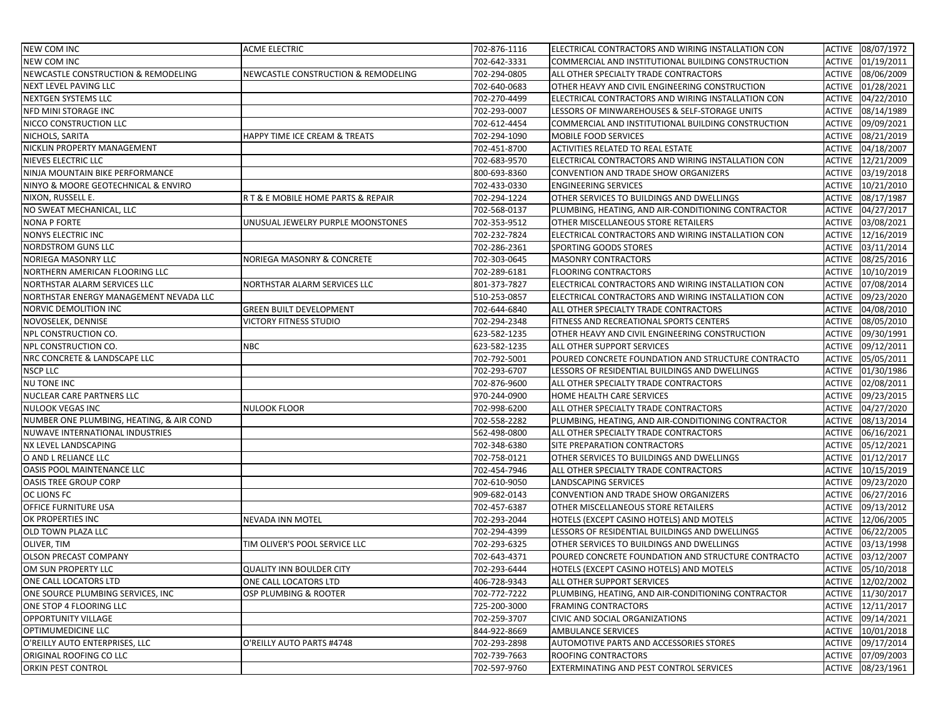| <b>NEW COM INC</b>                       | <b>ACME ELECTRIC</b>                | 702-876-1116                 | ELECTRICAL CONTRACTORS AND WIRING INSTALLATION CON                                                   | ACTIVE 08/07/1972           |
|------------------------------------------|-------------------------------------|------------------------------|------------------------------------------------------------------------------------------------------|-----------------------------|
| NEW COM INC                              |                                     | 702-642-3331                 | COMMERCIAL AND INSTITUTIONAL BUILDING CONSTRUCTION                                                   | ACTIVE 01/19/2011           |
| NEWCASTLE CONSTRUCTION & REMODELING      | NEWCASTLE CONSTRUCTION & REMODELING | 702-294-0805                 | ALL OTHER SPECIALTY TRADE CONTRACTORS                                                                | ACTIVE 08/06/2009           |
| NEXT LEVEL PAVING LLC                    |                                     |                              |                                                                                                      | <b>ACTIVE</b><br>01/28/2021 |
| NEXTGEN SYSTEMS LLC                      |                                     | 702-640-0683<br>702-270-4499 | OTHER HEAVY AND CIVIL ENGINEERING CONSTRUCTION<br>ELECTRICAL CONTRACTORS AND WIRING INSTALLATION CON | ACTIVE 04/22/2010           |
| NFD MINI STORAGE INC                     |                                     | 702-293-0007                 |                                                                                                      |                             |
|                                          |                                     |                              | LESSORS OF MINWAREHOUSES & SELF-STORAGE UNITS                                                        | ACTIVE 08/14/1989           |
| NICCO CONSTRUCTION LLC                   |                                     | 702-612-4454                 | COMMERCIAL AND INSTITUTIONAL BUILDING CONSTRUCTION                                                   | ACTIVE 09/09/2021           |
| NICHOLS, SARITA                          | HAPPY TIME ICE CREAM & TREATS       | 702-294-1090                 | MOBILE FOOD SERVICES                                                                                 | 08/21/2019<br>ACTIVE        |
| NICKLIN PROPERTY MANAGEMENT              |                                     | 702-451-8700                 | ACTIVITIES RELATED TO REAL ESTATE                                                                    | ACTIVE 04/18/2007           |
| NIEVES ELECTRIC LLC                      |                                     | 702-683-9570                 | ELECTRICAL CONTRACTORS AND WIRING INSTALLATION CON                                                   | ACTIVE 12/21/2009           |
| NINJA MOUNTAIN BIKE PERFORMANCE          |                                     | 800-693-8360                 | CONVENTION AND TRADE SHOW ORGANIZERS                                                                 | ACTIVE 03/19/2018           |
| NINYO & MOORE GEOTECHNICAL & ENVIRO      |                                     | 702-433-0330                 | <b>ENGINEERING SERVICES</b>                                                                          | ACTIVE 10/21/2010           |
| NIXON, RUSSELL E.                        | R T & E MOBILE HOME PARTS & REPAIR  | 702-294-1224                 | OTHER SERVICES TO BUILDINGS AND DWELLINGS                                                            | ACTIVE 08/17/1987           |
| NO SWEAT MECHANICAL, LLC                 |                                     | 702-568-0137                 | PLUMBING, HEATING, AND AIR-CONDITIONING CONTRACTOR                                                   | ACTIVE 04/27/2017           |
| NONA P FORTE                             | UNUSUAL JEWELRY PURPLE MOONSTONES   | 702-353-9512                 | OTHER MISCELLANEOUS STORE RETAILERS                                                                  | ACTIVE 03/08/2021           |
| NONYS ELECTRIC INC                       |                                     | 702-232-7824                 | ELECTRICAL CONTRACTORS AND WIRING INSTALLATION CON                                                   | ACTIVE 12/16/2019           |
| NORDSTROM GUNS LLC                       |                                     | 702-286-2361                 | SPORTING GOODS STORES                                                                                | ACTIVE 03/11/2014           |
| NORIEGA MASONRY LLC                      | NORIEGA MASONRY & CONCRETE          | 702-303-0645                 | <b>MASONRY CONTRACTORS</b>                                                                           | 08/25/2016<br><b>ACTIVE</b> |
| NORTHERN AMERICAN FLOORING LLC           |                                     | 702-289-6181                 | <b>FLOORING CONTRACTORS</b>                                                                          | 10/10/2019<br><b>ACTIVE</b> |
| NORTHSTAR ALARM SERVICES LLC             | NORTHSTAR ALARM SERVICES LLC        | 801-373-7827                 | ELECTRICAL CONTRACTORS AND WIRING INSTALLATION CON                                                   | 07/08/2014<br>ACTIVE        |
| NORTHSTAR ENERGY MANAGEMENT NEVADA LLC   |                                     | 510-253-0857                 | ELECTRICAL CONTRACTORS AND WIRING INSTALLATION CON                                                   | 09/23/2020<br><b>ACTIVE</b> |
| NORVIC DEMOLITION INC                    | <b>GREEN BUILT DEVELOPMENT</b>      | 702-644-6840                 | ALL OTHER SPECIALTY TRADE CONTRACTORS                                                                | ACTIVE 04/08/2010           |
| NOVOSELEK, DENNISE                       | VICTORY FITNESS STUDIO              | 702-294-2348                 | FITNESS AND RECREATIONAL SPORTS CENTERS                                                              | ACTIVE 08/05/2010           |
| NPL CONSTRUCTION CO.                     |                                     | 623-582-1235                 | OTHER HEAVY AND CIVIL ENGINEERING CONSTRUCTION                                                       | ACTIVE 09/30/1991           |
| NPL CONSTRUCTION CO.                     | NBC                                 | 623-582-1235                 | ALL OTHER SUPPORT SERVICES                                                                           | ACTIVE 09/12/2011           |
| NRC CONCRETE & LANDSCAPE LLC             |                                     | 702-792-5001                 | POURED CONCRETE FOUNDATION AND STRUCTURE CONTRACTO                                                   | 05/05/2011<br><b>ACTIVE</b> |
| <b>NSCP LLC</b>                          |                                     | 702-293-6707                 | LESSORS OF RESIDENTIAL BUILDINGS AND DWELLINGS                                                       | 01/30/1986<br>ACTIVE        |
| NU TONE INC                              |                                     | 702-876-9600                 | ALL OTHER SPECIALTY TRADE CONTRACTORS                                                                | ACTIVE 02/08/2011           |
| NUCLEAR CARE PARTNERS LLC                |                                     | 970-244-0900                 | HOME HEALTH CARE SERVICES                                                                            | ACTIVE 09/23/2015           |
| NULOOK VEGAS INC                         | NULOOK FLOOR                        | 702-998-6200                 | ALL OTHER SPECIALTY TRADE CONTRACTORS                                                                | ACTIVE 04/27/2020           |
| NUMBER ONE PLUMBING, HEATING, & AIR COND |                                     | 702-558-2282                 | PLUMBING, HEATING, AND AIR-CONDITIONING CONTRACTOR                                                   | ACTIVE 08/13/2014           |
| NUWAVE INTERNATIONAL INDUSTRIES          |                                     | 562-498-0800                 | ALL OTHER SPECIALTY TRADE CONTRACTORS                                                                | ACTIVE 06/16/2021           |
| NX LEVEL LANDSCAPING                     |                                     | 702-348-6380                 | SITE PREPARATION CONTRACTORS                                                                         | ACTIVE 05/12/2021           |
| O AND L RELIANCE LLC                     |                                     | 702-758-0121                 | OTHER SERVICES TO BUILDINGS AND DWELLINGS                                                            | ACTIVE 01/12/2017           |
| OASIS POOL MAINTENANCE LLC               |                                     | 702-454-7946                 | ALL OTHER SPECIALTY TRADE CONTRACTORS                                                                | ACTIVE 10/15/2019           |
| <b>OASIS TREE GROUP CORP</b>             |                                     | 702-610-9050                 | LANDSCAPING SERVICES                                                                                 | ACTIVE 09/23/2020           |
| OC LIONS FC                              |                                     | 909-682-0143                 | CONVENTION AND TRADE SHOW ORGANIZERS                                                                 | ACTIVE 06/27/2016           |
| OFFICE FURNITURE USA                     |                                     | 702-457-6387                 | OTHER MISCELLANEOUS STORE RETAILERS                                                                  | ACTIVE 09/13/2012           |
| OK PROPERTIES INC                        | <b>NEVADA INN MOTEL</b>             | 702-293-2044                 | HOTELS (EXCEPT CASINO HOTELS) AND MOTELS                                                             | ACTIVE 12/06/2005           |
| OLD TOWN PLAZA LLC                       |                                     | 702-294-4399                 | LESSORS OF RESIDENTIAL BUILDINGS AND DWELLINGS                                                       | ACTIVE 06/22/2005           |
| OLIVER, TIM                              | TIM OLIVER'S POOL SERVICE LLC       | 702-293-6325                 | OTHER SERVICES TO BUILDINGS AND DWELLINGS                                                            | ACTIVE 03/13/1998           |
| OLSON PRECAST COMPANY                    |                                     | 702-643-4371                 | POURED CONCRETE FOUNDATION AND STRUCTURE CONTRACTO                                                   | ACTIVE 03/12/2007           |
| OM SUN PROPERTY LLC                      | <b>QUALITY INN BOULDER CITY</b>     | 702-293-6444                 | HOTELS (EXCEPT CASINO HOTELS) AND MOTELS                                                             | ACTIVE 05/10/2018           |
| ONE CALL LOCATORS LTD                    | ONE CALL LOCATORS LTD               | 406-728-9343                 | ALL OTHER SUPPORT SERVICES                                                                           | ACTIVE 12/02/2002           |
| ONE SOURCE PLUMBING SERVICES, INC        | <b>OSP PLUMBING &amp; ROOTER</b>    | 702-772-7222                 | PLUMBING, HEATING, AND AIR-CONDITIONING CONTRACTOR                                                   | ACTIVE 11/30/2017           |
| ONE STOP 4 FLOORING LLC                  |                                     | 725-200-3000                 | <b>FRAMING CONTRACTORS</b>                                                                           | ACTIVE 12/11/2017           |
| OPPORTUNITY VILLAGE                      |                                     | 702-259-3707                 | CIVIC AND SOCIAL ORGANIZATIONS                                                                       | ACTIVE 09/14/2021           |
| OPTIMUMEDICINE LLC                       |                                     | 844-922-8669                 | <b>AMBULANCE SERVICES</b>                                                                            | ACTIVE 10/01/2018           |
| O'REILLY AUTO ENTERPRISES, LLC           | O'REILLY AUTO PARTS #4748           | 702-293-2898                 | AUTOMOTIVE PARTS AND ACCESSORIES STORES                                                              | ACTIVE 09/17/2014           |
| ORIGINAL ROOFING CO LLC                  |                                     |                              |                                                                                                      |                             |
|                                          |                                     | 702-739-7663                 | ROOFING CONTRACTORS                                                                                  | ACTIVE 07/09/2003           |
| ORKIN PEST CONTROL                       |                                     | 702-597-9760                 | EXTERMINATING AND PEST CONTROL SERVICES                                                              | ACTIVE 08/23/1961           |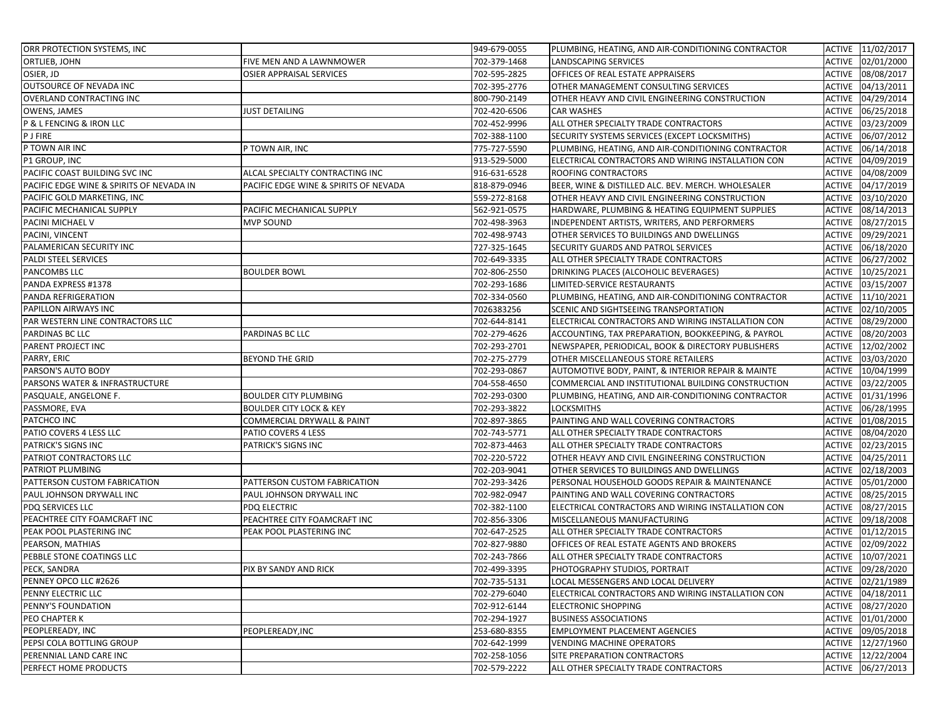| ORR PROTECTION SYSTEMS, INC              |                                       | 949-679-0055                 | PLUMBING, HEATING, AND AIR-CONDITIONING CONTRACTOR |               | ACTIVE 11/02/2017        |
|------------------------------------------|---------------------------------------|------------------------------|----------------------------------------------------|---------------|--------------------------|
| ORTLIEB, JOHN                            | FIVE MEN AND A LAWNMOWER              | 702-379-1468                 | LANDSCAPING SERVICES                               | <b>ACTIVE</b> | 02/01/2000               |
| OSIER, JD                                | OSIER APPRAISAL SERVICES              | 702-595-2825                 | OFFICES OF REAL ESTATE APPRAISERS                  | ACTIVE        | 08/08/2017               |
| OUTSOURCE OF NEVADA INC                  |                                       | 702-395-2776                 | OTHER MANAGEMENT CONSULTING SERVICES               | ACTIVE        | 04/13/2011               |
| OVERLAND CONTRACTING INC                 |                                       | 800-790-2149                 | OTHER HEAVY AND CIVIL ENGINEERING CONSTRUCTION     | ACTIVE        | 04/29/2014               |
| OWENS, JAMES                             | <b>JUST DETAILING</b>                 | 702-420-6506                 | <b>CAR WASHES</b>                                  | ACTIVE        | 06/25/2018               |
| P & L FENCING & IRON LLC                 |                                       | 702-452-9996                 | ALL OTHER SPECIALTY TRADE CONTRACTORS              | <b>ACTIVE</b> | 03/23/2009               |
| <b>P J FIRE</b>                          |                                       | 702-388-1100                 | SECURITY SYSTEMS SERVICES (EXCEPT LOCKSMITHS)      | ACTIVE        | 06/07/2012               |
| P TOWN AIR INC                           | P TOWN AIR, INC                       | 775-727-5590                 | PLUMBING, HEATING, AND AIR-CONDITIONING CONTRACTOR | ACTIVE        | 06/14/2018               |
| P1 GROUP, INC                            |                                       | 913-529-5000                 | ELECTRICAL CONTRACTORS AND WIRING INSTALLATION CON | <b>ACTIVE</b> | 04/09/2019               |
| PACIFIC COAST BUILDING SVC INC           | ALCAL SPECIALTY CONTRACTING INC       | 916-631-6528                 | ROOFING CONTRACTORS                                | ACTIVE        | 04/08/2009               |
| PACIFIC EDGE WINE & SPIRITS OF NEVADA IN | PACIFIC EDGE WINE & SPIRITS OF NEVADA | 818-879-0946                 | BEER, WINE & DISTILLED ALC. BEV. MERCH. WHOLESALER | ACTIVE        | 04/17/2019               |
| PACIFIC GOLD MARKETING, INC              |                                       | 559-272-8168                 | OTHER HEAVY AND CIVIL ENGINEERING CONSTRUCTION     | ACTIVE        | 03/10/2020               |
| PACIFIC MECHANICAL SUPPLY                | PACIFIC MECHANICAL SUPPLY             | 562-921-0575                 | HARDWARE, PLUMBING & HEATING EQUIPMENT SUPPLIES    | <b>ACTIVE</b> | 08/14/2013               |
| PACINI MICHAEL V                         | <b>MVP SOUND</b>                      | 702-498-3963                 | INDEPENDENT ARTISTS, WRITERS, AND PERFORMERS       | <b>ACTIVE</b> | 08/27/2015               |
| PACINI, VINCENT                          |                                       | 702-498-9743                 | OTHER SERVICES TO BUILDINGS AND DWELLINGS          | ACTIVE        | 09/29/2021               |
| PALAMERICAN SECURITY INC                 |                                       | 727-325-1645                 | SECURITY GUARDS AND PATROL SERVICES                | ACTIVE        | 06/18/2020               |
| PALDI STEEL SERVICES                     |                                       | 702-649-3335                 | ALL OTHER SPECIALTY TRADE CONTRACTORS              | <b>ACTIVE</b> | 06/27/2002               |
| PANCOMBS LLC                             | <b>BOULDER BOWL</b>                   | 702-806-2550                 | DRINKING PLACES (ALCOHOLIC BEVERAGES)              | ACTIVE        | 10/25/2021               |
| PANDA EXPRESS #1378                      |                                       | 702-293-1686                 | LIMITED-SERVICE RESTAURANTS                        | <b>ACTIVE</b> | 03/15/2007               |
| PANDA REFRIGERATION                      |                                       | 702-334-0560                 | PLUMBING, HEATING, AND AIR-CONDITIONING CONTRACTOR | ACTIVE        | 11/10/2021               |
| PAPILLON AIRWAYS INC                     |                                       | 7026383256                   | SCENIC AND SIGHTSEEING TRANSPORTATION              | <b>ACTIVE</b> | 02/10/2005               |
| PAR WESTERN LINE CONTRACTORS LLC         |                                       | 702-644-8141                 | ELECTRICAL CONTRACTORS AND WIRING INSTALLATION CON | ACTIVE        | 08/29/2000               |
| PARDINAS BC LLC                          | PARDINAS BC LLC                       | 702-279-4626                 | ACCOUNTING, TAX PREPARATION, BOOKKEEPING, & PAYROL | ACTIVE        | 08/20/2003               |
| PARENT PROJECT INC                       |                                       | 702-293-2701                 | NEWSPAPER, PERIODICAL, BOOK & DIRECTORY PUBLISHERS | ACTIVE        | 12/02/2002               |
| PARRY, ERIC                              | <b>BEYOND THE GRID</b>                | 702-275-2779                 | OTHER MISCELLANEOUS STORE RETAILERS                | <b>ACTIVE</b> | 03/03/2020               |
| PARSON'S AUTO BODY                       |                                       | 702-293-0867                 | AUTOMOTIVE BODY, PAINT, & INTERIOR REPAIR & MAINTE | ACTIVE        | 10/04/1999               |
| PARSONS WATER & INFRASTRUCTURE           |                                       |                              | COMMERCIAL AND INSTITUTIONAL BUILDING CONSTRUCTION |               |                          |
|                                          |                                       | 704-558-4650                 |                                                    | ACTIVE        | 03/22/2005               |
| PASQUALE, ANGELONE F.                    | <b>BOULDER CITY PLUMBING</b>          | 702-293-0300<br>702-293-3822 | PLUMBING, HEATING, AND AIR-CONDITIONING CONTRACTOR | <b>ACTIVE</b> | 01/31/1996<br>06/28/1995 |
| PASSMORE, EVA                            | <b>BOULDER CITY LOCK &amp; KEY</b>    |                              | <b>LOCKSMITHS</b>                                  | <b>ACTIVE</b> |                          |
| PATCHCO INC                              | COMMERCIAL DRYWALL & PAINT            | 702-897-3865                 | PAINTING AND WALL COVERING CONTRACTORS             | ACTIVE        | 01/08/2015               |
| PATIO COVERS 4 LESS LLC                  | PATIO COVERS 4 LESS                   | 702-743-5771                 | ALL OTHER SPECIALTY TRADE CONTRACTORS              | ACTIVE        | 08/04/2020               |
| PATRICK'S SIGNS INC                      | PATRICK'S SIGNS INC                   | 702-873-4463                 | ALL OTHER SPECIALTY TRADE CONTRACTORS              | ACTIVE        | 02/23/2015               |
| PATRIOT CONTRACTORS LLC                  |                                       | 702-220-5722                 | OTHER HEAVY AND CIVIL ENGINEERING CONSTRUCTION     | ACTIVE        | 04/25/2011               |
| PATRIOT PLUMBING                         |                                       | 702-203-9041                 | OTHER SERVICES TO BUILDINGS AND DWELLINGS          | ACTIVE        | 02/18/2003               |
| PATTERSON CUSTOM FABRICATION             | PATTERSON CUSTOM FABRICATION          | 702-293-3426                 | PERSONAL HOUSEHOLD GOODS REPAIR & MAINTENANCE      | ACTIVE        | 05/01/2000               |
| PAUL JOHNSON DRYWALL INC                 | PAUL JOHNSON DRYWALL INC              | 702-982-0947                 | PAINTING AND WALL COVERING CONTRACTORS             | <b>ACTIVE</b> | 08/25/2015               |
| PDQ SERVICES LLC                         | PDQ ELECTRIC                          | 702-382-1100                 | ELECTRICAL CONTRACTORS AND WIRING INSTALLATION CON | <b>ACTIVE</b> | 08/27/2015               |
| PEACHTREE CITY FOAMCRAFT INC             | PEACHTREE CITY FOAMCRAFT INC          | 702-856-3306                 | MISCELLANEOUS MANUFACTURING                        | ACTIVE        | 09/18/2008               |
| PEAK POOL PLASTERING INC                 | PEAK POOL PLASTERING INC              | 702-647-2525                 | ALL OTHER SPECIALTY TRADE CONTRACTORS              | ACTIVE        | 01/12/2015               |
| PEARSON, MATHIAS                         |                                       | 702-827-9880                 | OFFICES OF REAL ESTATE AGENTS AND BROKERS          | <b>ACTIVE</b> | 02/09/2022               |
| PEBBLE STONE COATINGS LLC                |                                       | 702-243-7866                 | ALL OTHER SPECIALTY TRADE CONTRACTORS              | ACTIVE        | 10/07/2021               |
| PECK, SANDRA                             | <b>PIX BY SANDY AND RICK</b>          | 702-499-3395                 | PHOTOGRAPHY STUDIOS, PORTRAIT                      |               | ACTIVE 09/28/2020        |
| PENNEY OPCO LLC #2626                    |                                       | 702-735-5131                 | LOCAL MESSENGERS AND LOCAL DELIVERY                |               | ACTIVE 02/21/1989        |
| PENNY ELECTRIC LLC                       |                                       | 702-279-6040                 | ELECTRICAL CONTRACTORS AND WIRING INSTALLATION CON |               | ACTIVE 04/18/2011        |
| PENNY'S FOUNDATION                       |                                       | 702-912-6144                 | <b>ELECTRONIC SHOPPING</b>                         |               | ACTIVE 08/27/2020        |
| PEO CHAPTER K                            |                                       | 702-294-1927                 | <b>BUSINESS ASSOCIATIONS</b>                       |               | ACTIVE 01/01/2000        |
| PEOPLEREADY, INC                         | PEOPLEREADY, INC                      | 253-680-8355                 | <b>EMPLOYMENT PLACEMENT AGENCIES</b>               |               | ACTIVE 09/05/2018        |
| PEPSI COLA BOTTLING GROUP                |                                       | 702-642-1999                 | <b>VENDING MACHINE OPERATORS</b>                   |               | ACTIVE 12/27/1960        |
| PERENNIAL LAND CARE INC                  |                                       | 702-258-1056                 | SITE PREPARATION CONTRACTORS                       |               | ACTIVE 12/22/2004        |
| PERFECT HOME PRODUCTS                    |                                       | 702-579-2222                 | ALL OTHER SPECIALTY TRADE CONTRACTORS              |               | ACTIVE 06/27/2013        |
|                                          |                                       |                              |                                                    |               |                          |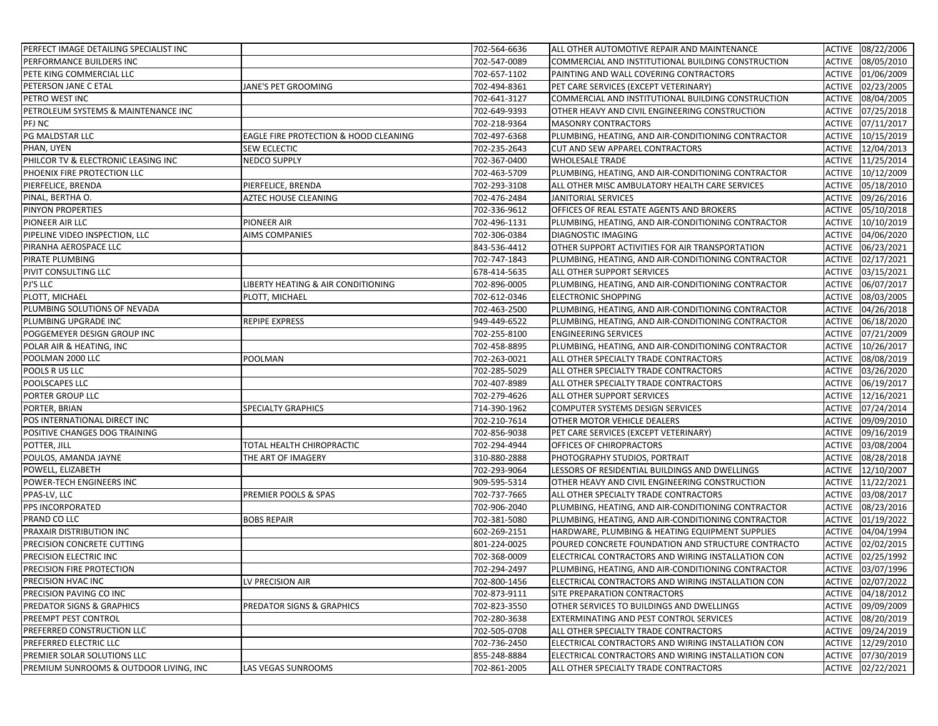| PERFECT IMAGE DETAILING SPECIALIST INC |                                       | 702-564-6636 | ALL OTHER AUTOMOTIVE REPAIR AND MAINTENANCE        |               | ACTIVE 08/22/2006 |
|----------------------------------------|---------------------------------------|--------------|----------------------------------------------------|---------------|-------------------|
| PERFORMANCE BUILDERS INC               |                                       | 702-547-0089 | COMMERCIAL AND INSTITUTIONAL BUILDING CONSTRUCTION | <b>ACTIVE</b> | 08/05/2010        |
| PETE KING COMMERCIAL LLC               |                                       | 702-657-1102 | PAINTING AND WALL COVERING CONTRACTORS             | <b>ACTIVE</b> | 01/06/2009        |
| PETERSON JANE C ETAL                   | JANE'S PET GROOMING                   | 702-494-8361 | PET CARE SERVICES (EXCEPT VETERINARY)              | ACTIVE        | 02/23/2005        |
| PETRO WEST INC                         |                                       | 702-641-3127 | COMMERCIAL AND INSTITUTIONAL BUILDING CONSTRUCTION | ACTIVE        | 08/04/2005        |
| PETROLEUM SYSTEMS & MAINTENANCE INC    |                                       | 702-649-9393 | OTHER HEAVY AND CIVIL ENGINEERING CONSTRUCTION     | <b>ACTIVE</b> | 07/25/2018        |
| PFJ NC                                 |                                       | 702-218-9364 | <b>MASONRY CONTRACTORS</b>                         | ACTIVE        | 07/11/2017        |
| PG MALDSTAR LLC                        | EAGLE FIRE PROTECTION & HOOD CLEANING | 702-497-6368 | PLUMBING, HEATING, AND AIR-CONDITIONING CONTRACTOR | <b>ACTIVE</b> | 10/15/2019        |
| PHAN, UYEN                             | <b>SEW ECLECTIC</b>                   | 702-235-2643 | CUT AND SEW APPAREL CONTRACTORS                    | ACTIVE        | 12/04/2013        |
| PHILCOR TV & ELECTRONIC LEASING INC    | NEDCO SUPPLY                          | 702-367-0400 | <b>WHOLESALE TRADE</b>                             | <b>ACTIVE</b> | 11/25/2014        |
| PHOENIX FIRE PROTECTION LLC            |                                       | 702-463-5709 | PLUMBING, HEATING, AND AIR-CONDITIONING CONTRACTOR | ACTIVE        | 10/12/2009        |
| PIERFELICE, BRENDA                     | PIERFELICE, BRENDA                    | 702-293-3108 | ALL OTHER MISC AMBULATORY HEALTH CARE SERVICES     | <b>ACTIVE</b> | 05/18/2010        |
| PINAL, BERTHA O.                       | <b>AZTEC HOUSE CLEANING</b>           | 702-476-2484 | JANITORIAL SERVICES                                | <b>ACTIVE</b> | 09/26/2016        |
| PINYON PROPERTIES                      |                                       | 702-336-9612 | OFFICES OF REAL ESTATE AGENTS AND BROKERS          | <b>ACTIVE</b> | 05/10/2018        |
| PIONEER AIR LLC                        | <b>PIONEER AIR</b>                    | 702-496-1131 | PLUMBING, HEATING, AND AIR-CONDITIONING CONTRACTOR | <b>ACTIVE</b> | 10/10/2019        |
| PIPELINE VIDEO INSPECTION, LLC         | AIMS COMPANIES                        | 702-306-0384 | DIAGNOSTIC IMAGING                                 | <b>ACTIVE</b> | 04/06/2020        |
| PIRANHA AEROSPACE LLC                  |                                       | 843-536-4412 | OTHER SUPPORT ACTIVITIES FOR AIR TRANSPORTATION    | <b>ACTIVE</b> | 06/23/2021        |
| PIRATE PLUMBING                        |                                       | 702-747-1843 | PLUMBING, HEATING, AND AIR-CONDITIONING CONTRACTOR | <b>ACTIVE</b> | 02/17/2021        |
| PIVIT CONSULTING LLC                   |                                       | 678-414-5635 | ALL OTHER SUPPORT SERVICES                         | ACTIVE        | 03/15/2021        |
| PJ'S LLC                               | LIBERTY HEATING & AIR CONDITIONING    | 702-896-0005 | PLUMBING, HEATING, AND AIR-CONDITIONING CONTRACTOR | <b>ACTIVE</b> | 06/07/2017        |
| PLOTT, MICHAEL                         | PLOTT, MICHAEL                        | 702-612-0346 | <b>ELECTRONIC SHOPPING</b>                         | <b>ACTIVE</b> | 08/03/2005        |
| PLUMBING SOLUTIONS OF NEVADA           |                                       | 702-463-2500 | PLUMBING, HEATING, AND AIR-CONDITIONING CONTRACTOR | <b>ACTIVE</b> | 04/26/2018        |
| PLUMBING UPGRADE INC                   | <b>REPIPE EXPRESS</b>                 | 949-449-6522 | PLUMBING, HEATING, AND AIR-CONDITIONING CONTRACTOR | ACTIVE        | 06/18/2020        |
| POGGEMEYER DESIGN GROUP INC            |                                       | 702-255-8100 | ENGINEERING SERVICES                               | ACTIVE        | 07/21/2009        |
| POLAR AIR & HEATING, INC               |                                       | 702-458-8895 | PLUMBING, HEATING, AND AIR-CONDITIONING CONTRACTOR | <b>ACTIVE</b> | 10/26/2017        |
| POOLMAN 2000 LLC                       | <b>POOLMAN</b>                        | 702-263-0021 | ALL OTHER SPECIALTY TRADE CONTRACTORS              | <b>ACTIVE</b> | 08/08/2019        |
| POOLS R US LLC                         |                                       | 702-285-5029 | ALL OTHER SPECIALTY TRADE CONTRACTORS              | <b>ACTIVE</b> | 03/26/2020        |
| POOLSCAPES LLC                         |                                       | 702-407-8989 | ALL OTHER SPECIALTY TRADE CONTRACTORS              | <b>ACTIVE</b> | 06/19/2017        |
| PORTER GROUP LLC                       |                                       | 702-279-4626 | ALL OTHER SUPPORT SERVICES                         | ACTIVE        | 12/16/2021        |
| PORTER, BRIAN                          | <b>SPECIALTY GRAPHICS</b>             | 714-390-1962 | COMPUTER SYSTEMS DESIGN SERVICES                   | ACTIVE        | 07/24/2014        |
| POS INTERNATIONAL DIRECT INC           |                                       | 702-210-7614 | OTHER MOTOR VEHICLE DEALERS                        | ACTIVE        | 09/09/2010        |
| POSITIVE CHANGES DOG TRAINING          |                                       | 702-856-9038 | PET CARE SERVICES (EXCEPT VETERINARY)              | ACTIVE        | 09/16/2019        |
| POTTER, JILL                           | TOTAL HEALTH CHIROPRACTIC             | 702-294-4944 | OFFICES OF CHIROPRACTORS                           | <b>ACTIVE</b> | 03/08/2004        |
| POULOS, AMANDA JAYNE                   | THE ART OF IMAGERY                    | 310-880-2888 | PHOTOGRAPHY STUDIOS, PORTRAIT                      | ACTIVE        | 08/28/2018        |
| POWELL, ELIZABETH                      |                                       | 702-293-9064 | LESSORS OF RESIDENTIAL BUILDINGS AND DWELLINGS     | ACTIVE        | 12/10/2007        |
| POWER-TECH ENGINEERS INC               |                                       | 909-595-5314 | OTHER HEAVY AND CIVIL ENGINEERING CONSTRUCTION     | <b>ACTIVE</b> | 11/22/2021        |
| PPAS-LV, LLC                           | PREMIER POOLS & SPAS                  | 702-737-7665 | ALL OTHER SPECIALTY TRADE CONTRACTORS              | <b>ACTIVE</b> | 03/08/2017        |
| PPS INCORPORATED                       |                                       | 702-906-2040 | PLUMBING, HEATING, AND AIR-CONDITIONING CONTRACTOR | <b>ACTIVE</b> | 08/23/2016        |
| PRAND CO LLC                           | <b>BOBS REPAIR</b>                    | 702-381-5080 | PLUMBING, HEATING, AND AIR-CONDITIONING CONTRACTOR | <b>ACTIVE</b> | 01/19/2022        |
| PRAXAIR DISTRIBUTION INC               |                                       | 602-269-2151 | HARDWARE, PLUMBING & HEATING EQUIPMENT SUPPLIES    | <b>ACTIVE</b> | 04/04/1994        |
| PRECISION CONCRETE CUTTING             |                                       | 801-224-0025 | POURED CONCRETE FOUNDATION AND STRUCTURE CONTRACTO | <b>ACTIVE</b> | 02/02/2015        |
| PRECISION ELECTRIC INC                 |                                       | 702-368-0009 | ELECTRICAL CONTRACTORS AND WIRING INSTALLATION CON | ACTIVE        | 02/25/1992        |
| PRECISION FIRE PROTECTION              |                                       | 702-294-2497 | PLUMBING, HEATING, AND AIR-CONDITIONING CONTRACTOR |               | ACTIVE 03/07/1996 |
| PRECISION HVAC INC                     | LV PRECISION AIR                      | 702-800-1456 | ELECTRICAL CONTRACTORS AND WIRING INSTALLATION CON |               | ACTIVE 02/07/2022 |
| PRECISION PAVING CO INC                |                                       | 702-873-9111 | SITE PREPARATION CONTRACTORS                       | <b>ACTIVE</b> | 04/18/2012        |
| PREDATOR SIGNS & GRAPHICS              | PREDATOR SIGNS & GRAPHICS             | 702-823-3550 | OTHER SERVICES TO BUILDINGS AND DWELLINGS          |               | ACTIVE 09/09/2009 |
| PREEMPT PEST CONTROL                   |                                       | 702-280-3638 | EXTERMINATING AND PEST CONTROL SERVICES            |               | ACTIVE 08/20/2019 |
| PREFERRED CONSTRUCTION LLC             |                                       | 702-505-0708 | ALL OTHER SPECIALTY TRADE CONTRACTORS              | <b>ACTIVE</b> | 09/24/2019        |
| PREFERRED ELECTRIC LLC                 |                                       | 702-736-2450 | ELECTRICAL CONTRACTORS AND WIRING INSTALLATION CON |               | ACTIVE 12/29/2010 |
| PREMIER SOLAR SOLUTIONS LLC            |                                       | 855-248-8884 | ELECTRICAL CONTRACTORS AND WIRING INSTALLATION CON | ACTIVE        | 07/30/2019        |
| PREMIUM SUNROOMS & OUTDOOR LIVING, INC | LAS VEGAS SUNROOMS                    | 702-861-2005 | ALL OTHER SPECIALTY TRADE CONTRACTORS              |               | ACTIVE 02/22/2021 |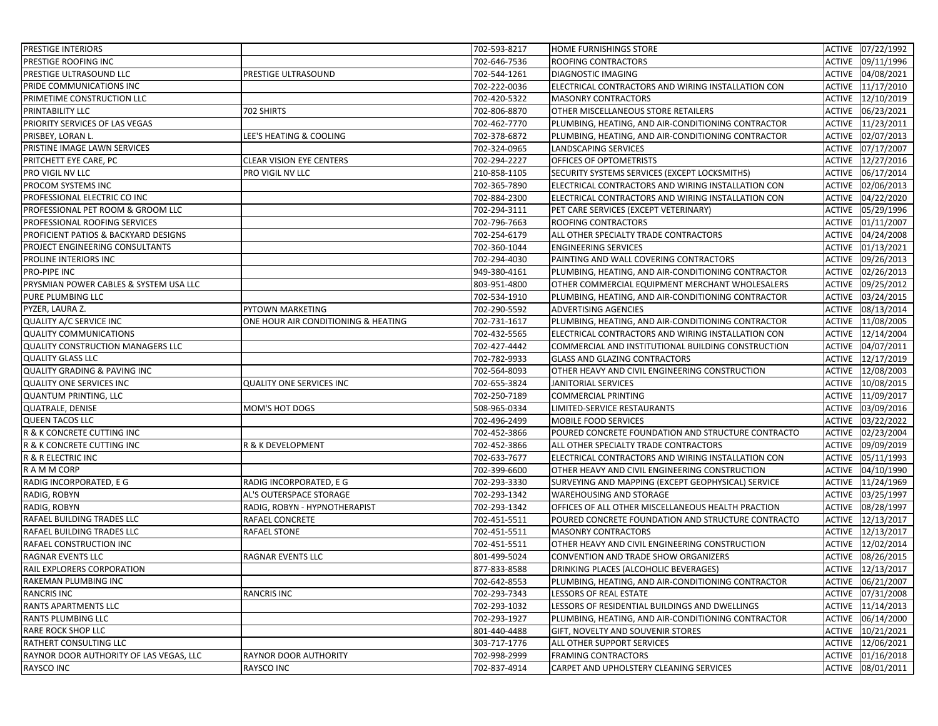| <b>PRESTIGE INTERIORS</b>                |                                     | 702-593-8217 | <b>HOME FURNISHINGS STORE</b>                      |                  | ACTIVE 07/22/1992 |
|------------------------------------------|-------------------------------------|--------------|----------------------------------------------------|------------------|-------------------|
| PRESTIGE ROOFING INC                     |                                     | 702-646-7536 | ROOFING CONTRACTORS                                | ACTIVE           | 09/11/1996        |
| PRESTIGE ULTRASOUND LLC                  | PRESTIGE ULTRASOUND                 | 702-544-1261 | <b>DIAGNOSTIC IMAGING</b>                          | ACTIVE           | 04/08/2021        |
| PRIDE COMMUNICATIONS INC                 |                                     | 702-222-0036 | ELECTRICAL CONTRACTORS AND WIRING INSTALLATION CON | ACTIVE           | 11/17/2010        |
| PRIMETIME CONSTRUCTION LLC               |                                     | 702-420-5322 | <b>MASONRY CONTRACTORS</b>                         | ACTIVE           | 12/10/2019        |
| PRINTABILITY LLC                         | 702 SHIRTS                          | 702-806-8870 | <b>OTHER MISCELLANEOUS STORE RETAILERS</b>         | ACTIVE           | 06/23/2021        |
| PRIORITY SERVICES OF LAS VEGAS           |                                     | 702-462-7770 | PLUMBING, HEATING, AND AIR-CONDITIONING CONTRACTOR | ACTIVE           | 11/23/2011        |
| PRISBEY, LORAN L.                        | LEE'S HEATING & COOLING             | 702-378-6872 | PLUMBING, HEATING, AND AIR-CONDITIONING CONTRACTOR | ACTIVE           | 02/07/2013        |
| PRISTINE IMAGE LAWN SERVICES             |                                     | 702-324-0965 | <b>LANDSCAPING SERVICES</b>                        | ACTIVE           | 07/17/2007        |
| PRITCHETT EYE CARE, PC                   | <b>CLEAR VISION EYE CENTERS</b>     | 702-294-2227 | <b>OFFICES OF OPTOMETRISTS</b>                     | ACTIVE           | 12/27/2016        |
| PRO VIGIL NV LLC                         | PRO VIGIL NV LLC                    | 210-858-1105 | SECURITY SYSTEMS SERVICES (EXCEPT LOCKSMITHS)      | ACTIVE           | 06/17/2014        |
| PROCOM SYSTEMS INC                       |                                     | 702-365-7890 | ELECTRICAL CONTRACTORS AND WIRING INSTALLATION CON | ACTIVE           | 02/06/2013        |
| PROFESSIONAL ELECTRIC CO INC             |                                     | 702-884-2300 | ELECTRICAL CONTRACTORS AND WIRING INSTALLATION CON | ACTIVE           | 04/22/2020        |
| PROFESSIONAL PET ROOM & GROOM LLC        |                                     | 702-294-3111 | PET CARE SERVICES (EXCEPT VETERINARY)              | ACTIVE           | 05/29/1996        |
| PROFESSIONAL ROOFING SERVICES            |                                     | 702-796-7663 | ROOFING CONTRACTORS                                | ACTIVE           | 01/11/2007        |
| PROFICIENT PATIOS & BACKYARD DESIGNS     |                                     | 702-254-6179 | ALL OTHER SPECIALTY TRADE CONTRACTORS              |                  | ACTIVE 04/24/2008 |
| PROJECT ENGINEERING CONSULTANTS          |                                     | 702-360-1044 | <b>ENGINEERING SERVICES</b>                        |                  | ACTIVE 01/13/2021 |
| PROLINE INTERIORS INC                    |                                     | 702-294-4030 | PAINTING AND WALL COVERING CONTRACTORS             |                  | ACTIVE 09/26/2013 |
| PRO-PIPE INC                             |                                     | 949-380-4161 | PLUMBING, HEATING, AND AIR-CONDITIONING CONTRACTOR | ACTIVE           | 02/26/2013        |
| PRYSMIAN POWER CABLES & SYSTEM USA LLC   |                                     | 803-951-4800 | OTHER COMMERCIAL EQUIPMENT MERCHANT WHOLESALERS    | ACTIVE           | 09/25/2012        |
| PURE PLUMBING LLC                        |                                     | 702-534-1910 | PLUMBING, HEATING, AND AIR-CONDITIONING CONTRACTOR |                  | ACTIVE 03/24/2015 |
| PYZER, LAURA Z.                          | PYTOWN MARKETING                    | 702-290-5592 | <b>ADVERTISING AGENCIES</b>                        | <b>ACTIVE</b>    | 08/13/2014        |
| QUALITY A/C SERVICE INC                  | ONE HOUR AIR CONDITIONING & HEATING | 702-731-1617 | PLUMBING, HEATING, AND AIR-CONDITIONING CONTRACTOR | ACTIVE           | 11/08/2005        |
| <b>QUALITY COMMUNICATIONS</b>            |                                     | 702-432-5565 | ELECTRICAL CONTRACTORS AND WIRING INSTALLATION CON | ACTIVE           | 12/14/2004        |
| <b>QUALITY CONSTRUCTION MANAGERS LLC</b> |                                     | 702-427-4442 | COMMERCIAL AND INSTITUTIONAL BUILDING CONSTRUCTION | ACTIVE           | 04/07/2011        |
| <b>QUALITY GLASS LLC</b>                 |                                     | 702-782-9933 | <b>GLASS AND GLAZING CONTRACTORS</b>               | ACTIVE           | 12/17/2019        |
| <b>QUALITY GRADING &amp; PAVING INC</b>  |                                     | 702-564-8093 | OTHER HEAVY AND CIVIL ENGINEERING CONSTRUCTION     | ACTIVE           | 12/08/2003        |
| <b>QUALITY ONE SERVICES INC</b>          | <b>QUALITY ONE SERVICES INC</b>     | 702-655-3824 | <b>JANITORIAL SERVICES</b>                         | ACTIVE           | 10/08/2015        |
| <b>QUANTUM PRINTING, LLC</b>             |                                     | 702-250-7189 | <b>COMMERCIAL PRINTING</b>                         | ACTIVE           | 11/09/2017        |
| QUATRALE, DENISE                         | MOM'S HOT DOGS                      | 508-965-0334 | LIMITED-SERVICE RESTAURANTS                        | ACTIVE           | 03/09/2016        |
| <b>QUEEN TACOS LLC</b>                   |                                     | 702-496-2499 | <b>MOBILE FOOD SERVICES</b>                        | ACTIVE           | 03/22/2022        |
| R & K CONCRETE CUTTING INC               |                                     | 702-452-3866 | POURED CONCRETE FOUNDATION AND STRUCTURE CONTRACTO |                  | 02/23/2004        |
| R & K CONCRETE CUTTING INC               | R & K DEVELOPMENT                   |              | ALL OTHER SPECIALTY TRADE CONTRACTORS              | ACTIVE<br>ACTIVE |                   |
|                                          |                                     | 702-452-3866 |                                                    |                  | 09/09/2019        |
| R & R ELECTRIC INC                       |                                     | 702-633-7677 | ELECTRICAL CONTRACTORS AND WIRING INSTALLATION CON | ACTIVE           | 05/11/1993        |
| R A M M CORP                             |                                     | 702-399-6600 | OTHER HEAVY AND CIVIL ENGINEERING CONSTRUCTION     | ACTIVE           | 04/10/1990        |
| RADIG INCORPORATED, E G                  | RADIG INCORPORATED, E G             | 702-293-3330 | SURVEYING AND MAPPING (EXCEPT GEOPHYSICAL) SERVICE |                  | ACTIVE 11/24/1969 |
| RADIG, ROBYN                             | AL'S OUTERSPACE STORAGE             | 702-293-1342 | <b>WAREHOUSING AND STORAGE</b>                     | ACTIVE           | 03/25/1997        |
| RADIG, ROBYN                             | RADIG, ROBYN - HYPNOTHERAPIST       | 702-293-1342 | OFFICES OF ALL OTHER MISCELLANEOUS HEALTH PRACTION | ACTIVE           | 08/28/1997        |
| RAFAEL BUILDING TRADES LLC               | RAFAEL CONCRETE                     | 702-451-5511 | POURED CONCRETE FOUNDATION AND STRUCTURE CONTRACTO |                  | ACTIVE 12/13/2017 |
| RAFAEL BUILDING TRADES LLC               | RAFAEL STONE                        | 702-451-5511 | <b>MASONRY CONTRACTORS</b>                         |                  | ACTIVE 12/13/2017 |
| RAFAEL CONSTRUCTION INC                  |                                     | 702-451-5511 | OTHER HEAVY AND CIVIL ENGINEERING CONSTRUCTION     |                  | ACTIVE 12/02/2014 |
| RAGNAR EVENTS LLC                        | RAGNAR EVENTS LLC                   | 801-499-5024 | CONVENTION AND TRADE SHOW ORGANIZERS               | ACTIVE           | 08/26/2015        |
| RAIL EXPLORERS CORPORATION               |                                     | 877-833-8588 | DRINKING PLACES (ALCOHOLIC BEVERAGES)              |                  | ACTIVE 12/13/2017 |
| RAKEMAN PLUMBING INC                     |                                     | 702-642-8553 | PLUMBING, HEATING, AND AIR-CONDITIONING CONTRACTOR |                  | ACTIVE 06/21/2007 |
| <b>RANCRIS INC</b>                       | RANCRIS INC                         | 702-293-7343 | LESSORS OF REAL ESTATE                             |                  | ACTIVE 07/31/2008 |
| RANTS APARTMENTS LLC                     |                                     | 702-293-1032 | LESSORS OF RESIDENTIAL BUILDINGS AND DWELLINGS     |                  | ACTIVE 11/14/2013 |
| RANTS PLUMBING LLC                       |                                     | 702-293-1927 | PLUMBING, HEATING, AND AIR-CONDITIONING CONTRACTOR |                  | ACTIVE 06/14/2000 |
| RARE ROCK SHOP LLC                       |                                     | 801-440-4488 | GIFT, NOVELTY AND SOUVENIR STORES                  |                  | ACTIVE 10/21/2021 |
| RATHERT CONSULTING LLC                   |                                     | 303-717-1776 | ALL OTHER SUPPORT SERVICES                         |                  | ACTIVE 12/06/2021 |
| RAYNOR DOOR AUTHORITY OF LAS VEGAS, LLC  | RAYNOR DOOR AUTHORITY               | 702-998-2999 | <b>FRAMING CONTRACTORS</b>                         |                  | ACTIVE 01/16/2018 |
| <b>RAYSCO INC</b>                        | RAYSCO INC                          | 702-837-4914 | CARPET AND UPHOLSTERY CLEANING SERVICES            |                  | ACTIVE 08/01/2011 |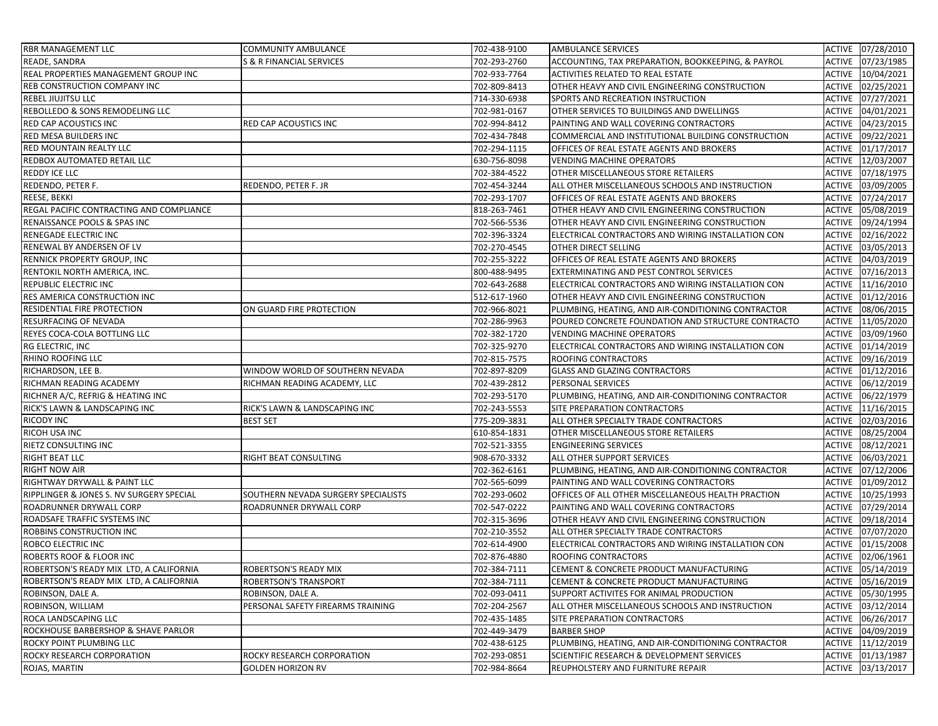| <b>RBR MANAGEMENT LLC</b>                | COMMUNITY AMBULANCE                 | 702-438-9100 | <b>AMBULANCE SERVICES</b>                          |        | ACTIVE 07/28/2010 |
|------------------------------------------|-------------------------------------|--------------|----------------------------------------------------|--------|-------------------|
| READE, SANDRA                            | S & R FINANCIAL SERVICES            | 702-293-2760 | ACCOUNTING, TAX PREPARATION, BOOKKEEPING, & PAYROL | ACTIVE | 07/23/1985        |
| REAL PROPERTIES MANAGEMENT GROUP INC     |                                     | 702-933-7764 | ACTIVITIES RELATED TO REAL ESTATE                  | ACTIVE | 10/04/2021        |
| REB CONSTRUCTION COMPANY INC             |                                     | 702-809-8413 | OTHER HEAVY AND CIVIL ENGINEERING CONSTRUCTION     | ACTIVE | 02/25/2021        |
| REBEL JIUJITSU LLC                       |                                     | 714-330-6938 | SPORTS AND RECREATION INSTRUCTION                  | ACTIVE | 07/27/2021        |
| REBOLLEDO & SONS REMODELING LLC          |                                     | 702-981-0167 | OTHER SERVICES TO BUILDINGS AND DWELLINGS          | ACTIVE | 04/01/2021        |
| RED CAP ACOUSTICS INC                    | RED CAP ACOUSTICS INC               | 702-994-8412 | PAINTING AND WALL COVERING CONTRACTORS             | ACTIVE | 04/23/2015        |
| RED MESA BUILDERS INC                    |                                     | 702-434-7848 | COMMERCIAL AND INSTITUTIONAL BUILDING CONSTRUCTION | ACTIVE | 09/22/2021        |
| RED MOUNTAIN REALTY LLC                  |                                     | 702-294-1115 | OFFICES OF REAL ESTATE AGENTS AND BROKERS          | ACTIVE | 01/17/2017        |
| REDBOX AUTOMATED RETAIL LLC              |                                     | 630-756-8098 | <b>VENDING MACHINE OPERATORS</b>                   | ACTIVE | 12/03/2007        |
| <b>REDDY ICE LLC</b>                     |                                     | 702-384-4522 | OTHER MISCELLANEOUS STORE RETAILERS                | ACTIVE | 07/18/1975        |
| REDENDO, PETER F.                        | REDENDO, PETER F. JR                | 702-454-3244 | ALL OTHER MISCELLANEOUS SCHOOLS AND INSTRUCTION    | ACTIVE | 03/09/2005        |
| REESE, BEKKI                             |                                     | 702-293-1707 | OFFICES OF REAL ESTATE AGENTS AND BROKERS          | ACTIVE | 07/24/2017        |
| REGAL PACIFIC CONTRACTING AND COMPLIANCE |                                     | 818-263-7461 | OTHER HEAVY AND CIVIL ENGINEERING CONSTRUCTION     | ACTIVE | 05/08/2019        |
| RENAISSANCE POOLS & SPAS INC             |                                     | 702-566-5536 | OTHER HEAVY AND CIVIL ENGINEERING CONSTRUCTION     | ACTIVE | 09/24/1994        |
| RENEGADE ELECTRIC INC                    |                                     | 702-396-3324 | ELECTRICAL CONTRACTORS AND WIRING INSTALLATION CON | ACTIVE | 02/16/2022        |
| RENEWAL BY ANDERSEN OF LV                |                                     | 702-270-4545 | <b>OTHER DIRECT SELLING</b>                        | ACTIVE | 03/05/2013        |
| RENNICK PROPERTY GROUP, INC              |                                     | 702-255-3222 | OFFICES OF REAL ESTATE AGENTS AND BROKERS          | ACTIVE | 04/03/2019        |
| RENTOKIL NORTH AMERICA, INC.             |                                     | 800-488-9495 | EXTERMINATING AND PEST CONTROL SERVICES            | ACTIVE | 07/16/2013        |
| REPUBLIC ELECTRIC INC                    |                                     | 702-643-2688 | ELECTRICAL CONTRACTORS AND WIRING INSTALLATION CON | ACTIVE | 11/16/2010        |
| RES AMERICA CONSTRUCTION INC             |                                     | 512-617-1960 | OTHER HEAVY AND CIVIL ENGINEERING CONSTRUCTION     | ACTIVE | 01/12/2016        |
| RESIDENTIAL FIRE PROTECTION              | ON GUARD FIRE PROTECTION            | 702-966-8021 | PLUMBING, HEATING, AND AIR-CONDITIONING CONTRACTOR | ACTIVE | 08/06/2015        |
| RESURFACING OF NEVADA                    |                                     | 702-286-9963 | POURED CONCRETE FOUNDATION AND STRUCTURE CONTRACTO | ACTIVE | 11/05/2020        |
| REYES COCA-COLA BOTTLING LLC             |                                     | 702-382-1720 | <b>VENDING MACHINE OPERATORS</b>                   | ACTIVE | 03/09/1960        |
| RG ELECTRIC, INC                         |                                     | 702-325-9270 | ELECTRICAL CONTRACTORS AND WIRING INSTALLATION CON | ACTIVE | 01/14/2019        |
| RHINO ROOFING LLC                        |                                     | 702-815-7575 | ROOFING CONTRACTORS                                | ACTIVE | 09/16/2019        |
| RICHARDSON, LEE B.                       | WINDOW WORLD OF SOUTHERN NEVADA     | 702-897-8209 | GLASS AND GLAZING CONTRACTORS                      | ACTIVE | 01/12/2016        |
| RICHMAN READING ACADEMY                  | RICHMAN READING ACADEMY, LLC        | 702-439-2812 | PERSONAL SERVICES                                  | ACTIVE | 06/12/2019        |
| RICHNER A/C, REFRIG & HEATING INC        |                                     | 702-293-5170 | PLUMBING, HEATING, AND AIR-CONDITIONING CONTRACTOR | ACTIVE | 06/22/1979        |
| RICK'S LAWN & LANDSCAPING INC            | RICK'S LAWN & LANDSCAPING INC       | 702-243-5553 | SITE PREPARATION CONTRACTORS                       | ACTIVE | 11/16/2015        |
| RICODY INC                               | <b>BEST SET</b>                     | 775-209-3831 | ALL OTHER SPECIALTY TRADE CONTRACTORS              | ACTIVE | 02/03/2016        |
| RICOH USA INC                            |                                     | 610-854-1831 | OTHER MISCELLANEOUS STORE RETAILERS                | ACTIVE | 08/25/2004        |
| RIETZ CONSULTING INC                     |                                     | 702-521-3355 | <b>ENGINEERING SERVICES</b>                        | ACTIVE | 08/12/2021        |
| RIGHT BEAT LLC                           | RIGHT BEAT CONSULTING               | 908-670-3332 | ALL OTHER SUPPORT SERVICES                         | ACTIVE | 06/03/2021        |
| <b>RIGHT NOW AIR</b>                     |                                     | 702-362-6161 | PLUMBING, HEATING, AND AIR-CONDITIONING CONTRACTOR | ACTIVE | 07/12/2006        |
| RIGHTWAY DRYWALL & PAINT LLC             |                                     | 702-565-6099 | PAINTING AND WALL COVERING CONTRACTORS             | ACTIVE | 01/09/2012        |
| RIPPLINGER & JONES S. NV SURGERY SPECIAL | SOUTHERN NEVADA SURGERY SPECIALISTS | 702-293-0602 | OFFICES OF ALL OTHER MISCELLANEOUS HEALTH PRACTION | ACTIVE | 10/25/1993        |
| ROADRUNNER DRYWALL CORP                  | ROADRUNNER DRYWALL CORP             | 702-547-0222 | PAINTING AND WALL COVERING CONTRACTORS             | ACTIVE | 07/29/2014        |
| ROADSAFE TRAFFIC SYSTEMS INC             |                                     | 702-315-3696 | OTHER HEAVY AND CIVIL ENGINEERING CONSTRUCTION     | ACTIVE | 09/18/2014        |
| ROBBINS CONSTRUCTION INC                 |                                     | 702-210-3552 | ALL OTHER SPECIALTY TRADE CONTRACTORS              | ACTIVE | 07/07/2020        |
| ROBCO ELECTRIC INC                       |                                     | 702-614-4900 | ELECTRICAL CONTRACTORS AND WIRING INSTALLATION CON | ACTIVE | 01/15/2008        |
| ROBERTS ROOF & FLOOR INC                 |                                     | 702-876-4880 | ROOFING CONTRACTORS                                | ACTIVE | 02/06/1961        |
| ROBERTSON'S READY MIX LTD, A CALIFORNIA  | ROBERTSON'S READY MIX               | 702-384-7111 | CEMENT & CONCRETE PRODUCT MANUFACTURING            |        | ACTIVE 05/14/2019 |
| ROBERTSON'S READY MIX LTD, A CALIFORNIA  | ROBERTSON'S TRANSPORT               | 702-384-7111 | CEMENT & CONCRETE PRODUCT MANUFACTURING            |        | ACTIVE 05/16/2019 |
| ROBINSON, DALE A.                        | ROBINSON, DALE A.                   | 702-093-0411 | SUPPORT ACTIVITES FOR ANIMAL PRODUCTION            | ACTIVE | 05/30/1995        |
| ROBINSON, WILLIAM                        | PERSONAL SAFETY FIREARMS TRAINING   | 702-204-2567 | ALL OTHER MISCELLANEOUS SCHOOLS AND INSTRUCTION    |        | ACTIVE 03/12/2014 |
| ROCA LANDSCAPING LLC                     |                                     | 702-435-1485 | <b>SITE PREPARATION CONTRACTORS</b>                |        | ACTIVE 06/26/2017 |
| ROCKHOUSE BARBERSHOP & SHAVE PARLOR      |                                     | 702-449-3479 | <b>BARBER SHOP</b>                                 |        | ACTIVE 04/09/2019 |
| ROCKY POINT PLUMBING LLC                 |                                     | 702-438-6125 | PLUMBING, HEATING, AND AIR-CONDITIONING CONTRACTOR |        | ACTIVE 11/12/2019 |
| ROCKY RESEARCH CORPORATION               | ROCKY RESEARCH CORPORATION          | 702-293-0851 | SCIENTIFIC RESEARCH & DEVELOPMENT SERVICES         |        | ACTIVE 01/13/1987 |
| ROJAS, MARTIN                            | <b>GOLDEN HORIZON RV</b>            | 702-984-8664 | REUPHOLSTERY AND FURNITURE REPAIR                  |        | ACTIVE 03/13/2017 |
|                                          |                                     |              |                                                    |        |                   |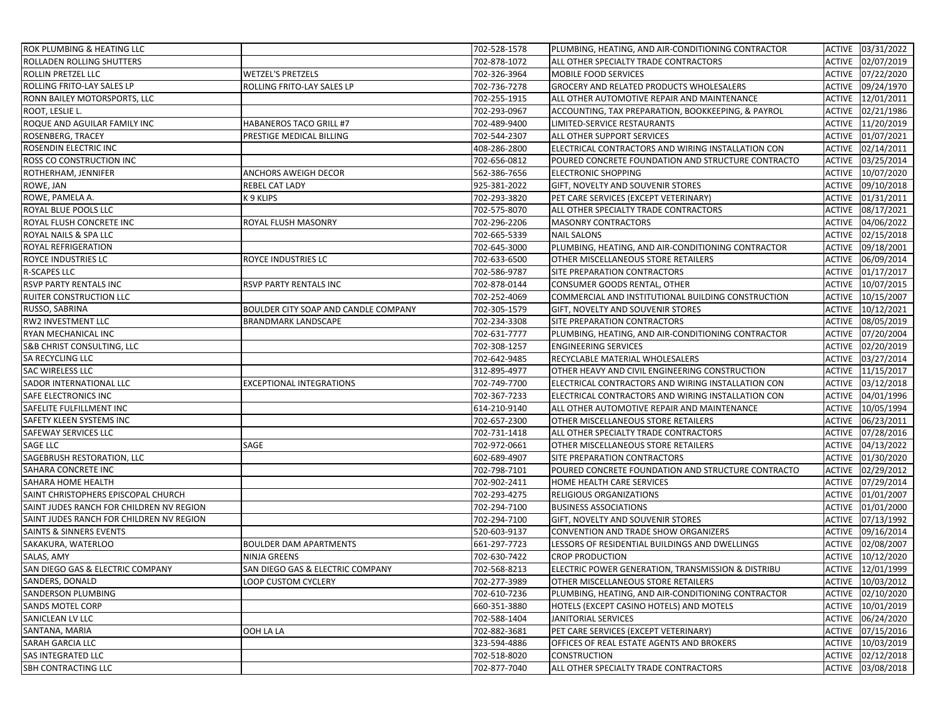| ROK PLUMBING & HEATING LLC               |                                      | 702-528-1578 | PLUMBING, HEATING, AND AIR-CONDITIONING CONTRACTOR |               | ACTIVE 03/31/2022 |
|------------------------------------------|--------------------------------------|--------------|----------------------------------------------------|---------------|-------------------|
| ROLLADEN ROLLING SHUTTERS                |                                      | 702-878-1072 | ALL OTHER SPECIALTY TRADE CONTRACTORS              | <b>ACTIVE</b> | 02/07/2019        |
| ROLLIN PRETZEL LLC                       | <b>WETZEL'S PRETZELS</b>             | 702-326-3964 | MOBILE FOOD SERVICES                               | <b>ACTIVE</b> | 07/22/2020        |
| ROLLING FRITO-LAY SALES LP               | ROLLING FRITO-LAY SALES LP           | 702-736-7278 | GROCERY AND RELATED PRODUCTS WHOLESALERS           | ACTIVE        | 09/24/1970        |
| RONN BAILEY MOTORSPORTS, LLC             |                                      | 702-255-1915 | ALL OTHER AUTOMOTIVE REPAIR AND MAINTENANCE        |               | ACTIVE 12/01/2011 |
| ROOT, LESLIE L.                          |                                      | 702-293-0967 | ACCOUNTING, TAX PREPARATION, BOOKKEEPING, & PAYROL | <b>ACTIVE</b> | 02/21/1986        |
| ROQUE AND AGUILAR FAMILY INC             | HABANEROS TACO GRILL #7              | 702-489-9400 | LIMITED-SERVICE RESTAURANTS                        | <b>ACTIVE</b> | 11/20/2019        |
| ROSENBERG, TRACEY                        | PRESTIGE MEDICAL BILLING             | 702-544-2307 | ALL OTHER SUPPORT SERVICES                         | <b>ACTIVE</b> | 01/07/2021        |
| ROSENDIN ELECTRIC INC                    |                                      | 408-286-2800 | ELECTRICAL CONTRACTORS AND WIRING INSTALLATION CON | <b>ACTIVE</b> | 02/14/2011        |
| ROSS CO CONSTRUCTION INC                 |                                      | 702-656-0812 | POURED CONCRETE FOUNDATION AND STRUCTURE CONTRACTO | <b>ACTIVE</b> | 03/25/2014        |
| ROTHERHAM, JENNIFER                      | ANCHORS AWEIGH DECOR                 | 562-386-7656 | <b>ELECTRONIC SHOPPING</b>                         | <b>ACTIVE</b> | 10/07/2020        |
| ROWE, JAN                                | REBEL CAT LADY                       | 925-381-2022 | GIFT, NOVELTY AND SOUVENIR STORES                  | <b>ACTIVE</b> | 09/10/2018        |
| ROWE, PAMELA A.                          | K 9 KLIPS                            | 702-293-3820 | PET CARE SERVICES (EXCEPT VETERINARY)              | <b>ACTIVE</b> | 01/31/2011        |
| ROYAL BLUE POOLS LLC                     |                                      | 702-575-8070 | ALL OTHER SPECIALTY TRADE CONTRACTORS              | <b>ACTIVE</b> | 08/17/2021        |
| ROYAL FLUSH CONCRETE INC                 | ROYAL FLUSH MASONRY                  | 702-296-2206 | <b>MASONRY CONTRACTORS</b>                         | <b>ACTIVE</b> | 04/06/2022        |
| ROYAL NAILS & SPA LLC                    |                                      | 702-665-5339 | <b>NAIL SALONS</b>                                 | <b>ACTIVE</b> | 02/15/2018        |
| ROYAL REFRIGERATION                      |                                      | 702-645-3000 | PLUMBING, HEATING, AND AIR-CONDITIONING CONTRACTOR | <b>ACTIVE</b> | 09/18/2001        |
| ROYCE INDUSTRIES LC                      | ROYCE INDUSTRIES LC                  | 702-633-6500 | OTHER MISCELLANEOUS STORE RETAILERS                | <b>ACTIVE</b> | 06/09/2014        |
| <b>R-SCAPES LLC</b>                      |                                      | 702-586-9787 | SITE PREPARATION CONTRACTORS                       | <b>ACTIVE</b> | 01/17/2017        |
| RSVP PARTY RENTALS INC                   | RSVP PARTY RENTALS INC               | 702-878-0144 | CONSUMER GOODS RENTAL, OTHER                       | <b>ACTIVE</b> | 10/07/2015        |
| RUITER CONSTRUCTION LLC                  |                                      | 702-252-4069 | COMMERCIAL AND INSTITUTIONAL BUILDING CONSTRUCTION | <b>ACTIVE</b> | 10/15/2007        |
| RUSSO, SABRINA                           | BOULDER CITY SOAP AND CANDLE COMPANY | 702-305-1579 | GIFT, NOVELTY AND SOUVENIR STORES                  | <b>ACTIVE</b> | 10/12/2021        |
| RW2 INVESTMENT LLC                       | <b>BRANDMARK LANDSCAPE</b>           | 702-234-3308 | SITE PREPARATION CONTRACTORS                       | <b>ACTIVE</b> | 08/05/2019        |
| RYAN MECHANICAL INC                      |                                      | 702-631-7777 | PLUMBING, HEATING, AND AIR-CONDITIONING CONTRACTOR | <b>ACTIVE</b> | 07/20/2004        |
| S&B CHRIST CONSULTING, LLC               |                                      | 702-308-1257 | <b>ENGINEERING SERVICES</b>                        | <b>ACTIVE</b> | 02/20/2019        |
| SA RECYCLING LLC                         |                                      | 702-642-9485 | RECYCLABLE MATERIAL WHOLESALERS                    | <b>ACTIVE</b> | 03/27/2014        |
| <b>SAC WIRELESS LLC</b>                  |                                      | 312-895-4977 | OTHER HEAVY AND CIVIL ENGINEERING CONSTRUCTION     | <b>ACTIVE</b> | 11/15/2017        |
| SADOR INTERNATIONAL LLC                  | EXCEPTIONAL INTEGRATIONS             | 702-749-7700 | ELECTRICAL CONTRACTORS AND WIRING INSTALLATION CON | <b>ACTIVE</b> | 03/12/2018        |
| SAFE ELECTRONICS INC                     |                                      | 702-367-7233 | ELECTRICAL CONTRACTORS AND WIRING INSTALLATION CON | ACTIVE        | 04/01/1996        |
| SAFELITE FULFILLMENT INC                 |                                      | 614-210-9140 | ALL OTHER AUTOMOTIVE REPAIR AND MAINTENANCE        | <b>ACTIVE</b> | 10/05/1994        |
| SAFETY KLEEN SYSTEMS INC                 |                                      | 702-657-2300 | OTHER MISCELLANEOUS STORE RETAILERS                | <b>ACTIVE</b> | 06/23/2011        |
| SAFEWAY SERVICES LLC                     |                                      | 702-731-1418 | ALL OTHER SPECIALTY TRADE CONTRACTORS              | <b>ACTIVE</b> | 07/28/2016        |
| <b>SAGE LLC</b>                          | SAGE                                 | 702-972-0661 | OTHER MISCELLANEOUS STORE RETAILERS                | <b>ACTIVE</b> | 04/13/2022        |
| SAGEBRUSH RESTORATION, LLC               |                                      | 602-689-4907 | SITE PREPARATION CONTRACTORS                       | <b>ACTIVE</b> | 01/30/2020        |
| SAHARA CONCRETE INC                      |                                      | 702-798-7101 | POURED CONCRETE FOUNDATION AND STRUCTURE CONTRACTO | <b>ACTIVE</b> | 02/29/2012        |
| SAHARA HOME HEALTH                       |                                      | 702-902-2411 | HOME HEALTH CARE SERVICES                          | ACTIVE        | 07/29/2014        |
| SAINT CHRISTOPHERS EPISCOPAL CHURCH      |                                      | 702-293-4275 | RELIGIOUS ORGANIZATIONS                            | <b>ACTIVE</b> | 01/01/2007        |
| SAINT JUDES RANCH FOR CHILDREN NV REGION |                                      | 702-294-7100 | <b>BUSINESS ASSOCIATIONS</b>                       | <b>ACTIVE</b> | 01/01/2000        |
| SAINT JUDES RANCH FOR CHILDREN NV REGION |                                      | 702-294-7100 | GIFT, NOVELTY AND SOUVENIR STORES                  | <b>ACTIVE</b> | 07/13/1992        |
| SAINTS & SINNERS EVENTS                  |                                      | 520-603-9137 | CONVENTION AND TRADE SHOW ORGANIZERS               | <b>ACTIVE</b> | 09/16/2014        |
| SAKAKURA, WATERLOO                       | <b>BOULDER DAM APARTMENTS</b>        | 661-297-7723 | LESSORS OF RESIDENTIAL BUILDINGS AND DWELLINGS     | <b>ACTIVE</b> | 02/08/2007        |
| SALAS, AMY                               | NINJA GREENS                         | 702-630-7422 | <b>CROP PRODUCTION</b>                             | <b>ACTIVE</b> | 10/12/2020        |
| SAN DIEGO GAS & ELECTRIC COMPANY         | SAN DIEGO GAS & ELECTRIC COMPANY     | 702-568-8213 | ELECTRIC POWER GENERATION, TRANSMISSION & DISTRIBU |               | ACTIVE 12/01/1999 |
| SANDERS, DONALD                          | LOOP CUSTOM CYCLERY                  | 702-277-3989 | OTHER MISCELLANEOUS STORE RETAILERS                |               | ACTIVE 10/03/2012 |
| <b>SANDERSON PLUMBING</b>                |                                      | 702-610-7236 | PLUMBING, HEATING, AND AIR-CONDITIONING CONTRACTOR | <b>ACTIVE</b> | 02/10/2020        |
| <b>SANDS MOTEL CORP</b>                  |                                      | 660-351-3880 | HOTELS (EXCEPT CASINO HOTELS) AND MOTELS           | <b>ACTIVE</b> | 10/01/2019        |
| SANICLEAN LV LLC                         |                                      | 702-588-1404 | JANITORIAL SERVICES                                | <b>ACTIVE</b> | 06/24/2020        |
| SANTANA, MARIA                           | OOH LA LA                            | 702-882-3681 | PET CARE SERVICES (EXCEPT VETERINARY)              | <b>ACTIVE</b> | 07/15/2016        |
| SARAH GARCIA LLC                         |                                      | 323-594-4886 | OFFICES OF REAL ESTATE AGENTS AND BROKERS          |               | ACTIVE 10/03/2019 |
| <b>SAS INTEGRATED LLC</b>                |                                      | 702-518-8020 | <b>CONSTRUCTION</b>                                | ACTIVE        | 02/12/2018        |
| <b>SBH CONTRACTING LLC</b>               |                                      | 702-877-7040 | ALL OTHER SPECIALTY TRADE CONTRACTORS              |               | ACTIVE 03/08/2018 |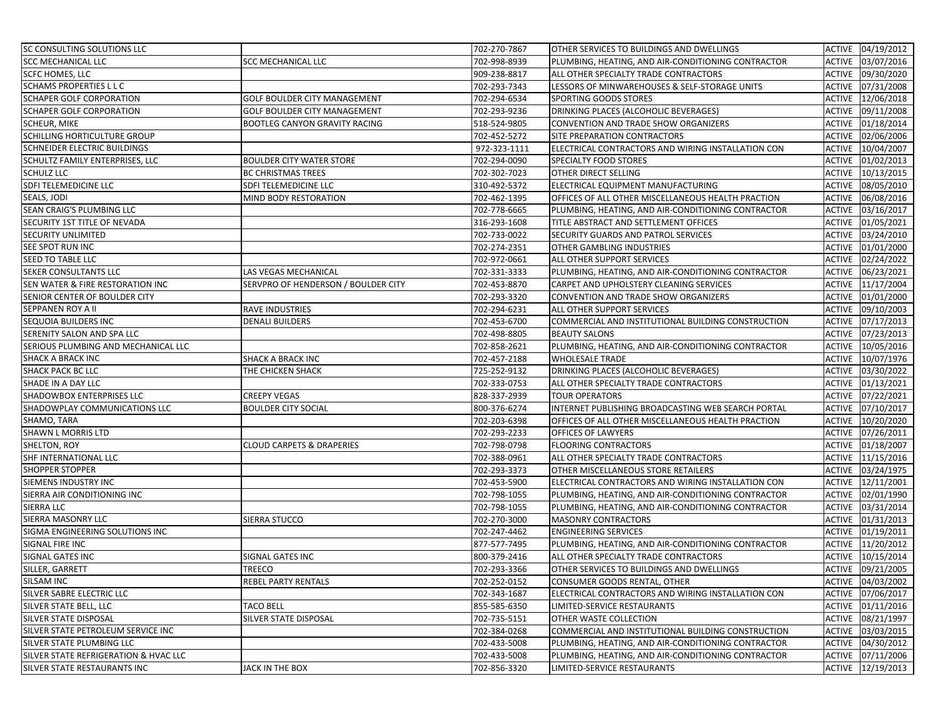| SC CONSULTING SOLUTIONS LLC           |                                      | 702-270-7867 | OTHER SERVICES TO BUILDINGS AND DWELLINGS          |               | ACTIVE 04/19/2012 |
|---------------------------------------|--------------------------------------|--------------|----------------------------------------------------|---------------|-------------------|
| <b>SCC MECHANICAL LLC</b>             | <b>SCC MECHANICAL LLC</b>            | 702-998-8939 | PLUMBING, HEATING, AND AIR-CONDITIONING CONTRACTOR | ACTIVE        | 03/07/2016        |
| <b>SCFC HOMES, LLC</b>                |                                      | 909-238-8817 | ALL OTHER SPECIALTY TRADE CONTRACTORS              | ACTIVE        | 09/30/2020        |
| SCHAMS PROPERTIES L L C               |                                      | 702-293-7343 | LESSORS OF MINWAREHOUSES & SELF-STORAGE UNITS      | ACTIVE        | 07/31/2008        |
| SCHAPER GOLF CORPORATION              | GOLF BOULDER CITY MANAGEMENT         | 702-294-6534 | SPORTING GOODS STORES                              | ACTIVE        | 12/06/2018        |
| <b>SCHAPER GOLF CORPORATION</b>       | GOLF BOULDER CITY MANAGEMENT         | 702-293-9236 | DRINKING PLACES (ALCOHOLIC BEVERAGES)              | ACTIVE        | 09/11/2008        |
| SCHEUR, MIKE                          | BOOTLEG CANYON GRAVITY RACING        | 518-524-9805 | CONVENTION AND TRADE SHOW ORGANIZERS               | ACTIVE        | 01/18/2014        |
| SCHILLING HORTICULTURE GROUP          |                                      | 702-452-5272 | SITE PREPARATION CONTRACTORS                       | ACTIVE        | 02/06/2006        |
| SCHNEIDER ELECTRIC BUILDINGS          |                                      | 972-323-1111 | ELECTRICAL CONTRACTORS AND WIRING INSTALLATION CON | ACTIVE        | 10/04/2007        |
| SCHULTZ FAMILY ENTERPRISES, LLC       | <b>BOULDER CITY WATER STORE</b>      | 702-294-0090 | <b>SPECIALTY FOOD STORES</b>                       | ACTIVE        | 01/02/2013        |
| <b>SCHULZ LLC</b>                     | <b>BC CHRISTMAS TREES</b>            | 702-302-7023 | <b>OTHER DIRECT SELLING</b>                        | <b>ACTIVE</b> | 10/13/2015        |
| SDFI TELEMEDICINE LLC                 | SDFI TELEMEDICINE LLC                | 310-492-5372 | ELECTRICAL EQUIPMENT MANUFACTURING                 | ACTIVE        | 08/05/2010        |
| SEALS, JODI                           | MIND BODY RESTORATION                | 702-462-1395 | OFFICES OF ALL OTHER MISCELLANEOUS HEALTH PRACTION | ACTIVE        | 06/08/2016        |
| SEAN CRAIG'S PLUMBING LLC             |                                      | 702-778-6665 | PLUMBING, HEATING, AND AIR-CONDITIONING CONTRACTOR | ACTIVE        | 03/16/2017        |
| SECURITY 1ST TITLE OF NEVADA          |                                      | 316-293-1608 | TITLE ABSTRACT AND SETTLEMENT OFFICES              | <b>ACTIVE</b> | 01/05/2021        |
| <b>SECURITY UNLIMITED</b>             |                                      | 702-733-0022 | SECURITY GUARDS AND PATROL SERVICES                | ACTIVE        | 03/24/2010        |
| SEE SPOT RUN INC                      |                                      | 702-274-2351 | <b>OTHER GAMBLING INDUSTRIES</b>                   | ACTIVE        | 01/01/2000        |
| SEED TO TABLE LLC                     |                                      | 702-972-0661 | ALL OTHER SUPPORT SERVICES                         | ACTIVE        | 02/24/2022        |
| SEKER CONSULTANTS LLC                 | LAS VEGAS MECHANICAL                 | 702-331-3333 | PLUMBING, HEATING, AND AIR-CONDITIONING CONTRACTOR | ACTIVE        | 06/23/2021        |
| SEN WATER & FIRE RESTORATION INC      | SERVPRO OF HENDERSON / BOULDER CITY  | 702-453-8870 | CARPET AND UPHOLSTERY CLEANING SERVICES            | ACTIVE        | 11/17/2004        |
| SENIOR CENTER OF BOULDER CITY         |                                      | 702-293-3320 | CONVENTION AND TRADE SHOW ORGANIZERS               | ACTIVE        | 01/01/2000        |
| SEPPANEN ROY A II                     | RAVE INDUSTRIES                      | 702-294-6231 | ALL OTHER SUPPORT SERVICES                         | ACTIVE        | 09/10/2003        |
| SEQUOIA BUILDERS INC                  | <b>DENALI BUILDERS</b>               | 702-453-6700 | COMMERCIAL AND INSTITUTIONAL BUILDING CONSTRUCTION | ACTIVE        | 07/17/2013        |
| SERENITY SALON AND SPA LLC            |                                      | 702-498-8805 | <b>BEAUTY SALONS</b>                               | ACTIVE        | 07/23/2013        |
| SERIOUS PLUMBING AND MECHANICAL LLC   |                                      | 702-858-2621 | PLUMBING, HEATING, AND AIR-CONDITIONING CONTRACTOR | ACTIVE        | 10/05/2016        |
| <b>SHACK A BRACK INC</b>              | SHACK A BRACK INC                    | 702-457-2188 | <b>WHOLESALE TRADE</b>                             | ACTIVE        | 10/07/1976        |
| <b>SHACK PACK BC LLC</b>              | THE CHICKEN SHACK                    | 725-252-9132 | <b>DRINKING PLACES (ALCOHOLIC BEVERAGES)</b>       | ACTIVE        | 03/30/2022        |
| SHADE IN A DAY LLC                    |                                      | 702-333-0753 | ALL OTHER SPECIALTY TRADE CONTRACTORS              | ACTIVE        | 01/13/2021        |
| SHADOWBOX ENTERPRISES LLC             | CREEPY VEGAS                         | 828-337-2939 | <b>TOUR OPERATORS</b>                              | ACTIVE        | 07/22/2021        |
| SHADOWPLAY COMMUNICATIONS LLC         | <b>BOULDER CITY SOCIAL</b>           | 800-376-6274 | INTERNET PUBLISHING BROADCASTING WEB SEARCH PORTAL | ACTIVE        | 07/10/2017        |
| SHAMO, TARA                           |                                      | 702-203-6398 | OFFICES OF ALL OTHER MISCELLANEOUS HEALTH PRACTION | ACTIVE        | 10/20/2020        |
| SHAWN L MORRIS LTD                    |                                      | 702-293-2233 | <b>OFFICES OF LAWYERS</b>                          | ACTIVE        | 07/26/2011        |
| SHELTON, ROY                          | <b>CLOUD CARPETS &amp; DRAPERIES</b> | 702-798-0798 | <b>FLOORING CONTRACTORS</b>                        | ACTIVE        | 01/18/2007        |
| SHF INTERNATIONAL LLC                 |                                      | 702-388-0961 | ALL OTHER SPECIALTY TRADE CONTRACTORS              | ACTIVE        | 11/15/2016        |
| <b>SHOPPER STOPPER</b>                |                                      | 702-293-3373 | OTHER MISCELLANEOUS STORE RETAILERS                | ACTIVE        | 03/24/1975        |
| SIEMENS INDUSTRY INC                  |                                      | 702-453-5900 | ELECTRICAL CONTRACTORS AND WIRING INSTALLATION CON |               | ACTIVE 12/11/2001 |
| SIERRA AIR CONDITIONING INC           |                                      | 702-798-1055 | PLUMBING, HEATING, AND AIR-CONDITIONING CONTRACTOR | ACTIVE        | 02/01/1990        |
| SIERRA LLC                            |                                      | 702-798-1055 | PLUMBING, HEATING, AND AIR-CONDITIONING CONTRACTOR | ACTIVE        | 03/31/2014        |
| SIERRA MASONRY LLC                    | SIERRA STUCCO                        | 702-270-3000 | <b>MASONRY CONTRACTORS</b>                         | ACTIVE        | 01/31/2013        |
| SIGMA ENGINEERING SOLUTIONS INC       |                                      | 702-247-4462 | <b>ENGINEERING SERVICES</b>                        | <b>ACTIVE</b> | 01/19/2011        |
| SIGNAL FIRE INC                       |                                      | 877-577-7495 | PLUMBING, HEATING, AND AIR-CONDITIONING CONTRACTOR | ACTIVE        | 11/20/2012        |
| SIGNAL GATES INC                      | SIGNAL GATES INC                     | 800-379-2416 | ALL OTHER SPECIALTY TRADE CONTRACTORS              | ACTIVE        | 10/15/2014        |
| SILLER, GARRETT                       | <b>TREECO</b>                        | 702-293-3366 | OTHER SERVICES TO BUILDINGS AND DWELLINGS          |               | ACTIVE 09/21/2005 |
| SILSAM INC                            | <b>REBEL PARTY RENTALS</b>           | 702-252-0152 | CONSUMER GOODS RENTAL, OTHER                       |               | ACTIVE 04/03/2002 |
| SILVER SABRE ELECTRIC LLC             |                                      | 702-343-1687 | ELECTRICAL CONTRACTORS AND WIRING INSTALLATION CON | ACTIVE        | 07/06/2017        |
| SILVER STATE BELL, LLC                | <b>TACO BELL</b>                     | 855-585-6350 | LIMITED-SERVICE RESTAURANTS                        |               | ACTIVE 01/11/2016 |
| SILVER STATE DISPOSAL                 | SILVER STATE DISPOSAL                | 702-735-5151 | OTHER WASTE COLLECTION                             |               | ACTIVE 08/21/1997 |
| SILVER STATE PETROLEUM SERVICE INC    |                                      | 702-384-0268 | COMMERCIAL AND INSTITUTIONAL BUILDING CONSTRUCTION | ACTIVE        | 03/03/2015        |
| SILVER STATE PLUMBING LLC             |                                      | 702-433-5008 | PLUMBING, HEATING, AND AIR-CONDITIONING CONTRACTOR | ACTIVE        | 04/30/2012        |
| SILVER STATE REFRIGERATION & HVAC LLC |                                      | 702-433-5008 | PLUMBING, HEATING, AND AIR-CONDITIONING CONTRACTOR | ACTIVE        | 07/11/2006        |
| SILVER STATE RESTAURANTS INC          | JACK IN THE BOX                      | 702-856-3320 | LIMITED-SERVICE RESTAURANTS                        |               | ACTIVE 12/19/2013 |
|                                       |                                      |              |                                                    |               |                   |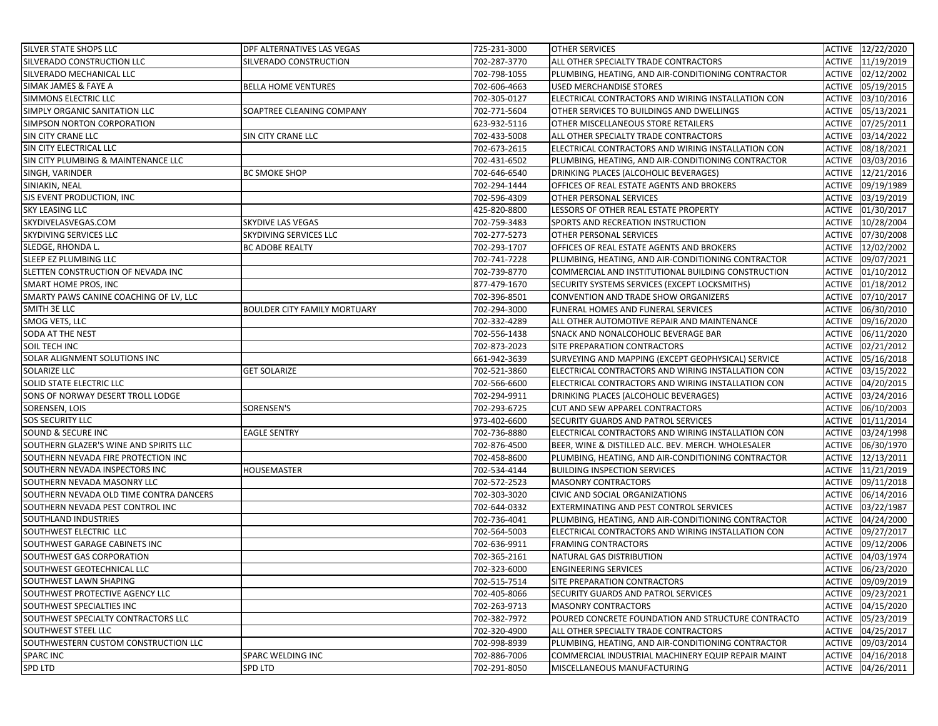| <b>SILVER STATE SHOPS LLC</b>           | DPF ALTERNATIVES LAS VEGAS          | 725-231-3000 | <b>OTHER SERVICES</b>                              |               | ACTIVE 12/22/2020 |
|-----------------------------------------|-------------------------------------|--------------|----------------------------------------------------|---------------|-------------------|
| SILVERADO CONSTRUCTION LLC              | SILVERADO CONSTRUCTION              | 702-287-3770 | ALL OTHER SPECIALTY TRADE CONTRACTORS              | <b>ACTIVE</b> | 11/19/2019        |
| SILVERADO MECHANICAL LLC                |                                     | 702-798-1055 | PLUMBING, HEATING, AND AIR-CONDITIONING CONTRACTOR | <b>ACTIVE</b> | 02/12/2002        |
| SIMAK JAMES & FAYE A                    | <b>BELLA HOME VENTURES</b>          | 702-606-4663 | USED MERCHANDISE STORES                            | ACTIVE        | 05/19/2015        |
| SIMMONS ELECTRIC LLC                    |                                     | 702-305-0127 | ELECTRICAL CONTRACTORS AND WIRING INSTALLATION CON | <b>ACTIVE</b> | 03/10/2016        |
| SIMPLY ORGANIC SANITATION LLC           | SOAPTREE CLEANING COMPANY           | 702-771-5604 | OTHER SERVICES TO BUILDINGS AND DWELLINGS          | <b>ACTIVE</b> | 05/13/2021        |
| SIMPSON NORTON CORPORATION              |                                     | 623-932-5116 | OTHER MISCELLANEOUS STORE RETAILERS                | <b>ACTIVE</b> | 07/25/2011        |
| SIN CITY CRANE LLC                      | SIN CITY CRANE LLC                  | 702-433-5008 | ALL OTHER SPECIALTY TRADE CONTRACTORS              | <b>ACTIVE</b> | 03/14/2022        |
| SIN CITY ELECTRICAL LLC                 |                                     | 702-673-2615 | ELECTRICAL CONTRACTORS AND WIRING INSTALLATION CON | <b>ACTIVE</b> | 08/18/2021        |
| SIN CITY PLUMBING & MAINTENANCE LLC     |                                     | 702-431-6502 | PLUMBING, HEATING, AND AIR-CONDITIONING CONTRACTOR | <b>ACTIVE</b> | 03/03/2016        |
| SINGH, VARINDER                         | <b>BC SMOKE SHOP</b>                | 702-646-6540 | DRINKING PLACES (ALCOHOLIC BEVERAGES)              | <b>ACTIVE</b> | 12/21/2016        |
| SINIAKIN, NEAL                          |                                     | 702-294-1444 | OFFICES OF REAL ESTATE AGENTS AND BROKERS          | <b>ACTIVE</b> | 09/19/1989        |
| SJS EVENT PRODUCTION, INC               |                                     | 702-596-4309 | OTHER PERSONAL SERVICES                            | <b>ACTIVE</b> | 03/19/2019        |
| <b>SKY LEASING LLC</b>                  |                                     | 425-820-8800 | LESSORS OF OTHER REAL ESTATE PROPERTY              | <b>ACTIVE</b> | 01/30/2017        |
| SKYDIVELASVEGAS.COM                     | SKYDIVE LAS VEGAS                   | 702-759-3483 | SPORTS AND RECREATION INSTRUCTION                  | <b>ACTIVE</b> | 10/28/2004        |
| SKYDIVING SERVICES LLC                  | SKYDIVING SERVICES LLC              | 702-277-5273 | OTHER PERSONAL SERVICES                            | ACTIVE        | 07/30/2008        |
| SLEDGE, RHONDA L.                       | <b>BC ADOBE REALTY</b>              | 702-293-1707 | OFFICES OF REAL ESTATE AGENTS AND BROKERS          | <b>ACTIVE</b> | 12/02/2002        |
| SLEEP EZ PLUMBING LLC                   |                                     | 702-741-7228 | PLUMBING, HEATING, AND AIR-CONDITIONING CONTRACTOR | <b>ACTIVE</b> | 09/07/2021        |
| SLETTEN CONSTRUCTION OF NEVADA INC      |                                     | 702-739-8770 | COMMERCIAL AND INSTITUTIONAL BUILDING CONSTRUCTION | <b>ACTIVE</b> | 01/10/2012        |
| SMART HOME PROS, INC                    |                                     | 877-479-1670 | SECURITY SYSTEMS SERVICES (EXCEPT LOCKSMITHS)      | ACTIVE        | 01/18/2012        |
| SMARTY PAWS CANINE COACHING OF LV, LLC  |                                     | 702-396-8501 | CONVENTION AND TRADE SHOW ORGANIZERS               | ACTIVE        | 07/10/2017        |
| SMITH 3E LLC                            | <b>BOULDER CITY FAMILY MORTUARY</b> | 702-294-3000 | FUNERAL HOMES AND FUNERAL SERVICES                 | <b>ACTIVE</b> | 06/30/2010        |
| SMOG VETS, LLC                          |                                     | 702-332-4289 | ALL OTHER AUTOMOTIVE REPAIR AND MAINTENANCE        | <b>ACTIVE</b> | 09/16/2020        |
| SODA AT THE NEST                        |                                     | 702-556-1438 | SNACK AND NONALCOHOLIC BEVERAGE BAR                | <b>ACTIVE</b> | 06/11/2020        |
| SOIL TECH INC                           |                                     | 702-873-2023 | SITE PREPARATION CONTRACTORS                       | <b>ACTIVE</b> | 02/21/2012        |
| SOLAR ALIGNMENT SOLUTIONS INC           |                                     | 661-942-3639 | SURVEYING AND MAPPING (EXCEPT GEOPHYSICAL) SERVICE | <b>ACTIVE</b> | 05/16/2018        |
| SOLARIZE LLC                            | <b>GET SOLARIZE</b>                 | 702-521-3860 | ELECTRICAL CONTRACTORS AND WIRING INSTALLATION CON | ACTIVE        | 03/15/2022        |
| SOLID STATE ELECTRIC LLC                |                                     | 702-566-6600 | ELECTRICAL CONTRACTORS AND WIRING INSTALLATION CON | ACTIVE        | 04/20/2015        |
| SONS OF NORWAY DESERT TROLL LODGE       |                                     | 702-294-9911 | DRINKING PLACES (ALCOHOLIC BEVERAGES)              | <b>ACTIVE</b> | 03/24/2016        |
| SORENSEN, LOIS                          | SORENSEN'S                          | 702-293-6725 | CUT AND SEW APPAREL CONTRACTORS                    | <b>ACTIVE</b> | 06/10/2003        |
| <b>SOS SECURITY LLC</b>                 |                                     | 973-402-6600 | SECURITY GUARDS AND PATROL SERVICES                | <b>ACTIVE</b> | 01/11/2014        |
| SOUND & SECURE INC                      | <b>EAGLE SENTRY</b>                 | 702-736-8880 | ELECTRICAL CONTRACTORS AND WIRING INSTALLATION CON | <b>ACTIVE</b> | 03/24/1998        |
| SOUTHERN GLAZER'S WINE AND SPIRITS LLC  |                                     | 702-876-4500 | BEER, WINE & DISTILLED ALC. BEV. MERCH. WHOLESALER | <b>ACTIVE</b> | 06/30/1970        |
| SOUTHERN NEVADA FIRE PROTECTION INC     |                                     | 702-458-8600 | PLUMBING, HEATING, AND AIR-CONDITIONING CONTRACTOR | ACTIVE        | 12/13/2011        |
| SOUTHERN NEVADA INSPECTORS INC          | HOUSEMASTER                         | 702-534-4144 | <b>BUILDING INSPECTION SERVICES</b>                | <b>ACTIVE</b> | 11/21/2019        |
| SOUTHERN NEVADA MASONRY LLC             |                                     | 702-572-2523 | <b>MASONRY CONTRACTORS</b>                         | <b>ACTIVE</b> | 09/11/2018        |
| SOUTHERN NEVADA OLD TIME CONTRA DANCERS |                                     | 702-303-3020 | CIVIC AND SOCIAL ORGANIZATIONS                     | <b>ACTIVE</b> | 06/14/2016        |
| SOUTHERN NEVADA PEST CONTROL INC        |                                     | 702-644-0332 | EXTERMINATING AND PEST CONTROL SERVICES            | <b>ACTIVE</b> | 03/22/1987        |
| SOUTHLAND INDUSTRIES                    |                                     | 702-736-4041 | PLUMBING, HEATING, AND AIR-CONDITIONING CONTRACTOR | ACTIVE        | 04/24/2000        |
| SOUTHWEST ELECTRIC LLC                  |                                     | 702-564-5003 | ELECTRICAL CONTRACTORS AND WIRING INSTALLATION CON | <b>ACTIVE</b> | 09/27/2017        |
| SOUTHWEST GARAGE CABINETS INC           |                                     | 702-636-9911 | <b>FRAMING CONTRACTORS</b>                         | <b>ACTIVE</b> | 09/12/2006        |
| SOUTHWEST GAS CORPORATION               |                                     | 702-365-2161 | NATURAL GAS DISTRIBUTION                           | <b>ACTIVE</b> | 04/03/1974        |
| SOUTHWEST GEOTECHNICAL LLC              |                                     | 702-323-6000 | <b>ENGINEERING SERVICES</b>                        |               | ACTIVE 06/23/2020 |
| SOUTHWEST LAWN SHAPING                  |                                     | 702-515-7514 | <b>SITE PREPARATION CONTRACTORS</b>                |               | ACTIVE 09/09/2019 |
| SOUTHWEST PROTECTIVE AGENCY LLC         |                                     | 702-405-8066 | SECURITY GUARDS AND PATROL SERVICES                |               | ACTIVE 09/23/2021 |
| SOUTHWEST SPECIALTIES INC               |                                     | 702-263-9713 | <b>MASONRY CONTRACTORS</b>                         |               | ACTIVE 04/15/2020 |
| SOUTHWEST SPECIALTY CONTRACTORS LLC     |                                     | 702-382-7972 | POURED CONCRETE FOUNDATION AND STRUCTURE CONTRACTO |               | ACTIVE 05/23/2019 |
| SOUTHWEST STEEL LLC                     |                                     | 702-320-4900 | ALL OTHER SPECIALTY TRADE CONTRACTORS              |               | ACTIVE 04/25/2017 |
| SOUTHWESTERN CUSTOM CONSTRUCTION LLC    |                                     | 702-998-8939 | PLUMBING, HEATING, AND AIR-CONDITIONING CONTRACTOR |               | ACTIVE 09/03/2014 |
| <b>SPARC INC</b>                        | SPARC WELDING INC                   | 702-886-7006 | COMMERCIAL INDUSTRIAL MACHINERY EQUIP REPAIR MAINT |               | ACTIVE 04/16/2018 |
| <b>SPD LTD</b>                          | SPD LTD                             | 702-291-8050 | MISCELLANEOUS MANUFACTURING                        |               | ACTIVE 04/26/2011 |
|                                         |                                     |              |                                                    |               |                   |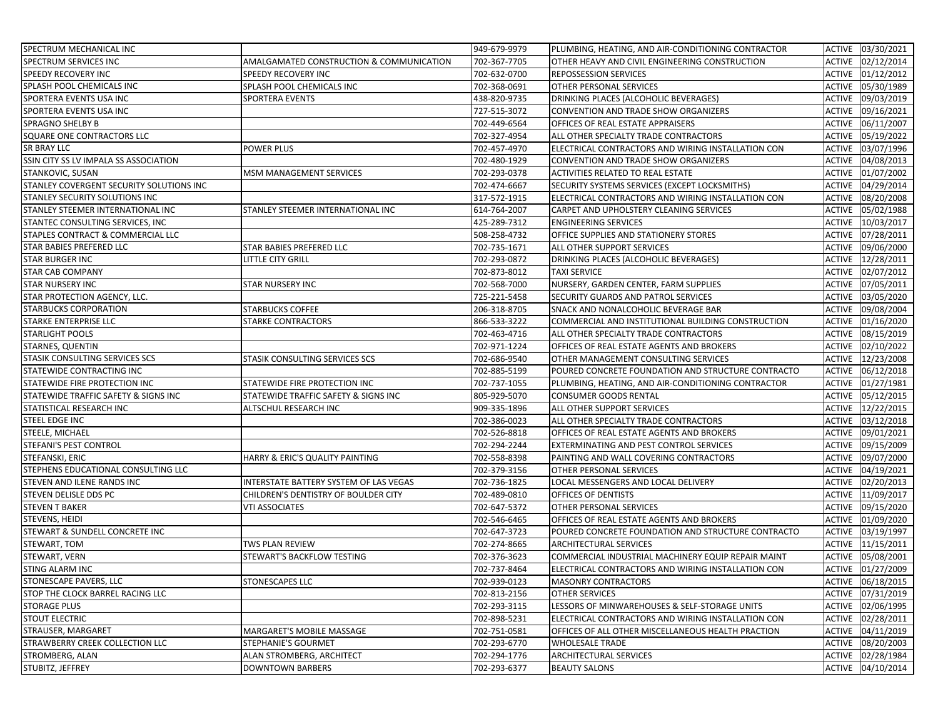| SPECTRUM MECHANICAL INC                  |                                          | 949-679-9979 | PLUMBING, HEATING, AND AIR-CONDITIONING CONTRACTOR |               | ACTIVE 03/30/2021 |
|------------------------------------------|------------------------------------------|--------------|----------------------------------------------------|---------------|-------------------|
| SPECTRUM SERVICES INC                    | AMALGAMATED CONSTRUCTION & COMMUNICATION | 702-367-7705 | OTHER HEAVY AND CIVIL ENGINEERING CONSTRUCTION     |               | ACTIVE 02/12/2014 |
| SPEEDY RECOVERY INC                      | SPEEDY RECOVERY INC                      | 702-632-0700 | REPOSSESSION SERVICES                              | <b>ACTIVE</b> | 01/12/2012        |
| SPLASH POOL CHEMICALS INC                | SPLASH POOL CHEMICALS INC                | 702-368-0691 | OTHER PERSONAL SERVICES                            | <b>ACTIVE</b> | 05/30/1989        |
| SPORTERA EVENTS USA INC                  | SPORTERA EVENTS                          | 438-820-9735 | DRINKING PLACES (ALCOHOLIC BEVERAGES)              | <b>ACTIVE</b> | 09/03/2019        |
| SPORTERA EVENTS USA INC                  |                                          | 727-515-3072 | CONVENTION AND TRADE SHOW ORGANIZERS               | <b>ACTIVE</b> | 09/16/2021        |
| <b>SPRAGNO SHELBY B</b>                  |                                          | 702-449-6564 | OFFICES OF REAL ESTATE APPRAISERS                  | <b>ACTIVE</b> | 06/11/2007        |
| SQUARE ONE CONTRACTORS LLC               |                                          | 702-327-4954 | ALL OTHER SPECIALTY TRADE CONTRACTORS              | <b>ACTIVE</b> | 05/19/2022        |
| <b>SR BRAY LLC</b>                       | POWER PLUS                               | 702-457-4970 | ELECTRICAL CONTRACTORS AND WIRING INSTALLATION CON |               | ACTIVE 03/07/1996 |
| SSIN CITY SS LV IMPALA SS ASSOCIATION    |                                          | 702-480-1929 | CONVENTION AND TRADE SHOW ORGANIZERS               |               | ACTIVE 04/08/2013 |
| STANKOVIC, SUSAN                         | MSM MANAGEMENT SERVICES                  | 702-293-0378 | ACTIVITIES RELATED TO REAL ESTATE                  | <b>ACTIVE</b> | 01/07/2002        |
| STANLEY COVERGENT SECURITY SOLUTIONS INC |                                          | 702-474-6667 | SECURITY SYSTEMS SERVICES (EXCEPT LOCKSMITHS)      | <b>ACTIVE</b> | 04/29/2014        |
| STANLEY SECURITY SOLUTIONS INC           |                                          | 317-572-1915 | ELECTRICAL CONTRACTORS AND WIRING INSTALLATION CON |               | ACTIVE 08/20/2008 |
| STANLEY STEEMER INTERNATIONAL INC        | STANLEY STEEMER INTERNATIONAL INC        | 614-764-2007 | CARPET AND UPHOLSTERY CLEANING SERVICES            | <b>ACTIVE</b> | 05/02/1988        |
| STANTEC CONSULTING SERVICES, INC         |                                          | 425-289-7312 | <b>ENGINEERING SERVICES</b>                        |               | ACTIVE 10/03/2017 |
| STAPLES CONTRACT & COMMERCIAL LLC        |                                          | 508-258-4732 | OFFICE SUPPLIES AND STATIONERY STORES              | <b>ACTIVE</b> | 07/28/2011        |
| <b>STAR BABIES PREFERED LLC</b>          | STAR BABIES PREFERED LLC                 | 702-735-1671 | ALL OTHER SUPPORT SERVICES                         | <b>ACTIVE</b> | 09/06/2000        |
| <b>STAR BURGER INC</b>                   | <b>LITTLE CITY GRILL</b>                 | 702-293-0872 | DRINKING PLACES (ALCOHOLIC BEVERAGES)              | <b>ACTIVE</b> | 12/28/2011        |
| STAR CAB COMPANY                         |                                          | 702-873-8012 | <b>TAXI SERVICE</b>                                | <b>ACTIVE</b> | 02/07/2012        |
| <b>STAR NURSERY INC</b>                  | STAR NURSERY INC                         | 702-568-7000 | NURSERY, GARDEN CENTER, FARM SUPPLIES              | <b>ACTIVE</b> | 07/05/2011        |
| STAR PROTECTION AGENCY, LLC.             |                                          | 725-221-5458 | SECURITY GUARDS AND PATROL SERVICES                | <b>ACTIVE</b> | 03/05/2020        |
| <b>STARBUCKS CORPORATION</b>             | <b>STARBUCKS COFFEE</b>                  | 206-318-8705 | SNACK AND NONALCOHOLIC BEVERAGE BAR                | <b>ACTIVE</b> | 09/08/2004        |
| STARKE ENTERPRISE LLC                    | <b>STARKE CONTRACTORS</b>                | 866-533-3222 | COMMERCIAL AND INSTITUTIONAL BUILDING CONSTRUCTION | <b>ACTIVE</b> | 01/16/2020        |
| STARLIGHT POOLS                          |                                          | 702-463-4716 | ALL OTHER SPECIALTY TRADE CONTRACTORS              | <b>ACTIVE</b> | 08/15/2019        |
| <b>STARNES, QUENTIN</b>                  |                                          | 702-971-1224 | OFFICES OF REAL ESTATE AGENTS AND BROKERS          | <b>ACTIVE</b> | 02/10/2022        |
| STASIK CONSULTING SERVICES SCS           | STASIK CONSULTING SERVICES SCS           | 702-686-9540 | OTHER MANAGEMENT CONSULTING SERVICES               | <b>ACTIVE</b> | 12/23/2008        |
| STATEWIDE CONTRACTING INC                |                                          | 702-885-5199 | POURED CONCRETE FOUNDATION AND STRUCTURE CONTRACTO | <b>ACTIVE</b> | 06/12/2018        |
| STATEWIDE FIRE PROTECTION INC            | STATEWIDE FIRE PROTECTION INC            | 702-737-1055 | PLUMBING, HEATING, AND AIR-CONDITIONING CONTRACTOR | <b>ACTIVE</b> | 01/27/1981        |
| STATEWIDE TRAFFIC SAFETY & SIGNS INC     | STATEWIDE TRAFFIC SAFETY & SIGNS INC     | 805-929-5070 | CONSUMER GOODS RENTAL                              | <b>ACTIVE</b> | 05/12/2015        |
| STATISTICAL RESEARCH INC                 | ALTSCHUL RESEARCH INC                    | 909-335-1896 | ALL OTHER SUPPORT SERVICES                         | <b>ACTIVE</b> | 12/22/2015        |
| STEEL EDGE INC                           |                                          | 702-386-0023 | ALL OTHER SPECIALTY TRADE CONTRACTORS              | <b>ACTIVE</b> | 03/12/2018        |
| STEELE, MICHAEL                          |                                          | 702-526-8818 | OFFICES OF REAL ESTATE AGENTS AND BROKERS          |               | ACTIVE 09/01/2021 |
| STEFANI'S PEST CONTROL                   |                                          | 702-294-2244 | EXTERMINATING AND PEST CONTROL SERVICES            | <b>ACTIVE</b> | 09/15/2009        |
| STEFANSKI, ERIC                          | HARRY & ERIC'S QUALITY PAINTING          | 702-558-8398 | PAINTING AND WALL COVERING CONTRACTORS             | <b>ACTIVE</b> | 09/07/2000        |
| STEPHENS EDUCATIONAL CONSULTING LLC      |                                          | 702-379-3156 | OTHER PERSONAL SERVICES                            | <b>ACTIVE</b> | 04/19/2021        |
| STEVEN AND ILENE RANDS INC               | INTERSTATE BATTERY SYSTEM OF LAS VEGAS   | 702-736-1825 | LOCAL MESSENGERS AND LOCAL DELIVERY                |               | ACTIVE 02/20/2013 |
| STEVEN DELISLE DDS PC                    | CHILDREN'S DENTISTRY OF BOULDER CITY     | 702-489-0810 | OFFICES OF DENTISTS                                |               | ACTIVE 11/09/2017 |
| <b>STEVEN T BAKER</b>                    | <b>VTI ASSOCIATES</b>                    | 702-647-5372 | OTHER PERSONAL SERVICES                            | <b>ACTIVE</b> | 09/15/2020        |
| STEVENS, HEIDI                           |                                          | 702-546-6465 | OFFICES OF REAL ESTATE AGENTS AND BROKERS          | <b>ACTIVE</b> | 01/09/2020        |
| STEWART & SUNDELL CONCRETE INC           |                                          | 702-647-3723 | POURED CONCRETE FOUNDATION AND STRUCTURE CONTRACTO |               | ACTIVE 03/19/1997 |
| STEWART, TOM                             | TWS PLAN REVIEW                          | 702-274-8665 | <b>ARCHITECTURAL SERVICES</b>                      |               | ACTIVE 11/15/2011 |
| STEWART, VERN                            | STEWART'S BACKFLOW TESTING               | 702-376-3623 | COMMERCIAL INDUSTRIAL MACHINERY EQUIP REPAIR MAINT | <b>ACTIVE</b> | 05/08/2001        |
| <b>STING ALARM INC</b>                   |                                          | 702-737-8464 | ELECTRICAL CONTRACTORS AND WIRING INSTALLATION CON |               | ACTIVE 01/27/2009 |
| STONESCAPE PAVERS, LLC                   | <b>STONESCAPES LLC</b>                   | 702-939-0123 | <b>MASONRY CONTRACTORS</b>                         |               | ACTIVE 06/18/2015 |
| STOP THE CLOCK BARREL RACING LLC         |                                          | 702-813-2156 | OTHER SERVICES                                     |               | ACTIVE 07/31/2019 |
| <b>STORAGE PLUS</b>                      |                                          | 702-293-3115 | LESSORS OF MINWAREHOUSES & SELF-STORAGE UNITS      |               | ACTIVE 02/06/1995 |
| <b>STOUT ELECTRIC</b>                    |                                          | 702-898-5231 | ELECTRICAL CONTRACTORS AND WIRING INSTALLATION CON |               | ACTIVE 02/28/2011 |
| STRAUSER, MARGARET                       | MARGARET'S MOBILE MASSAGE                | 702-751-0581 | OFFICES OF ALL OTHER MISCELLANEOUS HEALTH PRACTION |               | ACTIVE 04/11/2019 |
| STRAWBERRY CREEK COLLECTION LLC          | STEPHANIE'S GOURMET                      | 702-293-6770 | <b>WHOLESALE TRADE</b>                             | <b>ACTIVE</b> | 08/20/2003        |
| STROMBERG, ALAN                          | ALAN STROMBERG, ARCHITECT                | 702-294-1776 | ARCHITECTURAL SERVICES                             | <b>ACTIVE</b> | 02/28/1984        |
| STUBITZ, JEFFREY                         | <b>DOWNTOWN BARBERS</b>                  | 702-293-6377 | <b>BEAUTY SALONS</b>                               |               | ACTIVE 04/10/2014 |
|                                          |                                          |              |                                                    |               |                   |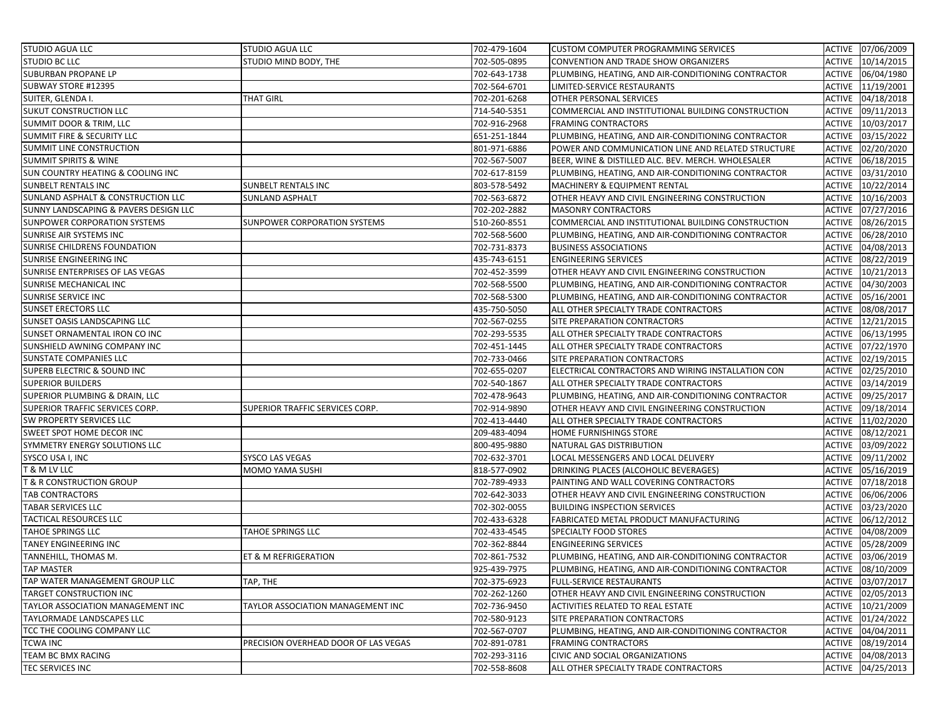| <b>STUDIO AGUA LLC</b>                        | <b>STUDIO AGUA LLC</b>               | 702-479-1604 | <b>CUSTOM COMPUTER PROGRAMMING SERVICES</b>        |        | ACTIVE 07/06/2009 |
|-----------------------------------------------|--------------------------------------|--------------|----------------------------------------------------|--------|-------------------|
| <b>STUDIO BC LLC</b>                          | STUDIO MIND BODY, THE                | 702-505-0895 | CONVENTION AND TRADE SHOW ORGANIZERS               | ACTIVE | 10/14/2015        |
| SUBURBAN PROPANE LP                           |                                      | 702-643-1738 | PLUMBING, HEATING, AND AIR-CONDITIONING CONTRACTOR | ACTIVE | 06/04/1980        |
| SUBWAY STORE #12395                           |                                      | 702-564-6701 | LIMITED-SERVICE RESTAURANTS                        | ACTIVE | 11/19/2001        |
| SUITER, GLENDA I.                             | <b>THAT GIRL</b>                     | 702-201-6268 | OTHER PERSONAL SERVICES                            | ACTIVE | 04/18/2018        |
| SUKUT CONSTRUCTION LLC                        |                                      | 714-540-5351 | COMMERCIAL AND INSTITUTIONAL BUILDING CONSTRUCTION | ACTIVE | 09/11/2013        |
| <b>SUMMIT DOOR &amp; TRIM, LLC</b>            |                                      | 702-916-2968 | <b>FRAMING CONTRACTORS</b>                         | ACTIVE | 10/03/2017        |
| SUMMIT FIRE & SECURITY LLC                    |                                      | 651-251-1844 | PLUMBING, HEATING, AND AIR-CONDITIONING CONTRACTOR | ACTIVE | 03/15/2022        |
| SUMMIT LINE CONSTRUCTION                      |                                      | 801-971-6886 | POWER AND COMMUNICATION LINE AND RELATED STRUCTURE | ACTIVE | 02/20/2020        |
| <b>SUMMIT SPIRITS &amp; WINE</b>              |                                      | 702-567-5007 | BEER, WINE & DISTILLED ALC. BEV. MERCH. WHOLESALER | ACTIVE | 06/18/2015        |
| <b>SUN COUNTRY HEATING &amp; COOLING INC</b>  |                                      | 702-617-8159 | PLUMBING, HEATING, AND AIR-CONDITIONING CONTRACTOR | ACTIVE | 03/31/2010        |
| SUNBELT RENTALS INC                           | SUNBELT RENTALS INC                  | 803-578-5492 | MACHINERY & EQUIPMENT RENTAL                       | ACTIVE | 10/22/2014        |
| <b>SUNLAND ASPHALT &amp; CONSTRUCTION LLC</b> | <b>SUNLAND ASPHALT</b>               | 702-563-6872 | OTHER HEAVY AND CIVIL ENGINEERING CONSTRUCTION     | ACTIVE | 10/16/2003        |
| SUNNY LANDSCAPING & PAVERS DESIGN LLC         |                                      | 702-202-2882 | <b>MASONRY CONTRACTORS</b>                         | ACTIVE | 07/27/2016        |
| SUNPOWER CORPORATION SYSTEMS                  | SUNPOWER CORPORATION SYSTEMS         | 510-260-8551 | COMMERCIAL AND INSTITUTIONAL BUILDING CONSTRUCTION | ACTIVE | 08/26/2015        |
| SUNRISE AIR SYSTEMS INC                       |                                      | 702-568-5600 | PLUMBING, HEATING, AND AIR-CONDITIONING CONTRACTOR | ACTIVE | 06/28/2010        |
| SUNRISE CHILDRENS FOUNDATION                  |                                      | 702-731-8373 | <b>BUSINESS ASSOCIATIONS</b>                       | ACTIVE | 04/08/2013        |
| SUNRISE ENGINEERING INC                       |                                      | 435-743-6151 | <b>ENGINEERING SERVICES</b>                        | ACTIVE | 08/22/2019        |
| SUNRISE ENTERPRISES OF LAS VEGAS              |                                      | 702-452-3599 | OTHER HEAVY AND CIVIL ENGINEERING CONSTRUCTION     | ACTIVE | 10/21/2013        |
| SUNRISE MECHANICAL INC                        |                                      | 702-568-5500 | PLUMBING, HEATING, AND AIR-CONDITIONING CONTRACTOR | ACTIVE | 04/30/2003        |
| SUNRISE SERVICE INC                           |                                      | 702-568-5300 | PLUMBING, HEATING, AND AIR-CONDITIONING CONTRACTOR | ACTIVE | 05/16/2001        |
| <b>SUNSET ERECTORS LLC</b>                    |                                      | 435-750-5050 | ALL OTHER SPECIALTY TRADE CONTRACTORS              | ACTIVE | 08/08/2017        |
| SUNSET OASIS LANDSCAPING LLC                  |                                      | 702-567-0255 | SITE PREPARATION CONTRACTORS                       |        | ACTIVE 12/21/2015 |
| SUNSET ORNAMENTAL IRON CO INC                 |                                      | 702-293-5535 | ALL OTHER SPECIALTY TRADE CONTRACTORS              |        | ACTIVE 06/13/1995 |
| SUNSHIELD AWNING COMPANY INC                  |                                      | 702-451-1445 | ALL OTHER SPECIALTY TRADE CONTRACTORS              | ACTIVE | 07/22/1970        |
| <b>SUNSTATE COMPANIES LLC</b>                 |                                      | 702-733-0466 | SITE PREPARATION CONTRACTORS                       | ACTIVE | 02/19/2015        |
| SUPERB ELECTRIC & SOUND INC                   |                                      | 702-655-0207 | ELECTRICAL CONTRACTORS AND WIRING INSTALLATION CON | ACTIVE | 02/25/2010        |
| <b>SUPERIOR BUILDERS</b>                      |                                      | 702-540-1867 | ALL OTHER SPECIALTY TRADE CONTRACTORS              | ACTIVE | 03/14/2019        |
| SUPERIOR PLUMBING & DRAIN, LLC                |                                      | 702-478-9643 | PLUMBING, HEATING, AND AIR-CONDITIONING CONTRACTOR | ACTIVE | 09/25/2017        |
| SUPERIOR TRAFFIC SERVICES CORP.               | SUPERIOR TRAFFIC SERVICES CORP.      | 702-914-9890 | OTHER HEAVY AND CIVIL ENGINEERING CONSTRUCTION     | ACTIVE | 09/18/2014        |
| SW PROPERTY SERVICES LLC                      |                                      | 702-413-4440 | ALL OTHER SPECIALTY TRADE CONTRACTORS              | ACTIVE | 11/02/2020        |
| SWEET SPOT HOME DECOR INC                     |                                      | 209-483-4094 | HOME FURNISHINGS STORE                             | ACTIVE | 08/12/2021        |
| SYMMETRY ENERGY SOLUTIONS LLC                 |                                      | 800-495-9880 | NATURAL GAS DISTRIBUTION                           | ACTIVE | 03/09/2022        |
| SYSCO USA I, INC                              | SYSCO LAS VEGAS                      | 702-632-3701 | LOCAL MESSENGERS AND LOCAL DELIVERY                | ACTIVE | 09/11/2002        |
| T & M LV LLC                                  | MOMO YAMA SUSHI                      | 818-577-0902 | DRINKING PLACES (ALCOHOLIC BEVERAGES)              | ACTIVE | 05/16/2019        |
| <b>T &amp; R CONSTRUCTION GROUP</b>           |                                      | 702-789-4933 | PAINTING AND WALL COVERING CONTRACTORS             | ACTIVE | 07/18/2018        |
| TAB CONTRACTORS                               |                                      | 702-642-3033 | OTHER HEAVY AND CIVIL ENGINEERING CONSTRUCTION     | ACTIVE | 06/06/2006        |
| TABAR SERVICES LLC                            |                                      | 702-302-0055 | <b>BUILDING INSPECTION SERVICES</b>                | ACTIVE | 03/23/2020        |
| TACTICAL RESOURCES LLC                        |                                      | 702-433-6328 | FABRICATED METAL PRODUCT MANUFACTURING             | ACTIVE | 06/12/2012        |
| <b>TAHOE SPRINGS LLC</b>                      | TAHOE SPRINGS LLC                    | 702-433-4545 | SPECIALTY FOOD STORES                              | ACTIVE | 04/08/2009        |
| TANEY ENGINEERING INC                         |                                      | 702-362-8844 | <b>ENGINEERING SERVICES</b>                        | ACTIVE | 05/28/2009        |
| TANNEHILL, THOMAS M.                          | ET & M REFRIGERATION                 | 702-861-7532 | PLUMBING, HEATING, AND AIR-CONDITIONING CONTRACTOR | ACTIVE | 03/06/2019        |
| <b>TAP MASTER</b>                             |                                      | 925-439-7975 | PLUMBING, HEATING, AND AIR-CONDITIONING CONTRACTOR |        | ACTIVE 08/10/2009 |
| TAP WATER MANAGEMENT GROUP LLC                | TAP, THE                             | 702-375-6923 | <b>FULL-SERVICE RESTAURANTS</b>                    |        | ACTIVE 03/07/2017 |
| TARGET CONSTRUCTION INC                       |                                      | 702-262-1260 | OTHER HEAVY AND CIVIL ENGINEERING CONSTRUCTION     | ACTIVE | 02/05/2013        |
| TAYLOR ASSOCIATION MANAGEMENT INC             | TAYLOR ASSOCIATION MANAGEMENT INC    | 702-736-9450 | ACTIVITIES RELATED TO REAL ESTATE                  |        | ACTIVE 10/21/2009 |
| TAYLORMADE LANDSCAPES LLC                     |                                      | 702-580-9123 | SITE PREPARATION CONTRACTORS                       |        | ACTIVE 01/24/2022 |
| TCC THE COOLING COMPANY LLC                   |                                      | 702-567-0707 | PLUMBING, HEATING, AND AIR-CONDITIONING CONTRACTOR |        | ACTIVE 04/04/2011 |
| <b>TCWA INC</b>                               | PRECISION OVERHEAD DOOR OF LAS VEGAS | 702-891-0781 | <b>FRAMING CONTRACTORS</b>                         | ACTIVE | 08/19/2014        |
| TEAM BC BMX RACING                            |                                      | 702-293-3116 | CIVIC AND SOCIAL ORGANIZATIONS                     |        | ACTIVE 04/08/2013 |
| TEC SERVICES INC                              |                                      | 702-558-8608 | ALL OTHER SPECIALTY TRADE CONTRACTORS              |        | ACTIVE 04/25/2013 |
|                                               |                                      |              |                                                    |        |                   |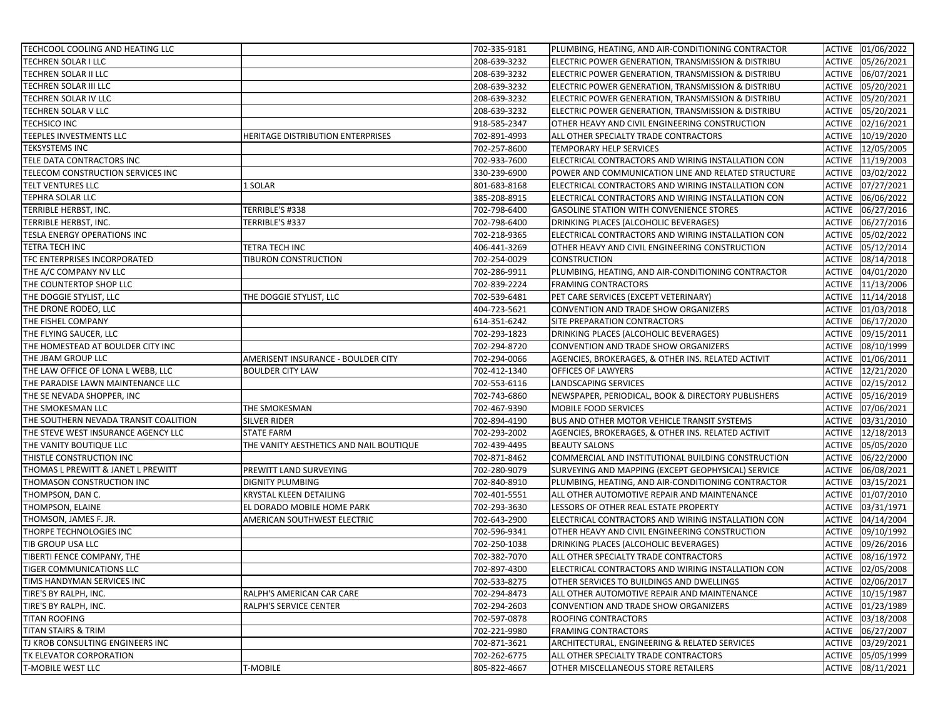| TECHCOOL COOLING AND HEATING LLC      |                                         | 702-335-9181                 | PLUMBING, HEATING, AND AIR-CONDITIONING CONTRACTOR |                  | ACTIVE 01/06/2022 |
|---------------------------------------|-----------------------------------------|------------------------------|----------------------------------------------------|------------------|-------------------|
| <b>TECHREN SOLAR I LLC</b>            |                                         | 208-639-3232                 | ELECTRIC POWER GENERATION, TRANSMISSION & DISTRIBU | ACTIVE           | 05/26/2021        |
| TECHREN SOLAR II LLC                  |                                         | 208-639-3232                 |                                                    | ACTIVE           | 06/07/2021        |
| TECHREN SOLAR III LLC                 |                                         |                              | ELECTRIC POWER GENERATION, TRANSMISSION & DISTRIBU |                  |                   |
| TECHREN SOLAR IV LLC                  |                                         | 208-639-3232<br>208-639-3232 | ELECTRIC POWER GENERATION, TRANSMISSION & DISTRIBU | ACTIVE<br>ACTIVE | 05/20/2021        |
|                                       |                                         |                              | ELECTRIC POWER GENERATION, TRANSMISSION & DISTRIBU |                  | 05/20/2021        |
| TECHREN SOLAR V LLC                   |                                         | 208-639-3232                 | ELECTRIC POWER GENERATION, TRANSMISSION & DISTRIBU | ACTIVE           | 05/20/2021        |
| <b>TECHSICO INC</b>                   |                                         | 918-585-2347                 | OTHER HEAVY AND CIVIL ENGINEERING CONSTRUCTION     | ACTIVE           | 02/16/2021        |
| TEEPLES INVESTMENTS LLC               | HERITAGE DISTRIBUTION ENTERPRISES       | 702-891-4993                 | ALL OTHER SPECIALTY TRADE CONTRACTORS              | ACTIVE           | 10/19/2020        |
| <b>TEKSYSTEMS INC</b>                 |                                         | 702-257-8600                 | <b>TEMPORARY HELP SERVICES</b>                     | ACTIVE           | 12/05/2005        |
| TELE DATA CONTRACTORS INC             |                                         | 702-933-7600                 | ELECTRICAL CONTRACTORS AND WIRING INSTALLATION CON | ACTIVE           | 11/19/2003        |
| TELECOM CONSTRUCTION SERVICES INC     |                                         | 330-239-6900                 | POWER AND COMMUNICATION LINE AND RELATED STRUCTURE | ACTIVE           | 03/02/2022        |
| TELT VENTURES LLC                     | 1 SOLAR                                 | 801-683-8168                 | ELECTRICAL CONTRACTORS AND WIRING INSTALLATION CON | ACTIVE           | 07/27/2021        |
| TEPHRA SOLAR LLC                      |                                         | 385-208-8915                 | ELECTRICAL CONTRACTORS AND WIRING INSTALLATION CON | ACTIVE           | 06/06/2022        |
| TERRIBLE HERBST, INC.                 | TERRIBLE'S #338                         | 702-798-6400                 | <b>GASOLINE STATION WITH CONVENIENCE STORES</b>    | ACTIVE           | 06/27/2016        |
| TERRIBLE HERBST, INC.                 | TERRIBLE'S #337                         | 702-798-6400                 | DRINKING PLACES (ALCOHOLIC BEVERAGES)              | ACTIVE           | 06/27/2016        |
| TESLA ENERGY OPERATIONS INC           |                                         | 702-218-9365                 | ELECTRICAL CONTRACTORS AND WIRING INSTALLATION CON | ACTIVE           | 05/02/2022        |
| <b>TETRA TECH INC</b>                 | TETRA TECH INC                          | 406-441-3269                 | OTHER HEAVY AND CIVIL ENGINEERING CONSTRUCTION     | ACTIVE           | 05/12/2014        |
| TFC ENTERPRISES INCORPORATED          | TIBURON CONSTRUCTION                    | 702-254-0029                 | <b>CONSTRUCTION</b>                                | ACTIVE           | 08/14/2018        |
| THE A/C COMPANY NV LLC                |                                         | 702-286-9911                 | PLUMBING, HEATING, AND AIR-CONDITIONING CONTRACTOR | ACTIVE           | 04/01/2020        |
| THE COUNTERTOP SHOP LLC               |                                         | 702-839-2224                 | <b>FRAMING CONTRACTORS</b>                         | ACTIVE           | 11/13/2006        |
| THE DOGGIE STYLIST, LLC               | THE DOGGIE STYLIST, LLC                 | 702-539-6481                 | PET CARE SERVICES (EXCEPT VETERINARY)              | ACTIVE           | 11/14/2018        |
| THE DRONE RODEO, LLC                  |                                         | 404-723-5621                 | CONVENTION AND TRADE SHOW ORGANIZERS               | ACTIVE           | 01/03/2018        |
| THE FISHEL COMPANY                    |                                         | 614-351-6242                 | SITE PREPARATION CONTRACTORS                       |                  | ACTIVE 06/17/2020 |
| THE FLYING SAUCER, LLC                |                                         | 702-293-1823                 | DRINKING PLACES (ALCOHOLIC BEVERAGES)              | ACTIVE           | 09/15/2011        |
| THE HOMESTEAD AT BOULDER CITY INC     |                                         | 702-294-8720                 | CONVENTION AND TRADE SHOW ORGANIZERS               | ACTIVE           | 08/10/1999        |
| THE JBAM GROUP LLC                    | AMERISENT INSURANCE - BOULDER CITY      | 702-294-0066                 | AGENCIES, BROKERAGES, & OTHER INS. RELATED ACTIVIT | ACTIVE           | 01/06/2011        |
| THE LAW OFFICE OF LONA L WEBB, LLC    | BOULDER CITY LAW                        | 702-412-1340                 | <b>OFFICES OF LAWYERS</b>                          | ACTIVE           | 12/21/2020        |
| THE PARADISE LAWN MAINTENANCE LLC     |                                         | 702-553-6116                 | LANDSCAPING SERVICES                               | ACTIVE           | 02/15/2012        |
| THE SE NEVADA SHOPPER, INC            |                                         | 702-743-6860                 | NEWSPAPER, PERIODICAL, BOOK & DIRECTORY PUBLISHERS | ACTIVE           | 05/16/2019        |
| THE SMOKESMAN LLC                     | THE SMOKESMAN                           | 702-467-9390                 | MOBILE FOOD SERVICES                               | ACTIVE           | 07/06/2021        |
| THE SOUTHERN NEVADA TRANSIT COALITION | SILVER RIDER                            | 702-894-4190                 | <b>BUS AND OTHER MOTOR VEHICLE TRANSIT SYSTEMS</b> | ACTIVE           | 03/31/2010        |
| THE STEVE WEST INSURANCE AGENCY LLC   | <b>STATE FARM</b>                       | 702-293-2002                 | AGENCIES, BROKERAGES, & OTHER INS. RELATED ACTIVIT | ACTIVE           | 12/18/2013        |
| THE VANITY BOUTIQUE LLC               | THE VANITY AESTHETICS AND NAIL BOUTIQUE | 702-439-4495                 | <b>BEAUTY SALONS</b>                               | ACTIVE           | 05/05/2020        |
| THISTLE CONSTRUCTION INC              |                                         | 702-871-8462                 | COMMERCIAL AND INSTITUTIONAL BUILDING CONSTRUCTION | ACTIVE           | 06/22/2000        |
| THOMAS L PREWITT & JANET L PREWITT    | PREWITT LAND SURVEYING                  | 702-280-9079                 | SURVEYING AND MAPPING (EXCEPT GEOPHYSICAL) SERVICE | ACTIVE           | 06/08/2021        |
| THOMASON CONSTRUCTION INC             | DIGNITY PLUMBING                        | 702-840-8910                 | PLUMBING, HEATING, AND AIR-CONDITIONING CONTRACTOR | ACTIVE           | 03/15/2021        |
| THOMPSON, DAN C.                      | KRYSTAL KLEEN DETAILING                 | 702-401-5551                 | ALL OTHER AUTOMOTIVE REPAIR AND MAINTENANCE        | ACTIVE           | 01/07/2010        |
|                                       |                                         |                              |                                                    |                  |                   |
| THOMPSON, ELAINE                      | EL DORADO MOBILE HOME PARK              | 702-293-3630                 | LESSORS OF OTHER REAL ESTATE PROPERTY              | ACTIVE           | 03/31/1971        |
| THOMSON, JAMES F. JR.                 | AMERICAN SOUTHWEST ELECTRIC             | 702-643-2900                 | ELECTRICAL CONTRACTORS AND WIRING INSTALLATION CON | ACTIVE           | 04/14/2004        |
| THORPE TECHNOLOGIES INC               |                                         | 702-596-9341                 | OTHER HEAVY AND CIVIL ENGINEERING CONSTRUCTION     | ACTIVE           | 09/10/1992        |
| TIB GROUP USA LLC                     |                                         | 702-250-1038                 | DRINKING PLACES (ALCOHOLIC BEVERAGES)              | ACTIVE           | 09/26/2016        |
| TIBERTI FENCE COMPANY, THE            |                                         | 702-382-7070                 | ALL OTHER SPECIALTY TRADE CONTRACTORS              | ACTIVE           | 08/16/1972        |
| <b>TIGER COMMUNICATIONS LLC</b>       |                                         | 702-897-4300                 | ELECTRICAL CONTRACTORS AND WIRING INSTALLATION CON |                  | ACTIVE 02/05/2008 |
| TIMS HANDYMAN SERVICES INC            |                                         | 702-533-8275                 | OTHER SERVICES TO BUILDINGS AND DWELLINGS          |                  | ACTIVE 02/06/2017 |
| TIRE'S BY RALPH, INC.                 | RALPH'S AMERICAN CAR CARE               | 702-294-8473                 | ALL OTHER AUTOMOTIVE REPAIR AND MAINTENANCE        |                  | ACTIVE 10/15/1987 |
| TIRE'S BY RALPH, INC.                 | RALPH'S SERVICE CENTER                  | 702-294-2603                 | CONVENTION AND TRADE SHOW ORGANIZERS               |                  | ACTIVE 01/23/1989 |
| <b>TITAN ROOFING</b>                  |                                         | 702-597-0878                 | ROOFING CONTRACTORS                                |                  | ACTIVE 03/18/2008 |
| <b>TITAN STAIRS &amp; TRIM</b>        |                                         | 702-221-9980                 | <b>FRAMING CONTRACTORS</b>                         |                  | ACTIVE 06/27/2007 |
| TJ KROB CONSULTING ENGINEERS INC      |                                         | 702-871-3621                 | ARCHITECTURAL, ENGINEERING & RELATED SERVICES      |                  | ACTIVE 03/29/2021 |
| TK ELEVATOR CORPORATION               |                                         | 702-262-6775                 | ALL OTHER SPECIALTY TRADE CONTRACTORS              |                  | ACTIVE 05/05/1999 |
| <b>T-MOBILE WEST LLC</b>              | T-MOBILE                                | 805-822-4667                 | <b>OTHER MISCELLANEOUS STORE RETAILERS</b>         |                  | ACTIVE 08/11/2021 |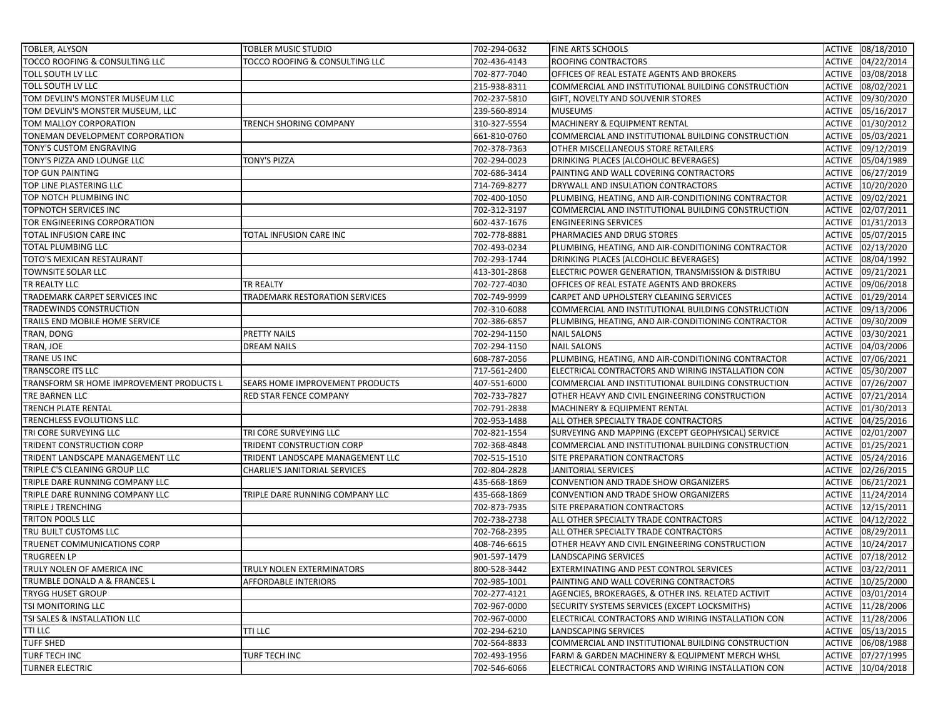| TOBLER, ALYSON                           | TOBLER MUSIC STUDIO              | 702-294-0632 | <b>FINE ARTS SCHOOLS</b>                           |               | ACTIVE 08/18/2010 |
|------------------------------------------|----------------------------------|--------------|----------------------------------------------------|---------------|-------------------|
| TOCCO ROOFING & CONSULTING LLC           | TOCCO ROOFING & CONSULTING LLC   | 702-436-4143 | ROOFING CONTRACTORS                                | <b>ACTIVE</b> | 04/22/2014        |
| TOLL SOUTH LV LLC                        |                                  | 702-877-7040 | OFFICES OF REAL ESTATE AGENTS AND BROKERS          | <b>ACTIVE</b> | 03/08/2018        |
| TOLL SOUTH LV LLC                        |                                  | 215-938-8311 | COMMERCIAL AND INSTITUTIONAL BUILDING CONSTRUCTION | <b>ACTIVE</b> | 08/02/2021        |
| TOM DEVLIN'S MONSTER MUSEUM LLC          |                                  | 702-237-5810 | GIFT, NOVELTY AND SOUVENIR STORES                  |               | ACTIVE 09/30/2020 |
| TOM DEVLIN'S MONSTER MUSEUM, LLC         |                                  | 239-560-8914 | <b>MUSEUMS</b>                                     | ACTIVE        | 05/16/2017        |
| TOM MALLOY CORPORATION                   | TRENCH SHORING COMPANY           | 310-327-5554 | MACHINERY & EQUIPMENT RENTAL                       |               | ACTIVE 01/30/2012 |
| TONEMAN DEVELOPMENT CORPORATION          |                                  | 661-810-0760 | COMMERCIAL AND INSTITUTIONAL BUILDING CONSTRUCTION | ACTIVE        | 05/03/2021        |
| TONY'S CUSTOM ENGRAVING                  |                                  | 702-378-7363 | OTHER MISCELLANEOUS STORE RETAILERS                |               | ACTIVE 09/12/2019 |
| TONY'S PIZZA AND LOUNGE LLC              | TONY'S PIZZA                     | 702-294-0023 | DRINKING PLACES (ALCOHOLIC BEVERAGES)              | <b>ACTIVE</b> | 05/04/1989        |
| TOP GUN PAINTING                         |                                  | 702-686-3414 | PAINTING AND WALL COVERING CONTRACTORS             | <b>ACTIVE</b> | 06/27/2019        |
| TOP LINE PLASTERING LLC                  |                                  | 714-769-8277 | DRYWALL AND INSULATION CONTRACTORS                 | <b>ACTIVE</b> | 10/20/2020        |
| TOP NOTCH PLUMBING INC                   |                                  | 702-400-1050 | PLUMBING, HEATING, AND AIR-CONDITIONING CONTRACTOR | <b>ACTIVE</b> | 09/02/2021        |
| TOPNOTCH SERVICES INC                    |                                  | 702-312-3197 | COMMERCIAL AND INSTITUTIONAL BUILDING CONSTRUCTION | <b>ACTIVE</b> | 02/07/2011        |
| TOR ENGINEERING CORPORATION              |                                  | 602-437-1676 | <b>ENGINEERING SERVICES</b>                        | <b>ACTIVE</b> | 01/31/2013        |
| TOTAL INFUSION CARE INC                  | TOTAL INFUSION CARE INC          | 702-778-8881 | PHARMACIES AND DRUG STORES                         | <b>ACTIVE</b> | 05/07/2015        |
| TOTAL PLUMBING LLC                       |                                  | 702-493-0234 | PLUMBING, HEATING, AND AIR-CONDITIONING CONTRACTOR |               | ACTIVE 02/13/2020 |
| TOTO'S MEXICAN RESTAURANT                |                                  | 702-293-1744 | DRINKING PLACES (ALCOHOLIC BEVERAGES)              | <b>ACTIVE</b> | 08/04/1992        |
| TOWNSITE SOLAR LLC                       |                                  | 413-301-2868 | ELECTRIC POWER GENERATION, TRANSMISSION & DISTRIBU | ACTIVE        | 09/21/2021        |
| TR REALTY LLC                            | TR REALTY                        | 702-727-4030 | OFFICES OF REAL ESTATE AGENTS AND BROKERS          | ACTIVE        | 09/06/2018        |
| TRADEMARK CARPET SERVICES INC            | TRADEMARK RESTORATION SERVICES   | 702-749-9999 | CARPET AND UPHOLSTERY CLEANING SERVICES            | <b>ACTIVE</b> | 01/29/2014        |
| TRADEWINDS CONSTRUCTION                  |                                  | 702-310-6088 | COMMERCIAL AND INSTITUTIONAL BUILDING CONSTRUCTION | <b>ACTIVE</b> | 09/13/2006        |
| TRAILS END MOBILE HOME SERVICE           |                                  | 702-386-6857 | PLUMBING, HEATING, AND AIR-CONDITIONING CONTRACTOR | <b>ACTIVE</b> | 09/30/2009        |
| TRAN, DONG                               | PRETTY NAILS                     | 702-294-1150 | <b>NAIL SALONS</b>                                 | <b>ACTIVE</b> | 03/30/2021        |
| TRAN, JOE                                | <b>DREAM NAILS</b>               | 702-294-1150 | <b>NAIL SALONS</b>                                 | <b>ACTIVE</b> | 04/03/2006        |
| TRANE US INC                             |                                  | 608-787-2056 | PLUMBING, HEATING, AND AIR-CONDITIONING CONTRACTOR | <b>ACTIVE</b> | 07/06/2021        |
| TRANSCORE ITS LLC                        |                                  | 717-561-2400 | ELECTRICAL CONTRACTORS AND WIRING INSTALLATION CON | ACTIVE        | 05/30/2007        |
| TRANSFORM SR HOME IMPROVEMENT PRODUCTS L | SEARS HOME IMPROVEMENT PRODUCTS  | 407-551-6000 | COMMERCIAL AND INSTITUTIONAL BUILDING CONSTRUCTION |               | ACTIVE 07/26/2007 |
| TRE BARNEN LLC                           | RED STAR FENCE COMPANY           | 702-733-7827 | OTHER HEAVY AND CIVIL ENGINEERING CONSTRUCTION     | ACTIVE        | 07/21/2014        |
| TRENCH PLATE RENTAL                      |                                  | 702-791-2838 | MACHINERY & EQUIPMENT RENTAL                       |               | ACTIVE 01/30/2013 |
| TRENCHLESS EVOLUTIONS LLC                |                                  | 702-953-1488 | ALL OTHER SPECIALTY TRADE CONTRACTORS              |               | ACTIVE 04/25/2016 |
| TRI CORE SURVEYING LLC                   | TRI CORE SURVEYING LLC           | 702-821-1554 | SURVEYING AND MAPPING (EXCEPT GEOPHYSICAL) SERVICE |               | ACTIVE 02/01/2007 |
| TRIDENT CONSTRUCTION CORP                | TRIDENT CONSTRUCTION CORP        | 702-368-4848 | COMMERCIAL AND INSTITUTIONAL BUILDING CONSTRUCTION | <b>ACTIVE</b> | 01/25/2021        |
| TRIDENT LANDSCAPE MANAGEMENT LLC         | TRIDENT LANDSCAPE MANAGEMENT LLC | 702-515-1510 | SITE PREPARATION CONTRACTORS                       | <b>ACTIVE</b> | 05/24/2016        |
| TRIPLE C'S CLEANING GROUP LLC            | CHARLIE'S JANITORIAL SERVICES    | 702-804-2828 | JANITORIAL SERVICES                                | ACTIVE        | 02/26/2015        |
| TRIPLE DARE RUNNING COMPANY LLC          |                                  | 435-668-1869 | CONVENTION AND TRADE SHOW ORGANIZERS               | <b>ACTIVE</b> | 06/21/2021        |
| TRIPLE DARE RUNNING COMPANY LLC          | TRIPLE DARE RUNNING COMPANY LLC  | 435-668-1869 | CONVENTION AND TRADE SHOW ORGANIZERS               | <b>ACTIVE</b> | 11/24/2014        |
| TRIPLE J TRENCHING                       |                                  | 702-873-7935 | SITE PREPARATION CONTRACTORS                       | <b>ACTIVE</b> | 12/15/2011        |
| TRITON POOLS LLC                         |                                  | 702-738-2738 | ALL OTHER SPECIALTY TRADE CONTRACTORS              | ACTIVE        | 04/12/2022        |
| TRU BUILT CUSTOMS LLC                    |                                  | 702-768-2395 | ALL OTHER SPECIALTY TRADE CONTRACTORS              | <b>ACTIVE</b> | 08/29/2011        |
| TRUENET COMMUNICATIONS CORP              |                                  | 408-746-6615 | OTHER HEAVY AND CIVIL ENGINEERING CONSTRUCTION     | <b>ACTIVE</b> | 10/24/2017        |
| <b>TRUGREEN LP</b>                       |                                  | 901-597-1479 | LANDSCAPING SERVICES                               | ACTIVE        | 07/18/2012        |
| TRULY NOLEN OF AMERICA INC               | TRULY NOLEN EXTERMINATORS        | 800-528-3442 | EXTERMINATING AND PEST CONTROL SERVICES            |               | ACTIVE 03/22/2011 |
| TRUMBLE DONALD A & FRANCES L             | <b>AFFORDABLE INTERIORS</b>      | 702-985-1001 | PAINTING AND WALL COVERING CONTRACTORS             |               | ACTIVE 10/25/2000 |
| <b>TRYGG HUSET GROUP</b>                 |                                  | 702-277-4121 | AGENCIES, BROKERAGES, & OTHER INS. RELATED ACTIVIT | <b>ACTIVE</b> | 03/01/2014        |
| TSI MONITORING LLC                       |                                  | 702-967-0000 | SECURITY SYSTEMS SERVICES (EXCEPT LOCKSMITHS)      |               | ACTIVE 11/28/2006 |
| TSI SALES & INSTALLATION LLC             |                                  | 702-967-0000 | ELECTRICAL CONTRACTORS AND WIRING INSTALLATION CON |               | ACTIVE 11/28/2006 |
| <b>TTI LLC</b>                           | <b>TTI LLC</b>                   | 702-294-6210 | LANDSCAPING SERVICES                               |               | ACTIVE 05/13/2015 |
| <b>TUFF SHED</b>                         |                                  | 702-564-8833 | COMMERCIAL AND INSTITUTIONAL BUILDING CONSTRUCTION |               | ACTIVE 06/08/1988 |
| TURF TECH INC                            | TURF TECH INC                    | 702-493-1956 | FARM & GARDEN MACHINERY & EQUIPMENT MERCH WHSL     | <b>ACTIVE</b> | 07/27/1995        |
| <b>TURNER ELECTRIC</b>                   |                                  | 702-546-6066 | ELECTRICAL CONTRACTORS AND WIRING INSTALLATION CON |               | ACTIVE 10/04/2018 |
|                                          |                                  |              |                                                    |               |                   |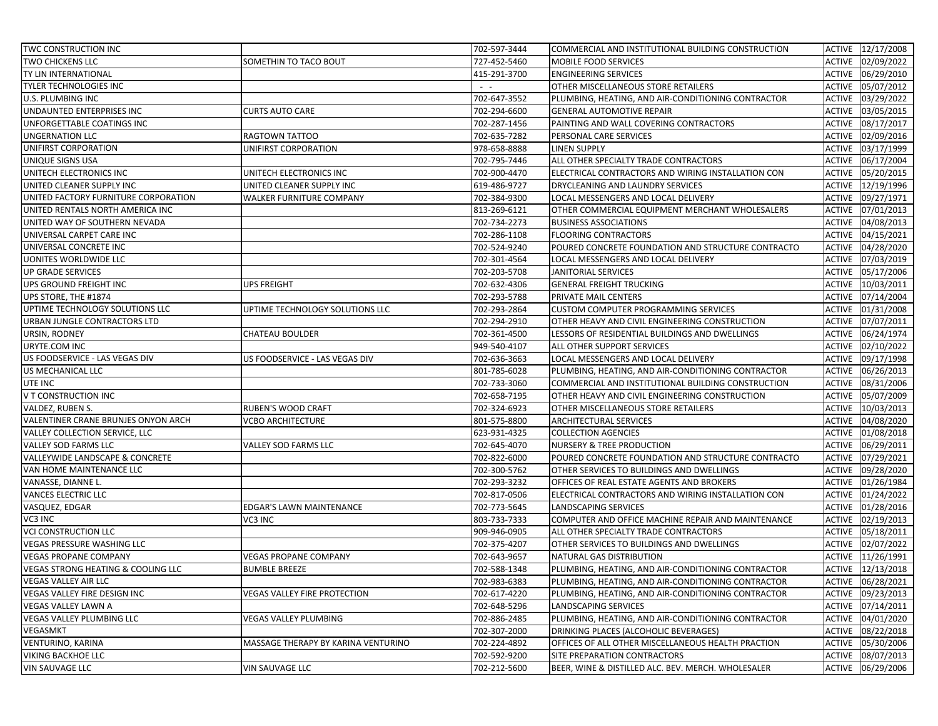| TWC CONSTRUCTION INC                 |                                     | 702-597-3444   | COMMERCIAL AND INSTITUTIONAL BUILDING CONSTRUCTION | ACTIVE 12/17/2008           |  |
|--------------------------------------|-------------------------------------|----------------|----------------------------------------------------|-----------------------------|--|
| <b>TWO CHICKENS LLC</b>              | SOMETHIN TO TACO BOUT               | 727-452-5460   | MOBILE FOOD SERVICES                               | ACTIVE 02/09/2022           |  |
| <b>TY LIN INTERNATIONAL</b>          |                                     | 415-291-3700   | <b>ENGINEERING SERVICES</b>                        | ACTIVE 06/29/2010           |  |
| <b>TYLER TECHNOLOGIES INC</b>        |                                     | $\sim$ $ \sim$ | OTHER MISCELLANEOUS STORE RETAILERS                | <b>ACTIVE</b><br>05/07/2012 |  |
| <b>U.S. PLUMBING INC</b>             |                                     | 702-647-3552   | PLUMBING, HEATING, AND AIR-CONDITIONING CONTRACTOR | ACTIVE 03/29/2022           |  |
| UNDAUNTED ENTERPRISES INC            | <b>CURTS AUTO CARE</b>              | 702-294-6600   | <b>GENERAL AUTOMOTIVE REPAIR</b>                   | 03/05/2015<br><b>ACTIVE</b> |  |
| UNFORGETTABLE COATINGS INC           |                                     | 702-287-1456   | PAINTING AND WALL COVERING CONTRACTORS             | 08/17/2017<br><b>ACTIVE</b> |  |
| <b>UNGERNATION LLC</b>               | RAGTOWN TATTOO                      | 702-635-7282   | PERSONAL CARE SERVICES                             | <b>ACTIVE</b><br>02/09/2016 |  |
| UNIFIRST CORPORATION                 | UNIFIRST CORPORATION                | 978-658-8888   | <b>LINEN SUPPLY</b>                                | ACTIVE 03/17/1999           |  |
| UNIQUE SIGNS USA                     |                                     | 702-795-7446   | ALL OTHER SPECIALTY TRADE CONTRACTORS              | ACTIVE 06/17/2004           |  |
| UNITECH ELECTRONICS INC              | UNITECH ELECTRONICS INC             | 702-900-4470   | ELECTRICAL CONTRACTORS AND WIRING INSTALLATION CON | 05/20/2015<br><b>ACTIVE</b> |  |
| UNITED CLEANER SUPPLY INC            | UNITED CLEANER SUPPLY INC           | 619-486-9727   | DRYCLEANING AND LAUNDRY SERVICES                   | ACTIVE 12/19/1996           |  |
| UNITED FACTORY FURNITURE CORPORATION | WALKER FURNITURE COMPANY            | 702-384-9300   | LOCAL MESSENGERS AND LOCAL DELIVERY                | ACTIVE 09/27/1971           |  |
| UNITED RENTALS NORTH AMERICA INC     |                                     | 813-269-6121   | OTHER COMMERCIAL EQUIPMENT MERCHANT WHOLESALERS    | ACTIVE 07/01/2013           |  |
| UNITED WAY OF SOUTHERN NEVADA        |                                     | 702-734-2273   | <b>BUSINESS ASSOCIATIONS</b>                       | ACTIVE 04/08/2013           |  |
| UNIVERSAL CARPET CARE INC            |                                     | 702-286-1108   | <b>FLOORING CONTRACTORS</b>                        | 04/15/2021<br>ACTIVE        |  |
| UNIVERSAL CONCRETE INC               |                                     | 702-524-9240   | POURED CONCRETE FOUNDATION AND STRUCTURE CONTRACTO | ACTIVE 04/28/2020           |  |
| <b>UONITES WORLDWIDE LLC</b>         |                                     | 702-301-4564   | LOCAL MESSENGERS AND LOCAL DELIVERY                | 07/03/2019<br><b>ACTIVE</b> |  |
| UP GRADE SERVICES                    |                                     | 702-203-5708   | JANITORIAL SERVICES                                | 05/17/2006<br><b>ACTIVE</b> |  |
| UPS GROUND FREIGHT INC               | <b>UPS FREIGHT</b>                  | 702-632-4306   | <b>GENERAL FREIGHT TRUCKING</b>                    | 10/03/2011<br>ACTIVE        |  |
| UPS STORE, THE #1874                 |                                     | 702-293-5788   | <b>PRIVATE MAIL CENTERS</b>                        | ACTIVE 07/14/2004           |  |
| UPTIME TECHNOLOGY SOLUTIONS LLC      | UPTIME TECHNOLOGY SOLUTIONS LLC     | 702-293-2864   | <b>CUSTOM COMPUTER PROGRAMMING SERVICES</b>        | ACTIVE 01/31/2008           |  |
| URBAN JUNGLE CONTRACTORS LTD         |                                     | 702-294-2910   | OTHER HEAVY AND CIVIL ENGINEERING CONSTRUCTION     | 07/07/2011<br><b>ACTIVE</b> |  |
| URSIN, RODNEY                        | <b>CHATEAU BOULDER</b>              | 702-361-4500   | LESSORS OF RESIDENTIAL BUILDINGS AND DWELLINGS     | ACTIVE 06/24/1974           |  |
| URYTE.COM INC                        |                                     | 949-540-4107   | <b>ALL OTHER SUPPORT SERVICES</b>                  | ACTIVE 02/10/2022           |  |
| US FOODSERVICE - LAS VEGAS DIV       | US FOODSERVICE - LAS VEGAS DIV      | 702-636-3663   | LOCAL MESSENGERS AND LOCAL DELIVERY                | 09/17/1998<br><b>ACTIVE</b> |  |
| US MECHANICAL LLC                    |                                     | 801-785-6028   | PLUMBING, HEATING, AND AIR-CONDITIONING CONTRACTOR | 06/26/2013<br><b>ACTIVE</b> |  |
| UTE INC                              |                                     | 702-733-3060   | COMMERCIAL AND INSTITUTIONAL BUILDING CONSTRUCTION | 08/31/2006<br><b>ACTIVE</b> |  |
| V T CONSTRUCTION INC                 |                                     | 702-658-7195   | OTHER HEAVY AND CIVIL ENGINEERING CONSTRUCTION     | 05/07/2009<br><b>ACTIVE</b> |  |
| VALDEZ, RUBEN S.                     | RUBEN'S WOOD CRAFT                  | 702-324-6923   | OTHER MISCELLANEOUS STORE RETAILERS                | 10/03/2013<br><b>ACTIVE</b> |  |
| VALENTINER CRANE BRUNJES ONYON ARCH  | <b>VCBO ARCHITECTURE</b>            | 801-575-8800   | <b>ARCHITECTURAL SERVICES</b>                      | <b>ACTIVE</b><br>04/08/2020 |  |
| VALLEY COLLECTION SERVICE, LLC       |                                     | 623-931-4325   | <b>COLLECTION AGENCIES</b>                         | ACTIVE 01/08/2018           |  |
| <b>VALLEY SOD FARMS LLC</b>          | VALLEY SOD FARMS LLC                | 702-645-4070   | <b>NURSERY &amp; TREE PRODUCTION</b>               | ACTIVE 06/29/2011           |  |
| VALLEYWIDE LANDSCAPE & CONCRETE      |                                     | 702-822-6000   | POURED CONCRETE FOUNDATION AND STRUCTURE CONTRACTO | ACTIVE 07/29/2021           |  |
| VAN HOME MAINTENANCE LLC             |                                     | 702-300-5762   | OTHER SERVICES TO BUILDINGS AND DWELLINGS          | ACTIVE 09/28/2020           |  |
| VANASSE, DIANNE L.                   |                                     | 702-293-3232   | OFFICES OF REAL ESTATE AGENTS AND BROKERS          | ACTIVE 01/26/1984           |  |
| <b>VANCES ELECTRIC LLC</b>           |                                     | 702-817-0506   | ELECTRICAL CONTRACTORS AND WIRING INSTALLATION CON | ACTIVE 01/24/2022           |  |
| VASQUEZ, EDGAR                       | <b>EDGAR'S LAWN MAINTENANCE</b>     | 702-773-5645   | LANDSCAPING SERVICES                               | ACTIVE 01/28/2016           |  |
| VC3 INC                              | VC3 INC                             | 803-733-7333   | COMPUTER AND OFFICE MACHINE REPAIR AND MAINTENANCE | ACTIVE 02/19/2013           |  |
| <b>VCI CONSTRUCTION LLC</b>          |                                     | 909-946-0905   | ALL OTHER SPECIALTY TRADE CONTRACTORS              | ACTIVE 05/18/2011           |  |
| VEGAS PRESSURE WASHING LLC           |                                     | 702-375-4207   | OTHER SERVICES TO BUILDINGS AND DWELLINGS          | ACTIVE 02/07/2022           |  |
| <b>VEGAS PROPANE COMPANY</b>         | <b>VEGAS PROPANE COMPANY</b>        | 702-643-9657   | NATURAL GAS DISTRIBUTION                           | ACTIVE 11/26/1991           |  |
| VEGAS STRONG HEATING & COOLING LLC   | <b>BUMBLE BREEZE</b>                | 702-588-1348   | PLUMBING, HEATING, AND AIR-CONDITIONING CONTRACTOR | ACTIVE 12/13/2018           |  |
| <b>VEGAS VALLEY AIR LLC</b>          |                                     | 702-983-6383   | PLUMBING, HEATING, AND AIR-CONDITIONING CONTRACTOR | ACTIVE 06/28/2021           |  |
| <b>VEGAS VALLEY FIRE DESIGN INC</b>  | <b>VEGAS VALLEY FIRE PROTECTION</b> | 702-617-4220   | PLUMBING, HEATING, AND AIR-CONDITIONING CONTRACTOR | ACTIVE 09/23/2013           |  |
| <b>VEGAS VALLEY LAWN A</b>           |                                     | 702-648-5296   | LANDSCAPING SERVICES                               | ACTIVE 07/14/2011           |  |
| <b>VEGAS VALLEY PLUMBING LLC</b>     | VEGAS VALLEY PLUMBING               | 702-886-2485   | PLUMBING, HEATING, AND AIR-CONDITIONING CONTRACTOR | ACTIVE 04/01/2020           |  |
| <b>VEGASMKT</b>                      |                                     | 702-307-2000   | <b>DRINKING PLACES (ALCOHOLIC BEVERAGES)</b>       | ACTIVE 08/22/2018           |  |
| <b>VENTURINO, KARINA</b>             | MASSAGE THERAPY BY KARINA VENTURINO | 702-224-4892   | OFFICES OF ALL OTHER MISCELLANEOUS HEALTH PRACTION | ACTIVE 05/30/2006           |  |
| <b>VIKING BACKHOE LLC</b>            |                                     | 702-592-9200   | SITE PREPARATION CONTRACTORS                       | <b>ACTIVE</b><br>08/07/2013 |  |
| <b>VIN SAUVAGE LLC</b>               | VIN SAUVAGE LLC                     | 702-212-5600   | BEER, WINE & DISTILLED ALC. BEV. MERCH. WHOLESALER | ACTIVE 06/29/2006           |  |
|                                      |                                     |                |                                                    |                             |  |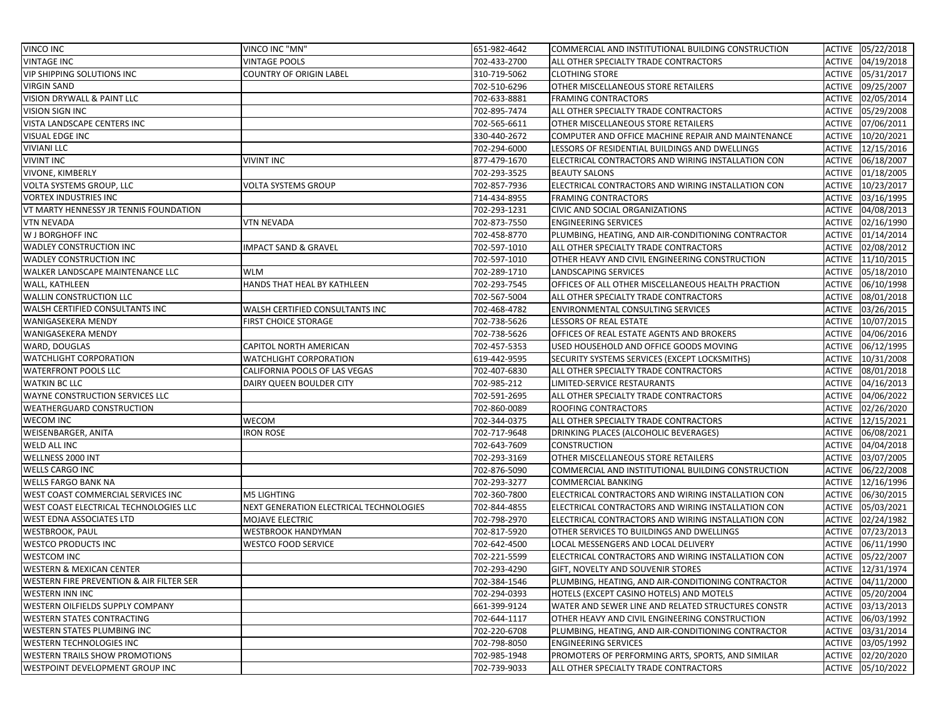| <b>VINCO INC</b>                                    | VINCO INC "MN"                          | 651-982-4642 | COMMERCIAL AND INSTITUTIONAL BUILDING CONSTRUCTION |               | ACTIVE 05/22/2018 |
|-----------------------------------------------------|-----------------------------------------|--------------|----------------------------------------------------|---------------|-------------------|
| <b>VINTAGE INC</b>                                  | <b>VINTAGE POOLS</b>                    | 702-433-2700 | ALL OTHER SPECIALTY TRADE CONTRACTORS              | <b>ACTIVE</b> | 04/19/2018        |
| VIP SHIPPING SOLUTIONS INC                          | COUNTRY OF ORIGIN LABEL                 | 310-719-5062 | <b>CLOTHING STORE</b>                              | ACTIVE        | 05/31/2017        |
| <b>VIRGIN SAND</b>                                  |                                         | 702-510-6296 | OTHER MISCELLANEOUS STORE RETAILERS                | ACTIVE        | 09/25/2007        |
| VISION DRYWALL & PAINT LLC                          |                                         | 702-633-8881 | <b>FRAMING CONTRACTORS</b>                         | ACTIVE        | 02/05/2014        |
| <b>VISION SIGN INC</b>                              |                                         | 702-895-7474 | ALL OTHER SPECIALTY TRADE CONTRACTORS              | <b>ACTIVE</b> | 05/29/2008        |
| VISTA LANDSCAPE CENTERS INC                         |                                         | 702-565-6611 | OTHER MISCELLANEOUS STORE RETAILERS                | ACTIVE        | 07/06/2011        |
| VISUAL EDGE INC                                     |                                         | 330-440-2672 | COMPUTER AND OFFICE MACHINE REPAIR AND MAINTENANCE | <b>ACTIVE</b> | 10/20/2021        |
| <b>VIVIANI LLC</b>                                  |                                         | 702-294-6000 | LESSORS OF RESIDENTIAL BUILDINGS AND DWELLINGS     | ACTIVE        | 12/15/2016        |
| <b>VIVINT INC</b>                                   | <b>VIVINT INC</b>                       | 877-479-1670 | ELECTRICAL CONTRACTORS AND WIRING INSTALLATION CON | <b>ACTIVE</b> | 06/18/2007        |
| <b>VIVONE, KIMBERLY</b>                             |                                         | 702-293-3525 | <b>BEAUTY SALONS</b>                               | ACTIVE        | 01/18/2005        |
| VOLTA SYSTEMS GROUP, LLC                            | VOLTA SYSTEMS GROUP                     | 702-857-7936 | ELECTRICAL CONTRACTORS AND WIRING INSTALLATION CON | ACTIVE        | 10/23/2017        |
| <b>VORTEX INDUSTRIES INC</b>                        |                                         | 714-434-8955 | <b>FRAMING CONTRACTORS</b>                         | ACTIVE        | 03/16/1995        |
| VT MARTY HENNESSY JR TENNIS FOUNDATION              |                                         | 702-293-1231 | CIVIC AND SOCIAL ORGANIZATIONS                     | <b>ACTIVE</b> | 04/08/2013        |
| <b>VTN NEVADA</b>                                   | <b>VTN NEVADA</b>                       | 702-873-7550 | <b>ENGINEERING SERVICES</b>                        | ACTIVE        | 02/16/1990        |
| W J BORGHOFF INC                                    |                                         | 702-458-8770 | PLUMBING, HEATING, AND AIR-CONDITIONING CONTRACTOR | ACTIVE        | 01/14/2014        |
| WADLEY CONSTRUCTION INC                             | IMPACT SAND & GRAVEL                    | 702-597-1010 | ALL OTHER SPECIALTY TRADE CONTRACTORS              | ACTIVE        | 02/08/2012        |
| <b>WADLEY CONSTRUCTION INC</b>                      |                                         | 702-597-1010 | OTHER HEAVY AND CIVIL ENGINEERING CONSTRUCTION     | ACTIVE        | 11/10/2015        |
| WALKER LANDSCAPE MAINTENANCE LLC                    | WLM                                     | 702-289-1710 | <b>LANDSCAPING SERVICES</b>                        | ACTIVE        | 05/18/2010        |
| WALL, KATHLEEN                                      | HANDS THAT HEAL BY KATHLEEN             | 702-293-7545 | OFFICES OF ALL OTHER MISCELLANEOUS HEALTH PRACTION | ACTIVE        | 06/10/1998        |
| <b>WALLIN CONSTRUCTION LLC</b>                      |                                         | 702-567-5004 | ALL OTHER SPECIALTY TRADE CONTRACTORS              | ACTIVE        | 08/01/2018        |
| WALSH CERTIFIED CONSULTANTS INC                     | WALSH CERTIFIED CONSULTANTS INC         | 702-468-4782 | ENVIRONMENTAL CONSULTING SERVICES                  | ACTIVE        | 03/26/2015        |
| <b>WANIGASEKERA MENDY</b>                           | <b>FIRST CHOICE STORAGE</b>             | 702-738-5626 | <b>LESSORS OF REAL ESTATE</b>                      | ACTIVE        | 10/07/2015        |
| WANIGASEKERA MENDY                                  |                                         | 702-738-5626 | OFFICES OF REAL ESTATE AGENTS AND BROKERS          | ACTIVE        | 04/06/2016        |
| WARD, DOUGLAS                                       | CAPITOL NORTH AMERICAN                  | 702-457-5353 | USED HOUSEHOLD AND OFFICE GOODS MOVING             | ACTIVE        | 06/12/1995        |
| <b>WATCHLIGHT CORPORATION</b>                       | WATCHLIGHT CORPORATION                  | 619-442-9595 | SECURITY SYSTEMS SERVICES (EXCEPT LOCKSMITHS)      | ACTIVE        | 10/31/2008        |
| <b>WATERFRONT POOLS LLC</b>                         | CALIFORNIA POOLS OF LAS VEGAS           | 702-407-6830 | ALL OTHER SPECIALTY TRADE CONTRACTORS              | ACTIVE        | 08/01/2018        |
| <b>WATKIN BC LLC</b>                                | DAIRY QUEEN BOULDER CITY                | 702-985-212  | LIMITED-SERVICE RESTAURANTS                        | ACTIVE        | 04/16/2013        |
| WAYNE CONSTRUCTION SERVICES LLC                     |                                         | 702-591-2695 | ALL OTHER SPECIALTY TRADE CONTRACTORS              | <b>ACTIVE</b> | 04/06/2022        |
| WEATHERGUARD CONSTRUCTION                           |                                         | 702-860-0089 | ROOFING CONTRACTORS                                | ACTIVE        | 02/26/2020        |
| <b>WECOM INC</b>                                    | WECOM                                   | 702-344-0375 | ALL OTHER SPECIALTY TRADE CONTRACTORS              | ACTIVE        | 12/15/2021        |
| WEISENBARGER, ANITA                                 | iron Rose                               | 702-717-9648 | DRINKING PLACES (ALCOHOLIC BEVERAGES)              | ACTIVE        | 06/08/2021        |
| <b>WELD ALL INC</b>                                 |                                         | 702-643-7609 | <b>CONSTRUCTION</b>                                | <b>ACTIVE</b> | 04/04/2018        |
| WELLNESS 2000 INT                                   |                                         | 702-293-3169 | OTHER MISCELLANEOUS STORE RETAILERS                | ACTIVE        | 03/07/2005        |
| <b>WELLS CARGO INC</b>                              |                                         | 702-876-5090 | COMMERCIAL AND INSTITUTIONAL BUILDING CONSTRUCTION | ACTIVE        | 06/22/2008        |
| <b>WELLS FARGO BANK NA</b>                          |                                         | 702-293-3277 | COMMERCIAL BANKING                                 | ACTIVE        | 12/16/1996        |
| WEST COAST COMMERCIAL SERVICES INC                  | <b>M5 LIGHTING</b>                      | 702-360-7800 | ELECTRICAL CONTRACTORS AND WIRING INSTALLATION CON | ACTIVE        | 06/30/2015        |
| WEST COAST ELECTRICAL TECHNOLOGIES LLC              | NEXT GENERATION ELECTRICAL TECHNOLOGIES | 702-844-4855 | ELECTRICAL CONTRACTORS AND WIRING INSTALLATION CON | ACTIVE        | 05/03/2021        |
| <b>WEST EDNA ASSOCIATES LTD</b>                     | MOJAVE ELECTRIC                         | 702-798-2970 | ELECTRICAL CONTRACTORS AND WIRING INSTALLATION CON | ACTIVE        | 02/24/1982        |
| <b>WESTBROOK, PAUL</b>                              | WESTBROOK HANDYMAN                      | 702-817-5920 | OTHER SERVICES TO BUILDINGS AND DWELLINGS          | ACTIVE        | 07/23/2013        |
| <b>WESTCO PRODUCTS INC</b>                          | WESTCO FOOD SERVICE                     | 702-642-4500 | LOCAL MESSENGERS AND LOCAL DELIVERY                | ACTIVE        | 06/11/1990        |
| <b>WESTCOM INC</b>                                  |                                         | 702-221-5599 | ELECTRICAL CONTRACTORS AND WIRING INSTALLATION CON | ACTIVE        | 05/22/2007        |
| <b>WESTERN &amp; MEXICAN CENTER</b>                 |                                         | 702-293-4290 | <b>GIFT. NOVELTY AND SOUVENIR STORES</b>           |               | ACTIVE 12/31/1974 |
| <b>WESTERN FIRE PREVENTION &amp; AIR FILTER SER</b> |                                         | 702-384-1546 | PLUMBING, HEATING, AND AIR-CONDITIONING CONTRACTOR |               | ACTIVE 04/11/2000 |
| <b>WESTERN INN INC</b>                              |                                         | 702-294-0393 | HOTELS (EXCEPT CASINO HOTELS) AND MOTELS           | ACTIVE        | 05/20/2004        |
| <b>WESTERN OILFIELDS SUPPLY COMPANY</b>             |                                         | 661-399-9124 | WATER AND SEWER LINE AND RELATED STRUCTURES CONSTR | ACTIVE        | 03/13/2013        |
| <b>WESTERN STATES CONTRACTING</b>                   |                                         | 702-644-1117 | OTHER HEAVY AND CIVIL ENGINEERING CONSTRUCTION     | ACTIVE        | 06/03/1992        |
| <b>WESTERN STATES PLUMBING INC</b>                  |                                         | 702-220-6708 | PLUMBING, HEATING, AND AIR-CONDITIONING CONTRACTOR | ACTIVE        | 03/31/2014        |
| <b>WESTERN TECHNOLOGIES INC</b>                     |                                         | 702-798-8050 | <b>ENGINEERING SERVICES</b>                        | ACTIVE        | 03/05/1992        |
| <b>WESTERN TRAILS SHOW PROMOTIONS</b>               |                                         | 702-985-1948 | PROMOTERS OF PERFORMING ARTS, SPORTS, AND SIMILAR  | ACTIVE        | 02/20/2020        |
| WESTPOINT DEVELOPMENT GROUP INC                     |                                         | 702-739-9033 | ALL OTHER SPECIALTY TRADE CONTRACTORS              |               | ACTIVE 05/10/2022 |